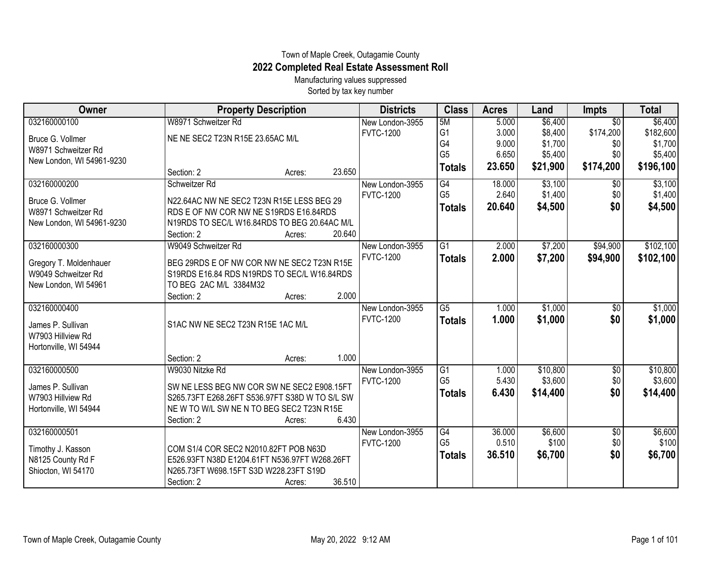## Town of Maple Creek, Outagamie County **2022 Completed Real Estate Assessment Roll**

Manufacturing values suppressed Sorted by tax key number

| Owner                     | <b>Property Description</b>                    |        | <b>Districts</b> | <b>Class</b>    | <b>Acres</b> | Land     | <b>Impts</b>    | <b>Total</b> |
|---------------------------|------------------------------------------------|--------|------------------|-----------------|--------------|----------|-----------------|--------------|
| 032160000100              | W8971 Schweitzer Rd                            |        | New London-3955  | 5M              | 5.000        | \$6,400  | $\overline{50}$ | \$6,400      |
| Bruce G. Vollmer          | NE NE SEC2 T23N R15E 23.65AC M/L               |        | <b>FVTC-1200</b> | G <sub>1</sub>  | 3.000        | \$8,400  | \$174,200       | \$182,600    |
| W8971 Schweitzer Rd       |                                                |        |                  | G4              | 9.000        | \$1,700  | \$0             | \$1,700      |
| New London, WI 54961-9230 |                                                |        |                  | G <sub>5</sub>  | 6.650        | \$5,400  | \$0             | \$5,400      |
|                           | Section: 2<br>Acres:                           | 23.650 |                  | <b>Totals</b>   | 23.650       | \$21,900 | \$174,200       | \$196,100    |
| 032160000200              | Schweitzer Rd                                  |        | New London-3955  | G4              | 18.000       | \$3,100  | $\overline{50}$ | \$3,100      |
| Bruce G. Vollmer          | N22.64AC NW NE SEC2 T23N R15E LESS BEG 29      |        | <b>FVTC-1200</b> | G <sub>5</sub>  | 2.640        | \$1,400  | \$0             | \$1,400      |
| W8971 Schweitzer Rd       | RDS E OF NW COR NW NE S19RDS E16.84RDS         |        |                  | <b>Totals</b>   | 20.640       | \$4,500  | \$0             | \$4,500      |
| New London, WI 54961-9230 | N19RDS TO SEC/L W16.84RDS TO BEG 20.64AC M/L   |        |                  |                 |              |          |                 |              |
|                           | Section: 2<br>Acres:                           | 20.640 |                  |                 |              |          |                 |              |
| 032160000300              | W9049 Schweitzer Rd                            |        | New London-3955  | G1              | 2.000        | \$7,200  | \$94,900        | \$102,100    |
| Gregory T. Moldenhauer    | BEG 29RDS E OF NW COR NW NE SEC2 T23N R15E     |        | <b>FVTC-1200</b> | <b>Totals</b>   | 2.000        | \$7,200  | \$94,900        | \$102,100    |
| W9049 Schweitzer Rd       | S19RDS E16.84 RDS N19RDS TO SEC/L W16.84RDS    |        |                  |                 |              |          |                 |              |
| New London, WI 54961      | TO BEG 2AC M/L 3384M32                         |        |                  |                 |              |          |                 |              |
|                           | Section: 2<br>Acres:                           | 2.000  |                  |                 |              |          |                 |              |
| 032160000400              |                                                |        | New London-3955  | $\overline{G5}$ | 1.000        | \$1,000  | \$0             | \$1,000      |
| James P. Sullivan         | S1AC NW NE SEC2 T23N R15E 1AC M/L              |        | <b>FVTC-1200</b> | <b>Totals</b>   | 1.000        | \$1,000  | \$0             | \$1,000      |
| W7903 Hillview Rd         |                                                |        |                  |                 |              |          |                 |              |
| Hortonville, WI 54944     |                                                |        |                  |                 |              |          |                 |              |
|                           | Section: 2<br>Acres:                           | 1.000  |                  |                 |              |          |                 |              |
| 032160000500              | W9030 Nitzke Rd                                |        | New London-3955  | $\overline{G1}$ | 1.000        | \$10,800 | \$0             | \$10,800     |
| James P. Sullivan         | SW NE LESS BEG NW COR SW NE SEC2 E908.15FT     |        | <b>FVTC-1200</b> | G <sub>5</sub>  | 5.430        | \$3,600  | \$0             | \$3,600      |
| W7903 Hillview Rd         | S265.73FT E268.26FT S536.97FT S38D W TO S/L SW |        |                  | <b>Totals</b>   | 6.430        | \$14,400 | \$0             | \$14,400     |
| Hortonville, WI 54944     | NEW TO W/L SW NEN TO BEG SEC2 T23N R15E        |        |                  |                 |              |          |                 |              |
|                           | Section: 2<br>Acres:                           | 6.430  |                  |                 |              |          |                 |              |
| 032160000501              |                                                |        | New London-3955  | G4              | 36.000       | \$6,600  | \$0             | \$6,600      |
| Timothy J. Kasson         | COM S1/4 COR SEC2 N2010.82FT POB N63D          |        | <b>FVTC-1200</b> | G <sub>5</sub>  | 0.510        | \$100    | \$0             | \$100        |
| N8125 County Rd F         | E526.93FT N38D E1204.61FT N536.97FT W268.26FT  |        |                  | <b>Totals</b>   | 36.510       | \$6,700  | \$0             | \$6,700      |
| Shiocton, WI 54170        | N265.73FT W698.15FT S3D W228.23FT S19D         |        |                  |                 |              |          |                 |              |
|                           | Section: 2<br>Acres:                           | 36.510 |                  |                 |              |          |                 |              |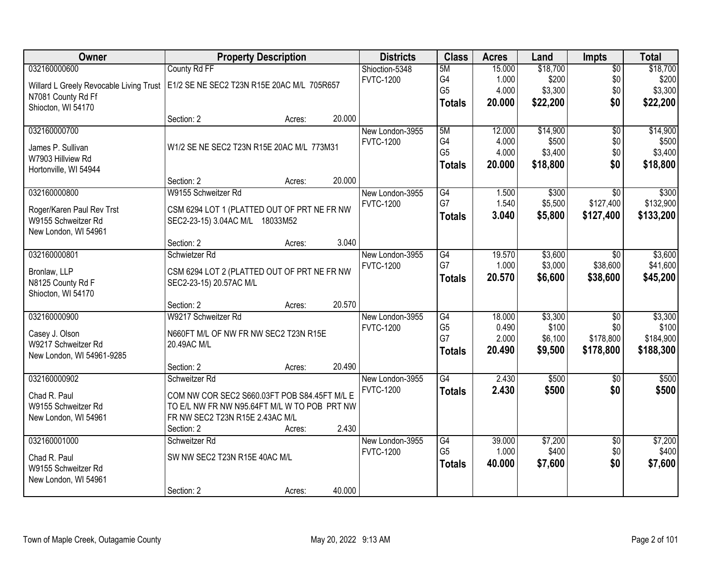| Owner                                   | <b>Property Description</b>                  | <b>Districts</b>                    | <b>Class</b>         | <b>Acres</b>    | Land             | <b>Impts</b>           | <b>Total</b>       |
|-----------------------------------------|----------------------------------------------|-------------------------------------|----------------------|-----------------|------------------|------------------------|--------------------|
| 032160000600                            | County Rd FF                                 | Shioction-5348                      | 5M                   | 15.000          | \$18,700         | $\overline{50}$        | \$18,700           |
| Willard L Greely Revocable Living Trust | E1/2 SE NE SEC2 T23N R15E 20AC M/L 705R657   | <b>FVTC-1200</b>                    | G4                   | 1.000           | \$200            | \$0                    | \$200              |
| N7081 County Rd Ff                      |                                              |                                     | G <sub>5</sub>       | 4.000           | \$3,300          | \$0                    | \$3,300            |
| Shiocton, WI 54170                      |                                              |                                     | <b>Totals</b>        | 20.000          | \$22,200         | \$0                    | \$22,200           |
|                                         | 20.000<br>Section: 2<br>Acres:               |                                     |                      |                 |                  |                        |                    |
| 032160000700                            |                                              | New London-3955                     | 5M                   | 12.000          | \$14,900         | $\overline{50}$        | \$14,900           |
| James P. Sullivan                       | W1/2 SE NE SEC2 T23N R15E 20AC M/L 773M31    | <b>FVTC-1200</b>                    | G4                   | 4.000           | \$500            | \$0                    | \$500              |
| W7903 Hillview Rd                       |                                              |                                     | G <sub>5</sub>       | 4.000           | \$3,400          | \$0                    | \$3,400            |
| Hortonville, WI 54944                   |                                              |                                     | <b>Totals</b>        | 20.000          | \$18,800         | \$0                    | \$18,800           |
|                                         | 20.000<br>Section: 2<br>Acres:               |                                     |                      |                 |                  |                        |                    |
| 032160000800                            | W9155 Schweitzer Rd                          | New London-3955                     | G4                   | 1.500           | \$300            | \$0                    | \$300              |
| Roger/Karen Paul Rev Trst               | CSM 6294 LOT 1 (PLATTED OUT OF PRT NE FR NW  | <b>FVTC-1200</b>                    | G7                   | 1.540           | \$5,500          | \$127,400              | \$132,900          |
| W9155 Schweitzer Rd                     | SEC2-23-15) 3.04AC M/L 18033M52              |                                     | <b>Totals</b>        | 3.040           | \$5,800          | \$127,400              | \$133,200          |
| New London, WI 54961                    |                                              |                                     |                      |                 |                  |                        |                    |
|                                         | 3.040<br>Section: 2<br>Acres:                |                                     |                      |                 |                  |                        |                    |
| 032160000801                            | Schwietzer Rd                                | New London-3955                     | G4                   | 19.570          | \$3,600          | $\overline{50}$        | \$3,600            |
| Bronlaw, LLP                            | CSM 6294 LOT 2 (PLATTED OUT OF PRT NE FR NW  | <b>FVTC-1200</b>                    | G7                   | 1.000           | \$3,000          | \$38,600               | \$41,600           |
| N8125 County Rd F                       | SEC2-23-15) 20.57AC M/L                      |                                     | <b>Totals</b>        | 20.570          | \$6,600          | \$38,600               | \$45,200           |
| Shiocton, WI 54170                      |                                              |                                     |                      |                 |                  |                        |                    |
|                                         | 20.570<br>Section: 2<br>Acres:               |                                     |                      |                 |                  |                        |                    |
| 032160000900                            | W9217 Schweitzer Rd                          | New London-3955                     | $\overline{G4}$      | 18.000          | \$3,300          | $\overline{50}$        | \$3,300            |
| Casey J. Olson                          | N660FT M/L OF NW FR NW SEC2 T23N R15E        | <b>FVTC-1200</b>                    | G <sub>5</sub><br>G7 | 0.490<br>2.000  | \$100<br>\$6,100 | \$0<br>\$178,800       | \$100<br>\$184,900 |
| W9217 Schweitzer Rd                     | 20.49AC M/L                                  |                                     | <b>Totals</b>        | 20.490          | \$9,500          | \$178,800              | \$188,300          |
| New London, WI 54961-9285               |                                              |                                     |                      |                 |                  |                        |                    |
|                                         | 20.490<br>Section: 2<br>Acres:               |                                     |                      |                 |                  |                        |                    |
| 032160000902                            | Schweitzer Rd                                | New London-3955                     | $\overline{G4}$      | 2.430           | \$500            | \$0                    | \$500              |
| Chad R. Paul                            | COM NW COR SEC2 S660.03FT POB S84.45FT M/L E | <b>FVTC-1200</b>                    | <b>Totals</b>        | 2.430           | \$500            | \$0                    | \$500              |
| W9155 Schweitzer Rd                     | TO E/L NW FR NW N95.64FT M/L W TO POB PRT NW |                                     |                      |                 |                  |                        |                    |
| New London, WI 54961                    | FR NW SEC2 T23N R15E 2.43AC M/L              |                                     |                      |                 |                  |                        |                    |
|                                         | 2.430<br>Section: 2<br>Acres:                |                                     |                      |                 |                  |                        |                    |
| 032160001000                            | Schweitzer Rd                                | New London-3955<br><b>FVTC-1200</b> | G4<br>G <sub>5</sub> | 39.000<br>1.000 | \$7,200<br>\$400 | $\overline{50}$<br>\$0 | \$7,200<br>\$400   |
| Chad R. Paul                            | SW NW SEC2 T23N R15E 40AC M/L                |                                     |                      | 40.000          |                  | \$0                    | \$7,600            |
| W9155 Schweitzer Rd                     |                                              |                                     | <b>Totals</b>        |                 | \$7,600          |                        |                    |
| New London, WI 54961                    |                                              |                                     |                      |                 |                  |                        |                    |
|                                         | 40.000<br>Section: 2<br>Acres:               |                                     |                      |                 |                  |                        |                    |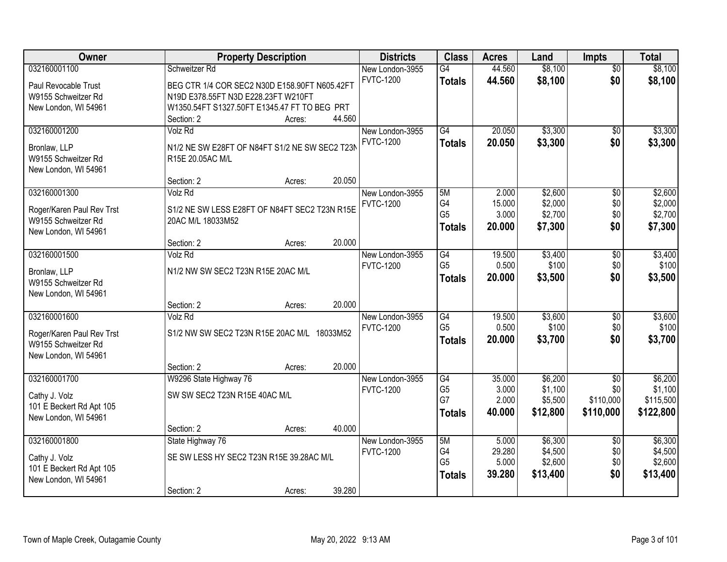| Owner                               |                                                                    | <b>Property Description</b> |        | <b>Districts</b> | <b>Class</b>    | <b>Acres</b> | Land     | <b>Impts</b>    | <b>Total</b> |
|-------------------------------------|--------------------------------------------------------------------|-----------------------------|--------|------------------|-----------------|--------------|----------|-----------------|--------------|
| 032160001100                        | Schweitzer Rd                                                      |                             |        | New London-3955  | $\overline{G4}$ | 44.560       | \$8,100  | $\overline{50}$ | \$8,100      |
| Paul Revocable Trust                | BEG CTR 1/4 COR SEC2 N30D E158.90FT N605.42FT                      |                             |        | <b>FVTC-1200</b> | <b>Totals</b>   | 44.560       | \$8,100  | \$0             | \$8,100      |
| W9155 Schweitzer Rd                 | N19D E378.55FT N3D E228.23FT W210FT                                |                             |        |                  |                 |              |          |                 |              |
| New London, WI 54961                | W1350.54FT S1327.50FT E1345.47 FT TO BEG PRT                       |                             |        |                  |                 |              |          |                 |              |
|                                     | Section: 2                                                         | Acres:                      | 44.560 |                  |                 |              |          |                 |              |
| 032160001200                        | Volz Rd                                                            |                             |        | New London-3955  | $\overline{G4}$ | 20.050       | \$3,300  | \$0             | \$3,300      |
|                                     |                                                                    |                             |        | <b>FVTC-1200</b> | <b>Totals</b>   | 20.050       | \$3,300  | \$0             | \$3,300      |
| Bronlaw, LLP<br>W9155 Schweitzer Rd | N1/2 NE SW E28FT OF N84FT S1/2 NE SW SEC2 T23N<br>R15E 20.05AC M/L |                             |        |                  |                 |              |          |                 |              |
| New London, WI 54961                |                                                                    |                             |        |                  |                 |              |          |                 |              |
|                                     | Section: 2                                                         | Acres:                      | 20.050 |                  |                 |              |          |                 |              |
| 032160001300                        | Volz Rd                                                            |                             |        | New London-3955  | 5M              | 2.000        | \$2,600  | \$0             | \$2,600      |
|                                     |                                                                    |                             |        | <b>FVTC-1200</b> | G4              | 15.000       | \$2,000  | \$0             | \$2,000      |
| Roger/Karen Paul Rev Trst           | S1/2 NE SW LESS E28FT OF N84FT SEC2 T23N R15E                      |                             |        |                  | G <sub>5</sub>  | 3.000        | \$2,700  | \$0             | \$2,700      |
| W9155 Schweitzer Rd                 | 20AC M/L 18033M52                                                  |                             |        |                  | <b>Totals</b>   | 20.000       | \$7,300  | \$0             | \$7,300      |
| New London, WI 54961                | Section: 2                                                         |                             | 20.000 |                  |                 |              |          |                 |              |
| 032160001500                        | <b>Volz Rd</b>                                                     | Acres:                      |        | New London-3955  | G4              | 19.500       | \$3,400  | $\sqrt[6]{3}$   | \$3,400      |
|                                     |                                                                    |                             |        | <b>FVTC-1200</b> | G <sub>5</sub>  | 0.500        | \$100    | \$0             | \$100        |
| Bronlaw, LLP                        | N1/2 NW SW SEC2 T23N R15E 20AC M/L                                 |                             |        |                  | <b>Totals</b>   | 20.000       | \$3,500  | \$0             | \$3,500      |
| W9155 Schweitzer Rd                 |                                                                    |                             |        |                  |                 |              |          |                 |              |
| New London, WI 54961                |                                                                    |                             |        |                  |                 |              |          |                 |              |
|                                     | Section: 2                                                         | Acres:                      | 20.000 |                  |                 |              |          |                 |              |
| 032160001600                        | <b>Volz Rd</b>                                                     |                             |        | New London-3955  | $\overline{G4}$ | 19.500       | \$3,600  | $\overline{50}$ | \$3,600      |
| Roger/Karen Paul Rev Trst           | S1/2 NW SW SEC2 T23N R15E 20AC M/L 18033M52                        |                             |        | <b>FVTC-1200</b> | G <sub>5</sub>  | 0.500        | \$100    | \$0             | \$100        |
| W9155 Schweitzer Rd                 |                                                                    |                             |        |                  | <b>Totals</b>   | 20.000       | \$3,700  | \$0             | \$3,700      |
| New London, WI 54961                |                                                                    |                             |        |                  |                 |              |          |                 |              |
|                                     | Section: 2                                                         | Acres:                      | 20.000 |                  |                 |              |          |                 |              |
| 032160001700                        | W9296 State Highway 76                                             |                             |        | New London-3955  | G4              | 35.000       | \$6,200  | $\sqrt{$0}$     | \$6,200      |
| Cathy J. Volz                       | SW SW SEC2 T23N R15E 40AC M/L                                      |                             |        | <b>FVTC-1200</b> | G <sub>5</sub>  | 3.000        | \$1,100  | \$0             | \$1,100      |
| 101 E Beckert Rd Apt 105            |                                                                    |                             |        |                  | G7              | 2.000        | \$5,500  | \$110,000       | \$115,500    |
| New London, WI 54961                |                                                                    |                             |        |                  | <b>Totals</b>   | 40,000       | \$12,800 | \$110,000       | \$122,800    |
|                                     | Section: 2                                                         | Acres:                      | 40.000 |                  |                 |              |          |                 |              |
| 032160001800                        | State Highway 76                                                   |                             |        | New London-3955  | 5M              | 5.000        | \$6,300  | $\overline{50}$ | \$6,300      |
| Cathy J. Volz                       | SE SW LESS HY SEC2 T23N R15E 39.28AC M/L                           |                             |        | <b>FVTC-1200</b> | G4              | 29.280       | \$4,500  | \$0             | \$4,500      |
| 101 E Beckert Rd Apt 105            |                                                                    |                             |        |                  | G <sub>5</sub>  | 5.000        | \$2,600  | \$0             | \$2,600      |
| New London, WI 54961                |                                                                    |                             |        |                  | <b>Totals</b>   | 39.280       | \$13,400 | \$0             | \$13,400     |
|                                     | Section: 2                                                         | Acres:                      | 39.280 |                  |                 |              |          |                 |              |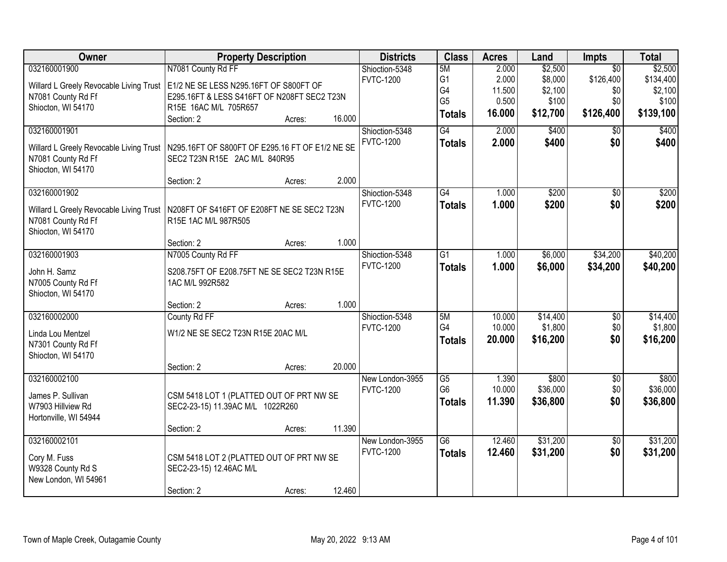| <b>Owner</b>                            | <b>Property Description</b>                     |        |        | <b>Districts</b> | <b>Class</b>                      | <b>Acres</b>    | Land              | <b>Impts</b>           | <b>Total</b>      |
|-----------------------------------------|-------------------------------------------------|--------|--------|------------------|-----------------------------------|-----------------|-------------------|------------------------|-------------------|
| 032160001900                            | N7081 County Rd FF                              |        |        | Shioction-5348   | 5M                                | 2.000           | \$2,500           | $\overline{30}$        | \$2,500           |
| Willard L Greely Revocable Living Trust | E1/2 NE SE LESS N295.16FT OF S800FT OF          |        |        | <b>FVTC-1200</b> | G1                                | 2.000           | \$8,000           | \$126,400              | \$134,400         |
| N7081 County Rd Ff                      | E295.16FT & LESS S416FT OF N208FT SEC2 T23N     |        |        |                  | G4                                | 11.500          | \$2,100           | \$0                    | \$2,100           |
| Shiocton, WI 54170                      | R15E 16AC M/L 705R657                           |        |        |                  | G <sub>5</sub>                    | 0.500           | \$100             | \$0                    | \$100             |
|                                         | Section: 2                                      | Acres: | 16.000 |                  | <b>Totals</b>                     | 16.000          | \$12,700          | \$126,400              | \$139,100         |
| 032160001901                            |                                                 |        |        | Shioction-5348   | G4                                | 2.000           | \$400             | \$0                    | \$400             |
|                                         |                                                 |        |        | <b>FVTC-1200</b> | <b>Totals</b>                     | 2.000           | \$400             | \$0                    | \$400             |
| Willard L Greely Revocable Living Trust | N295.16FT OF S800FT OF E295.16 FT OF E1/2 NE SE |        |        |                  |                                   |                 |                   |                        |                   |
| N7081 County Rd Ff                      | SEC2 T23N R15E 2AC M/L 840R95                   |        |        |                  |                                   |                 |                   |                        |                   |
| Shiocton, WI 54170                      |                                                 |        |        |                  |                                   |                 |                   |                        |                   |
|                                         | Section: 2                                      | Acres: | 2.000  |                  |                                   |                 |                   |                        |                   |
| 032160001902                            |                                                 |        |        | Shioction-5348   | G4                                | 1.000           | \$200             | \$0                    | \$200             |
| Willard L Greely Revocable Living Trust | N208FT OF S416FT OF E208FT NE SE SEC2 T23N      |        |        | <b>FVTC-1200</b> | <b>Totals</b>                     | 1.000           | \$200             | \$0                    | \$200             |
| N7081 County Rd Ff                      | R15E 1AC M/L 987R505                            |        |        |                  |                                   |                 |                   |                        |                   |
| Shiocton, WI 54170                      |                                                 |        |        |                  |                                   |                 |                   |                        |                   |
|                                         | Section: 2                                      | Acres: | 1.000  |                  |                                   |                 |                   |                        |                   |
| 032160001903                            | N7005 County Rd FF                              |        |        | Shioction-5348   | $\overline{G1}$                   | 1.000           | \$6,000           | \$34,200               | \$40,200          |
| John H. Samz                            | S208.75FT OF E208.75FT NE SE SEC2 T23N R15E     |        |        | <b>FVTC-1200</b> | <b>Totals</b>                     | 1.000           | \$6,000           | \$34,200               | \$40,200          |
| N7005 County Rd Ff                      | 1AC M/L 992R582                                 |        |        |                  |                                   |                 |                   |                        |                   |
| Shiocton, WI 54170                      |                                                 |        |        |                  |                                   |                 |                   |                        |                   |
|                                         | Section: 2                                      | Acres: | 1.000  |                  |                                   |                 |                   |                        |                   |
| 032160002000                            | County Rd FF                                    |        |        | Shioction-5348   | 5M                                | 10.000          | \$14,400          | $\overline{50}$        | \$14,400          |
|                                         |                                                 |        |        | <b>FVTC-1200</b> | G4                                | 10.000          | \$1,800           | \$0                    | \$1,800           |
| Linda Lou Mentzel                       | W1/2 NE SE SEC2 T23N R15E 20AC M/L              |        |        |                  | <b>Totals</b>                     | 20.000          | \$16,200          | \$0                    | \$16,200          |
| N7301 County Rd Ff                      |                                                 |        |        |                  |                                   |                 |                   |                        |                   |
| Shiocton, WI 54170                      |                                                 |        |        |                  |                                   |                 |                   |                        |                   |
|                                         | Section: 2                                      | Acres: | 20.000 |                  |                                   |                 |                   |                        |                   |
| 032160002100                            |                                                 |        |        | New London-3955  | $\overline{G5}$<br>G <sub>6</sub> | 1.390<br>10.000 | \$800<br>\$36,000 | $\overline{60}$<br>\$0 | \$800<br>\$36,000 |
| James P. Sullivan                       | CSM 5418 LOT 1 (PLATTED OUT OF PRT NW SE        |        |        | <b>FVTC-1200</b> |                                   |                 |                   |                        |                   |
| W7903 Hillview Rd                       | SEC2-23-15) 11.39AC M/L 1022R260                |        |        |                  | <b>Totals</b>                     | 11.390          | \$36,800          | \$0                    | \$36,800          |
| Hortonville, WI 54944                   |                                                 |        |        |                  |                                   |                 |                   |                        |                   |
|                                         | Section: 2                                      | Acres: | 11.390 |                  |                                   |                 |                   |                        |                   |
| 032160002101                            |                                                 |        |        | New London-3955  | $\overline{G6}$                   | 12.460          | \$31,200          | $\overline{50}$        | \$31,200          |
| Cory M. Fuss                            | CSM 5418 LOT 2 (PLATTED OUT OF PRT NW SE        |        |        | <b>FVTC-1200</b> | <b>Totals</b>                     | 12.460          | \$31,200          | \$0                    | \$31,200          |
| W9328 County Rd S                       | SEC2-23-15) 12.46AC M/L                         |        |        |                  |                                   |                 |                   |                        |                   |
| New London, WI 54961                    |                                                 |        |        |                  |                                   |                 |                   |                        |                   |
|                                         | Section: 2                                      | Acres: | 12.460 |                  |                                   |                 |                   |                        |                   |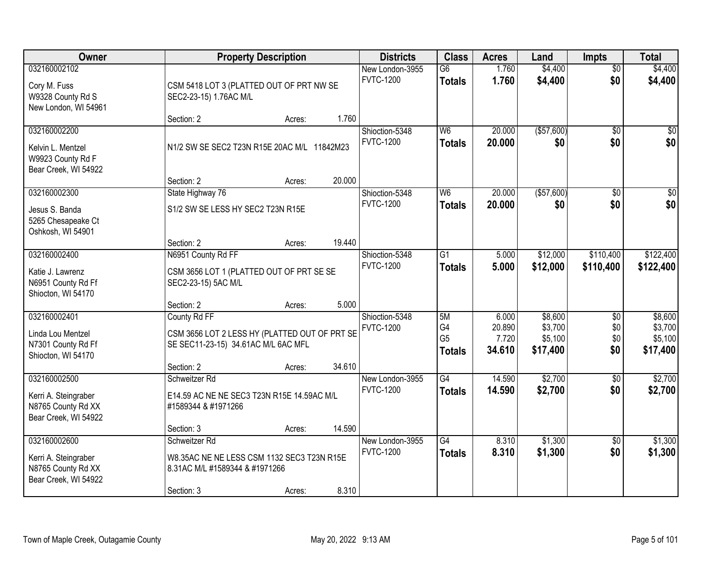| Owner                                                                              |                                                                                                                    | <b>Property Description</b> |        | <b>Districts</b>                    | <b>Class</b>                                | <b>Acres</b>                       | Land                                      | <b>Impts</b>             | <b>Total</b>                              |
|------------------------------------------------------------------------------------|--------------------------------------------------------------------------------------------------------------------|-----------------------------|--------|-------------------------------------|---------------------------------------------|------------------------------------|-------------------------------------------|--------------------------|-------------------------------------------|
| 032160002102<br>Cory M. Fuss<br>W9328 County Rd S<br>New London, WI 54961          | CSM 5418 LOT 3 (PLATTED OUT OF PRT NW SE<br>SEC2-23-15) 1.76AC M/L                                                 |                             |        | New London-3955<br><b>FVTC-1200</b> | $\overline{G6}$<br><b>Totals</b>            | 1.760<br>1.760                     | \$4,400<br>\$4,400                        | $\overline{50}$<br>\$0   | \$4,400<br>\$4,400                        |
|                                                                                    | Section: 2                                                                                                         | Acres:                      | 1.760  |                                     |                                             |                                    |                                           |                          |                                           |
| 032160002200<br>Kelvin L. Mentzel<br>W9923 County Rd F<br>Bear Creek, WI 54922     | N1/2 SW SE SEC2 T23N R15E 20AC M/L 11842M23                                                                        |                             |        | Shioction-5348<br><b>FVTC-1200</b>  | W <sub>6</sub><br><b>Totals</b>             | 20.000<br>20.000                   | ( \$57,600)<br>\$0                        | $\overline{50}$<br>\$0   | \$0<br>\$0                                |
| 032160002300                                                                       | Section: 2<br>State Highway 76                                                                                     | Acres:                      | 20.000 | Shioction-5348                      | W <sub>6</sub>                              | 20.000                             | ( \$57,600)                               | \$0                      | $\overline{50}$                           |
| Jesus S. Banda<br>5265 Chesapeake Ct<br>Oshkosh, WI 54901                          | S1/2 SW SE LESS HY SEC2 T23N R15E<br>Section: 2                                                                    | Acres:                      | 19.440 | <b>FVTC-1200</b>                    | <b>Totals</b>                               | 20.000                             | \$0                                       | \$0                      | \$0                                       |
| 032160002400                                                                       | N6951 County Rd FF                                                                                                 |                             |        | Shioction-5348                      | $\overline{G1}$                             | 5.000                              | \$12,000                                  | \$110,400                | \$122,400                                 |
| Katie J. Lawrenz<br>N6951 County Rd Ff<br>Shiocton, WI 54170                       | CSM 3656 LOT 1 (PLATTED OUT OF PRT SE SE<br>SEC2-23-15) 5AC M/L                                                    |                             |        | <b>FVTC-1200</b>                    | <b>Totals</b>                               | 5.000                              | \$12,000                                  | \$110,400                | \$122,400                                 |
|                                                                                    | Section: 2                                                                                                         | Acres:                      | 5.000  |                                     |                                             |                                    |                                           |                          |                                           |
| 032160002401<br>Linda Lou Mentzel<br>N7301 County Rd Ff<br>Shiocton, WI 54170      | County Rd FF<br>CSM 3656 LOT 2 LESS HY (PLATTED OUT OF PRT SE<br>SE SEC11-23-15) 34.61AC M/L 6AC MFL<br>Section: 2 | Acres:                      | 34.610 | Shioction-5348<br><b>FVTC-1200</b>  | 5M<br>G4<br>G <sub>5</sub><br><b>Totals</b> | 6.000<br>20.890<br>7.720<br>34.610 | \$8,600<br>\$3,700<br>\$5,100<br>\$17,400 | \$0<br>\$0<br>\$0<br>\$0 | \$8,600<br>\$3,700<br>\$5,100<br>\$17,400 |
| 032160002500                                                                       | Schweitzer Rd                                                                                                      |                             |        | New London-3955                     | $\overline{G4}$                             | 14.590                             | \$2,700                                   | \$0                      | \$2,700                                   |
| Kerri A. Steingraber<br>N8765 County Rd XX<br>Bear Creek, WI 54922                 | E14.59 AC NE NE SEC3 T23N R15E 14.59AC M/L<br>#1589344 & #1971266                                                  |                             |        | <b>FVTC-1200</b>                    | <b>Totals</b>                               | 14.590                             | \$2,700                                   | \$0                      | \$2,700                                   |
|                                                                                    | Section: 3                                                                                                         | Acres:                      | 14.590 |                                     |                                             |                                    |                                           |                          |                                           |
| 032160002600<br>Kerri A. Steingraber<br>N8765 County Rd XX<br>Bear Creek, WI 54922 | Schweitzer Rd<br>W8.35AC NE NE LESS CSM 1132 SEC3 T23N R15E<br>8.31AC M/L #1589344 & #1971266<br>Section: 3        | Acres:                      | 8.310  | New London-3955<br><b>FVTC-1200</b> | G4<br><b>Totals</b>                         | 8.310<br>8.310                     | \$1,300<br>\$1,300                        | $\overline{30}$<br>\$0   | \$1,300<br>\$1,300                        |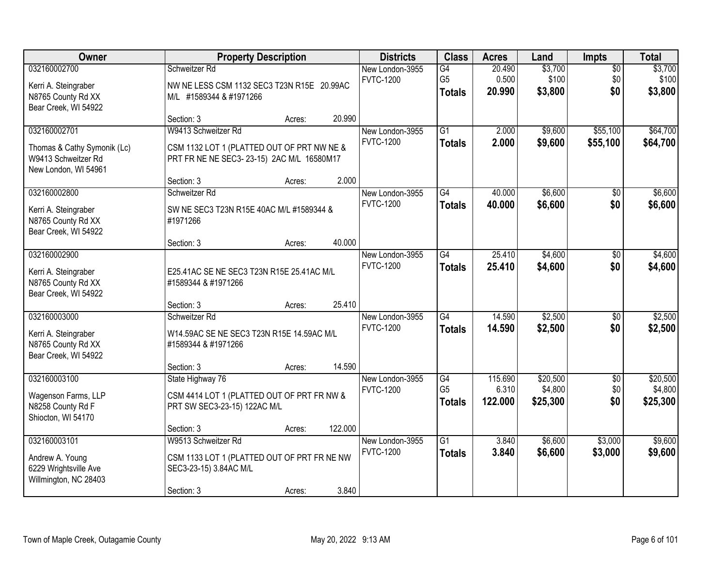| Owner                                                                                      |                                                                                                                | <b>Property Description</b> |         | <b>Districts</b>                    | <b>Class</b>                          | <b>Acres</b>                | Land                            | <b>Impts</b>                  | <b>Total</b>                    |
|--------------------------------------------------------------------------------------------|----------------------------------------------------------------------------------------------------------------|-----------------------------|---------|-------------------------------------|---------------------------------------|-----------------------------|---------------------------------|-------------------------------|---------------------------------|
| 032160002700<br>Kerri A. Steingraber<br>N8765 County Rd XX<br>Bear Creek, WI 54922         | Schweitzer Rd<br>NW NE LESS CSM 1132 SEC3 T23N R15E 20.99AC<br>M/L #1589344 & #1971266                         |                             |         | New London-3955<br><b>FVTC-1200</b> | G4<br>G <sub>5</sub><br><b>Totals</b> | 20.490<br>0.500<br>20.990   | \$3,700<br>\$100<br>\$3,800     | $\sqrt{$0}$<br>\$0<br>\$0     | \$3,700<br>\$100<br>\$3,800     |
|                                                                                            | Section: 3                                                                                                     | Acres:                      | 20.990  |                                     |                                       |                             |                                 |                               |                                 |
| 032160002701<br>Thomas & Cathy Symonik (Lc)<br>W9413 Schweitzer Rd<br>New London, WI 54961 | W9413 Schweitzer Rd<br>CSM 1132 LOT 1 (PLATTED OUT OF PRT NW NE &<br>PRT FR NE NE SEC3-23-15) 2AC M/L 16580M17 |                             |         | New London-3955<br><b>FVTC-1200</b> | $\overline{G1}$<br><b>Totals</b>      | 2.000<br>2.000              | \$9,600<br>\$9,600              | \$55,100<br>\$55,100          | \$64,700<br>\$64,700            |
|                                                                                            | Section: 3                                                                                                     | Acres:                      | 2.000   |                                     |                                       |                             |                                 |                               |                                 |
| 032160002800<br>Kerri A. Steingraber<br>N8765 County Rd XX<br>Bear Creek, WI 54922         | Schweitzer Rd<br>SW NE SEC3 T23N R15E 40AC M/L #1589344 &<br>#1971266                                          |                             |         | New London-3955<br><b>FVTC-1200</b> | G4<br><b>Totals</b>                   | 40,000<br>40.000            | \$6,600<br>\$6,600              | \$0<br>\$0                    | \$6,600<br>\$6,600              |
|                                                                                            | Section: 3                                                                                                     | Acres:                      | 40.000  |                                     |                                       |                             |                                 |                               |                                 |
| 032160002900<br>Kerri A. Steingraber<br>N8765 County Rd XX<br>Bear Creek, WI 54922         | E25.41AC SE NE SEC3 T23N R15E 25.41AC M/L<br>#1589344 & #1971266                                               |                             |         | New London-3955<br><b>FVTC-1200</b> | G4<br><b>Totals</b>                   | 25.410<br>25.410            | \$4,600<br>\$4,600              | $\sqrt[6]{3}$<br>\$0          | \$4,600<br>\$4,600              |
|                                                                                            | Section: 3                                                                                                     | Acres:                      | 25.410  |                                     |                                       |                             |                                 |                               |                                 |
| 032160003000<br>Kerri A. Steingraber<br>N8765 County Rd XX<br>Bear Creek, WI 54922         | Schweitzer Rd<br>W14.59AC SE NE SEC3 T23N R15E 14.59AC M/L<br>#1589344 & #1971266                              |                             |         | New London-3955<br><b>FVTC-1200</b> | $\overline{G4}$<br><b>Totals</b>      | 14.590<br>14.590            | \$2,500<br>\$2,500              | $\overline{50}$<br>\$0        | \$2,500<br>\$2,500              |
|                                                                                            | Section: 3                                                                                                     | Acres:                      | 14.590  |                                     |                                       |                             |                                 |                               |                                 |
| 032160003100<br>Wagenson Farms, LLP<br>N8258 County Rd F<br>Shiocton, WI 54170             | State Highway 76<br>CSM 4414 LOT 1 (PLATTED OUT OF PRT FR NW &<br>PRT SW SEC3-23-15) 122AC M/L                 |                             |         | New London-3955<br><b>FVTC-1200</b> | G4<br>G <sub>5</sub><br><b>Totals</b> | 115.690<br>6.310<br>122.000 | \$20,500<br>\$4,800<br>\$25,300 | $\overline{50}$<br>\$0<br>\$0 | \$20,500<br>\$4,800<br>\$25,300 |
|                                                                                            | Section: 3                                                                                                     | Acres:                      | 122.000 |                                     |                                       |                             |                                 |                               |                                 |
| 032160003101<br>Andrew A. Young<br>6229 Wrightsville Ave<br>Willmington, NC 28403          | W9513 Schweitzer Rd<br>CSM 1133 LOT 1 (PLATTED OUT OF PRT FR NE NW<br>SEC3-23-15) 3.84AC M/L<br>Section: 3     |                             | 3.840   | New London-3955<br><b>FVTC-1200</b> | $\overline{G1}$<br><b>Totals</b>      | 3.840<br>3.840              | \$6,600<br>\$6,600              | \$3,000<br>\$3,000            | \$9,600<br>\$9,600              |
|                                                                                            |                                                                                                                | Acres:                      |         |                                     |                                       |                             |                                 |                               |                                 |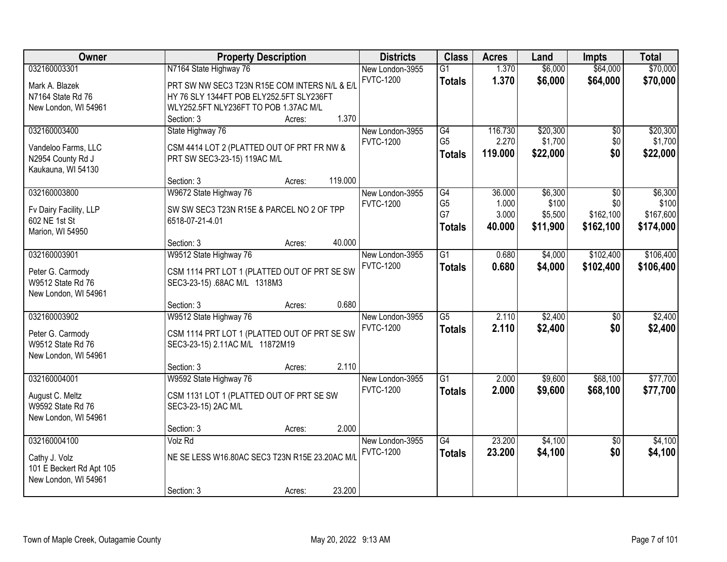| Owner                    | <b>Property Description</b>                    | <b>Districts</b> | <b>Class</b>    | <b>Acres</b> | Land     | <b>Impts</b>    | <b>Total</b> |
|--------------------------|------------------------------------------------|------------------|-----------------|--------------|----------|-----------------|--------------|
| 032160003301             | N7164 State Highway 76                         | New London-3955  | $\overline{G1}$ | 1.370        | \$6,000  | \$64,000        | \$70,000     |
| Mark A. Blazek           | PRT SW NW SEC3 T23N R15E COM INTERS N/L & E/L  | <b>FVTC-1200</b> | <b>Totals</b>   | 1.370        | \$6,000  | \$64,000        | \$70,000     |
| N7164 State Rd 76        | HY 76 SLY 1344FT POB ELY252.5FT SLY236FT       |                  |                 |              |          |                 |              |
| New London, WI 54961     | WLY252.5FT NLY236FT TO POB 1.37AC M/L          |                  |                 |              |          |                 |              |
|                          | 1.370<br>Section: 3<br>Acres:                  |                  |                 |              |          |                 |              |
| 032160003400             | State Highway 76                               | New London-3955  | G4              | 116.730      | \$20,300 | \$0             | \$20,300     |
| Vandeloo Farms, LLC      | CSM 4414 LOT 2 (PLATTED OUT OF PRT FR NW &     | <b>FVTC-1200</b> | G <sub>5</sub>  | 2.270        | \$1,700  | \$0             | \$1,700      |
| N2954 County Rd J        | PRT SW SEC3-23-15) 119AC M/L                   |                  | <b>Totals</b>   | 119,000      | \$22,000 | \$0             | \$22,000     |
| Kaukauna, WI 54130       |                                                |                  |                 |              |          |                 |              |
|                          | 119.000<br>Section: 3<br>Acres:                |                  |                 |              |          |                 |              |
| 032160003800             | W9672 State Highway 76                         | New London-3955  | G4              | 36.000       | \$6,300  | \$0             | \$6,300      |
|                          |                                                | <b>FVTC-1200</b> | G <sub>5</sub>  | 1.000        | \$100    | \$0             | \$100        |
| Fv Dairy Facility, LLP   | SW SW SEC3 T23N R15E & PARCEL NO 2 OF TPP      |                  | G7              | 3.000        | \$5,500  | \$162,100       | \$167,600    |
| 602 NE 1st St            | 6518-07-21-4.01                                |                  | <b>Totals</b>   | 40.000       | \$11,900 | \$162,100       | \$174,000    |
| Marion, WI 54950         | 40.000<br>Section: 3<br>Acres:                 |                  |                 |              |          |                 |              |
| 032160003901             | W9512 State Highway 76                         | New London-3955  | $\overline{G1}$ | 0.680        | \$4,000  | \$102,400       | \$106,400    |
|                          |                                                | <b>FVTC-1200</b> | <b>Totals</b>   | 0.680        | \$4,000  | \$102,400       | \$106,400    |
| Peter G. Carmody         | CSM 1114 PRT LOT 1 (PLATTED OUT OF PRT SE SW   |                  |                 |              |          |                 |              |
| W9512 State Rd 76        | SEC3-23-15) .68AC M/L 1318M3                   |                  |                 |              |          |                 |              |
| New London, WI 54961     |                                                |                  |                 |              |          |                 |              |
|                          | 0.680<br>Section: 3<br>Acres:                  |                  |                 |              |          |                 |              |
| 032160003902             | W9512 State Highway 76                         | New London-3955  | $\overline{G5}$ | 2.110        | \$2,400  | $\overline{50}$ | \$2,400      |
| Peter G. Carmody         | CSM 1114 PRT LOT 1 (PLATTED OUT OF PRT SE SW   | <b>FVTC-1200</b> | <b>Totals</b>   | 2.110        | \$2,400  | \$0             | \$2,400      |
| W9512 State Rd 76        | SEC3-23-15) 2.11AC M/L 11872M19                |                  |                 |              |          |                 |              |
| New London, WI 54961     |                                                |                  |                 |              |          |                 |              |
|                          | 2.110<br>Section: 3<br>Acres:                  |                  |                 |              |          |                 |              |
| 032160004001             | W9592 State Highway 76                         | New London-3955  | $\overline{G1}$ | 2.000        | \$9,600  | \$68,100        | \$77,700     |
| August C. Meltz          | CSM 1131 LOT 1 (PLATTED OUT OF PRT SE SW       | <b>FVTC-1200</b> | <b>Totals</b>   | 2.000        | \$9,600  | \$68,100        | \$77,700     |
| W9592 State Rd 76        | SEC3-23-15) 2AC M/L                            |                  |                 |              |          |                 |              |
| New London, WI 54961     |                                                |                  |                 |              |          |                 |              |
|                          | 2.000<br>Section: 3<br>Acres:                  |                  |                 |              |          |                 |              |
| 032160004100             | Volz Rd                                        | New London-3955  | $\overline{G4}$ | 23.200       | \$4,100  | $\overline{50}$ | \$4,100      |
| Cathy J. Volz            | NE SE LESS W16.80AC SEC3 T23N R15E 23.20AC M/L | <b>FVTC-1200</b> | <b>Totals</b>   | 23.200       | \$4,100  | \$0             | \$4,100      |
| 101 E Beckert Rd Apt 105 |                                                |                  |                 |              |          |                 |              |
| New London, WI 54961     |                                                |                  |                 |              |          |                 |              |
|                          | 23.200<br>Section: 3<br>Acres:                 |                  |                 |              |          |                 |              |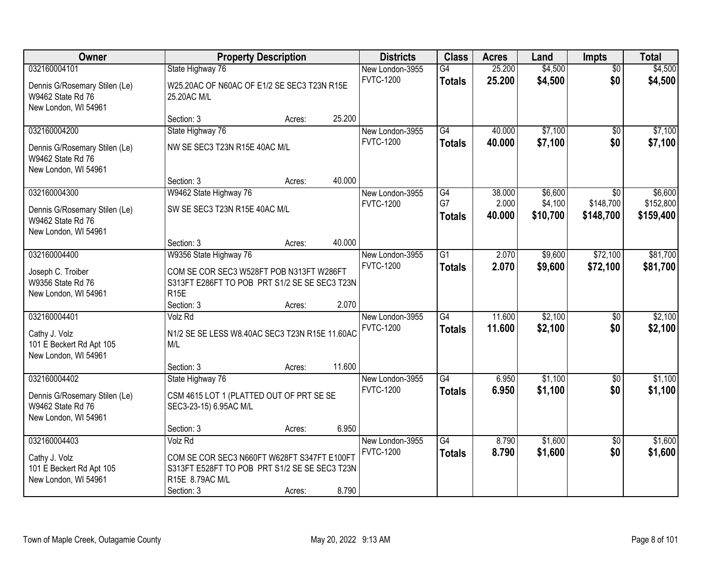| Owner                                                                      |                                                                                                               | <b>Property Description</b> |        | <b>Districts</b>                    | <b>Class</b>                     | <b>Acres</b>     | Land                | <b>Impts</b>           | <b>Total</b>           |
|----------------------------------------------------------------------------|---------------------------------------------------------------------------------------------------------------|-----------------------------|--------|-------------------------------------|----------------------------------|------------------|---------------------|------------------------|------------------------|
| 032160004101                                                               | State Highway 76                                                                                              |                             |        | New London-3955                     | $\overline{G4}$                  | 25.200           | \$4,500             | $\overline{50}$        | \$4,500                |
| Dennis G/Rosemary Stilen (Le)<br>W9462 State Rd 76<br>New London, WI 54961 | W25.20AC OF N60AC OF E1/2 SE SEC3 T23N R15E<br>25.20AC M/L                                                    |                             |        | <b>FVTC-1200</b>                    | <b>Totals</b>                    | 25.200           | \$4,500             | \$0                    | \$4,500                |
|                                                                            | Section: 3                                                                                                    | Acres:                      | 25.200 |                                     |                                  |                  |                     |                        |                        |
| 032160004200                                                               | State Highway 76                                                                                              |                             |        | New London-3955                     | $\overline{G4}$                  | 40.000           | \$7,100             | $\overline{50}$        | \$7,100                |
| Dennis G/Rosemary Stilen (Le)<br>W9462 State Rd 76<br>New London, WI 54961 | NW SE SEC3 T23N R15E 40AC M/L                                                                                 |                             |        | <b>FVTC-1200</b>                    | <b>Totals</b>                    | 40.000           | \$7,100             | \$0                    | \$7,100                |
|                                                                            | Section: 3                                                                                                    | Acres:                      | 40.000 |                                     |                                  |                  |                     |                        |                        |
| 032160004300                                                               | W9462 State Highway 76                                                                                        |                             |        | New London-3955                     | G4                               | 38.000           | \$6,600             | $\overline{50}$        | \$6,600                |
| Dennis G/Rosemary Stilen (Le)<br>W9462 State Rd 76                         | SW SE SEC3 T23N R15E 40AC M/L                                                                                 |                             |        | <b>FVTC-1200</b>                    | G7<br><b>Totals</b>              | 2.000<br>40.000  | \$4,100<br>\$10,700 | \$148,700<br>\$148,700 | \$152,800<br>\$159,400 |
| New London, WI 54961                                                       | Section: 3                                                                                                    | Acres:                      | 40.000 |                                     |                                  |                  |                     |                        |                        |
| 032160004400                                                               | W9356 State Highway 76                                                                                        |                             |        | New London-3955                     | $\overline{G1}$                  | 2.070            | \$9,600             | \$72,100               | \$81,700               |
| Joseph C. Troiber<br>W9356 State Rd 76<br>New London, WI 54961             | COM SE COR SEC3 W528FT POB N313FT W286FT<br>S313FT E286FT TO POB PRT S1/2 SE SE SEC3 T23N<br>R <sub>15E</sub> |                             |        | <b>FVTC-1200</b>                    | <b>Totals</b>                    | 2.070            | \$9,600             | \$72,100               | \$81,700               |
|                                                                            | Section: 3                                                                                                    | Acres:                      | 2.070  |                                     |                                  |                  |                     |                        |                        |
| 032160004401<br>Cathy J. Volz<br>101 E Beckert Rd Apt 105                  | Volz Rd<br>N1/2 SE SE LESS W8.40AC SEC3 T23N R15E 11.60AC<br>M/L                                              |                             |        | New London-3955<br><b>FVTC-1200</b> | $\overline{G4}$<br><b>Totals</b> | 11.600<br>11.600 | \$2,100<br>\$2,100  | $\overline{50}$<br>\$0 | \$2,100<br>\$2,100     |
| New London, WI 54961                                                       |                                                                                                               |                             |        |                                     |                                  |                  |                     |                        |                        |
|                                                                            | Section: 3                                                                                                    | Acres:                      | 11.600 |                                     |                                  |                  |                     |                        |                        |
| 032160004402                                                               | State Highway 76                                                                                              |                             |        | New London-3955                     | $\overline{G4}$                  | 6.950            | \$1,100             | \$0                    | \$1,100                |
| Dennis G/Rosemary Stilen (Le)<br>W9462 State Rd 76<br>New London, WI 54961 | CSM 4615 LOT 1 (PLATTED OUT OF PRT SE SE<br>SEC3-23-15) 6.95AC M/L                                            |                             |        | <b>FVTC-1200</b>                    | <b>Totals</b>                    | 6.950            | \$1,100             | \$0                    | \$1,100                |
|                                                                            | Section: 3                                                                                                    | Acres:                      | 6.950  |                                     |                                  |                  |                     |                        |                        |
| 032160004403<br>Cathy J. Volz<br>101 E Beckert Rd Apt 105                  | Volz Rd<br>COM SE COR SEC3 N660FT W628FT S347FT E100FT<br>S313FT E528FT TO POB PRT S1/2 SE SE SEC3 T23N       |                             |        | New London-3955<br><b>FVTC-1200</b> | G4<br><b>Totals</b>              | 8.790<br>8.790   | \$1,600<br>\$1,600  | $\overline{30}$<br>\$0 | \$1,600<br>\$1,600     |
| New London, WI 54961                                                       | R15E 8.79AC M/L                                                                                               |                             |        |                                     |                                  |                  |                     |                        |                        |
|                                                                            | Section: 3                                                                                                    | Acres:                      | 8.790  |                                     |                                  |                  |                     |                        |                        |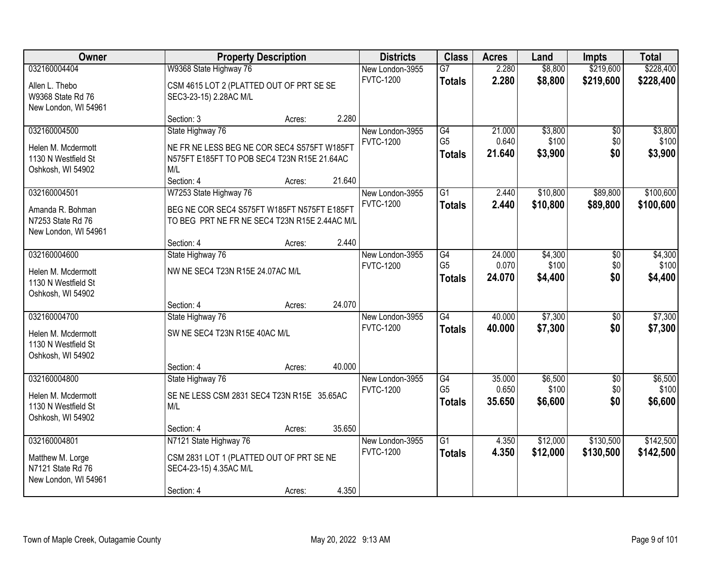| Owner                                     |                                                   | <b>Property Description</b> |        | <b>Districts</b>                    | <b>Class</b>    | <b>Acres</b>    | Land     | <b>Impts</b>    | <b>Total</b> |
|-------------------------------------------|---------------------------------------------------|-----------------------------|--------|-------------------------------------|-----------------|-----------------|----------|-----------------|--------------|
| 032160004404                              | W9368 State Highway 76                            |                             |        | New London-3955                     | $\overline{G7}$ | 2.280           | \$8,800  | \$219,600       | \$228,400    |
| Allen L. Thebo                            | CSM 4615 LOT 2 (PLATTED OUT OF PRT SE SE          |                             |        | <b>FVTC-1200</b>                    | <b>Totals</b>   | 2.280           | \$8,800  | \$219,600       | \$228,400    |
| W9368 State Rd 76                         | SEC3-23-15) 2.28AC M/L                            |                             |        |                                     |                 |                 |          |                 |              |
| New London, WI 54961                      |                                                   |                             |        |                                     |                 |                 |          |                 |              |
|                                           | Section: 3                                        | Acres:                      | 2.280  |                                     |                 |                 |          |                 |              |
| 032160004500                              | State Highway 76                                  |                             |        | New London-3955                     | G4              | 21.000          | \$3,800  | $\overline{50}$ | \$3,800      |
| Helen M. Mcdermott                        | NE FR NE LESS BEG NE COR SEC4 S575FT W185FT       |                             |        | <b>FVTC-1200</b>                    | G <sub>5</sub>  | 0.640<br>21.640 | \$100    | \$0<br>\$0      | \$100        |
| 1130 N Westfield St                       | N575FT E185FT TO POB SEC4 T23N R15E 21.64AC       |                             |        |                                     | <b>Totals</b>   |                 | \$3,900  |                 | \$3,900      |
| Oshkosh, WI 54902                         | M/L                                               |                             |        |                                     |                 |                 |          |                 |              |
|                                           | Section: 4                                        | Acres:                      | 21.640 |                                     |                 |                 |          |                 |              |
| 032160004501                              | W7253 State Highway 76                            |                             |        | New London-3955<br><b>FVTC-1200</b> | $\overline{G1}$ | 2.440           | \$10,800 | \$89,800        | \$100,600    |
| Amanda R. Bohman                          | BEG NE COR SEC4 S575FT W185FT N575FT E185FT       |                             |        |                                     | <b>Totals</b>   | 2.440           | \$10,800 | \$89,800        | \$100,600    |
| N7253 State Rd 76                         | TO BEG PRT NE FR NE SEC4 T23N R15E 2.44AC M/L     |                             |        |                                     |                 |                 |          |                 |              |
| New London, WI 54961                      |                                                   |                             |        |                                     |                 |                 |          |                 |              |
| 032160004600                              | Section: 4<br>State Highway 76                    | Acres:                      | 2.440  | New London-3955                     | $\overline{G4}$ | 24.000          | \$4,300  |                 | \$4,300      |
|                                           |                                                   |                             |        | <b>FVTC-1200</b>                    | G <sub>5</sub>  | 0.070           | \$100    | \$0<br>\$0      | \$100        |
| Helen M. Mcdermott                        | NW NE SEC4 T23N R15E 24.07AC M/L                  |                             |        |                                     | <b>Totals</b>   | 24.070          | \$4,400  | \$0             | \$4,400      |
| 1130 N Westfield St                       |                                                   |                             |        |                                     |                 |                 |          |                 |              |
| Oshkosh, WI 54902                         | Section: 4                                        |                             | 24.070 |                                     |                 |                 |          |                 |              |
| 032160004700                              | State Highway 76                                  | Acres:                      |        | New London-3955                     | $\overline{G4}$ | 40.000          | \$7,300  | $\overline{50}$ | \$7,300      |
|                                           |                                                   |                             |        | <b>FVTC-1200</b>                    | <b>Totals</b>   | 40.000          | \$7,300  | \$0             | \$7,300      |
| Helen M. Mcdermott                        | SW NE SEC4 T23N R15E 40AC M/L                     |                             |        |                                     |                 |                 |          |                 |              |
| 1130 N Westfield St                       |                                                   |                             |        |                                     |                 |                 |          |                 |              |
| Oshkosh, WI 54902                         | Section: 4                                        | Acres:                      | 40.000 |                                     |                 |                 |          |                 |              |
| 032160004800                              | State Highway 76                                  |                             |        | New London-3955                     | G4              | 35.000          | \$6,500  | $\overline{50}$ | \$6,500      |
|                                           |                                                   |                             |        | <b>FVTC-1200</b>                    | G <sub>5</sub>  | 0.650           | \$100    | \$0             | \$100        |
| Helen M. Mcdermott<br>1130 N Westfield St | SE NE LESS CSM 2831 SEC4 T23N R15E 35.65AC<br>M/L |                             |        |                                     | <b>Totals</b>   | 35.650          | \$6,600  | \$0             | \$6,600      |
| Oshkosh, WI 54902                         |                                                   |                             |        |                                     |                 |                 |          |                 |              |
|                                           | Section: 4                                        | Acres:                      | 35.650 |                                     |                 |                 |          |                 |              |
| 032160004801                              | N7121 State Highway 76                            |                             |        | New London-3955                     | $\overline{G1}$ | 4.350           | \$12,000 | \$130,500       | \$142,500    |
| Matthew M. Lorge                          | CSM 2831 LOT 1 (PLATTED OUT OF PRT SE NE          |                             |        | <b>FVTC-1200</b>                    | <b>Totals</b>   | 4.350           | \$12,000 | \$130,500       | \$142,500    |
| N7121 State Rd 76                         | SEC4-23-15) 4.35AC M/L                            |                             |        |                                     |                 |                 |          |                 |              |
| New London, WI 54961                      |                                                   |                             |        |                                     |                 |                 |          |                 |              |
|                                           | Section: 4                                        | Acres:                      | 4.350  |                                     |                 |                 |          |                 |              |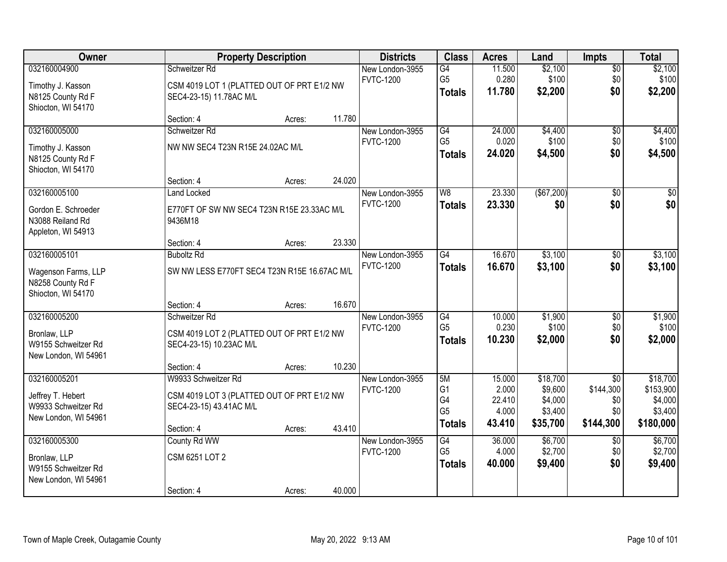| Owner                                                                            |                                                                                                            | <b>Property Description</b> |        | <b>Districts</b>                    | <b>Class</b>                                                  | <b>Acres</b>                                 | Land                                                  | <b>Impts</b>                                            | <b>Total</b>                                             |
|----------------------------------------------------------------------------------|------------------------------------------------------------------------------------------------------------|-----------------------------|--------|-------------------------------------|---------------------------------------------------------------|----------------------------------------------|-------------------------------------------------------|---------------------------------------------------------|----------------------------------------------------------|
| 032160004900<br>Timothy J. Kasson<br>N8125 County Rd F<br>Shiocton, WI 54170     | Schweitzer Rd<br>CSM 4019 LOT 1 (PLATTED OUT OF PRT E1/2 NW<br>SEC4-23-15) 11.78AC M/L                     |                             |        | New London-3955<br><b>FVTC-1200</b> | G4<br>G <sub>5</sub><br><b>Totals</b>                         | 11.500<br>0.280<br>11.780                    | \$2,100<br>\$100<br>\$2,200                           | $\sqrt{$0}$<br>\$0<br>\$0                               | \$2,100<br>\$100<br>\$2,200                              |
|                                                                                  | Section: 4                                                                                                 | Acres:                      | 11.780 |                                     |                                                               |                                              |                                                       |                                                         |                                                          |
| 032160005000<br>Timothy J. Kasson<br>N8125 County Rd F<br>Shiocton, WI 54170     | Schweitzer Rd<br>NW NW SEC4 T23N R15E 24.02AC M/L                                                          |                             |        | New London-3955<br><b>FVTC-1200</b> | G4<br>G <sub>5</sub><br><b>Totals</b>                         | 24.000<br>0.020<br>24.020                    | \$4,400<br>\$100<br>\$4,500                           | $\overline{50}$<br>\$0<br>\$0                           | \$4,400<br>\$100<br>\$4,500                              |
|                                                                                  | Section: 4                                                                                                 | Acres:                      | 24.020 |                                     | W <sub>8</sub>                                                |                                              |                                                       |                                                         |                                                          |
| 032160005100<br>Gordon E. Schroeder<br>N3088 Reiland Rd<br>Appleton, WI 54913    | <b>Land Locked</b><br>E770FT OF SW NW SEC4 T23N R15E 23.33AC M/L<br>9436M18                                |                             |        | New London-3955<br><b>FVTC-1200</b> | <b>Totals</b>                                                 | 23.330<br>23.330                             | $($ \$67,200) $ $<br>\$0                              | \$0<br>\$0                                              | $\overline{50}$<br>\$0                                   |
|                                                                                  | Section: 4                                                                                                 | Acres:                      | 23.330 |                                     |                                                               |                                              |                                                       |                                                         |                                                          |
| 032160005101<br>Wagenson Farms, LLP<br>N8258 County Rd F<br>Shiocton, WI 54170   | <b>Buboltz Rd</b><br>SW NW LESS E770FT SEC4 T23N R15E 16.67AC M/L                                          |                             |        | New London-3955<br><b>FVTC-1200</b> | $\overline{G4}$<br><b>Totals</b>                              | 16.670<br>16.670                             | \$3,100<br>\$3,100                                    | \$0<br>\$0                                              | \$3,100<br>\$3,100                                       |
|                                                                                  | Section: 4                                                                                                 | Acres:                      | 16.670 |                                     |                                                               |                                              |                                                       |                                                         |                                                          |
| 032160005200<br>Bronlaw, LLP<br>W9155 Schweitzer Rd<br>New London, WI 54961      | Schweitzer Rd<br>CSM 4019 LOT 2 (PLATTED OUT OF PRT E1/2 NW<br>SEC4-23-15) 10.23AC M/L                     |                             |        | New London-3955<br><b>FVTC-1200</b> | G4<br>G <sub>5</sub><br><b>Totals</b>                         | 10.000<br>0.230<br>10.230                    | \$1,900<br>\$100<br>\$2,000                           | $\overline{60}$<br>\$0<br>\$0                           | \$1,900<br>\$100<br>\$2,000                              |
|                                                                                  | Section: 4                                                                                                 | Acres:                      | 10.230 |                                     |                                                               |                                              |                                                       |                                                         |                                                          |
| 032160005201<br>Jeffrey T. Hebert<br>W9933 Schweitzer Rd<br>New London, WI 54961 | W9933 Schweitzer Rd<br>CSM 4019 LOT 3 (PLATTED OUT OF PRT E1/2 NW<br>SEC4-23-15) 43.41AC M/L<br>Section: 4 | Acres:                      | 43.410 | New London-3955<br><b>FVTC-1200</b> | 5M<br>G <sub>1</sub><br>G4<br>G <sub>5</sub><br><b>Totals</b> | 15.000<br>2.000<br>22.410<br>4.000<br>43.410 | \$18,700<br>\$9,600<br>\$4,000<br>\$3,400<br>\$35,700 | $\overline{50}$<br>\$144,300<br>\$0<br>\$0<br>\$144,300 | \$18,700<br>\$153,900<br>\$4,000<br>\$3,400<br>\$180,000 |
| 032160005300                                                                     | County Rd WW                                                                                               |                             |        | New London-3955                     | G4                                                            | 36.000                                       | \$6,700                                               | $\overline{60}$                                         | \$6,700                                                  |
| Bronlaw, LLP<br>W9155 Schweitzer Rd<br>New London, WI 54961                      | CSM 6251 LOT 2<br>Section: 4                                                                               | Acres:                      | 40.000 | <b>FVTC-1200</b>                    | G <sub>5</sub><br><b>Totals</b>                               | 4.000<br>40.000                              | \$2,700<br>\$9,400                                    | \$0<br>\$0                                              | \$2,700<br>\$9,400                                       |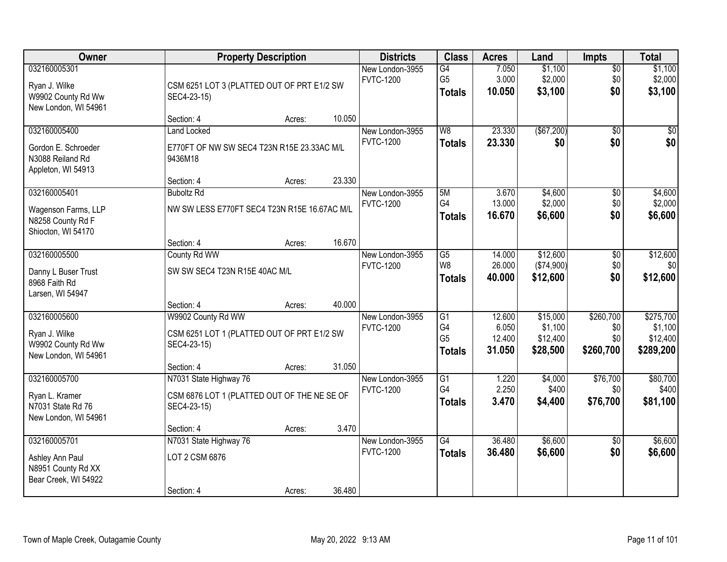| Owner                                                                         |                                                                                                    | <b>Property Description</b> |        | <b>Districts</b>                    | <b>Class</b>                                             | <b>Acres</b>                        | Land                                        | <b>Impts</b>                         | <b>Total</b>                                  |
|-------------------------------------------------------------------------------|----------------------------------------------------------------------------------------------------|-----------------------------|--------|-------------------------------------|----------------------------------------------------------|-------------------------------------|---------------------------------------------|--------------------------------------|-----------------------------------------------|
| 032160005301<br>Ryan J. Wilke<br>W9902 County Rd Ww<br>New London, WI 54961   | CSM 6251 LOT 3 (PLATTED OUT OF PRT E1/2 SW<br>SEC4-23-15)                                          |                             |        | New London-3955<br><b>FVTC-1200</b> | G4<br>G <sub>5</sub><br><b>Totals</b>                    | 7.050<br>3.000<br>10.050            | \$1,100<br>\$2,000<br>\$3,100               | $\overline{50}$<br>\$0<br>\$0        | \$1,100<br>\$2,000<br>\$3,100                 |
|                                                                               | Section: 4                                                                                         | Acres:                      | 10.050 |                                     |                                                          |                                     |                                             |                                      |                                               |
| 032160005400<br>Gordon E. Schroeder<br>N3088 Reiland Rd<br>Appleton, WI 54913 | <b>Land Locked</b><br>E770FT OF NW SW SEC4 T23N R15E 23.33AC M/L<br>9436M18                        |                             |        | New London-3955<br><b>FVTC-1200</b> | $\overline{W8}$<br><b>Totals</b>                         | 23.330<br>23.330                    | (\$67,200)<br>\$0                           | $\overline{30}$<br>\$0               | $\sqrt{50}$<br>\$0                            |
| 032160005401                                                                  | Section: 4                                                                                         | Acres:                      | 23.330 |                                     | 5M                                                       | 3.670                               |                                             |                                      | \$4,600                                       |
| Wagenson Farms, LLP<br>N8258 County Rd F<br>Shiocton, WI 54170                | <b>Buboltz Rd</b><br>NW SW LESS E770FT SEC4 T23N R15E 16.67AC M/L                                  |                             |        | New London-3955<br><b>FVTC-1200</b> | G4<br><b>Totals</b>                                      | 13.000<br>16.670                    | \$4,600<br>\$2,000<br>\$6,600               | \$0<br>\$0<br>\$0                    | \$2,000<br>\$6,600                            |
|                                                                               | Section: 4                                                                                         | Acres:                      | 16.670 |                                     |                                                          |                                     |                                             |                                      |                                               |
| 032160005500<br>Danny L Buser Trust<br>8968 Faith Rd<br>Larsen, WI 54947      | County Rd WW<br>SW SW SEC4 T23N R15E 40AC M/L                                                      |                             |        | New London-3955<br><b>FVTC-1200</b> | G5<br>W <sub>8</sub><br><b>Totals</b>                    | 14.000<br>26.000<br>40.000          | \$12,600<br>(\$74,900)<br>\$12,600          | \$0<br>\$0<br>\$0                    | \$12,600<br>\$0<br>\$12,600                   |
|                                                                               | Section: 4                                                                                         | Acres:                      | 40.000 |                                     |                                                          |                                     |                                             |                                      |                                               |
| 032160005600<br>Ryan J. Wilke<br>W9902 County Rd Ww<br>New London, WI 54961   | W9902 County Rd WW<br>CSM 6251 LOT 1 (PLATTED OUT OF PRT E1/2 SW<br>SEC4-23-15)<br>Section: 4      | Acres:                      | 31.050 | New London-3955<br><b>FVTC-1200</b> | $\overline{G1}$<br>G4<br>G <sub>5</sub><br><b>Totals</b> | 12.600<br>6.050<br>12.400<br>31.050 | \$15,000<br>\$1,100<br>\$12,400<br>\$28,500 | \$260,700<br>\$0<br>\$0<br>\$260,700 | \$275,700<br>\$1,100<br>\$12,400<br>\$289,200 |
| 032160005700<br>Ryan L. Kramer<br>N7031 State Rd 76<br>New London, WI 54961   | N7031 State Highway 76<br>CSM 6876 LOT 1 (PLATTED OUT OF THE NE SE OF<br>SEC4-23-15)<br>Section: 4 | Acres:                      | 3.470  | New London-3955<br><b>FVTC-1200</b> | $\overline{G1}$<br>G4<br><b>Totals</b>                   | 1.220<br>2.250<br>3.470             | \$4,000<br>\$400<br>\$4,400                 | \$76,700<br>\$0<br>\$76,700          | \$80,700<br>\$400<br>\$81,100                 |
| 032160005701<br>Ashley Ann Paul<br>N8951 County Rd XX<br>Bear Creek, WI 54922 | N7031 State Highway 76<br>LOT 2 CSM 6876<br>Section: 4                                             | Acres:                      | 36.480 | New London-3955<br><b>FVTC-1200</b> | $\overline{G4}$<br><b>Totals</b>                         | 36.480<br>36.480                    | \$6,600<br>\$6,600                          | $\overline{50}$<br>\$0               | \$6,600<br>\$6,600                            |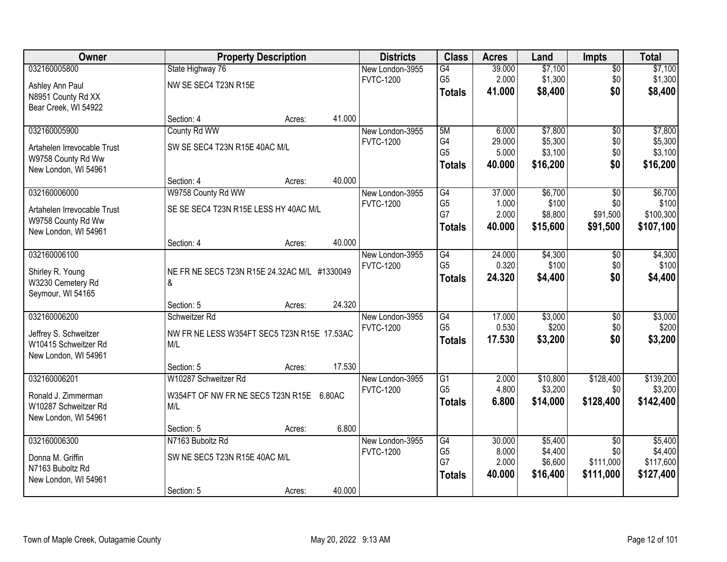| Owner                                      | <b>Property Description</b>                       |        | <b>Districts</b>                    | <b>Class</b>         | <b>Acres</b>    | Land               | <b>Impts</b>           | <b>Total</b>       |
|--------------------------------------------|---------------------------------------------------|--------|-------------------------------------|----------------------|-----------------|--------------------|------------------------|--------------------|
| 032160005800                               | State Highway 76                                  |        | New London-3955                     | $\overline{G4}$      | 39.000          | \$7,100            | $\sqrt{$0}$            | \$7,100            |
| Ashley Ann Paul                            | NW SE SEC4 T23N R15E                              |        | <b>FVTC-1200</b>                    | G <sub>5</sub>       | 2.000           | \$1,300            | \$0                    | \$1,300            |
| N8951 County Rd XX                         |                                                   |        |                                     | <b>Totals</b>        | 41.000          | \$8,400            | \$0                    | \$8,400            |
| Bear Creek, WI 54922                       |                                                   |        |                                     |                      |                 |                    |                        |                    |
|                                            | Section: 4                                        | Acres: | 41.000                              |                      |                 |                    |                        |                    |
| 032160005900                               | County Rd WW                                      |        | New London-3955<br><b>FVTC-1200</b> | 5M<br>G4             | 6.000<br>29.000 | \$7,800<br>\$5,300 | \$0                    | \$7,800<br>\$5,300 |
| Artahelen Irrevocable Trust                | SW SE SEC4 T23N R15E 40AC M/L                     |        |                                     | G <sub>5</sub>       | 5.000           | \$3,100            | \$0<br>\$0             | \$3,100            |
| W9758 County Rd Ww                         |                                                   |        |                                     | <b>Totals</b>        | 40.000          | \$16,200           | \$0                    | \$16,200           |
| New London, WI 54961                       |                                                   |        |                                     |                      |                 |                    |                        |                    |
| 032160006000                               | Section: 4<br>W9758 County Rd WW                  | Acres: | 40.000<br>New London-3955           | G4                   | 37.000          | \$6,700            | $\overline{50}$        | \$6,700            |
|                                            |                                                   |        | <b>FVTC-1200</b>                    | G <sub>5</sub>       | 1.000           | \$100              | \$0                    | \$100              |
| Artahelen Irrevocable Trust                | SE SE SEC4 T23N R15E LESS HY 40AC M/L             |        |                                     | G7                   | 2.000           | \$8,800            | \$91,500               | \$100,300          |
| W9758 County Rd Ww<br>New London, WI 54961 |                                                   |        |                                     | <b>Totals</b>        | 40.000          | \$15,600           | \$91,500               | \$107,100          |
|                                            | Section: 4                                        | Acres: | 40.000                              |                      |                 |                    |                        |                    |
| 032160006100                               |                                                   |        | New London-3955                     | $\overline{G4}$      | 24.000          | \$4,300            | $\sqrt[6]{3}$          | \$4,300            |
|                                            |                                                   |        | <b>FVTC-1200</b>                    | G <sub>5</sub>       | 0.320           | \$100              | \$0                    | \$100              |
| Shirley R. Young<br>W3230 Cemetery Rd      | NE FR NE SEC5 T23N R15E 24.32AC M/L #1330049<br>& |        |                                     | <b>Totals</b>        | 24.320          | \$4,400            | \$0                    | \$4,400            |
| Seymour, WI 54165                          |                                                   |        |                                     |                      |                 |                    |                        |                    |
|                                            | Section: 5                                        | Acres: | 24.320                              |                      |                 |                    |                        |                    |
| 032160006200                               | Schweitzer Rd                                     |        | New London-3955                     | $\overline{G4}$      | 17.000          | \$3,000            | \$0                    | \$3,000            |
| Jeffrey S. Schweitzer                      | NW FR NE LESS W354FT SEC5 T23N R15E 17.53AC       |        | <b>FVTC-1200</b>                    | G <sub>5</sub>       | 0.530           | \$200              | \$0                    | \$200              |
| W10415 Schweitzer Rd                       | M/L                                               |        |                                     | <b>Totals</b>        | 17.530          | \$3,200            | \$0                    | \$3,200            |
| New London, WI 54961                       |                                                   |        |                                     |                      |                 |                    |                        |                    |
|                                            | Section: 5                                        | Acres: | 17.530                              |                      |                 |                    |                        |                    |
| 032160006201                               | W10287 Schweitzer Rd                              |        | New London-3955                     | $\overline{G1}$      | 2.000           | \$10,800           | \$128,400              | \$139,200          |
| Ronald J. Zimmerman                        | W354FT OF NW FR NE SEC5 T23N R15E 6.80AC          |        | <b>FVTC-1200</b>                    | G <sub>5</sub>       | 4.800           | \$3,200            | \$0                    | \$3,200            |
| W10287 Schweitzer Rd                       | M/L                                               |        |                                     | <b>Totals</b>        | 6.800           | \$14,000           | \$128,400              | \$142,400          |
| New London, WI 54961                       |                                                   |        |                                     |                      |                 |                    |                        |                    |
|                                            | Section: 5                                        | Acres: | 6.800                               |                      |                 |                    |                        |                    |
| 032160006300                               | N7163 Buboltz Rd                                  |        | New London-3955<br><b>FVTC-1200</b> | G4<br>G <sub>5</sub> | 30.000<br>8.000 | \$5,400<br>\$4,400 | $\overline{50}$<br>\$0 | \$5,400<br>\$4,400 |
| Donna M. Griffin                           | SW NE SEC5 T23N R15E 40AC M/L                     |        |                                     | G7                   | 2.000           | \$6,600            | \$111,000              | \$117,600          |
| N7163 Buboltz Rd                           |                                                   |        |                                     | <b>Totals</b>        | 40.000          | \$16,400           | \$111,000              | \$127,400          |
| New London, WI 54961                       | Section: 5                                        |        | 40.000                              |                      |                 |                    |                        |                    |
|                                            |                                                   | Acres: |                                     |                      |                 |                    |                        |                    |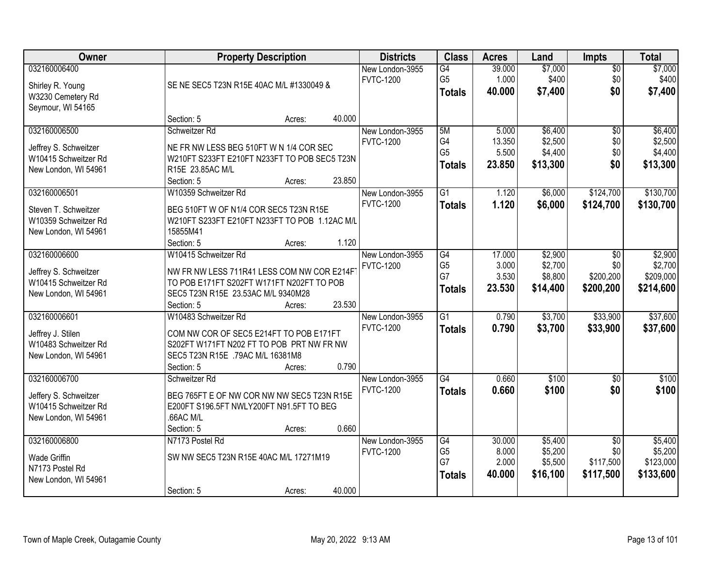| Owner                                                                                 | <b>Property Description</b>                                                                                                                                                             | <b>Districts</b>                    | <b>Class</b>                                            | <b>Acres</b>                       | Land                                      | Impts                                            | <b>Total</b>                                 |
|---------------------------------------------------------------------------------------|-----------------------------------------------------------------------------------------------------------------------------------------------------------------------------------------|-------------------------------------|---------------------------------------------------------|------------------------------------|-------------------------------------------|--------------------------------------------------|----------------------------------------------|
| 032160006400<br>Shirley R. Young<br>W3230 Cemetery Rd<br>Seymour, WI 54165            | SE NE SEC5 T23N R15E 40AC M/L #1330049 &                                                                                                                                                | New London-3955<br><b>FVTC-1200</b> | G4<br>G <sub>5</sub><br><b>Totals</b>                   | 39.000<br>1.000<br>40.000          | \$7,000<br>\$400<br>\$7,400               | $\overline{50}$<br>\$0<br>\$0                    | \$7,000<br>\$400<br>\$7,400                  |
|                                                                                       | 40.000<br>Section: 5<br>Acres:                                                                                                                                                          |                                     |                                                         |                                    |                                           |                                                  |                                              |
| 032160006500<br>Jeffrey S. Schweitzer<br>W10415 Schweitzer Rd<br>New London, WI 54961 | Schweitzer Rd<br>NE FR NW LESS BEG 510FT W N 1/4 COR SEC<br>W210FT S233FT E210FT N233FT TO POB SEC5 T23N<br>R15E 23.85AC M/L<br>23.850<br>Section: 5<br>Acres:                          | New London-3955<br><b>FVTC-1200</b> | 5M<br>G <sub>4</sub><br>G <sub>5</sub><br><b>Totals</b> | 5.000<br>13.350<br>5.500<br>23.850 | \$6,400<br>\$2,500<br>\$4,400<br>\$13,300 | $\overline{50}$<br>\$0<br>\$0<br>\$0             | \$6,400<br>\$2,500<br>\$4,400<br>\$13,300    |
| 032160006501<br>Steven T. Schweitzer<br>W10359 Schweitzer Rd<br>New London, WI 54961  | W10359 Schweitzer Rd<br>BEG 510FT W OF N1/4 COR SEC5 T23N R15E<br>W210FT S233FT E210FT N233FT TO POB 1.12AC M/L<br>15855M41<br>1.120<br>Section: 5<br>Acres:                            | New London-3955<br><b>FVTC-1200</b> | G <sub>1</sub><br><b>Totals</b>                         | 1.120<br>1.120                     | \$6,000<br>\$6,000                        | \$124,700<br>\$124,700                           | \$130,700<br>\$130,700                       |
| 032160006600<br>Jeffrey S. Schweitzer<br>W10415 Schweitzer Rd<br>New London, WI 54961 | W10415 Schweitzer Rd<br>NW FR NW LESS 711R41 LESS COM NW COR E214F<br>TO POB E171FT S202FT W171FT N202FT TO POB<br>SEC5 T23N R15E 23.53AC M/L 9340M28<br>23.530<br>Section: 5<br>Acres: | New London-3955<br><b>FVTC-1200</b> | G4<br>G <sub>5</sub><br>G7<br><b>Totals</b>             | 17.000<br>3.000<br>3.530<br>23.530 | \$2,900<br>\$2,700<br>\$8,800<br>\$14,400 | \$0<br>\$0<br>\$200,200<br>\$200,200             | \$2,900<br>\$2,700<br>\$209,000<br>\$214,600 |
| 032160006601<br>Jeffrey J. Stilen<br>W10483 Schweitzer Rd<br>New London, WI 54961     | W10483 Schweitzer Rd<br>COM NW COR OF SEC5 E214FT TO POB E171FT<br>S202FT W171FT N202 FT TO POB PRT NW FR NW<br>SEC5 T23N R15E .79AC M/L 16381M8<br>0.790<br>Section: 5<br>Acres:       | New London-3955<br><b>FVTC-1200</b> | $\overline{G1}$<br><b>Totals</b>                        | 0.790<br>0.790                     | \$3,700<br>\$3,700                        | \$33,900<br>\$33,900                             | \$37,600<br>\$37,600                         |
| 032160006700<br>Jeffery S. Schweitzer<br>W10415 Schweitzer Rd<br>New London, WI 54961 | Schweitzer Rd<br>BEG 765FT E OF NW COR NW NW SEC5 T23N R15E<br>E200FT S196.5FT NWLY200FT N91.5FT TO BEG<br>.66AC M/L<br>0.660<br>Section: 5<br>Acres:                                   | New London-3955<br><b>FVTC-1200</b> | $\overline{G4}$<br><b>Totals</b>                        | 0.660<br>0.660                     | \$100<br>\$100                            | $\overline{50}$<br>\$0                           | \$100<br>\$100                               |
| 032160006800<br><b>Wade Griffin</b><br>N7173 Postel Rd<br>New London, WI 54961        | N7173 Postel Rd<br>SW NW SEC5 T23N R15E 40AC M/L 17271M19<br>40.000<br>Section: 5<br>Acres:                                                                                             | New London-3955<br><b>FVTC-1200</b> | G4<br>G <sub>5</sub><br>G7<br><b>Totals</b>             | 30.000<br>8.000<br>2.000<br>40.000 | \$5,400<br>\$5,200<br>\$5,500<br>\$16,100 | $\overline{50}$<br>\$0<br>\$117,500<br>\$117,500 | \$5,400<br>\$5,200<br>\$123,000<br>\$133,600 |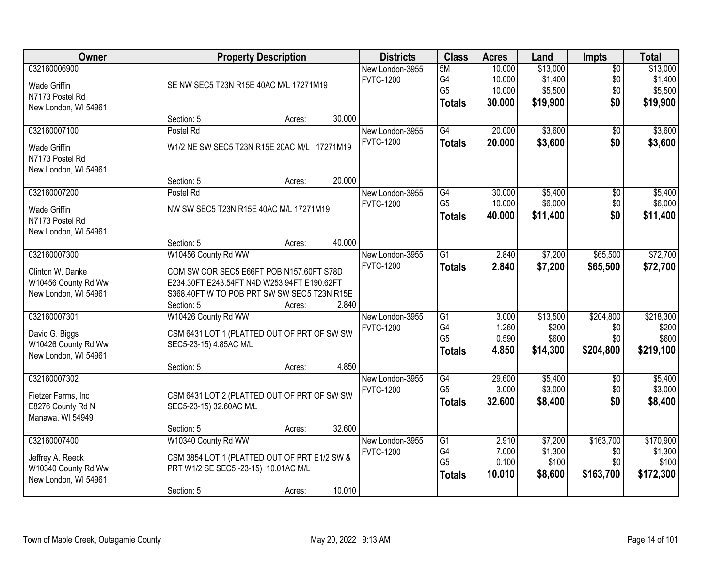| Owner                                                                           | <b>Property Description</b>                                                                                                                                                 |                  | <b>Districts</b>                              | <b>Class</b>                                             | <b>Acres</b>                         | Land                                       | Impts                                | <b>Total</b>                               |
|---------------------------------------------------------------------------------|-----------------------------------------------------------------------------------------------------------------------------------------------------------------------------|------------------|-----------------------------------------------|----------------------------------------------------------|--------------------------------------|--------------------------------------------|--------------------------------------|--------------------------------------------|
| 032160006900<br>Wade Griffin<br>N7173 Postel Rd<br>New London, WI 54961         | SE NW SEC5 T23N R15E 40AC M/L 17271M19                                                                                                                                      |                  | New London-3955<br><b>FVTC-1200</b>           | 5M<br>G4<br>G <sub>5</sub><br><b>Totals</b>              | 10.000<br>10.000<br>10.000<br>30.000 | \$13,000<br>\$1,400<br>\$5,500<br>\$19,900 | $\overline{50}$<br>\$0<br>\$0<br>\$0 | \$13,000<br>\$1,400<br>\$5,500<br>\$19,900 |
|                                                                                 | Section: 5                                                                                                                                                                  | Acres:           | 30.000                                        |                                                          |                                      |                                            |                                      |                                            |
| 032160007100<br><b>Wade Griffin</b><br>N7173 Postel Rd<br>New London, WI 54961  | Postel Rd<br>W1/2 NE SW SEC5 T23N R15E 20AC M/L 17271M19                                                                                                                    |                  | New London-3955<br><b>FVTC-1200</b>           | $\overline{G4}$<br><b>Totals</b>                         | 20.000<br>20.000                     | \$3,600<br>\$3,600                         | $\overline{50}$<br>\$0               | \$3,600<br>\$3,600                         |
| 032160007200                                                                    | Section: 5<br>Postel Rd                                                                                                                                                     | Acres:           | 20.000<br>New London-3955                     | G4                                                       | 30.000                               | \$5,400                                    | $\overline{50}$                      | \$5,400                                    |
| <b>Wade Griffin</b><br>N7173 Postel Rd<br>New London, WI 54961                  | NW SW SEC5 T23N R15E 40AC M/L 17271M19                                                                                                                                      |                  | <b>FVTC-1200</b>                              | G <sub>5</sub><br><b>Totals</b>                          | 10.000<br>40.000                     | \$6,000<br>\$11,400                        | \$0<br>\$0                           | \$6,000<br>\$11,400                        |
|                                                                                 | Section: 5                                                                                                                                                                  | Acres:           | 40.000                                        |                                                          |                                      |                                            |                                      |                                            |
| 032160007300<br>Clinton W. Danke<br>W10456 County Rd Ww<br>New London, WI 54961 | W10456 County Rd WW<br>COM SW COR SEC5 E66FT POB N157.60FT S78D<br>E234.30FT E243.54FT N4D W253.94FT E190.62FT<br>S368.40FT W TO POB PRT SW SW SEC5 T23N R15E<br>Section: 5 |                  | New London-3955<br><b>FVTC-1200</b><br>2.840  | $\overline{G1}$<br><b>Totals</b>                         | 2.840<br>2.840                       | \$7,200<br>\$7,200                         | \$65,500<br>\$65,500                 | \$72,700<br>\$72,700                       |
| 032160007301<br>David G. Biggs<br>W10426 County Rd Ww<br>New London, WI 54961   | W10426 County Rd WW<br>CSM 6431 LOT 1 (PLATTED OUT OF PRT OF SW SW<br>SEC5-23-15) 4.85AC M/L<br>Section: 5                                                                  | Acres:<br>Acres: | New London-3955<br><b>FVTC-1200</b><br>4.850  | $\overline{G1}$<br>G4<br>G <sub>5</sub><br><b>Totals</b> | 3.000<br>1.260<br>0.590<br>4.850     | \$13,500<br>\$200<br>\$600<br>\$14,300     | \$204,800<br>\$0<br>\$0<br>\$204,800 | \$218,300<br>\$200<br>\$600<br>\$219,100   |
| 032160007302<br>Fietzer Farms, Inc<br>E8276 County Rd N<br>Manawa, WI 54949     | CSM 6431 LOT 2 (PLATTED OUT OF PRT OF SW SW<br>SEC5-23-15) 32.60AC M/L<br>Section: 5                                                                                        | Acres:           | New London-3955<br><b>FVTC-1200</b><br>32.600 | G4<br>G <sub>5</sub><br><b>Totals</b>                    | 29.600<br>3.000<br>32.600            | \$5,400<br>\$3,000<br>\$8,400              | $\sqrt{6}$<br>\$0<br>\$0             | \$5,400<br>\$3,000<br>\$8,400              |
| 032160007400<br>Jeffrey A. Reeck<br>W10340 County Rd Ww<br>New London, WI 54961 | W10340 County Rd WW<br>CSM 3854 LOT 1 (PLATTED OUT OF PRT E1/2 SW &<br>PRT W1/2 SE SEC5 -23-15) 10.01AC M/L<br>Section: 5                                                   | Acres:           | New London-3955<br><b>FVTC-1200</b><br>10.010 | G1<br>G4<br>G <sub>5</sub><br><b>Totals</b>              | 2.910<br>7.000<br>0.100<br>10.010    | \$7,200<br>\$1,300<br>\$100<br>\$8,600     | \$163,700<br>\$0<br>\$0<br>\$163,700 | \$170,900<br>\$1,300<br>\$100<br>\$172,300 |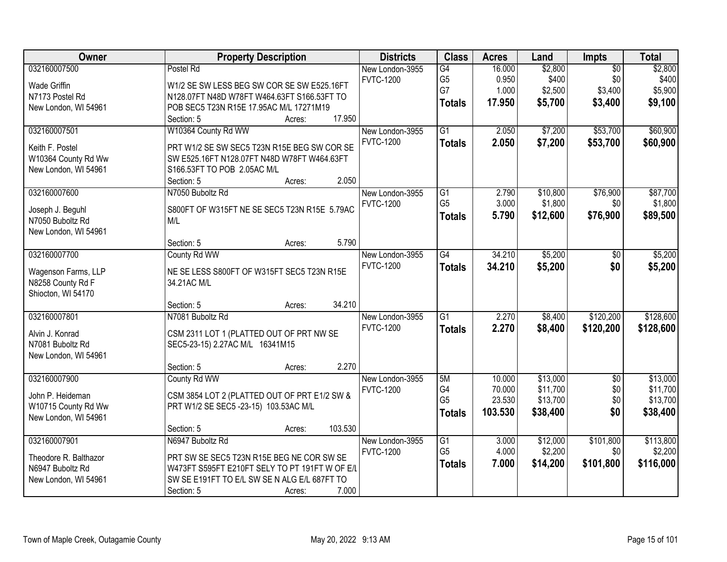| <b>Owner</b>                           | <b>Property Description</b>                                                                | <b>Districts</b> | <b>Class</b>    | <b>Acres</b> | Land     | Impts           | <b>Total</b> |
|----------------------------------------|--------------------------------------------------------------------------------------------|------------------|-----------------|--------------|----------|-----------------|--------------|
| 032160007500                           | Postel Rd                                                                                  | New London-3955  | G4              | 16.000       | \$2,800  | $\overline{50}$ | \$2,800      |
| <b>Wade Griffin</b>                    | W1/2 SE SW LESS BEG SW COR SE SW E525.16FT                                                 | <b>FVTC-1200</b> | G <sub>5</sub>  | 0.950        | \$400    | \$0             | \$400        |
| N7173 Postel Rd                        | N128.07FT N48D W78FT W464.63FT S166.53FT TO                                                |                  | G7              | 1.000        | \$2,500  | \$3,400         | \$5,900      |
| New London, WI 54961                   | POB SEC5 T23N R15E 17.95AC M/L 17271M19                                                    |                  | <b>Totals</b>   | 17.950       | \$5,700  | \$3,400         | \$9,100      |
|                                        | 17.950<br>Section: 5<br>Acres:                                                             |                  |                 |              |          |                 |              |
| 032160007501                           | W10364 County Rd WW                                                                        | New London-3955  | $\overline{G1}$ | 2.050        | \$7,200  | \$53,700        | \$60,900     |
|                                        |                                                                                            | <b>FVTC-1200</b> | <b>Totals</b>   | 2.050        | \$7,200  | \$53,700        | \$60,900     |
| Keith F. Postel<br>W10364 County Rd Ww | PRT W1/2 SE SW SEC5 T23N R15E BEG SW COR SE<br>SW E525.16FT N128.07FT N48D W78FT W464.63FT |                  |                 |              |          |                 |              |
| New London, WI 54961                   | S166.53FT TO POB 2.05AC M/L                                                                |                  |                 |              |          |                 |              |
|                                        | 2.050<br>Section: 5<br>Acres:                                                              |                  |                 |              |          |                 |              |
| 032160007600                           | N7050 Buboltz Rd                                                                           | New London-3955  | $\overline{G1}$ | 2.790        | \$10,800 | \$76,900        | \$87,700     |
|                                        |                                                                                            | <b>FVTC-1200</b> | G <sub>5</sub>  | 3.000        | \$1,800  | \$0             | \$1,800      |
| Joseph J. Beguhl                       | S800FT OF W315FT NE SE SEC5 T23N R15E 5.79AC                                               |                  | <b>Totals</b>   | 5.790        | \$12,600 | \$76,900        | \$89,500     |
| N7050 Buboltz Rd                       | M/L                                                                                        |                  |                 |              |          |                 |              |
| New London, WI 54961                   |                                                                                            |                  |                 |              |          |                 |              |
|                                        | 5.790<br>Section: 5<br>Acres:                                                              |                  |                 |              |          |                 |              |
| 032160007700                           | County Rd WW                                                                               | New London-3955  | G4              | 34.210       | \$5,200  | $\sqrt[6]{}$    | \$5,200      |
| Wagenson Farms, LLP                    | NE SE LESS S800FT OF W315FT SEC5 T23N R15E                                                 | <b>FVTC-1200</b> | <b>Totals</b>   | 34.210       | \$5,200  | \$0             | \$5,200      |
| N8258 County Rd F                      | 34.21AC M/L                                                                                |                  |                 |              |          |                 |              |
| Shiocton, WI 54170                     |                                                                                            |                  |                 |              |          |                 |              |
|                                        | 34.210<br>Section: 5<br>Acres:                                                             |                  |                 |              |          |                 |              |
| 032160007801                           | N7081 Buboltz Rd                                                                           | New London-3955  | $\overline{G1}$ | 2.270        | \$8,400  | \$120,200       | \$128,600    |
| Alvin J. Konrad                        | CSM 2311 LOT 1 (PLATTED OUT OF PRT NW SE                                                   | <b>FVTC-1200</b> | <b>Totals</b>   | 2.270        | \$8,400  | \$120,200       | \$128,600    |
| N7081 Buboltz Rd                       | SEC5-23-15) 2.27AC M/L 16341M15                                                            |                  |                 |              |          |                 |              |
| New London, WI 54961                   |                                                                                            |                  |                 |              |          |                 |              |
|                                        | 2.270<br>Section: 5<br>Acres:                                                              |                  |                 |              |          |                 |              |
| 032160007900                           | County Rd WW                                                                               | New London-3955  | 5M              | 10.000       | \$13,000 | $\overline{50}$ | \$13,000     |
| John P. Heideman                       | CSM 3854 LOT 2 (PLATTED OUT OF PRT E1/2 SW &                                               | <b>FVTC-1200</b> | G4              | 70.000       | \$11,700 | \$0             | \$11,700     |
| W10715 County Rd Ww                    | PRT W1/2 SE SEC5 -23-15) 103.53AC M/L                                                      |                  | G <sub>5</sub>  | 23.530       | \$13,700 | \$0             | \$13,700     |
| New London, WI 54961                   |                                                                                            |                  | <b>Totals</b>   | 103.530      | \$38,400 | \$0             | \$38,400     |
|                                        | 103.530<br>Section: 5<br>Acres:                                                            |                  |                 |              |          |                 |              |
| 032160007901                           | N6947 Buboltz Rd                                                                           | New London-3955  | $\overline{G1}$ | 3.000        | \$12,000 | \$101,800       | \$113,800    |
|                                        |                                                                                            | <b>FVTC-1200</b> | G <sub>5</sub>  | 4.000        | \$2,200  | \$0             | \$2,200      |
| Theodore R. Balthazor                  | PRT SW SE SEC5 T23N R15E BEG NE COR SW SE                                                  |                  | <b>Totals</b>   | 7.000        | \$14,200 | \$101,800       | \$116,000    |
| N6947 Buboltz Rd                       | W473FT S595FT E210FT SELY TO PT 191FT W OF E/L                                             |                  |                 |              |          |                 |              |
| New London, WI 54961                   | SW SE E191FT TO E/L SW SE N ALG E/L 687FT TO<br>7.000                                      |                  |                 |              |          |                 |              |
|                                        | Section: 5<br>Acres:                                                                       |                  |                 |              |          |                 |              |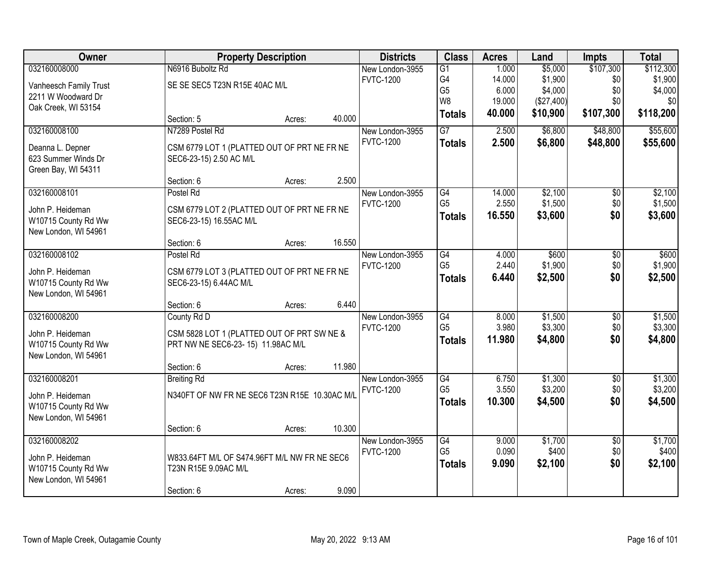| Owner                  |                                               | <b>Property Description</b> |        | <b>Districts</b> | <b>Class</b>                     | <b>Acres</b>    | Land                   | <b>Impts</b>           | <b>Total</b>     |
|------------------------|-----------------------------------------------|-----------------------------|--------|------------------|----------------------------------|-----------------|------------------------|------------------------|------------------|
| 032160008000           | N6916 Buboltz Rd                              |                             |        | New London-3955  | $\overline{G1}$                  | 1.000           | \$5,000                | \$107,300              | \$112,300        |
| Vanheesch Family Trust | SE SE SEC5 T23N R15E 40AC M/L                 |                             |        | <b>FVTC-1200</b> | G4                               | 14.000          | \$1,900                | \$0                    | \$1,900          |
| 2211 W Woodward Dr     |                                               |                             |        |                  | G <sub>5</sub><br>W <sub>8</sub> | 6.000<br>19.000 | \$4,000                | \$0<br>\$0             | \$4,000<br>\$0   |
| Oak Creek, WI 53154    |                                               |                             |        |                  | <b>Totals</b>                    | 40.000          | (\$27,400)<br>\$10,900 | \$107,300              | \$118,200        |
|                        | Section: 5                                    | Acres:                      | 40.000 |                  |                                  |                 |                        |                        |                  |
| 032160008100           | N7289 Postel Rd                               |                             |        | New London-3955  | $\overline{G}$                   | 2.500           | \$6,800                | \$48,800               | \$55,600         |
| Deanna L. Depner       | CSM 6779 LOT 1 (PLATTED OUT OF PRT NE FR NE   |                             |        | <b>FVTC-1200</b> | <b>Totals</b>                    | 2.500           | \$6,800                | \$48,800               | \$55,600         |
| 623 Summer Winds Dr    | SEC6-23-15) 2.50 AC M/L                       |                             |        |                  |                                  |                 |                        |                        |                  |
| Green Bay, WI 54311    |                                               |                             |        |                  |                                  |                 |                        |                        |                  |
|                        | Section: 6                                    | Acres:                      | 2.500  |                  |                                  |                 |                        |                        |                  |
| 032160008101           | Postel Rd                                     |                             |        | New London-3955  | $\overline{G4}$                  | 14.000          | \$2,100                | $\overline{50}$        | \$2,100          |
| John P. Heideman       | CSM 6779 LOT 2 (PLATTED OUT OF PRT NE FR NE   |                             |        | <b>FVTC-1200</b> | G <sub>5</sub>                   | 2.550           | \$1,500                | \$0                    | \$1,500          |
| W10715 County Rd Ww    | SEC6-23-15) 16.55AC M/L                       |                             |        |                  | <b>Totals</b>                    | 16.550          | \$3,600                | \$0                    | \$3,600          |
| New London, WI 54961   |                                               |                             |        |                  |                                  |                 |                        |                        |                  |
|                        | Section: 6                                    | Acres:                      | 16.550 |                  |                                  |                 |                        |                        |                  |
| 032160008102           | Postel Rd                                     |                             |        | New London-3955  | G4                               | 4.000           | \$600                  | \$0                    | \$600            |
| John P. Heideman       | CSM 6779 LOT 3 (PLATTED OUT OF PRT NE FR NE   |                             |        | <b>FVTC-1200</b> | G <sub>5</sub>                   | 2.440           | \$1,900                | \$0                    | \$1,900          |
| W10715 County Rd Ww    | SEC6-23-15) 6.44AC M/L                        |                             |        |                  | <b>Totals</b>                    | 6.440           | \$2,500                | \$0                    | \$2,500          |
| New London, WI 54961   |                                               |                             |        |                  |                                  |                 |                        |                        |                  |
|                        | Section: 6                                    | Acres:                      | 6.440  |                  |                                  |                 |                        |                        |                  |
| 032160008200           | County Rd D                                   |                             |        | New London-3955  | $\overline{G4}$                  | 8.000           | \$1,500                | $\overline{50}$        | \$1,500          |
| John P. Heideman       | CSM 5828 LOT 1 (PLATTED OUT OF PRT SW NE &    |                             |        | <b>FVTC-1200</b> | G <sub>5</sub>                   | 3.980           | \$3,300                | \$0                    | \$3,300          |
| W10715 County Rd Ww    | PRT NW NE SEC6-23-15) 11.98AC M/L             |                             |        |                  | <b>Totals</b>                    | 11.980          | \$4,800                | \$0                    | \$4,800          |
| New London, WI 54961   |                                               |                             |        |                  |                                  |                 |                        |                        |                  |
|                        | Section: 6                                    | Acres:                      | 11.980 |                  |                                  |                 |                        |                        |                  |
| 032160008201           | <b>Breiting Rd</b>                            |                             |        | New London-3955  | G4                               | 6.750           | \$1,300                | $\overline{60}$        | \$1,300          |
| John P. Heideman       | N340FT OF NW FR NE SEC6 T23N R15E 10.30AC M/L |                             |        | <b>FVTC-1200</b> | G <sub>5</sub>                   | 3.550           | \$3,200                | \$0<br>\$0             | \$3,200          |
| W10715 County Rd Ww    |                                               |                             |        |                  | <b>Totals</b>                    | 10.300          | \$4,500                |                        | \$4,500          |
| New London, WI 54961   |                                               |                             |        |                  |                                  |                 |                        |                        |                  |
|                        | Section: 6                                    | Acres:                      | 10.300 |                  |                                  |                 |                        |                        |                  |
| 032160008202           |                                               |                             |        | New London-3955  | G4<br>G <sub>5</sub>             | 9.000<br>0.090  | \$1,700<br>\$400       | $\overline{50}$<br>\$0 | \$1,700<br>\$400 |
| John P. Heideman       | W833.64FT M/L OF S474.96FT M/L NW FR NE SEC6  |                             |        | <b>FVTC-1200</b> |                                  |                 |                        | \$0                    |                  |
| W10715 County Rd Ww    | T23N R15E 9.09AC M/L                          |                             |        |                  | <b>Totals</b>                    | 9.090           | \$2,100                |                        | \$2,100          |
| New London, WI 54961   |                                               |                             |        |                  |                                  |                 |                        |                        |                  |
|                        | Section: 6                                    | Acres:                      | 9.090  |                  |                                  |                 |                        |                        |                  |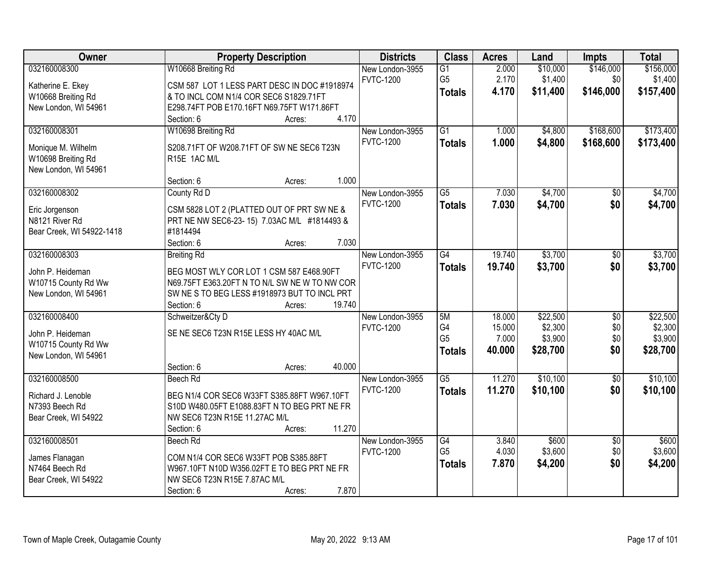| Owner                                    | <b>Property Description</b>                                                                 | <b>Districts</b> | <b>Class</b>    | <b>Acres</b> | Land     | <b>Impts</b>    | <b>Total</b> |
|------------------------------------------|---------------------------------------------------------------------------------------------|------------------|-----------------|--------------|----------|-----------------|--------------|
| 032160008300                             | W10668 Breiting Rd                                                                          | New London-3955  | $\overline{G1}$ | 2.000        | \$10,000 | \$146,000       | \$156,000    |
| Katherine E. Ekey                        | CSM 587 LOT 1 LESS PART DESC IN DOC #1918974                                                | <b>FVTC-1200</b> | G <sub>5</sub>  | 2.170        | \$1,400  | \$0             | \$1,400      |
| W10668 Breiting Rd                       | & TO INCL COM N1/4 COR SEC6 S1829.71FT                                                      |                  | <b>Totals</b>   | 4.170        | \$11,400 | \$146,000       | \$157,400    |
| New London, WI 54961                     | E298.74FT POB E170.16FT N69.75FT W171.86FT                                                  |                  |                 |              |          |                 |              |
|                                          | 4.170<br>Section: 6<br>Acres:                                                               |                  |                 |              |          |                 |              |
| 032160008301                             | W10698 Breiting Rd                                                                          | New London-3955  | $\overline{G1}$ | 1.000        | \$4,800  | \$168,600       | \$173,400    |
|                                          |                                                                                             | <b>FVTC-1200</b> | <b>Totals</b>   | 1.000        | \$4,800  | \$168,600       | \$173,400    |
| Monique M. Wilhelm<br>W10698 Breiting Rd | S208.71FT OF W208.71FT OF SW NE SEC6 T23N<br>R15E 1AC M/L                                   |                  |                 |              |          |                 |              |
| New London, WI 54961                     |                                                                                             |                  |                 |              |          |                 |              |
|                                          | 1.000<br>Section: 6<br>Acres:                                                               |                  |                 |              |          |                 |              |
| 032160008302                             | County Rd D                                                                                 | New London-3955  | $\overline{G5}$ | 7.030        | \$4,700  | $\overline{50}$ | \$4,700      |
|                                          |                                                                                             | <b>FVTC-1200</b> | <b>Totals</b>   | 7.030        | \$4,700  | \$0             | \$4,700      |
| Eric Jorgenson                           | CSM 5828 LOT 2 (PLATTED OUT OF PRT SW NE &                                                  |                  |                 |              |          |                 |              |
| N8121 River Rd                           | PRT NE NW SEC6-23-15) 7.03AC M/L #1814493 &                                                 |                  |                 |              |          |                 |              |
| Bear Creek, WI 54922-1418                | #1814494                                                                                    |                  |                 |              |          |                 |              |
|                                          | 7.030<br>Section: 6<br>Acres:                                                               |                  |                 |              |          |                 |              |
| 032160008303                             | <b>Breiting Rd</b>                                                                          | New London-3955  | G4              | 19.740       | \$3,700  | \$0             | \$3,700      |
| John P. Heideman                         | BEG MOST WLY COR LOT 1 CSM 587 E468.90FT                                                    | <b>FVTC-1200</b> | <b>Totals</b>   | 19.740       | \$3,700  | \$0             | \$3,700      |
| W10715 County Rd Ww                      | N69.75FT E363.20FT N TO N/L SW NE W TO NW COR                                               |                  |                 |              |          |                 |              |
| New London, WI 54961                     | SW NESTO BEG LESS #1918973 BUT TO INCL PRT                                                  |                  |                 |              |          |                 |              |
|                                          | 19.740<br>Section: 6<br>Acres:                                                              |                  |                 |              |          |                 |              |
| 032160008400                             | Schweitzer&Cty D                                                                            | New London-3955  | 5M              | 18.000       | \$22,500 | $\overline{50}$ | \$22,500     |
| John P. Heideman                         | SE NE SEC6 T23N R15E LESS HY 40AC M/L                                                       | <b>FVTC-1200</b> | G4              | 15.000       | \$2,300  | \$0             | \$2,300      |
| W10715 County Rd Ww                      |                                                                                             |                  | G <sub>5</sub>  | 7.000        | \$3,900  | \$0             | \$3,900      |
| New London, WI 54961                     |                                                                                             |                  | <b>Totals</b>   | 40.000       | \$28,700 | \$0             | \$28,700     |
|                                          | 40.000<br>Section: 6<br>Acres:                                                              |                  |                 |              |          |                 |              |
| 032160008500                             | Beech Rd                                                                                    | New London-3955  | $\overline{G5}$ | 11.270       | \$10,100 | $\overline{60}$ | \$10,100     |
|                                          |                                                                                             | <b>FVTC-1200</b> | <b>Totals</b>   | 11.270       | \$10,100 | \$0             | \$10,100     |
| Richard J. Lenoble<br>N7393 Beech Rd     | BEG N1/4 COR SEC6 W33FT S385.88FT W967.10FT<br>S10D W480.05FT E1088.83FT N TO BEG PRT NE FR |                  |                 |              |          |                 |              |
| Bear Creek, WI 54922                     | NW SEC6 T23N R15E 11.27AC M/L                                                               |                  |                 |              |          |                 |              |
|                                          | 11.270<br>Section: 6<br>Acres:                                                              |                  |                 |              |          |                 |              |
| 032160008501                             | Beech Rd                                                                                    | New London-3955  | G4              | 3.840        | \$600    | $\overline{50}$ | \$600        |
|                                          |                                                                                             | <b>FVTC-1200</b> | G <sub>5</sub>  | 4.030        | \$3,600  | \$0             | \$3,600      |
| James Flanagan                           | COM N1/4 COR SEC6 W33FT POB S385.88FT                                                       |                  |                 | 7.870        | \$4,200  | \$0             | \$4,200      |
| N7464 Beech Rd                           | W967.10FT N10D W356.02FT E TO BEG PRT NE FR                                                 |                  | <b>Totals</b>   |              |          |                 |              |
| Bear Creek, WI 54922                     | NW SEC6 T23N R15E 7.87AC M/L                                                                |                  |                 |              |          |                 |              |
|                                          | 7.870<br>Section: 6<br>Acres:                                                               |                  |                 |              |          |                 |              |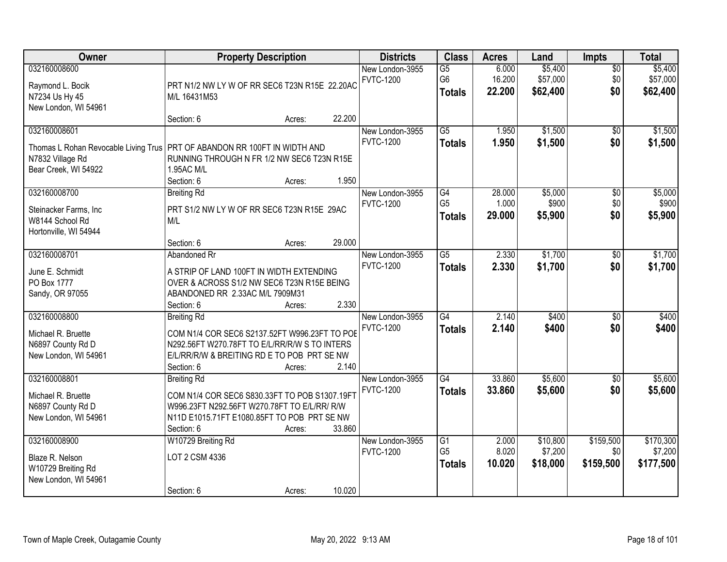| Owner                                                                                            | <b>Property Description</b>                                                                                                                                                       |        |        | <b>Districts</b>                    | <b>Class</b>                                       | <b>Acres</b>              | Land                            | Impts                         | <b>Total</b>                      |
|--------------------------------------------------------------------------------------------------|-----------------------------------------------------------------------------------------------------------------------------------------------------------------------------------|--------|--------|-------------------------------------|----------------------------------------------------|---------------------------|---------------------------------|-------------------------------|-----------------------------------|
| 032160008600<br>Raymond L. Bocik<br>N7234 Us Hy 45<br>New London, WI 54961                       | PRT N1/2 NW LY W OF RR SEC6 T23N R15E 22.20AC<br>M/L 16431M53                                                                                                                     |        |        | New London-3955<br><b>FVTC-1200</b> | $\overline{G5}$<br>G <sub>6</sub><br><b>Totals</b> | 6.000<br>16.200<br>22.200 | \$5,400<br>\$57,000<br>\$62,400 | $\overline{50}$<br>\$0<br>\$0 | \$5,400<br>\$57,000<br>\$62,400   |
|                                                                                                  | Section: 6                                                                                                                                                                        | Acres: | 22.200 |                                     |                                                    |                           |                                 |                               |                                   |
| 032160008601<br>Thomas L Rohan Revocable Living Trus<br>N7832 Village Rd<br>Bear Creek, WI 54922 | PRT OF ABANDON RR 100FT IN WIDTH AND<br>RUNNING THROUGH N FR 1/2 NW SEC6 T23N R15E<br>1.95AC M/L<br>Section: 6                                                                    | Acres: | 1.950  | New London-3955<br><b>FVTC-1200</b> | $\overline{G5}$<br><b>Totals</b>                   | 1.950<br>1.950            | \$1,500<br>\$1,500              | \$0<br>\$0                    | \$1,500<br>\$1,500                |
| 032160008700<br>Steinacker Farms, Inc<br>W8144 School Rd<br>Hortonville, WI 54944                | <b>Breiting Rd</b><br>PRT S1/2 NW LY W OF RR SEC6 T23N R15E 29AC<br>M/L<br>Section: 6                                                                                             | Acres: | 29.000 | New London-3955<br><b>FVTC-1200</b> | G4<br>G <sub>5</sub><br><b>Totals</b>              | 28.000<br>1.000<br>29.000 | \$5,000<br>\$900<br>\$5,900     | $\overline{50}$<br>\$0<br>\$0 | \$5,000<br>\$900<br>\$5,900       |
| 032160008701<br>June E. Schmidt<br>PO Box 1777<br>Sandy, OR 97055                                | Abandoned Rr<br>A STRIP OF LAND 100FT IN WIDTH EXTENDING<br>OVER & ACROSS S1/2 NW SEC6 T23N R15E BEING<br>ABANDONED RR 2.33AC M/L 7909M31<br>Section: 6                           | Acres: | 2.330  | New London-3955<br><b>FVTC-1200</b> | $\overline{G5}$<br><b>Totals</b>                   | 2.330<br>2.330            | \$1,700<br>\$1,700              | \$0<br>\$0                    | \$1,700<br>\$1,700                |
| 032160008800<br>Michael R. Bruette<br>N6897 County Rd D<br>New London, WI 54961                  | <b>Breiting Rd</b><br>COM N1/4 COR SEC6 S2137.52FT W996.23FT TO POE<br>N292.56FT W270.78FT TO E/L/RR/R/W S TO INTERS<br>E/L/RR/R/W & BREITING RD E TO POB PRT SE NW<br>Section: 6 | Acres: | 2.140  | New London-3955<br><b>FVTC-1200</b> | $\overline{G4}$<br><b>Totals</b>                   | 2.140<br>2.140            | \$400<br>\$400                  | $\overline{50}$<br>\$0        | \$400<br>\$400                    |
| 032160008801<br>Michael R. Bruette<br>N6897 County Rd D<br>New London, WI 54961                  | <b>Breiting Rd</b><br>COM N1/4 COR SEC6 S830.33FT TO POB S1307.19FT<br>W996.23FT N292.56FT W270.78FT TO E/L/RR/ R/W<br>N11D E1015.71FT E1080.85FT TO POB PRT SE NW<br>Section: 6  | Acres: | 33.860 | New London-3955<br><b>FVTC-1200</b> | G4<br><b>Totals</b>                                | 33.860<br>33.860          | \$5,600<br>\$5,600              | $\sqrt{6}$<br>\$0             | \$5,600<br>\$5,600                |
| 032160008900<br>Blaze R. Nelson<br>W10729 Breiting Rd<br>New London, WI 54961                    | W10729 Breiting Rd<br>LOT 2 CSM 4336<br>Section: 6                                                                                                                                | Acres: | 10.020 | New London-3955<br><b>FVTC-1200</b> | $\overline{G1}$<br>G <sub>5</sub><br><b>Totals</b> | 2.000<br>8.020<br>10.020  | \$10,800<br>\$7,200<br>\$18,000 | \$159,500<br>\$0<br>\$159,500 | \$170,300<br>\$7,200<br>\$177,500 |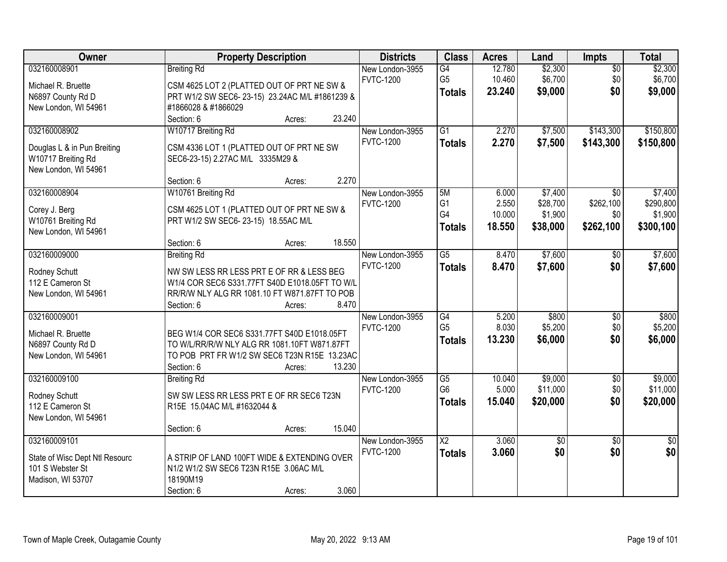| Owner                                             | <b>Property Description</b>                                                  |        |        | <b>Districts</b> | <b>Class</b>                      | <b>Acres</b>   | Land             | Impts                  | <b>Total</b>     |
|---------------------------------------------------|------------------------------------------------------------------------------|--------|--------|------------------|-----------------------------------|----------------|------------------|------------------------|------------------|
| 032160008901                                      | <b>Breiting Rd</b>                                                           |        |        | New London-3955  | G4                                | 12.780         | \$2,300          | $\overline{50}$        | \$2,300          |
| Michael R. Bruette                                | CSM 4625 LOT 2 (PLATTED OUT OF PRT NE SW &                                   |        |        | <b>FVTC-1200</b> | G <sub>5</sub>                    | 10.460         | \$6,700          | \$0                    | \$6,700          |
| N6897 County Rd D                                 | PRT W1/2 SW SEC6-23-15) 23.24AC M/L #1861239 &                               |        |        |                  | <b>Totals</b>                     | 23.240         | \$9,000          | \$0                    | \$9,000          |
| New London, WI 54961                              | #1866028 & #1866029                                                          |        |        |                  |                                   |                |                  |                        |                  |
|                                                   | Section: 6                                                                   | Acres: | 23.240 |                  |                                   |                |                  |                        |                  |
| 032160008902                                      | W10717 Breiting Rd                                                           |        |        | New London-3955  | $\overline{G1}$                   | 2.270          | \$7,500          | \$143,300              | \$150,800        |
|                                                   |                                                                              |        |        | <b>FVTC-1200</b> | <b>Totals</b>                     | 2.270          | \$7,500          | \$143,300              | \$150,800        |
| Douglas L & in Pun Breiting<br>W10717 Breiting Rd | CSM 4336 LOT 1 (PLATTED OUT OF PRT NE SW<br>SEC6-23-15) 2.27AC M/L 3335M29 & |        |        |                  |                                   |                |                  |                        |                  |
| New London, WI 54961                              |                                                                              |        |        |                  |                                   |                |                  |                        |                  |
|                                                   | Section: 6                                                                   | Acres: | 2.270  |                  |                                   |                |                  |                        |                  |
| 032160008904                                      | W10761 Breiting Rd                                                           |        |        | New London-3955  | 5M                                | 6.000          | \$7,400          | $\overline{50}$        | \$7,400          |
|                                                   |                                                                              |        |        | <b>FVTC-1200</b> | G1                                | 2.550          | \$28,700         | \$262,100              | \$290,800        |
| Corey J. Berg                                     | CSM 4625 LOT 1 (PLATTED OUT OF PRT NE SW &                                   |        |        |                  | G4                                | 10.000         | \$1,900          | \$0                    | \$1,900          |
| W10761 Breiting Rd<br>New London, WI 54961        | PRT W1/2 SW SEC6-23-15) 18.55AC M/L                                          |        |        |                  | <b>Totals</b>                     | 18.550         | \$38,000         | \$262,100              | \$300,100        |
|                                                   | Section: 6                                                                   | Acres: | 18.550 |                  |                                   |                |                  |                        |                  |
| 032160009000                                      | <b>Breiting Rd</b>                                                           |        |        | New London-3955  | G5                                | 8.470          | \$7,600          | $\sqrt[6]{}$           | \$7,600          |
|                                                   |                                                                              |        |        | <b>FVTC-1200</b> | <b>Totals</b>                     | 8.470          | \$7,600          | \$0                    | \$7,600          |
| Rodney Schutt                                     | NW SW LESS RR LESS PRT E OF RR & LESS BEG                                    |        |        |                  |                                   |                |                  |                        |                  |
| 112 E Cameron St                                  | W1/4 COR SEC6 S331.77FT S40D E1018.05FT TO W/L                               |        |        |                  |                                   |                |                  |                        |                  |
| New London, WI 54961                              | RR/R/W NLY ALG RR 1081.10 FT W871.87FT TO POB                                |        |        |                  |                                   |                |                  |                        |                  |
|                                                   | Section: 6                                                                   | Acres: | 8.470  |                  |                                   |                |                  |                        |                  |
| 032160009001                                      |                                                                              |        |        | New London-3955  | $\overline{G4}$<br>G <sub>5</sub> | 5.200<br>8.030 | \$800<br>\$5,200 | $\overline{50}$<br>\$0 | \$800<br>\$5,200 |
| Michael R. Bruette                                | BEG W1/4 COR SEC6 S331.77FT S40D E1018.05FT                                  |        |        | <b>FVTC-1200</b> |                                   | 13.230         | \$6,000          | \$0                    | \$6,000          |
| N6897 County Rd D                                 | TO W/L/RR/R/W NLY ALG RR 1081.10FT W871.87FT                                 |        |        |                  | <b>Totals</b>                     |                |                  |                        |                  |
| New London, WI 54961                              | TO POB PRT FR W1/2 SW SEC6 T23N R15E 13.23AC                                 |        |        |                  |                                   |                |                  |                        |                  |
|                                                   | Section: 6                                                                   | Acres: | 13.230 |                  |                                   |                |                  |                        |                  |
| 032160009100                                      | <b>Breiting Rd</b>                                                           |        |        | New London-3955  | $\overline{G5}$                   | 10.040         | \$9,000          | $\sqrt{6}$             | \$9,000          |
| Rodney Schutt                                     | SW SW LESS RR LESS PRT E OF RR SEC6 T23N                                     |        |        | <b>FVTC-1200</b> | G <sub>6</sub>                    | 5.000          | \$11,000         | \$0                    | \$11,000         |
| 112 E Cameron St                                  | R15E 15.04AC M/L #1632044 &                                                  |        |        |                  | <b>Totals</b>                     | 15.040         | \$20,000         | \$0                    | \$20,000         |
| New London, WI 54961                              |                                                                              |        |        |                  |                                   |                |                  |                        |                  |
|                                                   | Section: 6                                                                   | Acres: | 15.040 |                  |                                   |                |                  |                        |                  |
| 032160009101                                      |                                                                              |        |        | New London-3955  | $\overline{\text{X2}}$            | 3.060          | \$0              | $\overline{50}$        | $\overline{50}$  |
| State of Wisc Dept Ntl Resourc                    | A STRIP OF LAND 100FT WIDE & EXTENDING OVER                                  |        |        | <b>FVTC-1200</b> | <b>Totals</b>                     | 3.060          | \$0              | \$0                    | \$0              |
| 101 S Webster St                                  | N1/2 W1/2 SW SEC6 T23N R15E 3.06AC M/L                                       |        |        |                  |                                   |                |                  |                        |                  |
| Madison, WI 53707                                 | 18190M19                                                                     |        |        |                  |                                   |                |                  |                        |                  |
|                                                   | Section: 6                                                                   | Acres: | 3.060  |                  |                                   |                |                  |                        |                  |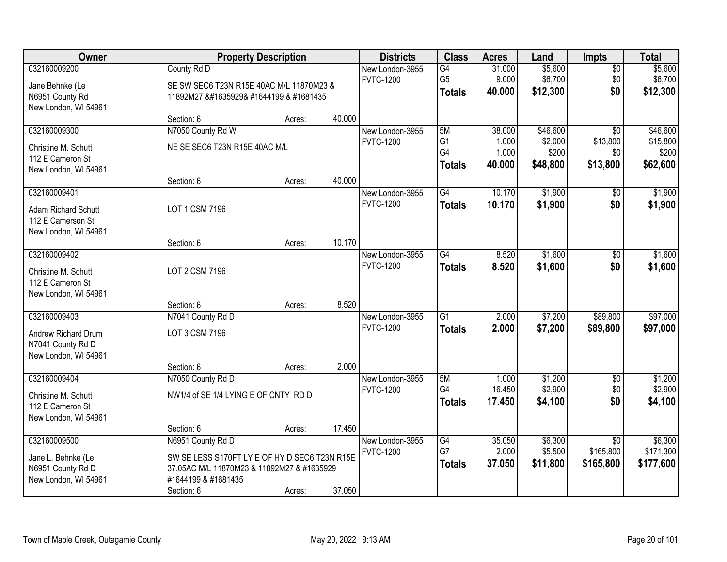| Owner                                                            |                                                                             | <b>Property Description</b> |        | <b>Districts</b>                    | <b>Class</b>         | <b>Acres</b>     | Land               | <b>Impts</b>       | <b>Total</b>       |
|------------------------------------------------------------------|-----------------------------------------------------------------------------|-----------------------------|--------|-------------------------------------|----------------------|------------------|--------------------|--------------------|--------------------|
| 032160009200                                                     | County Rd D                                                                 |                             |        | New London-3955<br><b>FVTC-1200</b> | G4<br>G <sub>5</sub> | 31.000<br>9.000  | \$5,600<br>\$6,700 | $\sqrt{$0}$<br>\$0 | \$5,600<br>\$6,700 |
| Jane Behnke (Le<br>N6951 County Rd<br>New London, WI 54961       | SE SW SEC6 T23N R15E 40AC M/L 11870M23 &<br>11892M27 �& #1644199 & #1681435 |                             |        |                                     | <b>Totals</b>        | 40,000           | \$12,300           | \$0                | \$12,300           |
|                                                                  | Section: 6                                                                  | Acres:                      | 40.000 |                                     |                      |                  |                    |                    |                    |
| 032160009300                                                     | N7050 County Rd W                                                           |                             |        | New London-3955                     | 5M                   | 38,000           | \$46,600           | $\overline{30}$    | \$46,600           |
| Christine M. Schutt<br>112 E Cameron St                          | NE SE SEC6 T23N R15E 40AC M/L                                               |                             |        | <b>FVTC-1200</b>                    | G <sub>1</sub><br>G4 | 1.000<br>1.000   | \$2,000<br>\$200   | \$13,800<br>\$0    | \$15,800<br>\$200  |
| New London, WI 54961                                             |                                                                             |                             |        |                                     | <b>Totals</b>        | 40.000           | \$48,800           | \$13,800           | \$62,600           |
|                                                                  | Section: 6                                                                  | Acres:                      | 40.000 |                                     |                      |                  |                    |                    |                    |
| 032160009401                                                     |                                                                             |                             |        | New London-3955                     | $\overline{G4}$      | 10.170           | \$1,900            | \$0                | \$1,900            |
| <b>Adam Richard Schutt</b><br>112 E Camerson St                  | LOT 1 CSM 7196                                                              |                             |        | <b>FVTC-1200</b>                    | <b>Totals</b>        | 10.170           | \$1,900            | \$0                | \$1,900            |
| New London, WI 54961                                             | Section: 6                                                                  | Acres:                      | 10.170 |                                     |                      |                  |                    |                    |                    |
| 032160009402                                                     |                                                                             |                             |        | New London-3955                     | $\overline{G4}$      | 8.520            | \$1,600            | $\sqrt[6]{3}$      | \$1,600            |
| Christine M. Schutt<br>112 E Cameron St<br>New London, WI 54961  | LOT 2 CSM 7196                                                              |                             |        | <b>FVTC-1200</b>                    | <b>Totals</b>        | 8.520            | \$1,600            | \$0                | \$1,600            |
|                                                                  | Section: 6                                                                  | Acres:                      | 8.520  |                                     |                      |                  |                    |                    |                    |
| 032160009403                                                     | N7041 County Rd D                                                           |                             |        | New London-3955                     | $\overline{G1}$      | 2.000            | \$7,200            | \$89,800           | \$97,000           |
| Andrew Richard Drum<br>N7041 County Rd D<br>New London, WI 54961 | LOT 3 CSM 7196                                                              |                             |        | <b>FVTC-1200</b>                    | <b>Totals</b>        | 2.000            | \$7,200            | \$89,800           | \$97,000           |
|                                                                  | Section: 6                                                                  | Acres:                      | 2.000  |                                     |                      |                  |                    |                    |                    |
| 032160009404                                                     | N7050 County Rd D                                                           |                             |        | New London-3955                     | 5M                   | 1.000            | \$1,200            | $\sqrt{6}$         | \$1,200            |
| Christine M. Schutt<br>112 E Cameron St<br>New London, WI 54961  | NW1/4 of SE 1/4 LYING E OF CNTY RD D                                        |                             |        | <b>FVTC-1200</b>                    | G4<br><b>Totals</b>  | 16.450<br>17.450 | \$2,900<br>\$4,100 | \$0<br>\$0         | \$2,900<br>\$4,100 |
|                                                                  | Section: 6                                                                  | Acres:                      | 17.450 |                                     |                      |                  |                    |                    |                    |
| 032160009500                                                     | N6951 County Rd D                                                           |                             |        | New London-3955                     | G4                   | 35.050           | \$6,300            | $\overline{50}$    | \$6,300            |
| Jane L. Behnke (Le                                               | SW SE LESS S170FT LY E OF HY D SEC6 T23N R15E                               |                             |        | <b>FVTC-1200</b>                    | G7                   | 2.000            | \$5,500            | \$165,800          | \$171,300          |
| N6951 County Rd D                                                | 37.05AC M/L 11870M23 & 11892M27 & #1635929                                  |                             |        |                                     | <b>Totals</b>        | 37.050           | \$11,800           | \$165,800          | \$177,600          |
| New London, WI 54961                                             | #1644199 & #1681435<br>Section: 6                                           | Acres:                      | 37.050 |                                     |                      |                  |                    |                    |                    |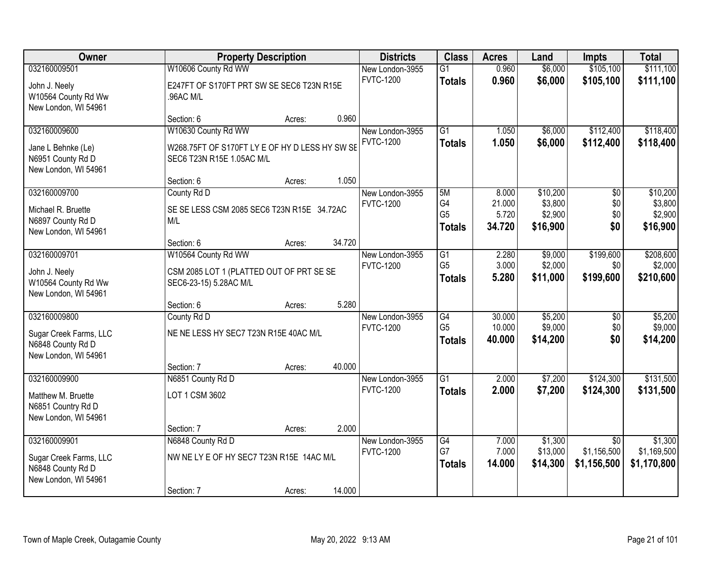| Owner                                     |                                                | <b>Property Description</b> |        | <b>Districts</b>                    | <b>Class</b>    | <b>Acres</b>   | Land               | <b>Impts</b>    | <b>Total</b> |
|-------------------------------------------|------------------------------------------------|-----------------------------|--------|-------------------------------------|-----------------|----------------|--------------------|-----------------|--------------|
| 032160009501                              | W10606 County Rd WW                            |                             |        | New London-3955                     | $\overline{G1}$ | 0.960          | \$6,000            | \$105,100       | \$111,100    |
| John J. Neely                             | E247FT OF S170FT PRT SW SE SEC6 T23N R15E      |                             |        | <b>FVTC-1200</b>                    | <b>Totals</b>   | 0.960          | \$6,000            | \$105,100       | \$111,100    |
| W10564 County Rd Ww                       | .96AC M/L                                      |                             |        |                                     |                 |                |                    |                 |              |
| New London, WI 54961                      |                                                |                             |        |                                     |                 |                |                    |                 |              |
|                                           | Section: 6                                     | Acres:                      | 0.960  |                                     |                 |                |                    |                 |              |
| 032160009600                              | W10630 County Rd WW                            |                             |        | New London-3955<br><b>FVTC-1200</b> | $\overline{G1}$ | 1.050<br>1.050 | \$6,000<br>\$6,000 | \$112,400       | \$118,400    |
| Jane L Behnke (Le)                        | W268.75FT OF S170FT LY E OF HY D LESS HY SW SE |                             |        |                                     | <b>Totals</b>   |                |                    | \$112,400       | \$118,400    |
| N6951 County Rd D                         | SEC6 T23N R15E 1.05AC M/L                      |                             |        |                                     |                 |                |                    |                 |              |
| New London, WI 54961                      | Section: 6                                     | Acres:                      | 1.050  |                                     |                 |                |                    |                 |              |
| 032160009700                              | County Rd D                                    |                             |        | New London-3955                     | 5M              | 8.000          | \$10,200           | $\overline{50}$ | \$10,200     |
|                                           |                                                |                             |        | <b>FVTC-1200</b>                    | G4              | 21.000         | \$3,800            | \$0             | \$3,800      |
| Michael R. Bruette                        | SE SE LESS CSM 2085 SEC6 T23N R15E 34.72AC     |                             |        |                                     | G <sub>5</sub>  | 5.720          | \$2,900            | \$0             | \$2,900      |
| N6897 County Rd D<br>New London, WI 54961 | M/L                                            |                             |        |                                     | <b>Totals</b>   | 34.720         | \$16,900           | \$0             | \$16,900     |
|                                           | Section: 6                                     | Acres:                      | 34.720 |                                     |                 |                |                    |                 |              |
| 032160009701                              | W10564 County Rd WW                            |                             |        | New London-3955                     | G1              | 2.280          | \$9,000            | \$199,600       | \$208,600    |
| John J. Neely                             | CSM 2085 LOT 1 (PLATTED OUT OF PRT SE SE       |                             |        | <b>FVTC-1200</b>                    | G <sub>5</sub>  | 3.000          | \$2,000            | \$0             | \$2,000      |
| W10564 County Rd Ww                       | SEC6-23-15) 5.28AC M/L                         |                             |        |                                     | <b>Totals</b>   | 5.280          | \$11,000           | \$199,600       | \$210,600    |
| New London, WI 54961                      |                                                |                             |        |                                     |                 |                |                    |                 |              |
|                                           | Section: 6                                     | Acres:                      | 5.280  |                                     |                 |                |                    |                 |              |
| 032160009800                              | County Rd D                                    |                             |        | New London-3955                     | $\overline{G4}$ | 30.000         | \$5,200            | $\overline{50}$ | \$5,200      |
| Sugar Creek Farms, LLC                    | NE NE LESS HY SEC7 T23N R15E 40AC M/L          |                             |        | <b>FVTC-1200</b>                    | G <sub>5</sub>  | 10.000         | \$9,000            | \$0             | \$9,000      |
| N6848 County Rd D                         |                                                |                             |        |                                     | <b>Totals</b>   | 40.000         | \$14,200           | \$0             | \$14,200     |
| New London, WI 54961                      |                                                |                             |        |                                     |                 |                |                    |                 |              |
|                                           | Section: 7                                     | Acres:                      | 40.000 |                                     |                 |                |                    |                 |              |
| 032160009900                              | N6851 County Rd D                              |                             |        | New London-3955<br><b>FVTC-1200</b> | $\overline{G1}$ | 2.000          | \$7,200            | \$124,300       | \$131,500    |
| Matthew M. Bruette                        | LOT 1 CSM 3602                                 |                             |        |                                     | <b>Totals</b>   | 2.000          | \$7,200            | \$124,300       | \$131,500    |
| N6851 Country Rd D                        |                                                |                             |        |                                     |                 |                |                    |                 |              |
| New London, WI 54961                      | Section: 7                                     | Acres:                      | 2.000  |                                     |                 |                |                    |                 |              |
| 032160009901                              | N6848 County Rd D                              |                             |        | New London-3955                     | G4              | 7.000          | \$1,300            | $\overline{30}$ | \$1,300      |
|                                           |                                                |                             |        | <b>FVTC-1200</b>                    | G7              | 7.000          | \$13,000           | \$1,156,500     | \$1,169,500  |
| Sugar Creek Farms, LLC                    | NW NE LY E OF HY SEC7 T23N R15E 14AC M/L       |                             |        |                                     | <b>Totals</b>   | 14.000         | \$14,300           | \$1,156,500     | \$1,170,800  |
| N6848 County Rd D<br>New London, WI 54961 |                                                |                             |        |                                     |                 |                |                    |                 |              |
|                                           | Section: 7                                     | Acres:                      | 14.000 |                                     |                 |                |                    |                 |              |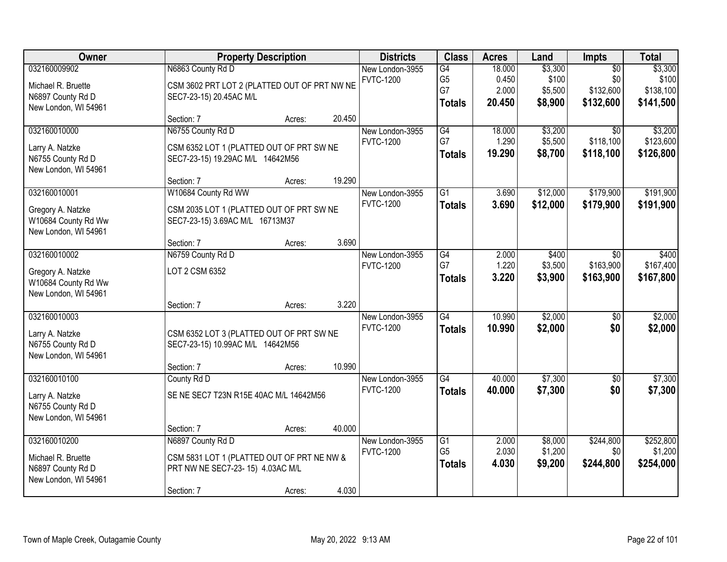| <b>Owner</b>                                                                    |                                                                                                    | <b>Property Description</b> |        | <b>Districts</b>                    | <b>Class</b>                                | <b>Acres</b>                       | Land                                   | <b>Impts</b>                                     | <b>Total</b>                               |
|---------------------------------------------------------------------------------|----------------------------------------------------------------------------------------------------|-----------------------------|--------|-------------------------------------|---------------------------------------------|------------------------------------|----------------------------------------|--------------------------------------------------|--------------------------------------------|
| 032160009902<br>Michael R. Bruette<br>N6897 County Rd D<br>New London, WI 54961 | N6863 County Rd D<br>CSM 3602 PRT LOT 2 (PLATTED OUT OF PRT NW NE<br>SEC7-23-15) 20.45AC M/L       |                             |        | New London-3955<br><b>FVTC-1200</b> | G4<br>G <sub>5</sub><br>G7<br><b>Totals</b> | 18.000<br>0.450<br>2.000<br>20.450 | \$3,300<br>\$100<br>\$5,500<br>\$8,900 | $\overline{50}$<br>\$0<br>\$132,600<br>\$132,600 | \$3,300<br>\$100<br>\$138,100<br>\$141,500 |
|                                                                                 | Section: 7                                                                                         | Acres:                      | 20.450 |                                     |                                             |                                    |                                        |                                                  |                                            |
| 032160010000<br>Larry A. Natzke<br>N6755 County Rd D<br>New London, WI 54961    | N6755 County Rd D<br>CSM 6352 LOT 1 (PLATTED OUT OF PRT SW NE<br>SEC7-23-15) 19.29AC M/L 14642M56  |                             |        | New London-3955<br><b>FVTC-1200</b> | G4<br>G7<br><b>Totals</b>                   | 18,000<br>1.290<br>19.290          | \$3,200<br>\$5,500<br>\$8,700          | $\overline{30}$<br>\$118,100<br>\$118,100        | \$3,200<br>\$123,600<br>\$126,800          |
| 032160010001                                                                    | Section: 7                                                                                         | Acres:                      | 19.290 |                                     | $\overline{G1}$                             | 3.690                              | \$12,000                               | \$179,900                                        | \$191,900                                  |
| Gregory A. Natzke<br>W10684 County Rd Ww<br>New London, WI 54961                | W10684 County Rd WW<br>CSM 2035 LOT 1 (PLATTED OUT OF PRT SW NE<br>SEC7-23-15) 3.69AC M/L 16713M37 |                             |        | New London-3955<br><b>FVTC-1200</b> | <b>Totals</b>                               | 3.690                              | \$12,000                               | \$179,900                                        | \$191,900                                  |
| 032160010002                                                                    | Section: 7<br>N6759 County Rd D                                                                    | Acres:                      | 3.690  | New London-3955                     | G4                                          | 2.000                              | \$400                                  | $\sqrt{6}$                                       | \$400                                      |
| Gregory A. Natzke<br>W10684 County Rd Ww<br>New London, WI 54961                | LOT 2 CSM 6352                                                                                     |                             |        | <b>FVTC-1200</b>                    | G7<br><b>Totals</b>                         | 1.220<br>3.220                     | \$3,500<br>\$3,900                     | \$163,900<br>\$163,900                           | \$167,400<br>\$167,800                     |
|                                                                                 | Section: 7                                                                                         | Acres:                      | 3.220  |                                     |                                             |                                    |                                        |                                                  |                                            |
| 032160010003<br>Larry A. Natzke<br>N6755 County Rd D<br>New London, WI 54961    | CSM 6352 LOT 3 (PLATTED OUT OF PRT SW NE<br>SEC7-23-15) 10.99AC M/L 14642M56<br>Section: 7         | Acres:                      | 10.990 | New London-3955<br><b>FVTC-1200</b> | $\overline{G4}$<br><b>Totals</b>            | 10.990<br>10.990                   | \$2,000<br>\$2,000                     | $\overline{50}$<br>\$0                           | \$2,000<br>\$2,000                         |
| 032160010100                                                                    | County Rd D                                                                                        |                             |        | New London-3955                     | G4                                          | 40.000                             | \$7,300                                | $\overline{50}$                                  | \$7,300                                    |
| Larry A. Natzke<br>N6755 County Rd D<br>New London, WI 54961                    | SE NE SEC7 T23N R15E 40AC M/L 14642M56                                                             |                             | 40.000 | <b>FVTC-1200</b>                    | <b>Totals</b>                               | 40.000                             | \$7,300                                | \$0                                              | \$7,300                                    |
| 032160010200                                                                    | Section: 7<br>N6897 County Rd D                                                                    | Acres:                      |        | New London-3955                     | $\overline{G1}$                             | 2.000                              | \$8,000                                | \$244,800                                        | \$252,800                                  |
| Michael R. Bruette<br>N6897 County Rd D<br>New London, WI 54961                 | CSM 5831 LOT 1 (PLATTED OUT OF PRT NE NW &<br>PRT NW NE SEC7-23-15) 4.03AC M/L<br>Section: 7       | Acres:                      | 4.030  | <b>FVTC-1200</b>                    | G <sub>5</sub><br><b>Totals</b>             | 2.030<br>4.030                     | \$1,200<br>\$9,200                     | \$0<br>\$244,800                                 | \$1,200<br>\$254,000                       |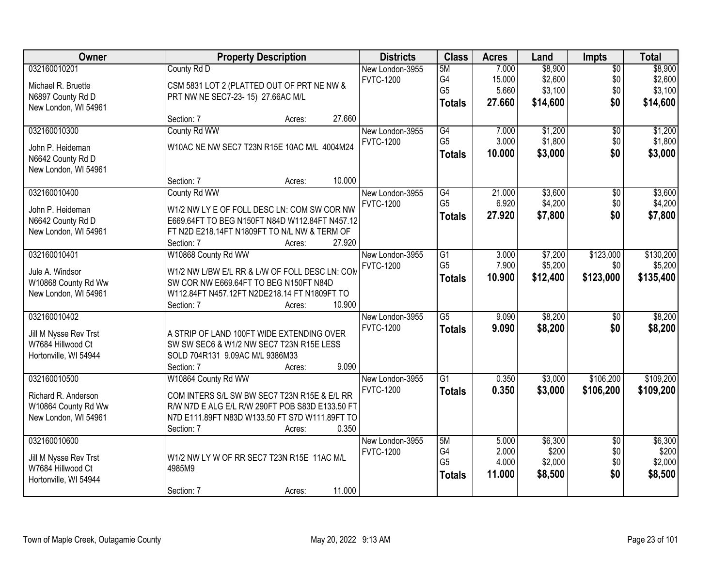| Owner                                                                               | <b>Property Description</b>                                                                                                                                                                                                       | <b>Districts</b>                    | <b>Class</b>                                       | <b>Acres</b>                       | Land                                      | Impts                                | <b>Total</b>                              |
|-------------------------------------------------------------------------------------|-----------------------------------------------------------------------------------------------------------------------------------------------------------------------------------------------------------------------------------|-------------------------------------|----------------------------------------------------|------------------------------------|-------------------------------------------|--------------------------------------|-------------------------------------------|
| 032160010201<br>Michael R. Bruette<br>N6897 County Rd D<br>New London, WI 54961     | County Rd D<br>CSM 5831 LOT 2 (PLATTED OUT OF PRT NE NW &<br>PRT NW NE SEC7-23-15) 27.66AC M/L                                                                                                                                    | New London-3955<br><b>FVTC-1200</b> | 5M<br>G4<br>G <sub>5</sub><br><b>Totals</b>        | 7.000<br>15.000<br>5.660<br>27.660 | \$8,900<br>\$2,600<br>\$3,100<br>\$14,600 | $\overline{50}$<br>\$0<br>\$0<br>\$0 | \$8,900<br>\$2,600<br>\$3,100<br>\$14,600 |
|                                                                                     | 27.660<br>Section: 7<br>Acres:                                                                                                                                                                                                    |                                     |                                                    |                                    |                                           |                                      |                                           |
| 032160010300<br>John P. Heideman<br>N6642 County Rd D<br>New London, WI 54961       | County Rd WW<br>W10AC NE NW SEC7 T23N R15E 10AC M/L 4004M24                                                                                                                                                                       | New London-3955<br><b>FVTC-1200</b> | G4<br>G <sub>5</sub><br><b>Totals</b>              | 7.000<br>3.000<br>10.000           | \$1,200<br>\$1,800<br>\$3,000             | $\overline{50}$<br>\$0<br>\$0        | \$1,200<br>\$1,800<br>\$3,000             |
| 032160010400<br>John P. Heideman<br>N6642 County Rd D<br>New London, WI 54961       | 10.000<br>Section: 7<br>Acres:<br>County Rd WW<br>W1/2 NW LY E OF FOLL DESC LN: COM SW COR NW<br>E669.64FT TO BEG N150FT N84D W112.84FT N457.12<br>FT N2D E218.14FT N1809FT TO N/L NW & TERM OF<br>27.920<br>Section: 7<br>Acres: | New London-3955<br><b>FVTC-1200</b> | G4<br>G <sub>5</sub><br><b>Totals</b>              | 21.000<br>6.920<br>27.920          | \$3,600<br>\$4,200<br>\$7,800             | \$0<br>\$0<br>\$0                    | \$3,600<br>\$4,200<br>\$7,800             |
| 032160010401<br>Jule A. Windsor<br>W10868 County Rd Ww<br>New London, WI 54961      | W10868 County Rd WW<br>W1/2 NW L/BW E/L RR & L/W OF FOLL DESC LN: COM<br>SW COR NW E669.64FT TO BEG N150FT N84D<br>W112.84FT N457.12FT N2DE218.14 FT N1809FT TO<br>10.900<br>Section: 7<br>Acres:                                 | New London-3955<br><b>FVTC-1200</b> | $\overline{G1}$<br>G <sub>5</sub><br><b>Totals</b> | 3.000<br>7.900<br>10.900           | \$7,200<br>\$5,200<br>\$12,400            | \$123,000<br>\$0<br>\$123,000        | \$130,200<br>\$5,200<br>\$135,400         |
| 032160010402<br>Jill M Nysse Rev Trst<br>W7684 Hillwood Ct<br>Hortonville, WI 54944 | A STRIP OF LAND 100FT WIDE EXTENDING OVER<br>SW SW SEC6 & W1/2 NW SEC7 T23N R15E LESS<br>SOLD 704R131 9.09AC M/L 9386M33<br>9.090<br>Section: 7<br>Acres:                                                                         | New London-3955<br><b>FVTC-1200</b> | $\overline{G5}$<br><b>Totals</b>                   | 9.090<br>9.090                     | \$8,200<br>\$8,200                        | $\overline{50}$<br>\$0               | \$8,200<br>\$8,200                        |
| 032160010500<br>Richard R. Anderson<br>W10864 County Rd Ww<br>New London, WI 54961  | W10864 County Rd WW<br>COM INTERS S/L SW BW SEC7 T23N R15E & E/L RR<br>R/W N7D E ALG E/L R/W 290FT POB S83D E133.50 FT<br>N7D E111.89FT N83D W133.50 FT S7D W111.89FT TO<br>0.350<br>Section: 7<br>Acres:                         | New London-3955<br><b>FVTC-1200</b> | $\overline{G1}$<br><b>Totals</b>                   | 0.350<br>0.350                     | \$3,000<br>\$3,000                        | \$106,200<br>\$106,200               | \$109,200<br>\$109,200                    |
| 032160010600<br>Jill M Nysse Rev Trst<br>W7684 Hillwood Ct<br>Hortonville, WI 54944 | W1/2 NW LY W OF RR SEC7 T23N R15E 11AC M/L<br>4985M9<br>11.000<br>Section: 7<br>Acres:                                                                                                                                            | New London-3955<br><b>FVTC-1200</b> | 5M<br>G4<br>G <sub>5</sub><br><b>Totals</b>        | 5.000<br>2.000<br>4.000<br>11.000  | \$6,300<br>\$200<br>\$2,000<br>\$8,500    | $\overline{50}$<br>\$0<br>\$0<br>\$0 | \$6,300<br>\$200<br>\$2,000<br>\$8,500    |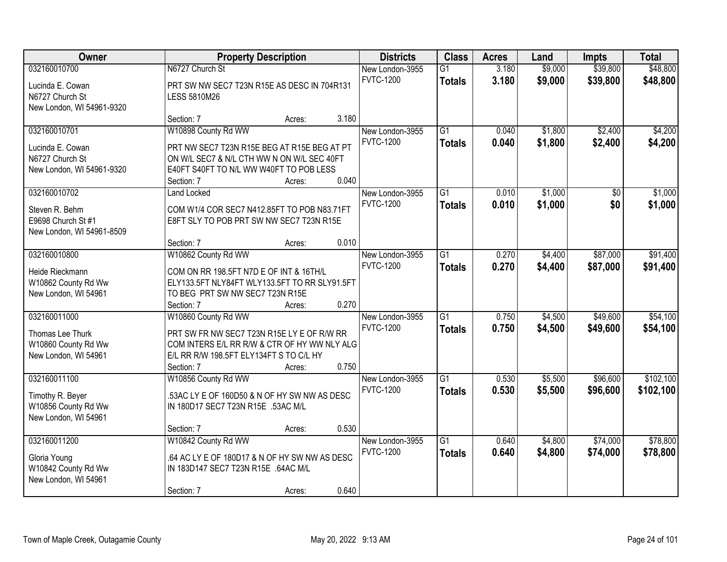| Owner                                                                             | <b>Property Description</b>                                                                                                                                                |        |       | <b>Districts</b>                    | <b>Class</b>                     | <b>Acres</b>   | Land               | <b>Impts</b>         | <b>Total</b>           |
|-----------------------------------------------------------------------------------|----------------------------------------------------------------------------------------------------------------------------------------------------------------------------|--------|-------|-------------------------------------|----------------------------------|----------------|--------------------|----------------------|------------------------|
| 032160010700<br>Lucinda E. Cowan<br>N6727 Church St<br>New London, WI 54961-9320  | N6727 Church St<br>PRT SW NW SEC7 T23N R15E AS DESC IN 704R131<br><b>LESS 5810M26</b>                                                                                      |        |       | New London-3955<br><b>FVTC-1200</b> | $\overline{G1}$<br><b>Totals</b> | 3.180<br>3.180 | \$9,000<br>\$9,000 | \$39,800<br>\$39,800 | \$48,800<br>\$48,800   |
|                                                                                   | Section: 7                                                                                                                                                                 | Acres: | 3.180 |                                     |                                  |                |                    |                      |                        |
| 032160010701<br>Lucinda E. Cowan<br>N6727 Church St<br>New London, WI 54961-9320  | W10898 County Rd WW<br>PRT NW SEC7 T23N R15E BEG AT R15E BEG AT PT<br>ON W/L SEC7 & N/L CTH WW N ON W/L SEC 40FT<br>E40FT S40FT TO N/L WW W40FT TO POB LESS<br>Section: 7  | Acres: | 0.040 | New London-3955<br><b>FVTC-1200</b> | $\overline{G1}$<br><b>Totals</b> | 0.040<br>0.040 | \$1,800<br>\$1,800 | \$2,400<br>\$2,400   | \$4,200<br>\$4,200     |
| 032160010702<br>Steven R. Behm<br>E9698 Church St #1<br>New London, WI 54961-8509 | <b>Land Locked</b><br>COM W1/4 COR SEC7 N412.85FT TO POB N83.71FT<br>E8FT SLY TO POB PRT SW NW SEC7 T23N R15E<br>Section: 7                                                | Acres: | 0.010 | New London-3955<br><b>FVTC-1200</b> | $\overline{G1}$<br><b>Totals</b> | 0.010<br>0.010 | \$1,000<br>\$1,000 | \$0<br>\$0           | \$1,000<br>\$1,000     |
| 032160010800<br>Heide Rieckmann<br>W10862 County Rd Ww<br>New London, WI 54961    | W10862 County Rd WW<br>COM ON RR 198.5FT N7D E OF INT & 16TH/L<br>ELY133.5FT NLY84FT WLY133.5FT TO RR SLY91.5FT<br>TO BEG PRT SW NW SEC7 T23N R15E<br>Section: 7           | Acres: | 0.270 | New London-3955<br><b>FVTC-1200</b> | $\overline{G1}$<br><b>Totals</b> | 0.270<br>0.270 | \$4,400<br>\$4,400 | \$87,000<br>\$87,000 | \$91,400<br>\$91,400   |
| 032160011000<br>Thomas Lee Thurk<br>W10860 County Rd Ww<br>New London, WI 54961   | W10860 County Rd WW<br>PRT SW FR NW SEC7 T23N R15E LY E OF R/W RR<br>COM INTERS E/L RR R/W & CTR OF HY WW NLY ALG<br>E/L RR R/W 198.5FT ELY134FT S TO C/L HY<br>Section: 7 | Acres: | 0.750 | New London-3955<br><b>FVTC-1200</b> | $\overline{G1}$<br><b>Totals</b> | 0.750<br>0.750 | \$4,500<br>\$4,500 | \$49,600<br>\$49,600 | \$54,100<br>\$54,100   |
| 032160011100<br>Timothy R. Beyer<br>W10856 County Rd Ww<br>New London, WI 54961   | W10856 County Rd WW<br>53AC LY E OF 160D50 & N OF HY SW NW AS DESC<br>IN 180D17 SEC7 T23N R15E .53AC M/L<br>Section: 7                                                     | Acres: | 0.530 | New London-3955<br><b>FVTC-1200</b> | $\overline{G1}$<br><b>Totals</b> | 0.530<br>0.530 | \$5,500<br>\$5,500 | \$96,600<br>\$96,600 | \$102,100<br>\$102,100 |
| 032160011200<br>Gloria Young<br>W10842 County Rd Ww<br>New London, WI 54961       | W10842 County Rd WW<br>.64 AC LY E OF 180D17 & N OF HY SW NW AS DESC<br>IN 183D147 SEC7 T23N R15E .64AC M/L<br>Section: 7                                                  | Acres: | 0.640 | New London-3955<br><b>FVTC-1200</b> | $\overline{G1}$<br><b>Totals</b> | 0.640<br>0.640 | \$4,800<br>\$4,800 | \$74,000<br>\$74,000 | \$78,800<br>\$78,800   |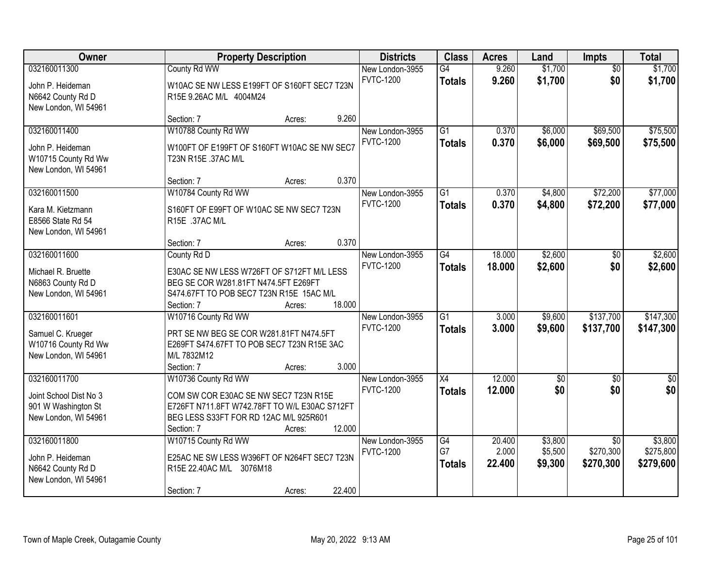| Owner                                                                                 | <b>Property Description</b>                                                                                                                                           |        |        | <b>Districts</b>                    | <b>Class</b>                     | <b>Acres</b>              | Land                          | Impts                                     | <b>Total</b>                      |
|---------------------------------------------------------------------------------------|-----------------------------------------------------------------------------------------------------------------------------------------------------------------------|--------|--------|-------------------------------------|----------------------------------|---------------------------|-------------------------------|-------------------------------------------|-----------------------------------|
| 032160011300                                                                          | County Rd WW                                                                                                                                                          |        |        | New London-3955                     | G4                               | 9.260                     | \$1,700                       | $\overline{50}$                           | \$1,700                           |
| John P. Heideman<br>N6642 County Rd D<br>New London, WI 54961                         | W10AC SE NW LESS E199FT OF S160FT SEC7 T23N<br>R15E 9.26AC M/L 4004M24                                                                                                |        |        | <b>FVTC-1200</b>                    | <b>Totals</b>                    | 9.260                     | \$1,700                       | \$0                                       | \$1,700                           |
|                                                                                       | Section: 7                                                                                                                                                            | Acres: | 9.260  |                                     |                                  |                           |                               |                                           |                                   |
| 032160011400<br>John P. Heideman<br>W10715 County Rd Ww<br>New London, WI 54961       | W10788 County Rd WW<br>W100FT OF E199FT OF S160FT W10AC SE NW SEC7<br>T23N R15E .37AC M/L                                                                             |        |        | New London-3955<br><b>FVTC-1200</b> | $\overline{G1}$<br><b>Totals</b> | 0.370<br>0.370            | \$6,000<br>\$6,000            | \$69,500<br>\$69,500                      | \$75,500<br>\$75,500              |
|                                                                                       | Section: 7                                                                                                                                                            | Acres: | 0.370  |                                     |                                  |                           |                               |                                           |                                   |
| 032160011500<br>Kara M. Kietzmann<br>E8566 State Rd 54<br>New London, WI 54961        | W10784 County Rd WW<br>S160FT OF E99FT OF W10AC SE NW SEC7 T23N<br>R15E .37AC M/L                                                                                     |        |        | New London-3955<br><b>FVTC-1200</b> | $\overline{G1}$<br><b>Totals</b> | 0.370<br>0.370            | \$4,800<br>\$4,800            | \$72,200<br>\$72,200                      | \$77,000<br>\$77,000              |
|                                                                                       | Section: 7                                                                                                                                                            | Acres: | 0.370  |                                     |                                  |                           |                               |                                           |                                   |
| 032160011600<br>Michael R. Bruette<br>N6863 County Rd D<br>New London, WI 54961       | County Rd D<br>E30AC SE NW LESS W726FT OF S712FT M/L LESS<br>BEG SE COR W281.81FT N474.5FT E269FT<br>S474.67FT TO POB SEC7 T23N R15E 15AC M/L<br>Section: 7           | Acres: | 18.000 | New London-3955<br><b>FVTC-1200</b> | G4<br><b>Totals</b>              | 18,000<br>18.000          | \$2,600<br>\$2,600            | \$0<br>\$0                                | \$2,600<br>\$2,600                |
| 032160011601<br>Samuel C. Krueger<br>W10716 County Rd Ww<br>New London, WI 54961      | W10716 County Rd WW<br>PRT SE NW BEG SE COR W281.81FT N474.5FT<br>E269FT S474.67FT TO POB SEC7 T23N R15E 3AC<br>M/L 7832M12<br>Section: 7                             | Acres: | 3.000  | New London-3955<br><b>FVTC-1200</b> | $\overline{G1}$<br><b>Totals</b> | 3.000<br>3.000            | \$9,600<br>\$9,600            | \$137,700<br>\$137,700                    | \$147,300<br>\$147,300            |
| 032160011700<br>Joint School Dist No 3<br>901 W Washington St<br>New London, WI 54961 | W10736 County Rd WW<br>COM SW COR E30AC SE NW SEC7 T23N R15E<br>E726FT N711.8FT W742.78FT TO W/L E30AC S712FT<br>BEG LESS S33FT FOR RD 12AC M/L 925R601<br>Section: 7 | Acres: | 12.000 | New London-3955<br><b>FVTC-1200</b> | X4<br><b>Totals</b>              | 12.000<br>12.000          | $\sqrt{6}$<br>\$0             | $\overline{50}$<br>\$0                    | $\frac{6}{3}$<br>\$0              |
| 032160011800<br>John P. Heideman<br>N6642 County Rd D<br>New London, WI 54961         | W10715 County Rd WW<br>E25AC NE SW LESS W396FT OF N264FT SEC7 T23N<br>R15E 22.40AC M/L 3076M18<br>Section: 7                                                          | Acres: | 22.400 | New London-3955<br><b>FVTC-1200</b> | G4<br>G7<br><b>Totals</b>        | 20.400<br>2.000<br>22,400 | \$3,800<br>\$5,500<br>\$9,300 | $\overline{50}$<br>\$270,300<br>\$270,300 | \$3,800<br>\$275,800<br>\$279,600 |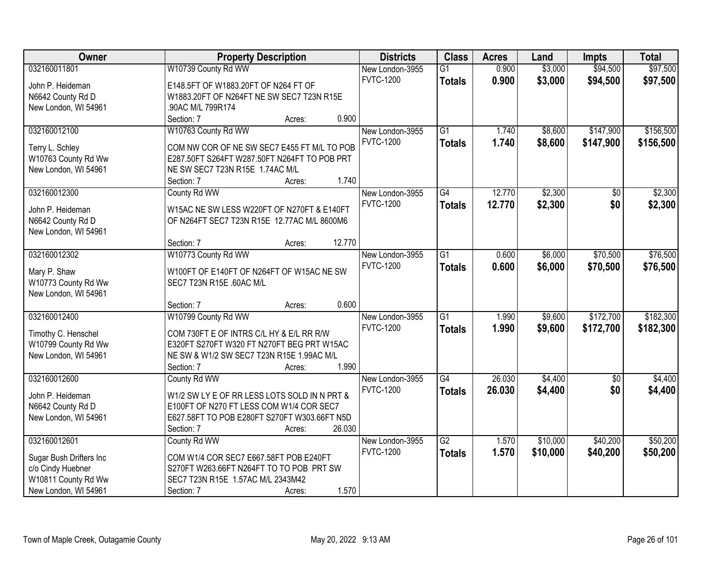| Owner                   | <b>Property Description</b>                  | <b>Districts</b> | <b>Class</b>    | <b>Acres</b> | Land     | <b>Impts</b>    | <b>Total</b> |
|-------------------------|----------------------------------------------|------------------|-----------------|--------------|----------|-----------------|--------------|
| 032160011801            | W10739 County Rd WW                          | New London-3955  | $\overline{G1}$ | 0.900        | \$3,000  | \$94,500        | \$97,500     |
| John P. Heideman        | E148.5FT OF W1883.20FT OF N264 FT OF         | <b>FVTC-1200</b> | <b>Totals</b>   | 0.900        | \$3,000  | \$94,500        | \$97,500     |
| N6642 County Rd D       | W1883.20FT OF N264FT NE SW SEC7 T23N R15E    |                  |                 |              |          |                 |              |
| New London, WI 54961    | 90AC M/L 799R174                             |                  |                 |              |          |                 |              |
|                         | 0.900<br>Section: 7<br>Acres:                |                  |                 |              |          |                 |              |
| 032160012100            | W10763 County Rd WW                          | New London-3955  | $\overline{G1}$ | 1.740        | \$8,600  | \$147,900       | \$156,500    |
|                         |                                              | <b>FVTC-1200</b> | <b>Totals</b>   | 1.740        | \$8,600  | \$147,900       | \$156,500    |
| Terry L. Schley         | COM NW COR OF NE SW SEC7 E455 FT M/L TO POB  |                  |                 |              |          |                 |              |
| W10763 County Rd Ww     | E287.50FT S264FT W287.50FT N264FT TO POB PRT |                  |                 |              |          |                 |              |
| New London, WI 54961    | NE SW SEC7 T23N R15E 1.74AC M/L<br>1.740     |                  |                 |              |          |                 |              |
|                         | Section: 7<br>Acres:                         |                  |                 |              |          |                 |              |
| 032160012300            | County Rd WW                                 | New London-3955  | $\overline{G4}$ | 12.770       | \$2,300  | \$0             | \$2,300      |
| John P. Heideman        | W15AC NE SW LESS W220FT OF N270FT & E140FT   | <b>FVTC-1200</b> | <b>Totals</b>   | 12.770       | \$2,300  | \$0             | \$2,300      |
| N6642 County Rd D       | OF N264FT SEC7 T23N R15E 12.77AC M/L 8600M6  |                  |                 |              |          |                 |              |
| New London, WI 54961    |                                              |                  |                 |              |          |                 |              |
|                         | 12.770<br>Section: 7<br>Acres:               |                  |                 |              |          |                 |              |
| 032160012302            | W10773 County Rd WW                          | New London-3955  | $\overline{G1}$ | 0.600        | \$6,000  | \$70,500        | \$76,500     |
| Mary P. Shaw            | W100FT OF E140FT OF N264FT OF W15AC NE SW    | <b>FVTC-1200</b> | <b>Totals</b>   | 0.600        | \$6,000  | \$70,500        | \$76,500     |
| W10773 County Rd Ww     | SEC7 T23N R15E .60AC M/L                     |                  |                 |              |          |                 |              |
| New London, WI 54961    |                                              |                  |                 |              |          |                 |              |
|                         | 0.600<br>Section: 7<br>Acres:                |                  |                 |              |          |                 |              |
| 032160012400            | W10799 County Rd WW                          | New London-3955  | $\overline{G1}$ | 1.990        | \$9,600  | \$172,700       | \$182,300    |
|                         |                                              | <b>FVTC-1200</b> |                 | 1.990        | \$9,600  | \$172,700       |              |
| Timothy C. Henschel     | COM 730FT E OF INTRS C/L HY & E/L RR R/W     |                  | <b>Totals</b>   |              |          |                 | \$182,300    |
| W10799 County Rd Ww     | E320FT S270FT W320 FT N270FT BEG PRT W15AC   |                  |                 |              |          |                 |              |
| New London, WI 54961    | NE SW & W1/2 SW SEC7 T23N R15E 1.99AC M/L    |                  |                 |              |          |                 |              |
|                         | 1.990<br>Section: 7<br>Acres:                |                  |                 |              |          |                 |              |
| 032160012600            | County Rd WW                                 | New London-3955  | G4              | 26.030       | \$4,400  | $\overline{50}$ | \$4,400      |
| John P. Heideman        | W1/2 SW LY E OF RR LESS LOTS SOLD IN N PRT & | <b>FVTC-1200</b> | <b>Totals</b>   | 26.030       | \$4,400  | \$0             | \$4,400      |
| N6642 County Rd D       | E100FT OF N270 FT LESS COM W1/4 COR SEC7     |                  |                 |              |          |                 |              |
| New London, WI 54961    | E627.58FT TO POB E280FT S270FT W303.66FT N5D |                  |                 |              |          |                 |              |
|                         | 26.030<br>Section: 7<br>Acres:               |                  |                 |              |          |                 |              |
| 032160012601            | County Rd WW                                 | New London-3955  | $\overline{G2}$ | 1.570        | \$10,000 | \$40,200        | \$50,200     |
|                         |                                              | <b>FVTC-1200</b> | <b>Totals</b>   | 1.570        | \$10,000 | \$40,200        | \$50,200     |
| Sugar Bush Drifters Inc | COM W1/4 COR SEC7 E667.58FT POB E240FT       |                  |                 |              |          |                 |              |
| c/o Cindy Huebner       | S270FT W263.66FT N264FT TO TO POB PRT SW     |                  |                 |              |          |                 |              |
| W10811 County Rd Ww     | SEC7 T23N R15E 1.57AC M/L 2343M42            |                  |                 |              |          |                 |              |
| New London, WI 54961    | 1.570<br>Section: 7<br>Acres:                |                  |                 |              |          |                 |              |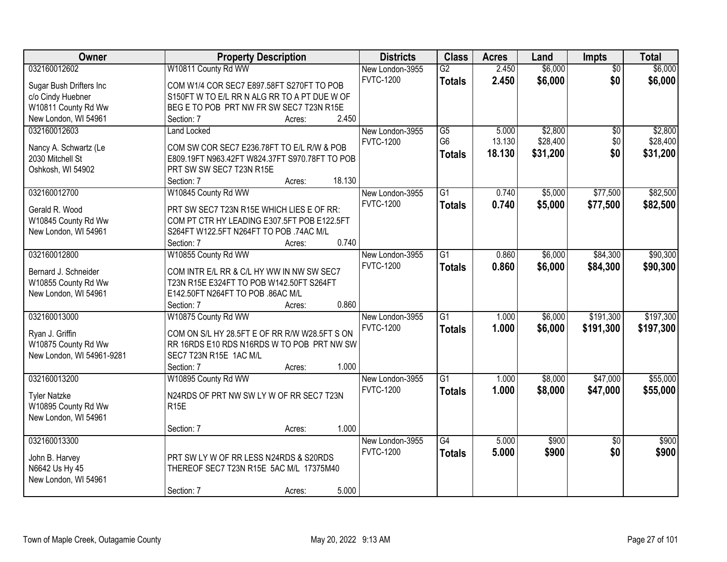| Owner                     | <b>Property Description</b>                    | <b>Districts</b> | <b>Class</b>    | <b>Acres</b> | Land     | Impts           | <b>Total</b> |
|---------------------------|------------------------------------------------|------------------|-----------------|--------------|----------|-----------------|--------------|
| 032160012602              | W10811 County Rd WW                            | New London-3955  | $\overline{G2}$ | 2.450        | \$6,000  | $\overline{50}$ | \$6,000      |
| Sugar Bush Drifters Inc   | COM W1/4 COR SEC7 E897.58FT S270FT TO POB      | <b>FVTC-1200</b> | <b>Totals</b>   | 2.450        | \$6,000  | \$0             | \$6,000      |
| c/o Cindy Huebner         | S150FT W TO E/L RR N ALG RR TO A PT DUE W OF   |                  |                 |              |          |                 |              |
| W10811 County Rd Ww       | BEG E TO POB PRT NW FR SW SEC7 T23N R15E       |                  |                 |              |          |                 |              |
| New London, WI 54961      | 2.450<br>Section: 7<br>Acres:                  |                  |                 |              |          |                 |              |
| 032160012603              | <b>Land Locked</b>                             | New London-3955  | $\overline{G5}$ | 5.000        | \$2,800  | $\overline{50}$ | \$2,800      |
|                           |                                                | <b>FVTC-1200</b> | G <sub>6</sub>  | 13.130       | \$28,400 | \$0             | \$28,400     |
| Nancy A. Schwartz (Le     | COM SW COR SEC7 E236.78FT TO E/L R/W & POB     |                  | <b>Totals</b>   | 18.130       | \$31,200 | \$0             | \$31,200     |
| 2030 Mitchell St          | E809.19FT N963.42FT W824.37FT S970.78FT TO POB |                  |                 |              |          |                 |              |
| Oshkosh, WI 54902         | PRT SW SW SEC7 T23N R15E                       |                  |                 |              |          |                 |              |
|                           | 18.130<br>Section: 7<br>Acres:                 |                  |                 |              |          |                 |              |
| 032160012700              | W10845 County Rd WW                            | New London-3955  | $\overline{G1}$ | 0.740        | \$5,000  | \$77,500        | \$82,500     |
| Gerald R. Wood            | PRT SW SEC7 T23N R15E WHICH LIES E OF RR:      | <b>FVTC-1200</b> | <b>Totals</b>   | 0.740        | \$5,000  | \$77,500        | \$82,500     |
| W10845 County Rd Ww       | COM PT CTR HY LEADING E307.5FT POB E122.5FT    |                  |                 |              |          |                 |              |
| New London, WI 54961      | S264FT W122.5FT N264FT TO POB .74AC M/L        |                  |                 |              |          |                 |              |
|                           | 0.740<br>Section: 7<br>Acres:                  |                  |                 |              |          |                 |              |
| 032160012800              | W10855 County Rd WW                            | New London-3955  | $\overline{G1}$ | 0.860        | \$6,000  | \$84,300        | \$90,300     |
|                           |                                                | <b>FVTC-1200</b> | <b>Totals</b>   | 0.860        | \$6,000  | \$84,300        | \$90,300     |
| Bernard J. Schneider      | COM INTR E/L RR & C/L HY WW IN NW SW SEC7      |                  |                 |              |          |                 |              |
| W10855 County Rd Ww       | T23N R15E E324FT TO POB W142.50FT S264FT       |                  |                 |              |          |                 |              |
| New London, WI 54961      | E142.50FT N264FT TO POB .86AC M/L              |                  |                 |              |          |                 |              |
|                           | 0.860<br>Section: 7<br>Acres:                  |                  |                 |              |          |                 |              |
| 032160013000              | W10875 County Rd WW                            | New London-3955  | $\overline{G1}$ | 1.000        | \$6,000  | \$191,300       | \$197,300    |
| Ryan J. Griffin           | COM ON S/L HY 28.5FT E OF RR R/W W28.5FT S ON  | <b>FVTC-1200</b> | <b>Totals</b>   | 1.000        | \$6,000  | \$191,300       | \$197,300    |
| W10875 County Rd Ww       | RR 16RDS E10 RDS N16RDS W TO POB PRT NW SW     |                  |                 |              |          |                 |              |
| New London, WI 54961-9281 | SEC7 T23N R15E 1AC M/L                         |                  |                 |              |          |                 |              |
|                           | 1.000<br>Section: 7<br>Acres:                  |                  |                 |              |          |                 |              |
| 032160013200              | W10895 County Rd WW                            | New London-3955  | $\overline{G1}$ | 1.000        | \$8,000  | \$47,000        | \$55,000     |
|                           |                                                | <b>FVTC-1200</b> | <b>Totals</b>   | 1.000        | \$8,000  | \$47,000        | \$55,000     |
| <b>Tyler Natzke</b>       | N24RDS OF PRT NW SW LY W OF RR SEC7 T23N       |                  |                 |              |          |                 |              |
| W10895 County Rd Ww       | R <sub>15E</sub>                               |                  |                 |              |          |                 |              |
| New London, WI 54961      | 1.000                                          |                  |                 |              |          |                 |              |
| 032160013300              | Section: 7<br>Acres:                           |                  | $\overline{G4}$ | 5.000        | \$900    |                 |              |
|                           |                                                | New London-3955  |                 |              |          | $\overline{50}$ | \$900        |
| John B. Harvey            | PRT SW LY W OF RR LESS N24RDS & S20RDS         | <b>FVTC-1200</b> | <b>Totals</b>   | 5.000        | \$900    | \$0             | \$900        |
| N6642 Us Hy 45            | THEREOF SEC7 T23N R15E 5AC M/L 17375M40        |                  |                 |              |          |                 |              |
| New London, WI 54961      |                                                |                  |                 |              |          |                 |              |
|                           | 5.000<br>Section: 7<br>Acres:                  |                  |                 |              |          |                 |              |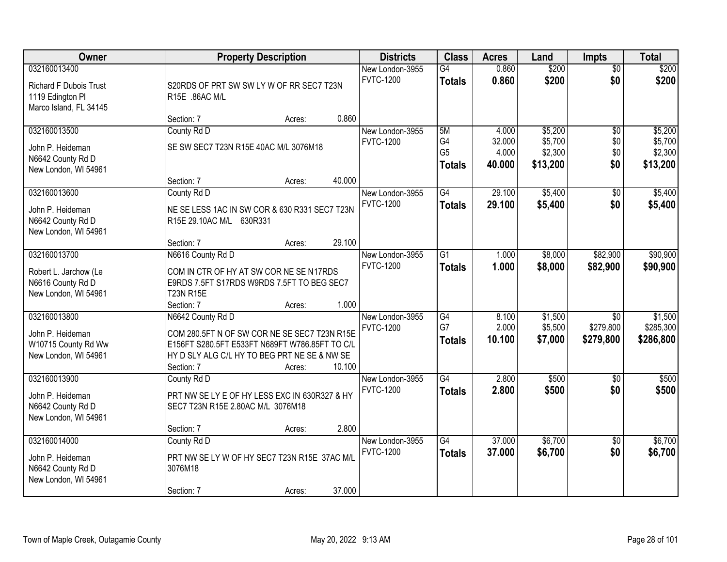| Owner                                                                                       | <b>Property Description</b>                                                                                                                                                                                                   | <b>Districts</b>                              | <b>Class</b>                                | <b>Acres</b>                       | Land                                      | <b>Impts</b>                              | <b>Total</b>                              |
|---------------------------------------------------------------------------------------------|-------------------------------------------------------------------------------------------------------------------------------------------------------------------------------------------------------------------------------|-----------------------------------------------|---------------------------------------------|------------------------------------|-------------------------------------------|-------------------------------------------|-------------------------------------------|
| 032160013400<br><b>Richard F Dubois Trust</b><br>1119 Edington Pl<br>Marco Island, FL 34145 | S20RDS OF PRT SW SW LY W OF RR SEC7 T23N<br>R15E .86AC M/L                                                                                                                                                                    | New London-3955<br><b>FVTC-1200</b>           | $\overline{G4}$<br><b>Totals</b>            | 0.860<br>0.860                     | \$200<br>\$200                            | $\overline{50}$<br>\$0                    | \$200<br>\$200                            |
|                                                                                             | Section: 7<br>Acres:                                                                                                                                                                                                          | 0.860                                         |                                             |                                    |                                           |                                           |                                           |
| 032160013500<br>John P. Heideman<br>N6642 County Rd D<br>New London, WI 54961               | County Rd D<br>SE SW SEC7 T23N R15E 40AC M/L 3076M18<br>40.000<br>Section: 7<br>Acres:                                                                                                                                        | New London-3955<br><b>FVTC-1200</b>           | 5M<br>G4<br>G <sub>5</sub><br><b>Totals</b> | 4.000<br>32.000<br>4.000<br>40.000 | \$5,200<br>\$5,700<br>\$2,300<br>\$13,200 | \$0<br>\$0<br>\$0<br>\$0                  | \$5,200<br>\$5,700<br>\$2,300<br>\$13,200 |
| 032160013600<br>John P. Heideman<br>N6642 County Rd D                                       | County Rd D<br>NE SE LESS 1AC IN SW COR & 630 R331 SEC7 T23N<br>R15E 29.10AC M/L 630R331                                                                                                                                      | New London-3955<br><b>FVTC-1200</b>           | G4<br><b>Totals</b>                         | 29.100<br>29.100                   | \$5,400<br>\$5,400                        | \$0<br>\$0                                | \$5,400<br>\$5,400                        |
| New London, WI 54961                                                                        | Section: 7<br>Acres:                                                                                                                                                                                                          | 29.100                                        |                                             |                                    |                                           |                                           |                                           |
| 032160013700<br>Robert L. Jarchow (Le<br>N6616 County Rd D<br>New London, WI 54961          | N6616 County Rd D<br>COM IN CTR OF HY AT SW COR NE SE N17RDS<br>E9RDS 7.5FT S17RDS W9RDS 7.5FT TO BEG SEC7<br><b>T23N R15E</b>                                                                                                | New London-3955<br><b>FVTC-1200</b>           | $\overline{G1}$<br><b>Totals</b>            | 1.000<br>1.000                     | \$8,000<br>\$8,000                        | \$82,900<br>\$82,900                      | \$90,900<br>\$90,900                      |
| 032160013800<br>John P. Heideman<br>W10715 County Rd Ww<br>New London, WI 54961             | Section: 7<br>Acres:<br>N6642 County Rd D<br>COM 280.5FT N OF SW COR NE SE SEC7 T23N R15E<br>E156FT S280.5FT E533FT N689FT W786.85FT TO C/L<br>HY D SLY ALG C/L HY TO BEG PRT NE SE & NW SE<br>10.100<br>Section: 7<br>Acres: | 1.000<br>New London-3955<br><b>FVTC-1200</b>  | $\overline{G4}$<br>G7<br><b>Totals</b>      | 8.100<br>2.000<br>10.100           | \$1,500<br>\$5,500<br>\$7,000             | $\overline{50}$<br>\$279,800<br>\$279,800 | \$1,500<br>\$285,300<br>\$286,800         |
| 032160013900<br>John P. Heideman<br>N6642 County Rd D<br>New London, WI 54961               | County Rd D<br>PRT NW SE LY E OF HY LESS EXC IN 630R327 & HY<br>SEC7 T23N R15E 2.80AC M/L 3076M18<br>Section: 7<br>Acres:                                                                                                     | New London-3955<br><b>FVTC-1200</b><br>2.800  | $\overline{G4}$<br><b>Totals</b>            | 2.800<br>2.800                     | \$500<br>\$500                            | $\overline{30}$<br>\$0                    | \$500<br>\$500                            |
| 032160014000<br>John P. Heideman<br>N6642 County Rd D<br>New London, WI 54961               | County Rd D<br>PRT NW SE LY W OF HY SEC7 T23N R15E 37AC M/L<br>3076M18<br>Section: 7<br>Acres:                                                                                                                                | New London-3955<br><b>FVTC-1200</b><br>37.000 | $\overline{G4}$<br><b>Totals</b>            | 37.000<br>37.000                   | \$6,700<br>\$6,700                        | $\overline{50}$<br>\$0                    | \$6,700<br>\$6,700                        |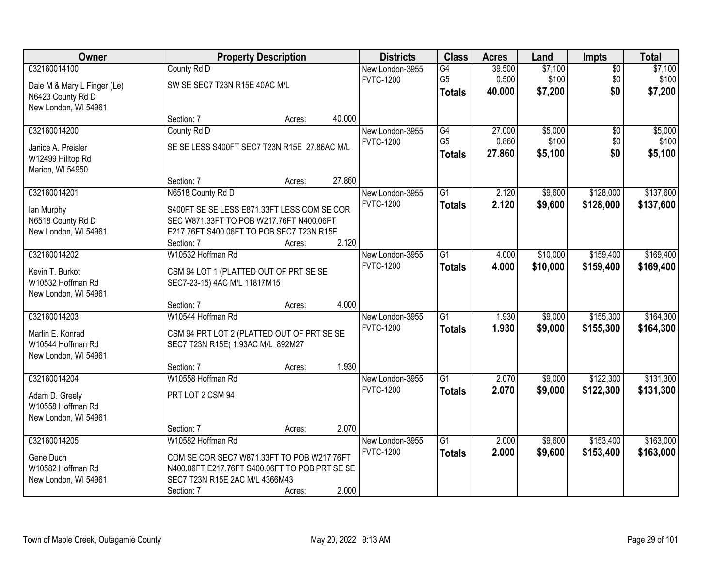| Owner                       |                                                | <b>Property Description</b> |        | <b>Districts</b> | <b>Class</b>    | <b>Acres</b> | Land     | <b>Impts</b>    | <b>Total</b> |
|-----------------------------|------------------------------------------------|-----------------------------|--------|------------------|-----------------|--------------|----------|-----------------|--------------|
| 032160014100                | County Rd D                                    |                             |        | New London-3955  | G4              | 39.500       | \$7,100  | $\overline{60}$ | \$7,100      |
| Dale M & Mary L Finger (Le) | SW SE SEC7 T23N R15E 40AC M/L                  |                             |        | <b>FVTC-1200</b> | G <sub>5</sub>  | 0.500        | \$100    | \$0             | \$100        |
| N6423 County Rd D           |                                                |                             |        |                  | <b>Totals</b>   | 40.000       | \$7,200  | \$0             | \$7,200      |
| New London, WI 54961        |                                                |                             |        |                  |                 |              |          |                 |              |
|                             | Section: 7                                     | Acres:                      | 40.000 |                  |                 |              |          |                 |              |
| 032160014200                | County Rd D                                    |                             |        | New London-3955  | G4              | 27.000       | \$5,000  | $\overline{50}$ | \$5,000      |
| Janice A. Preisler          | SE SE LESS S400FT SEC7 T23N R15E 27.86AC M/L   |                             |        | <b>FVTC-1200</b> | G <sub>5</sub>  | 0.860        | \$100    | \$0             | \$100        |
| W12499 Hilltop Rd           |                                                |                             |        |                  | <b>Totals</b>   | 27.860       | \$5,100  | \$0             | \$5,100      |
| Marion, WI 54950            |                                                |                             |        |                  |                 |              |          |                 |              |
|                             | Section: 7                                     | Acres:                      | 27.860 |                  |                 |              |          |                 |              |
| 032160014201                | N6518 County Rd D                              |                             |        | New London-3955  | G1              | 2.120        | \$9,600  | \$128,000       | \$137,600    |
| lan Murphy                  | S400FT SE SE LESS E871.33FT LESS COM SE COR    |                             |        | <b>FVTC-1200</b> | <b>Totals</b>   | 2.120        | \$9,600  | \$128,000       | \$137,600    |
| N6518 County Rd D           | SEC W871.33FT TO POB W217.76FT N400.06FT       |                             |        |                  |                 |              |          |                 |              |
| New London, WI 54961        | E217.76FT S400.06FT TO POB SEC7 T23N R15E      |                             |        |                  |                 |              |          |                 |              |
|                             | Section: 7                                     | Acres:                      | 2.120  |                  |                 |              |          |                 |              |
| 032160014202                | W10532 Hoffman Rd                              |                             |        | New London-3955  | $\overline{G1}$ | 4.000        | \$10,000 | \$159,400       | \$169,400    |
| Kevin T. Burkot             | CSM 94 LOT 1 (PLATTED OUT OF PRT SE SE         |                             |        | <b>FVTC-1200</b> | <b>Totals</b>   | 4.000        | \$10,000 | \$159,400       | \$169,400    |
| W10532 Hoffman Rd           | SEC7-23-15) 4AC M/L 11817M15                   |                             |        |                  |                 |              |          |                 |              |
| New London, WI 54961        |                                                |                             |        |                  |                 |              |          |                 |              |
|                             | Section: 7                                     | Acres:                      | 4.000  |                  |                 |              |          |                 |              |
| 032160014203                | W10544 Hoffman Rd                              |                             |        | New London-3955  | $\overline{G1}$ | 1.930        | \$9,000  | \$155,300       | \$164,300    |
| Marlin E. Konrad            | CSM 94 PRT LOT 2 (PLATTED OUT OF PRT SE SE     |                             |        | <b>FVTC-1200</b> | <b>Totals</b>   | 1.930        | \$9,000  | \$155,300       | \$164,300    |
| W10544 Hoffman Rd           | SEC7 T23N R15E( 1.93AC M/L 892M27              |                             |        |                  |                 |              |          |                 |              |
| New London, WI 54961        |                                                |                             |        |                  |                 |              |          |                 |              |
|                             | Section: 7                                     | Acres:                      | 1.930  |                  |                 |              |          |                 |              |
| 032160014204                | W10558 Hoffman Rd                              |                             |        | New London-3955  | $\overline{G1}$ | 2.070        | \$9,000  | \$122,300       | \$131,300    |
| Adam D. Greely              | PRT LOT 2 CSM 94                               |                             |        | <b>FVTC-1200</b> | <b>Totals</b>   | 2.070        | \$9,000  | \$122,300       | \$131,300    |
| W10558 Hoffman Rd           |                                                |                             |        |                  |                 |              |          |                 |              |
| New London, WI 54961        |                                                |                             |        |                  |                 |              |          |                 |              |
|                             | Section: 7                                     | Acres:                      | 2.070  |                  |                 |              |          |                 |              |
| 032160014205                | W10582 Hoffman Rd                              |                             |        | New London-3955  | $\overline{G1}$ | 2.000        | \$9,600  | \$153,400       | \$163,000    |
| Gene Duch                   | COM SE COR SEC7 W871.33FT TO POB W217.76FT     |                             |        | <b>FVTC-1200</b> | <b>Totals</b>   | 2.000        | \$9,600  | \$153,400       | \$163,000    |
| W10582 Hoffman Rd           | N400.06FT E217.76FT S400.06FT TO POB PRT SE SE |                             |        |                  |                 |              |          |                 |              |
| New London, WI 54961        | SEC7 T23N R15E 2AC M/L 4366M43                 |                             |        |                  |                 |              |          |                 |              |
|                             | Section: 7                                     | Acres:                      | 2.000  |                  |                 |              |          |                 |              |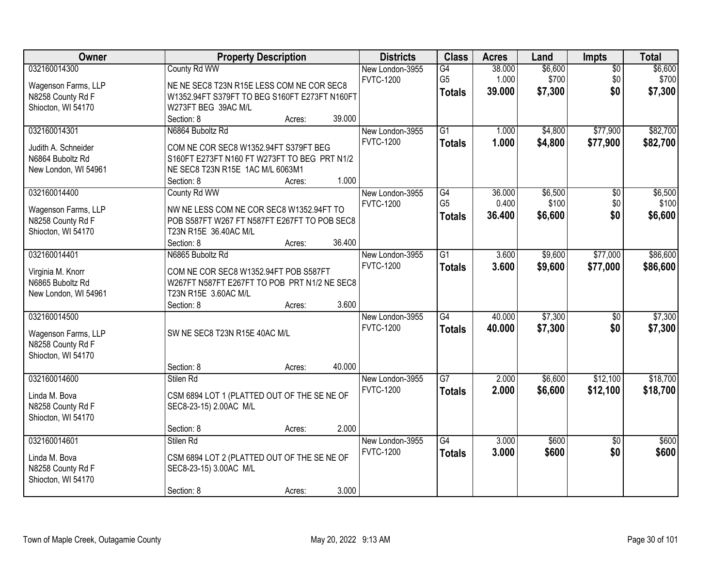| Owner                | <b>Property Description</b>                   |        |        | <b>Districts</b> | <b>Class</b>    | <b>Acres</b> | Land    | Impts           | <b>Total</b> |
|----------------------|-----------------------------------------------|--------|--------|------------------|-----------------|--------------|---------|-----------------|--------------|
| 032160014300         | County Rd WW                                  |        |        | New London-3955  | G4              | 38.000       | \$6,600 | $\overline{50}$ | \$6,600      |
| Wagenson Farms, LLP  | NE NE SEC8 T23N R15E LESS COM NE COR SEC8     |        |        | <b>FVTC-1200</b> | G <sub>5</sub>  | 1.000        | \$700   | \$0             | \$700        |
| N8258 County Rd F    | W1352.94FT S379FT TO BEG S160FT E273FT N160FT |        |        |                  | <b>Totals</b>   | 39.000       | \$7,300 | \$0             | \$7,300      |
| Shiocton, WI 54170   | W273FT BEG 39AC M/L                           |        |        |                  |                 |              |         |                 |              |
|                      | Section: 8                                    | Acres: | 39.000 |                  |                 |              |         |                 |              |
| 032160014301         | N6864 Buboltz Rd                              |        |        | New London-3955  | $\overline{G1}$ | 1.000        | \$4,800 | \$77,900        | \$82,700     |
|                      |                                               |        |        | <b>FVTC-1200</b> | <b>Totals</b>   | 1.000        | \$4,800 | \$77,900        | \$82,700     |
| Judith A. Schneider  | COM NE COR SEC8 W1352.94FT S379FT BEG         |        |        |                  |                 |              |         |                 |              |
| N6864 Buboltz Rd     | S160FT E273FT N160 FT W273FT TO BEG PRT N1/2  |        |        |                  |                 |              |         |                 |              |
| New London, WI 54961 | NE SEC8 T23N R15E 1AC M/L 6063M1              |        |        |                  |                 |              |         |                 |              |
|                      | Section: 8                                    | Acres: | 1.000  |                  |                 |              |         |                 |              |
| 032160014400         | County Rd WW                                  |        |        | New London-3955  | G4              | 36.000       | \$6,500 | \$0             | \$6,500      |
| Wagenson Farms, LLP  | NW NE LESS COM NE COR SEC8 W1352.94FT TO      |        |        | <b>FVTC-1200</b> | G <sub>5</sub>  | 0.400        | \$100   | \$0             | \$100        |
| N8258 County Rd F    | POB S587FT W267 FT N587FT E267FT TO POB SEC8  |        |        |                  | <b>Totals</b>   | 36.400       | \$6,600 | \$0             | \$6,600      |
| Shiocton, WI 54170   | T23N R15E 36.40AC M/L                         |        |        |                  |                 |              |         |                 |              |
|                      | Section: 8                                    | Acres: | 36.400 |                  |                 |              |         |                 |              |
| 032160014401         | N6865 Buboltz Rd                              |        |        | New London-3955  | $\overline{G1}$ | 3.600        | \$9,600 | \$77,000        | \$86,600     |
|                      |                                               |        |        | <b>FVTC-1200</b> | <b>Totals</b>   | 3.600        | \$9,600 | \$77,000        | \$86,600     |
| Virginia M. Knorr    | COM NE COR SEC8 W1352.94FT POB S587FT         |        |        |                  |                 |              |         |                 |              |
| N6865 Buboltz Rd     | W267FT N587FT E267FT TO POB PRT N1/2 NE SEC8  |        |        |                  |                 |              |         |                 |              |
| New London, WI 54961 | T23N R15E 3.60AC M/L                          |        |        |                  |                 |              |         |                 |              |
|                      | Section: 8                                    | Acres: | 3.600  |                  |                 |              |         |                 |              |
| 032160014500         |                                               |        |        | New London-3955  | $\overline{G4}$ | 40.000       | \$7,300 | $\overline{50}$ | \$7,300      |
| Wagenson Farms, LLP  | SW NE SEC8 T23N R15E 40AC M/L                 |        |        | <b>FVTC-1200</b> | <b>Totals</b>   | 40.000       | \$7,300 | \$0             | \$7,300      |
| N8258 County Rd F    |                                               |        |        |                  |                 |              |         |                 |              |
| Shiocton, WI 54170   |                                               |        |        |                  |                 |              |         |                 |              |
|                      | Section: 8                                    | Acres: | 40.000 |                  |                 |              |         |                 |              |
| 032160014600         | Stilen Rd                                     |        |        | New London-3955  | G7              | 2.000        | \$6,600 | \$12,100        | \$18,700     |
|                      |                                               |        |        | <b>FVTC-1200</b> | <b>Totals</b>   | 2.000        | \$6,600 | \$12,100        | \$18,700     |
| Linda M. Bova        | CSM 6894 LOT 1 (PLATTED OUT OF THE SE NE OF   |        |        |                  |                 |              |         |                 |              |
| N8258 County Rd F    | SEC8-23-15) 2.00AC M/L                        |        |        |                  |                 |              |         |                 |              |
| Shiocton, WI 54170   |                                               |        |        |                  |                 |              |         |                 |              |
|                      | Section: 8                                    | Acres: | 2.000  |                  |                 |              |         |                 |              |
| 032160014601         | Stilen Rd                                     |        |        | New London-3955  | G4              | 3.000        | \$600   | $\overline{50}$ | \$600        |
| Linda M. Bova        | CSM 6894 LOT 2 (PLATTED OUT OF THE SE NE OF   |        |        | <b>FVTC-1200</b> | <b>Totals</b>   | 3.000        | \$600   | \$0             | \$600        |
| N8258 County Rd F    | SEC8-23-15) 3.00AC M/L                        |        |        |                  |                 |              |         |                 |              |
| Shiocton, WI 54170   |                                               |        |        |                  |                 |              |         |                 |              |
|                      | Section: 8                                    | Acres: | 3.000  |                  |                 |              |         |                 |              |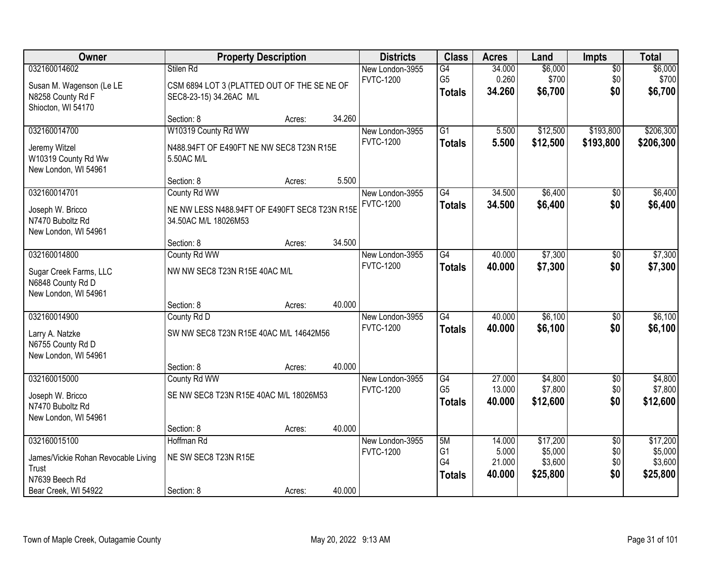| Owner                                                                                                  | <b>Property Description</b>                                                           |        |        | <b>Districts</b>                    | <b>Class</b>                          | <b>Acres</b>                        | Land                                       | Impts                                | <b>Total</b>                               |
|--------------------------------------------------------------------------------------------------------|---------------------------------------------------------------------------------------|--------|--------|-------------------------------------|---------------------------------------|-------------------------------------|--------------------------------------------|--------------------------------------|--------------------------------------------|
| 032160014602<br>Susan M. Wagenson (Le LE<br>N8258 County Rd F<br>Shiocton, WI 54170                    | Stilen Rd<br>CSM 6894 LOT 3 (PLATTED OUT OF THE SE NE OF<br>SEC8-23-15) 34.26AC M/L   |        |        | New London-3955<br><b>FVTC-1200</b> | G4<br>G <sub>5</sub><br><b>Totals</b> | 34.000<br>0.260<br>34.260           | \$6,000<br>\$700<br>\$6,700                | $\overline{50}$<br>\$0<br>\$0        | \$6,000<br>\$700<br>\$6,700                |
|                                                                                                        | Section: 8                                                                            | Acres: | 34.260 |                                     |                                       |                                     |                                            |                                      |                                            |
| 032160014700<br>Jeremy Witzel<br>W10319 County Rd Ww<br>New London, WI 54961                           | W10319 County Rd WW<br>N488.94FT OF E490FT NE NW SEC8 T23N R15E<br>5.50AC M/L         |        |        | New London-3955<br><b>FVTC-1200</b> | $\overline{G1}$<br><b>Totals</b>      | 5.500<br>5.500                      | \$12,500<br>\$12,500                       | \$193,800<br>\$193,800               | \$206,300<br>\$206,300                     |
|                                                                                                        | Section: 8                                                                            | Acres: | 5.500  |                                     |                                       |                                     |                                            |                                      |                                            |
| 032160014701<br>Joseph W. Bricco<br>N7470 Buboltz Rd<br>New London, WI 54961                           | County Rd WW<br>NE NW LESS N488.94FT OF E490FT SEC8 T23N R15E<br>34.50AC M/L 18026M53 |        |        | New London-3955<br><b>FVTC-1200</b> | $\overline{G4}$<br><b>Totals</b>      | 34.500<br>34.500                    | \$6,400<br>\$6,400                         | $\overline{50}$<br>\$0               | \$6,400<br>\$6,400                         |
|                                                                                                        | Section: 8                                                                            | Acres: | 34.500 |                                     |                                       |                                     |                                            |                                      |                                            |
| 032160014800<br>Sugar Creek Farms, LLC<br>N6848 County Rd D<br>New London, WI 54961                    | County Rd WW<br>NW NW SEC8 T23N R15E 40AC M/L                                         |        |        | New London-3955<br><b>FVTC-1200</b> | G4<br><b>Totals</b>                   | 40.000<br>40.000                    | \$7,300<br>\$7,300                         | \$0<br>\$0                           | \$7,300<br>\$7,300                         |
|                                                                                                        | Section: 8                                                                            | Acres: | 40.000 |                                     |                                       |                                     |                                            |                                      |                                            |
| 032160014900<br>Larry A. Natzke<br>N6755 County Rd D<br>New London, WI 54961                           | County Rd D<br>SW NW SEC8 T23N R15E 40AC M/L 14642M56                                 |        |        | New London-3955<br><b>FVTC-1200</b> | G4<br><b>Totals</b>                   | 40.000<br>40.000                    | \$6,100<br>\$6,100                         | $\overline{50}$<br>\$0               | \$6,100<br>\$6,100                         |
|                                                                                                        | Section: 8                                                                            | Acres: | 40.000 |                                     |                                       |                                     |                                            |                                      |                                            |
| 032160015000<br>Joseph W. Bricco<br>N7470 Buboltz Rd<br>New London, WI 54961                           | County Rd WW<br>SE NW SEC8 T23N R15E 40AC M/L 18026M53                                |        |        | New London-3955<br><b>FVTC-1200</b> | G4<br>G <sub>5</sub><br><b>Totals</b> | 27.000<br>13.000<br>40.000          | \$4,800<br>\$7,800<br>\$12,600             | $\overline{60}$<br>\$0<br>\$0        | \$4,800<br>\$7,800<br>\$12,600             |
|                                                                                                        | Section: 8                                                                            | Acres: | 40.000 |                                     |                                       |                                     |                                            |                                      |                                            |
| 032160015100<br>James/Vickie Rohan Revocable Living<br>Trust<br>N7639 Beech Rd<br>Bear Creek, WI 54922 | Hoffman Rd<br>NE SW SEC8 T23N R15E<br>Section: 8                                      |        | 40.000 | New London-3955<br><b>FVTC-1200</b> | 5M<br>G1<br>G4<br><b>Totals</b>       | 14.000<br>5.000<br>21.000<br>40.000 | \$17,200<br>\$5,000<br>\$3,600<br>\$25,800 | $\overline{30}$<br>\$0<br>\$0<br>\$0 | \$17,200<br>\$5,000<br>\$3,600<br>\$25,800 |
|                                                                                                        |                                                                                       | Acres: |        |                                     |                                       |                                     |                                            |                                      |                                            |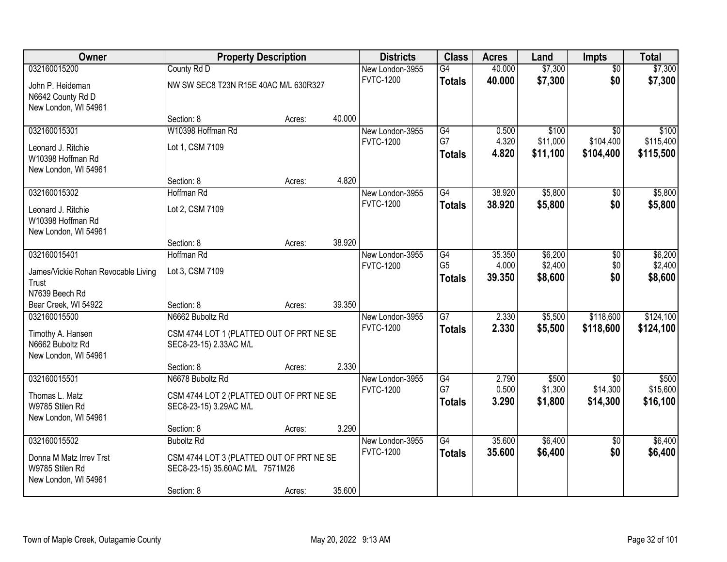| 032160015200<br>40.000<br>\$7,300<br>County Rd D<br>New London-3955<br>$\overline{G4}$<br>$\overline{50}$<br>\$0<br><b>FVTC-1200</b><br>40.000<br>\$7,300<br>\$7,300<br><b>Totals</b><br>John P. Heideman<br>NW SW SEC8 T23N R15E 40AC M/L 630R327<br>N6642 County Rd D<br>New London, WI 54961<br>40.000<br>Section: 8<br>Acres:<br>032160015301<br>W10398 Hoffman Rd<br>G4<br>\$100<br>0.500<br>$\overline{50}$<br>New London-3955<br>G7<br>4.320<br>\$104,400<br><b>FVTC-1200</b><br>\$11,000<br>Lot 1, CSM 7109<br>Leonard J. Ritchie<br>4.820<br>\$11,100<br>\$104,400<br><b>Totals</b><br>W10398 Hoffman Rd<br>New London, WI 54961<br>4.820<br>Section: 8<br>Acres:<br>\$5,800<br>032160015302<br>G4<br>38.920<br>Hoffman Rd<br>\$0<br>New London-3955<br><b>FVTC-1200</b><br>\$0<br>\$5,800<br>38.920<br><b>Totals</b><br>Lot 2, CSM 7109<br>Leonard J. Ritchie<br>W10398 Hoffman Rd<br>New London, WI 54961<br>38.920<br>Section: 8<br>Acres:<br>032160015401<br>Hoffman Rd<br>G4<br>35.350<br>\$6,200<br>New London-3955<br>\$0<br>\$2,400<br>G <sub>5</sub><br>4.000<br>\$0<br><b>FVTC-1200</b><br>Lot 3, CSM 7109<br>James/Vickie Rohan Revocable Living<br>\$0<br>39.350<br>\$8,600<br>\$8,600<br><b>Totals</b><br>Trust<br>N7639 Beech Rd<br>39.350<br>Bear Creek, WI 54922<br>Section: 8<br>Acres:<br>$\overline{G7}$<br>N6662 Buboltz Rd<br>2.330<br>\$5,500<br>\$118,600<br>032160015500<br>New London-3955<br><b>FVTC-1200</b><br>2.330<br>\$5,500<br>\$118,600<br><b>Totals</b><br>CSM 4744 LOT 1 (PLATTED OUT OF PRT NE SE<br>Timothy A. Hansen<br>N6662 Buboltz Rd<br>SEC8-23-15) 2.33AC M/L<br>New London, WI 54961<br>2.330<br>Section: 8<br>Acres:<br>G4<br>032160015501<br>N6678 Buboltz Rd<br>2.790<br>\$500<br>New London-3955<br>\$0<br>G7<br>0.500<br>\$1,300<br>\$14,300<br><b>FVTC-1200</b><br>CSM 4744 LOT 2 (PLATTED OUT OF PRT NE SE<br>Thomas L. Matz<br>3.290<br>\$1,800<br>\$14,300<br><b>Totals</b><br>W9785 Stilen Rd<br>SEC8-23-15) 3.29AC M/L<br>New London, WI 54961<br>3.290<br>Section: 8<br>Acres:<br>032160015502<br>$\overline{G4}$<br>35.600<br>\$6,400<br><b>Buboltz Rd</b><br>New London-3955<br>$\overline{50}$<br>\$0<br><b>FVTC-1200</b><br>35.600<br>\$6,400<br><b>Totals</b><br>CSM 4744 LOT 3 (PLATTED OUT OF PRT NE SE<br>Donna M Matz Irrev Trst<br>W9785 Stilen Rd<br>SEC8-23-15) 35.60AC M/L 7571M26<br>New London, WI 54961 | Owner | <b>Property Description</b> |        |        | <b>Districts</b> | <b>Class</b> | <b>Acres</b> | Land    | <b>Impts</b> | <b>Total</b> |
|------------------------------------------------------------------------------------------------------------------------------------------------------------------------------------------------------------------------------------------------------------------------------------------------------------------------------------------------------------------------------------------------------------------------------------------------------------------------------------------------------------------------------------------------------------------------------------------------------------------------------------------------------------------------------------------------------------------------------------------------------------------------------------------------------------------------------------------------------------------------------------------------------------------------------------------------------------------------------------------------------------------------------------------------------------------------------------------------------------------------------------------------------------------------------------------------------------------------------------------------------------------------------------------------------------------------------------------------------------------------------------------------------------------------------------------------------------------------------------------------------------------------------------------------------------------------------------------------------------------------------------------------------------------------------------------------------------------------------------------------------------------------------------------------------------------------------------------------------------------------------------------------------------------------------------------------------------------------------------------------------------------------------------------------------------------------------------------------------------------------------------------------------------------------------------------------------------------------------------------------------------------------------------------------------------------------------------------------------------------------------------------|-------|-----------------------------|--------|--------|------------------|--------------|--------------|---------|--------------|--------------|
|                                                                                                                                                                                                                                                                                                                                                                                                                                                                                                                                                                                                                                                                                                                                                                                                                                                                                                                                                                                                                                                                                                                                                                                                                                                                                                                                                                                                                                                                                                                                                                                                                                                                                                                                                                                                                                                                                                                                                                                                                                                                                                                                                                                                                                                                                                                                                                                          |       |                             |        |        |                  |              |              | \$7,300 |              |              |
|                                                                                                                                                                                                                                                                                                                                                                                                                                                                                                                                                                                                                                                                                                                                                                                                                                                                                                                                                                                                                                                                                                                                                                                                                                                                                                                                                                                                                                                                                                                                                                                                                                                                                                                                                                                                                                                                                                                                                                                                                                                                                                                                                                                                                                                                                                                                                                                          |       |                             |        |        |                  |              |              |         |              |              |
| \$100<br>\$115,400<br>\$115,500<br>\$5,800<br>\$5,800                                                                                                                                                                                                                                                                                                                                                                                                                                                                                                                                                                                                                                                                                                                                                                                                                                                                                                                                                                                                                                                                                                                                                                                                                                                                                                                                                                                                                                                                                                                                                                                                                                                                                                                                                                                                                                                                                                                                                                                                                                                                                                                                                                                                                                                                                                                                    |       |                             |        |        |                  |              |              |         |              |              |
|                                                                                                                                                                                                                                                                                                                                                                                                                                                                                                                                                                                                                                                                                                                                                                                                                                                                                                                                                                                                                                                                                                                                                                                                                                                                                                                                                                                                                                                                                                                                                                                                                                                                                                                                                                                                                                                                                                                                                                                                                                                                                                                                                                                                                                                                                                                                                                                          |       |                             |        |        |                  |              |              |         |              |              |
|                                                                                                                                                                                                                                                                                                                                                                                                                                                                                                                                                                                                                                                                                                                                                                                                                                                                                                                                                                                                                                                                                                                                                                                                                                                                                                                                                                                                                                                                                                                                                                                                                                                                                                                                                                                                                                                                                                                                                                                                                                                                                                                                                                                                                                                                                                                                                                                          |       |                             |        |        |                  |              |              |         |              |              |
|                                                                                                                                                                                                                                                                                                                                                                                                                                                                                                                                                                                                                                                                                                                                                                                                                                                                                                                                                                                                                                                                                                                                                                                                                                                                                                                                                                                                                                                                                                                                                                                                                                                                                                                                                                                                                                                                                                                                                                                                                                                                                                                                                                                                                                                                                                                                                                                          |       |                             |        |        |                  |              |              |         |              |              |
|                                                                                                                                                                                                                                                                                                                                                                                                                                                                                                                                                                                                                                                                                                                                                                                                                                                                                                                                                                                                                                                                                                                                                                                                                                                                                                                                                                                                                                                                                                                                                                                                                                                                                                                                                                                                                                                                                                                                                                                                                                                                                                                                                                                                                                                                                                                                                                                          |       |                             |        |        |                  |              |              |         |              |              |
|                                                                                                                                                                                                                                                                                                                                                                                                                                                                                                                                                                                                                                                                                                                                                                                                                                                                                                                                                                                                                                                                                                                                                                                                                                                                                                                                                                                                                                                                                                                                                                                                                                                                                                                                                                                                                                                                                                                                                                                                                                                                                                                                                                                                                                                                                                                                                                                          |       |                             |        |        |                  |              |              |         |              |              |
|                                                                                                                                                                                                                                                                                                                                                                                                                                                                                                                                                                                                                                                                                                                                                                                                                                                                                                                                                                                                                                                                                                                                                                                                                                                                                                                                                                                                                                                                                                                                                                                                                                                                                                                                                                                                                                                                                                                                                                                                                                                                                                                                                                                                                                                                                                                                                                                          |       |                             |        |        |                  |              |              |         |              |              |
|                                                                                                                                                                                                                                                                                                                                                                                                                                                                                                                                                                                                                                                                                                                                                                                                                                                                                                                                                                                                                                                                                                                                                                                                                                                                                                                                                                                                                                                                                                                                                                                                                                                                                                                                                                                                                                                                                                                                                                                                                                                                                                                                                                                                                                                                                                                                                                                          |       |                             |        |        |                  |              |              |         |              |              |
|                                                                                                                                                                                                                                                                                                                                                                                                                                                                                                                                                                                                                                                                                                                                                                                                                                                                                                                                                                                                                                                                                                                                                                                                                                                                                                                                                                                                                                                                                                                                                                                                                                                                                                                                                                                                                                                                                                                                                                                                                                                                                                                                                                                                                                                                                                                                                                                          |       |                             |        |        |                  |              |              |         |              |              |
| \$6,200<br>\$2,400<br>\$124,100<br>\$124,100<br>\$500<br>\$15,600<br>\$16,100<br>\$6,400<br>\$6,400                                                                                                                                                                                                                                                                                                                                                                                                                                                                                                                                                                                                                                                                                                                                                                                                                                                                                                                                                                                                                                                                                                                                                                                                                                                                                                                                                                                                                                                                                                                                                                                                                                                                                                                                                                                                                                                                                                                                                                                                                                                                                                                                                                                                                                                                                      |       |                             |        |        |                  |              |              |         |              |              |
|                                                                                                                                                                                                                                                                                                                                                                                                                                                                                                                                                                                                                                                                                                                                                                                                                                                                                                                                                                                                                                                                                                                                                                                                                                                                                                                                                                                                                                                                                                                                                                                                                                                                                                                                                                                                                                                                                                                                                                                                                                                                                                                                                                                                                                                                                                                                                                                          |       |                             |        |        |                  |              |              |         |              |              |
|                                                                                                                                                                                                                                                                                                                                                                                                                                                                                                                                                                                                                                                                                                                                                                                                                                                                                                                                                                                                                                                                                                                                                                                                                                                                                                                                                                                                                                                                                                                                                                                                                                                                                                                                                                                                                                                                                                                                                                                                                                                                                                                                                                                                                                                                                                                                                                                          |       |                             |        |        |                  |              |              |         |              |              |
|                                                                                                                                                                                                                                                                                                                                                                                                                                                                                                                                                                                                                                                                                                                                                                                                                                                                                                                                                                                                                                                                                                                                                                                                                                                                                                                                                                                                                                                                                                                                                                                                                                                                                                                                                                                                                                                                                                                                                                                                                                                                                                                                                                                                                                                                                                                                                                                          |       |                             |        |        |                  |              |              |         |              |              |
|                                                                                                                                                                                                                                                                                                                                                                                                                                                                                                                                                                                                                                                                                                                                                                                                                                                                                                                                                                                                                                                                                                                                                                                                                                                                                                                                                                                                                                                                                                                                                                                                                                                                                                                                                                                                                                                                                                                                                                                                                                                                                                                                                                                                                                                                                                                                                                                          |       |                             |        |        |                  |              |              |         |              |              |
|                                                                                                                                                                                                                                                                                                                                                                                                                                                                                                                                                                                                                                                                                                                                                                                                                                                                                                                                                                                                                                                                                                                                                                                                                                                                                                                                                                                                                                                                                                                                                                                                                                                                                                                                                                                                                                                                                                                                                                                                                                                                                                                                                                                                                                                                                                                                                                                          |       |                             |        |        |                  |              |              |         |              |              |
|                                                                                                                                                                                                                                                                                                                                                                                                                                                                                                                                                                                                                                                                                                                                                                                                                                                                                                                                                                                                                                                                                                                                                                                                                                                                                                                                                                                                                                                                                                                                                                                                                                                                                                                                                                                                                                                                                                                                                                                                                                                                                                                                                                                                                                                                                                                                                                                          |       |                             |        |        |                  |              |              |         |              |              |
|                                                                                                                                                                                                                                                                                                                                                                                                                                                                                                                                                                                                                                                                                                                                                                                                                                                                                                                                                                                                                                                                                                                                                                                                                                                                                                                                                                                                                                                                                                                                                                                                                                                                                                                                                                                                                                                                                                                                                                                                                                                                                                                                                                                                                                                                                                                                                                                          |       |                             |        |        |                  |              |              |         |              |              |
|                                                                                                                                                                                                                                                                                                                                                                                                                                                                                                                                                                                                                                                                                                                                                                                                                                                                                                                                                                                                                                                                                                                                                                                                                                                                                                                                                                                                                                                                                                                                                                                                                                                                                                                                                                                                                                                                                                                                                                                                                                                                                                                                                                                                                                                                                                                                                                                          |       |                             |        |        |                  |              |              |         |              |              |
|                                                                                                                                                                                                                                                                                                                                                                                                                                                                                                                                                                                                                                                                                                                                                                                                                                                                                                                                                                                                                                                                                                                                                                                                                                                                                                                                                                                                                                                                                                                                                                                                                                                                                                                                                                                                                                                                                                                                                                                                                                                                                                                                                                                                                                                                                                                                                                                          |       |                             |        |        |                  |              |              |         |              |              |
|                                                                                                                                                                                                                                                                                                                                                                                                                                                                                                                                                                                                                                                                                                                                                                                                                                                                                                                                                                                                                                                                                                                                                                                                                                                                                                                                                                                                                                                                                                                                                                                                                                                                                                                                                                                                                                                                                                                                                                                                                                                                                                                                                                                                                                                                                                                                                                                          |       |                             |        |        |                  |              |              |         |              |              |
|                                                                                                                                                                                                                                                                                                                                                                                                                                                                                                                                                                                                                                                                                                                                                                                                                                                                                                                                                                                                                                                                                                                                                                                                                                                                                                                                                                                                                                                                                                                                                                                                                                                                                                                                                                                                                                                                                                                                                                                                                                                                                                                                                                                                                                                                                                                                                                                          |       |                             |        |        |                  |              |              |         |              |              |
|                                                                                                                                                                                                                                                                                                                                                                                                                                                                                                                                                                                                                                                                                                                                                                                                                                                                                                                                                                                                                                                                                                                                                                                                                                                                                                                                                                                                                                                                                                                                                                                                                                                                                                                                                                                                                                                                                                                                                                                                                                                                                                                                                                                                                                                                                                                                                                                          |       |                             |        |        |                  |              |              |         |              |              |
|                                                                                                                                                                                                                                                                                                                                                                                                                                                                                                                                                                                                                                                                                                                                                                                                                                                                                                                                                                                                                                                                                                                                                                                                                                                                                                                                                                                                                                                                                                                                                                                                                                                                                                                                                                                                                                                                                                                                                                                                                                                                                                                                                                                                                                                                                                                                                                                          |       |                             |        |        |                  |              |              |         |              |              |
|                                                                                                                                                                                                                                                                                                                                                                                                                                                                                                                                                                                                                                                                                                                                                                                                                                                                                                                                                                                                                                                                                                                                                                                                                                                                                                                                                                                                                                                                                                                                                                                                                                                                                                                                                                                                                                                                                                                                                                                                                                                                                                                                                                                                                                                                                                                                                                                          |       |                             |        |        |                  |              |              |         |              |              |
|                                                                                                                                                                                                                                                                                                                                                                                                                                                                                                                                                                                                                                                                                                                                                                                                                                                                                                                                                                                                                                                                                                                                                                                                                                                                                                                                                                                                                                                                                                                                                                                                                                                                                                                                                                                                                                                                                                                                                                                                                                                                                                                                                                                                                                                                                                                                                                                          |       |                             |        |        |                  |              |              |         |              |              |
|                                                                                                                                                                                                                                                                                                                                                                                                                                                                                                                                                                                                                                                                                                                                                                                                                                                                                                                                                                                                                                                                                                                                                                                                                                                                                                                                                                                                                                                                                                                                                                                                                                                                                                                                                                                                                                                                                                                                                                                                                                                                                                                                                                                                                                                                                                                                                                                          |       |                             |        |        |                  |              |              |         |              |              |
|                                                                                                                                                                                                                                                                                                                                                                                                                                                                                                                                                                                                                                                                                                                                                                                                                                                                                                                                                                                                                                                                                                                                                                                                                                                                                                                                                                                                                                                                                                                                                                                                                                                                                                                                                                                                                                                                                                                                                                                                                                                                                                                                                                                                                                                                                                                                                                                          |       |                             |        |        |                  |              |              |         |              |              |
|                                                                                                                                                                                                                                                                                                                                                                                                                                                                                                                                                                                                                                                                                                                                                                                                                                                                                                                                                                                                                                                                                                                                                                                                                                                                                                                                                                                                                                                                                                                                                                                                                                                                                                                                                                                                                                                                                                                                                                                                                                                                                                                                                                                                                                                                                                                                                                                          |       |                             |        |        |                  |              |              |         |              |              |
|                                                                                                                                                                                                                                                                                                                                                                                                                                                                                                                                                                                                                                                                                                                                                                                                                                                                                                                                                                                                                                                                                                                                                                                                                                                                                                                                                                                                                                                                                                                                                                                                                                                                                                                                                                                                                                                                                                                                                                                                                                                                                                                                                                                                                                                                                                                                                                                          |       |                             |        |        |                  |              |              |         |              |              |
|                                                                                                                                                                                                                                                                                                                                                                                                                                                                                                                                                                                                                                                                                                                                                                                                                                                                                                                                                                                                                                                                                                                                                                                                                                                                                                                                                                                                                                                                                                                                                                                                                                                                                                                                                                                                                                                                                                                                                                                                                                                                                                                                                                                                                                                                                                                                                                                          |       |                             |        |        |                  |              |              |         |              |              |
|                                                                                                                                                                                                                                                                                                                                                                                                                                                                                                                                                                                                                                                                                                                                                                                                                                                                                                                                                                                                                                                                                                                                                                                                                                                                                                                                                                                                                                                                                                                                                                                                                                                                                                                                                                                                                                                                                                                                                                                                                                                                                                                                                                                                                                                                                                                                                                                          |       |                             |        |        |                  |              |              |         |              |              |
|                                                                                                                                                                                                                                                                                                                                                                                                                                                                                                                                                                                                                                                                                                                                                                                                                                                                                                                                                                                                                                                                                                                                                                                                                                                                                                                                                                                                                                                                                                                                                                                                                                                                                                                                                                                                                                                                                                                                                                                                                                                                                                                                                                                                                                                                                                                                                                                          |       | Section: 8                  | Acres: | 35.600 |                  |              |              |         |              |              |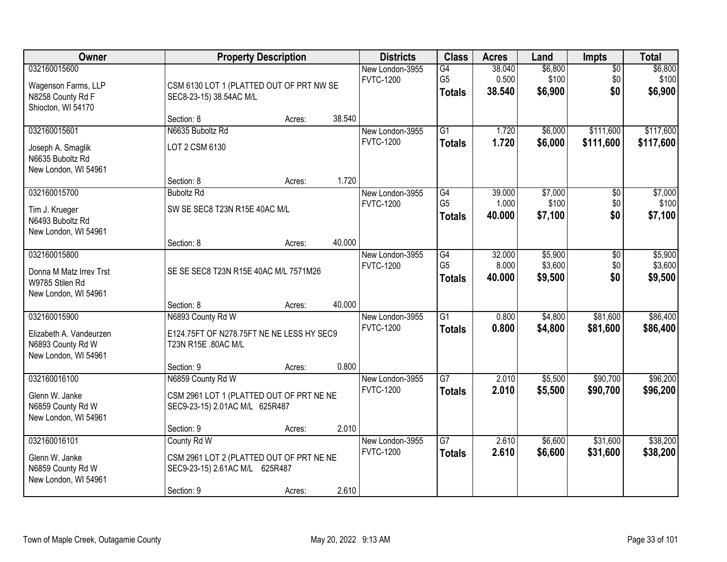| Owner                                                                                |                                                                                                         | <b>Property Description</b> |        | <b>Districts</b>                    | <b>Class</b>                                       | <b>Acres</b>              | Land                          | <b>Impts</b>                | <b>Total</b>                  |
|--------------------------------------------------------------------------------------|---------------------------------------------------------------------------------------------------------|-----------------------------|--------|-------------------------------------|----------------------------------------------------|---------------------------|-------------------------------|-----------------------------|-------------------------------|
| 032160015600<br>Wagenson Farms, LLP<br>N8258 County Rd F<br>Shiocton, WI 54170       | CSM 6130 LOT 1 (PLATTED OUT OF PRT NW SE<br>SEC8-23-15) 38.54AC M/L                                     |                             |        | New London-3955<br><b>FVTC-1200</b> | $\overline{G4}$<br>G <sub>5</sub><br><b>Totals</b> | 38.040<br>0.500<br>38.540 | \$6,800<br>\$100<br>\$6,900   | $\sqrt{$0}$<br>\$0<br>\$0   | \$6,800<br>\$100<br>\$6,900   |
|                                                                                      | Section: 8                                                                                              | Acres:                      | 38.540 |                                     |                                                    |                           |                               |                             |                               |
| 032160015601<br>Joseph A. Smaglik<br>N6635 Buboltz Rd<br>New London, WI 54961        | N6635 Buboltz Rd<br>LOT 2 CSM 6130                                                                      |                             |        | New London-3955<br><b>FVTC-1200</b> | $\overline{G1}$<br><b>Totals</b>                   | 1.720<br>1.720            | \$6,000<br>\$6,000            | \$111,600<br>\$111,600      | \$117,600<br>\$117,600        |
|                                                                                      | Section: 8                                                                                              | Acres:                      | 1.720  |                                     |                                                    |                           |                               |                             |                               |
| 032160015700<br>Tim J. Krueger<br>N6493 Buboltz Rd<br>New London, WI 54961           | <b>Buboltz Rd</b><br>SW SE SEC8 T23N R15E 40AC M/L                                                      |                             |        | New London-3955<br><b>FVTC-1200</b> | G4<br>G <sub>5</sub><br><b>Totals</b>              | 39.000<br>1.000<br>40.000 | \$7,000<br>\$100<br>\$7,100   | \$0<br>\$0<br>\$0           | \$7,000<br>\$100<br>\$7,100   |
|                                                                                      | Section: 8                                                                                              | Acres:                      | 40.000 |                                     |                                                    |                           |                               |                             |                               |
| 032160015800<br>Donna M Matz Irrev Trst<br>W9785 Stilen Rd<br>New London, WI 54961   | SE SE SEC8 T23N R15E 40AC M/L 7571M26                                                                   |                             |        | New London-3955<br><b>FVTC-1200</b> | G4<br>G <sub>5</sub><br><b>Totals</b>              | 32.000<br>8.000<br>40.000 | \$5,900<br>\$3,600<br>\$9,500 | $\sqrt[6]{3}$<br>\$0<br>\$0 | \$5,900<br>\$3,600<br>\$9,500 |
|                                                                                      | Section: 8                                                                                              | Acres:                      | 40.000 |                                     |                                                    |                           |                               |                             |                               |
| 032160015900<br>Elizabeth A. Vandeurzen<br>N6893 County Rd W<br>New London, WI 54961 | N6893 County Rd W<br>E124.75FT OF N278.75FT NE NE LESS HY SEC9<br>T23N R15E .80AC M/L<br>Section: 9     | Acres:                      | 0.800  | New London-3955<br><b>FVTC-1200</b> | $\overline{G1}$<br><b>Totals</b>                   | 0.800<br>0.800            | \$4,800<br>\$4,800            | \$81,600<br>\$81,600        | \$86,400<br>\$86,400          |
| 032160016100                                                                         | N6859 County Rd W                                                                                       |                             |        | New London-3955                     | $\overline{G7}$                                    | 2.010                     | \$5,500                       | \$90,700                    | \$96,200                      |
| Glenn W. Janke<br>N6859 County Rd W<br>New London, WI 54961                          | CSM 2961 LOT 1 (PLATTED OUT OF PRT NE NE<br>SEC9-23-15) 2.01AC M/L 625R487                              |                             |        | <b>FVTC-1200</b>                    | <b>Totals</b>                                      | 2.010                     | \$5,500                       | \$90,700                    | \$96,200                      |
|                                                                                      | Section: 9                                                                                              | Acres:                      | 2.010  |                                     |                                                    |                           |                               |                             |                               |
| 032160016101<br>Glenn W. Janke<br>N6859 County Rd W<br>New London, WI 54961          | County Rd W<br>CSM 2961 LOT 2 (PLATTED OUT OF PRT NE NE<br>SEC9-23-15) 2.61AC M/L 625R487<br>Section: 9 | Acres:                      | 2.610  | New London-3955<br><b>FVTC-1200</b> | $\overline{G7}$<br><b>Totals</b>                   | 2.610<br>2.610            | \$6,600<br>\$6,600            | \$31,600<br>\$31,600        | \$38,200<br>\$38,200          |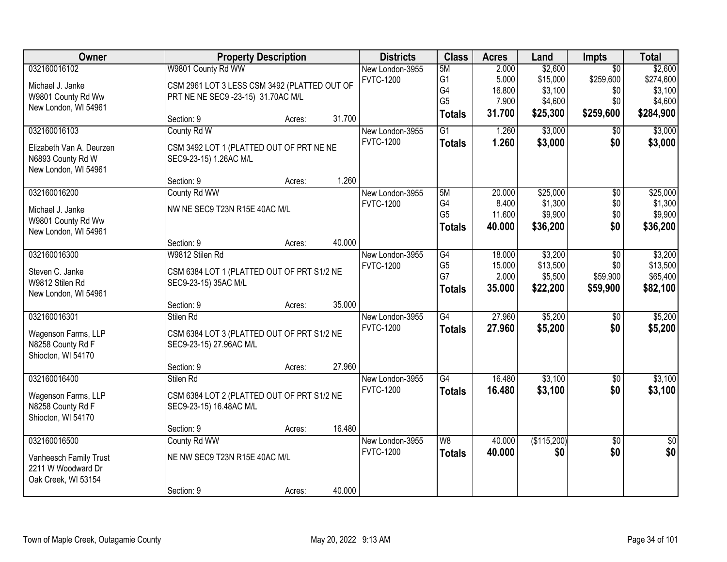| Owner                    |                                              | <b>Property Description</b> |        | <b>Districts</b> | <b>Class</b>    | <b>Acres</b> | Land        | <b>Impts</b>    | <b>Total</b>    |
|--------------------------|----------------------------------------------|-----------------------------|--------|------------------|-----------------|--------------|-------------|-----------------|-----------------|
| 032160016102             | W9801 County Rd WW                           |                             |        | New London-3955  | 5M              | 2.000        | \$2,600     | $\overline{30}$ | \$2,600         |
| Michael J. Janke         | CSM 2961 LOT 3 LESS CSM 3492 (PLATTED OUT OF |                             |        | <b>FVTC-1200</b> | G <sub>1</sub>  | 5.000        | \$15,000    | \$259,600       | \$274,600       |
| W9801 County Rd Ww       | PRT NE NE SEC9 -23-15) 31.70AC M/L           |                             |        |                  | G <sub>4</sub>  | 16.800       | \$3,100     | \$0             | \$3,100         |
| New London, WI 54961     |                                              |                             |        |                  | G <sub>5</sub>  | 7.900        | \$4,600     | \$0             | \$4,600         |
|                          | Section: 9                                   | Acres:                      | 31.700 |                  | <b>Totals</b>   | 31.700       | \$25,300    | \$259,600       | \$284,900       |
| 032160016103             | County Rd W                                  |                             |        | New London-3955  | $\overline{G1}$ | 1.260        | \$3,000     | $\overline{50}$ | \$3,000         |
| Elizabeth Van A. Deurzen | CSM 3492 LOT 1 (PLATTED OUT OF PRT NE NE     |                             |        | <b>FVTC-1200</b> | <b>Totals</b>   | 1.260        | \$3,000     | \$0             | \$3,000         |
| N6893 County Rd W        | SEC9-23-15) 1.26AC M/L                       |                             |        |                  |                 |              |             |                 |                 |
| New London, WI 54961     |                                              |                             |        |                  |                 |              |             |                 |                 |
|                          | Section: 9                                   | Acres:                      | 1.260  |                  |                 |              |             |                 |                 |
| 032160016200             | County Rd WW                                 |                             |        | New London-3955  | 5M              | 20.000       | \$25,000    | $\overline{50}$ | \$25,000        |
| Michael J. Janke         | NW NE SEC9 T23N R15E 40AC M/L                |                             |        | <b>FVTC-1200</b> | G4              | 8.400        | \$1,300     | \$0             | \$1,300         |
| W9801 County Rd Ww       |                                              |                             |        |                  | G <sub>5</sub>  | 11.600       | \$9,900     | \$0             | \$9,900         |
| New London, WI 54961     |                                              |                             |        |                  | <b>Totals</b>   | 40.000       | \$36,200    | \$0             | \$36,200        |
|                          | Section: 9                                   | Acres:                      | 40.000 |                  |                 |              |             |                 |                 |
| 032160016300             | W9812 Stilen Rd                              |                             |        | New London-3955  | G4              | 18.000       | \$3,200     | $\overline{50}$ | \$3,200         |
| Steven C. Janke          | CSM 6384 LOT 1 (PLATTED OUT OF PRT S1/2 NE   |                             |        | <b>FVTC-1200</b> | G <sub>5</sub>  | 15.000       | \$13,500    | \$0             | \$13,500        |
| W9812 Stilen Rd          | SEC9-23-15) 35AC M/L                         |                             |        |                  | G7              | 2.000        | \$5,500     | \$59,900        | \$65,400        |
| New London, WI 54961     |                                              |                             |        |                  | <b>Totals</b>   | 35.000       | \$22,200    | \$59,900        | \$82,100        |
|                          | Section: 9                                   | Acres:                      | 35.000 |                  |                 |              |             |                 |                 |
| 032160016301             | Stilen Rd                                    |                             |        | New London-3955  | $\overline{G4}$ | 27.960       | \$5,200     | \$0             | \$5,200         |
| Wagenson Farms, LLP      | CSM 6384 LOT 3 (PLATTED OUT OF PRT S1/2 NE   |                             |        | <b>FVTC-1200</b> | <b>Totals</b>   | 27,960       | \$5,200     | \$0             | \$5,200         |
| N8258 County Rd F        | SEC9-23-15) 27.96AC M/L                      |                             |        |                  |                 |              |             |                 |                 |
| Shiocton, WI 54170       |                                              |                             |        |                  |                 |              |             |                 |                 |
|                          | Section: 9                                   | Acres:                      | 27.960 |                  |                 |              |             |                 |                 |
| 032160016400             | Stilen Rd                                    |                             |        | New London-3955  | G4              | 16.480       | \$3,100     | $\sqrt{6}$      | \$3,100         |
| Wagenson Farms, LLP      | CSM 6384 LOT 2 (PLATTED OUT OF PRT S1/2 NE   |                             |        | <b>FVTC-1200</b> | <b>Totals</b>   | 16.480       | \$3,100     | \$0             | \$3,100         |
| N8258 County Rd F        | SEC9-23-15) 16.48AC M/L                      |                             |        |                  |                 |              |             |                 |                 |
| Shiocton, WI 54170       |                                              |                             |        |                  |                 |              |             |                 |                 |
|                          | Section: 9                                   | Acres:                      | 16.480 |                  |                 |              |             |                 |                 |
| 032160016500             | County Rd WW                                 |                             |        | New London-3955  | W8              | 40.000       | (\$115,200) | $\overline{50}$ | $\overline{30}$ |
| Vanheesch Family Trust   | NE NW SEC9 T23N R15E 40AC M/L                |                             |        | <b>FVTC-1200</b> | <b>Totals</b>   | 40.000       | \$0         | \$0             | \$0             |
| 2211 W Woodward Dr       |                                              |                             |        |                  |                 |              |             |                 |                 |
| Oak Creek, WI 53154      |                                              |                             |        |                  |                 |              |             |                 |                 |
|                          | Section: 9                                   | Acres:                      | 40.000 |                  |                 |              |             |                 |                 |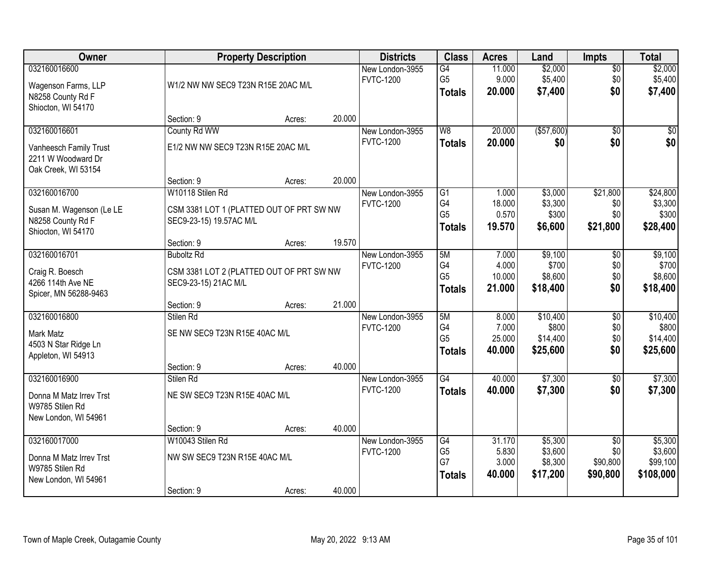| Owner                                                                               |                                                                                         | <b>Property Description</b> |        | <b>Districts</b>                    | <b>Class</b>                                       | <b>Acres</b>                       | Land                                      | <b>Impts</b>                                   | <b>Total</b>                                |
|-------------------------------------------------------------------------------------|-----------------------------------------------------------------------------------------|-----------------------------|--------|-------------------------------------|----------------------------------------------------|------------------------------------|-------------------------------------------|------------------------------------------------|---------------------------------------------|
| 032160016600<br>Wagenson Farms, LLP<br>N8258 County Rd F<br>Shiocton, WI 54170      | W1/2 NW NW SEC9 T23N R15E 20AC M/L                                                      |                             |        | New London-3955<br><b>FVTC-1200</b> | $\overline{G4}$<br>G <sub>5</sub><br><b>Totals</b> | 11.000<br>9.000<br>20.000          | \$2,000<br>\$5,400<br>\$7,400             | \$0<br>\$0<br>\$0                              | \$2,000<br>\$5,400<br>\$7,400               |
|                                                                                     | Section: 9                                                                              | Acres:                      | 20.000 |                                     |                                                    |                                    |                                           |                                                |                                             |
| 032160016601<br>Vanheesch Family Trust<br>2211 W Woodward Dr<br>Oak Creek, WI 53154 | County Rd WW<br>E1/2 NW NW SEC9 T23N R15E 20AC M/L                                      |                             |        | New London-3955<br><b>FVTC-1200</b> | W8<br><b>Totals</b>                                | 20.000<br>20.000                   | (\$57,600)<br>\$0                         | \$0<br>\$0                                     | \$0<br>\$0                                  |
|                                                                                     | Section: 9                                                                              | Acres:                      | 20.000 |                                     |                                                    |                                    |                                           |                                                |                                             |
| 032160016700<br>Susan M. Wagenson (Le LE<br>N8258 County Rd F<br>Shiocton, WI 54170 | W10118 Stilen Rd<br>CSM 3381 LOT 1 (PLATTED OUT OF PRT SW NW<br>SEC9-23-15) 19.57AC M/L |                             |        | New London-3955<br><b>FVTC-1200</b> | G1<br>G4<br>G <sub>5</sub><br><b>Totals</b>        | 1.000<br>18.000<br>0.570<br>19.570 | \$3,000<br>\$3,300<br>\$300<br>\$6,600    | \$21,800<br>\$0<br>\$0<br>\$21,800             | \$24,800<br>\$3,300<br>\$300<br>\$28,400    |
|                                                                                     | Section: 9                                                                              | Acres:                      | 19.570 |                                     |                                                    |                                    |                                           |                                                |                                             |
| 032160016701<br>Craig R. Boesch<br>4266 114th Ave NE<br>Spicer, MN 56288-9463       | <b>Buboltz Rd</b><br>CSM 3381 LOT 2 (PLATTED OUT OF PRT SW NW<br>SEC9-23-15) 21AC M/L   |                             |        | New London-3955<br><b>FVTC-1200</b> | 5M<br>G4<br>G <sub>5</sub><br><b>Totals</b>        | 7.000<br>4.000<br>10.000<br>21.000 | \$9,100<br>\$700<br>\$8,600<br>\$18,400   | \$0<br>\$0<br>\$0<br>\$0                       | \$9,100<br>\$700<br>\$8,600<br>\$18,400     |
|                                                                                     | Section: 9                                                                              | Acres:                      | 21.000 |                                     |                                                    |                                    |                                           |                                                |                                             |
| 032160016800<br><b>Mark Matz</b><br>4503 N Star Ridge Ln<br>Appleton, WI 54913      | Stilen Rd<br>SE NW SEC9 T23N R15E 40AC M/L<br>Section: 9                                | Acres:                      | 40.000 | New London-3955<br><b>FVTC-1200</b> | 5M<br>G4<br>G <sub>5</sub><br><b>Totals</b>        | 8.000<br>7.000<br>25.000<br>40.000 | \$10,400<br>\$800<br>\$14,400<br>\$25,600 | \$0<br>\$0<br>\$0<br>\$0                       | \$10,400<br>\$800<br>\$14,400<br>\$25,600   |
| 032160016900<br>Donna M Matz Irrev Trst<br>W9785 Stilen Rd<br>New London, WI 54961  | Stilen Rd<br>NE SW SEC9 T23N R15E 40AC M/L<br>Section: 9                                | Acres:                      | 40.000 | New London-3955<br><b>FVTC-1200</b> | $\overline{G4}$<br><b>Totals</b>                   | 40.000<br>40.000                   | \$7,300<br>\$7,300                        | $\sqrt{6}$<br>\$0                              | \$7,300<br>\$7,300                          |
| 032160017000<br>Donna M Matz Irrev Trst<br>W9785 Stilen Rd<br>New London, WI 54961  | W10043 Stilen Rd<br>NW SW SEC9 T23N R15E 40AC M/L<br>Section: 9                         | Acres:                      | 40.000 | New London-3955<br><b>FVTC-1200</b> | G4<br>G <sub>5</sub><br>G7<br><b>Totals</b>        | 31.170<br>5.830<br>3.000<br>40.000 | \$5,300<br>\$3,600<br>\$8,300<br>\$17,200 | $\overline{50}$<br>\$0<br>\$90,800<br>\$90,800 | \$5,300<br>\$3,600<br>\$99,100<br>\$108,000 |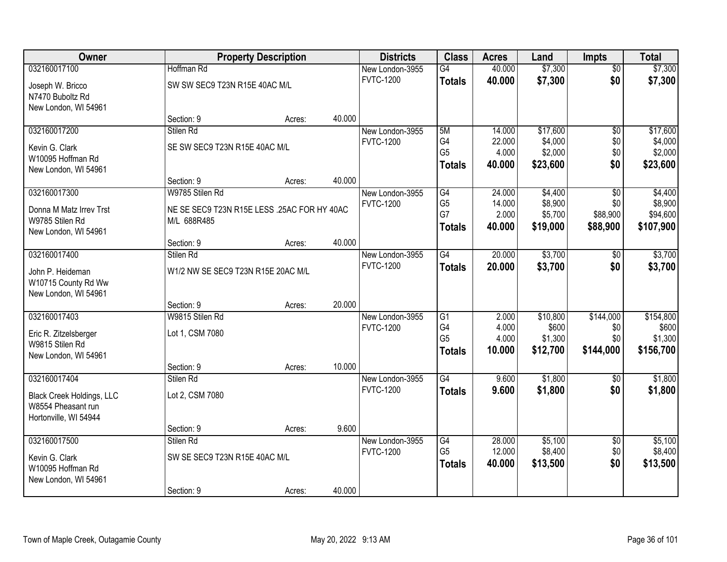| Owner                                   |                                             | <b>Property Description</b> |        | <b>Districts</b>                    | <b>Class</b>         | <b>Acres</b>     | Land                | <b>Impts</b>           | <b>Total</b>        |
|-----------------------------------------|---------------------------------------------|-----------------------------|--------|-------------------------------------|----------------------|------------------|---------------------|------------------------|---------------------|
| 032160017100                            | Hoffman Rd                                  |                             |        | New London-3955                     | G4                   | 40.000           | \$7,300             | $\overline{50}$        | \$7,300             |
| Joseph W. Bricco                        | SW SW SEC9 T23N R15E 40AC M/L               |                             |        | <b>FVTC-1200</b>                    | <b>Totals</b>        | 40.000           | \$7,300             | \$0                    | \$7,300             |
| N7470 Buboltz Rd                        |                                             |                             |        |                                     |                      |                  |                     |                        |                     |
| New London, WI 54961                    |                                             |                             |        |                                     |                      |                  |                     |                        |                     |
|                                         | Section: 9                                  | Acres:                      | 40.000 |                                     |                      |                  |                     |                        |                     |
| 032160017200                            | Stilen Rd                                   |                             |        | New London-3955<br><b>FVTC-1200</b> | 5M<br>G4             | 14.000<br>22.000 | \$17,600<br>\$4,000 | $\overline{50}$<br>\$0 | \$17,600<br>\$4,000 |
| Kevin G. Clark                          | SE SW SEC9 T23N R15E 40AC M/L               |                             |        |                                     | G <sub>5</sub>       | 4.000            | \$2,000             | \$0                    | \$2,000             |
| W10095 Hoffman Rd                       |                                             |                             |        |                                     | <b>Totals</b>        | 40.000           | \$23,600            | \$0                    | \$23,600            |
| New London, WI 54961                    |                                             |                             | 40.000 |                                     |                      |                  |                     |                        |                     |
| 032160017300                            | Section: 9<br>W9785 Stilen Rd               | Acres:                      |        | New London-3955                     | G4                   | 24.000           | \$4,400             | \$0                    | \$4,400             |
|                                         |                                             |                             |        | <b>FVTC-1200</b>                    | G <sub>5</sub>       | 14.000           | \$8,900             | \$0                    | \$8,900             |
| Donna M Matz Irrey Trst                 | NE SE SEC9 T23N R15E LESS .25AC FOR HY 40AC |                             |        |                                     | G7                   | 2.000            | \$5,700             | \$88,900               | \$94,600            |
| W9785 Stilen Rd                         | M/L 688R485                                 |                             |        |                                     | <b>Totals</b>        | 40.000           | \$19,000            | \$88,900               | \$107,900           |
| New London, WI 54961                    | Section: 9                                  | Acres:                      | 40.000 |                                     |                      |                  |                     |                        |                     |
| 032160017400                            | Stilen Rd                                   |                             |        | New London-3955                     | $\overline{G4}$      | 20.000           | \$3,700             | $\sqrt[6]{}$           | \$3,700             |
|                                         |                                             |                             |        | <b>FVTC-1200</b>                    | <b>Totals</b>        | 20.000           | \$3,700             | \$0                    | \$3,700             |
| John P. Heideman<br>W10715 County Rd Ww | W1/2 NW SE SEC9 T23N R15E 20AC M/L          |                             |        |                                     |                      |                  |                     |                        |                     |
| New London, WI 54961                    |                                             |                             |        |                                     |                      |                  |                     |                        |                     |
|                                         | Section: 9                                  | Acres:                      | 20.000 |                                     |                      |                  |                     |                        |                     |
| 032160017403                            | W9815 Stilen Rd                             |                             |        | New London-3955                     | G1                   | 2.000            | \$10,800            | \$144,000              | \$154,800           |
| Eric R. Zitzelsberger                   | Lot 1, CSM 7080                             |                             |        | <b>FVTC-1200</b>                    | G4                   | 4.000            | \$600               | \$0                    | \$600               |
| W9815 Stilen Rd                         |                                             |                             |        |                                     | G <sub>5</sub>       | 4.000            | \$1,300             | \$0                    | \$1,300             |
| New London, WI 54961                    |                                             |                             |        |                                     | <b>Totals</b>        | 10.000           | \$12,700            | \$144,000              | \$156,700           |
|                                         | Section: 9                                  | Acres:                      | 10.000 |                                     |                      |                  |                     |                        |                     |
| 032160017404                            | Stilen Rd                                   |                             |        | New London-3955                     | $\overline{G4}$      | 9.600            | \$1,800             | \$0                    | \$1,800             |
| <b>Black Creek Holdings, LLC</b>        | Lot 2, CSM 7080                             |                             |        | <b>FVTC-1200</b>                    | <b>Totals</b>        | 9.600            | \$1,800             | \$0                    | \$1,800             |
| W8554 Pheasant run                      |                                             |                             |        |                                     |                      |                  |                     |                        |                     |
| Hortonville, WI 54944                   |                                             |                             |        |                                     |                      |                  |                     |                        |                     |
|                                         | Section: 9                                  | Acres:                      | 9.600  |                                     |                      |                  |                     |                        |                     |
| 032160017500                            | Stilen Rd                                   |                             |        | New London-3955                     | G4<br>G <sub>5</sub> | 28.000<br>12.000 | \$5,100             | $\overline{50}$        | \$5,100             |
| Kevin G. Clark                          | SW SE SEC9 T23N R15E 40AC M/L               |                             |        | <b>FVTC-1200</b>                    |                      | 40.000           | \$8,400<br>\$13,500 | \$0<br>\$0             | \$8,400<br>\$13,500 |
| W10095 Hoffman Rd                       |                                             |                             |        |                                     | <b>Totals</b>        |                  |                     |                        |                     |
| New London, WI 54961                    |                                             |                             |        |                                     |                      |                  |                     |                        |                     |
|                                         | Section: 9                                  | Acres:                      | 40.000 |                                     |                      |                  |                     |                        |                     |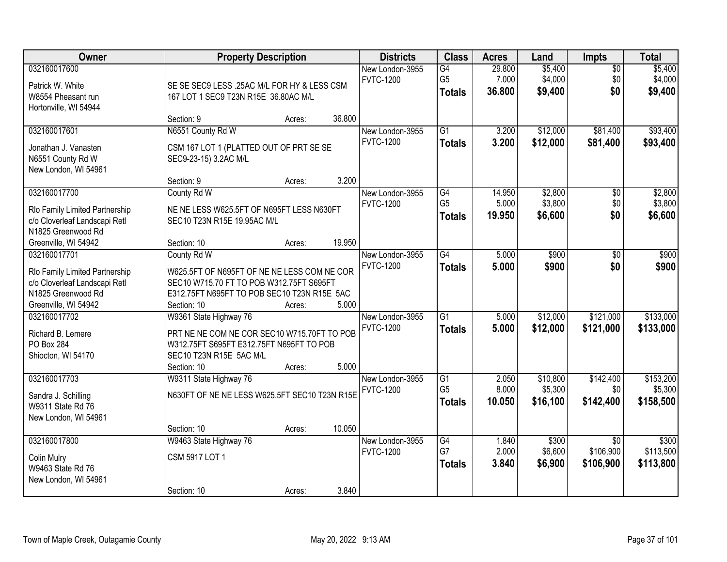| Owner                                                                                                                         | <b>Property Description</b>                                                                                                                                          |        |        | <b>Districts</b>                    | <b>Class</b>                          | <b>Acres</b>              | Land                            | Impts                                     | <b>Total</b>                      |
|-------------------------------------------------------------------------------------------------------------------------------|----------------------------------------------------------------------------------------------------------------------------------------------------------------------|--------|--------|-------------------------------------|---------------------------------------|---------------------------|---------------------------------|-------------------------------------------|-----------------------------------|
| 032160017600<br>Patrick W. White<br>W8554 Pheasant run<br>Hortonville, WI 54944                                               | SE SE SEC9 LESS .25AC M/L FOR HY & LESS CSM<br>167 LOT 1 SEC9 T23N R15E 36.80AC M/L                                                                                  |        |        | New London-3955<br><b>FVTC-1200</b> | G4<br>G <sub>5</sub><br><b>Totals</b> | 29.800<br>7.000<br>36.800 | \$5,400<br>\$4,000<br>\$9,400   | $\overline{50}$<br>\$0<br>\$0             | \$5,400<br>\$4,000<br>\$9,400     |
|                                                                                                                               | Section: 9                                                                                                                                                           | Acres: | 36.800 |                                     |                                       |                           |                                 |                                           |                                   |
| 032160017601<br>Jonathan J. Vanasten<br>N6551 County Rd W<br>New London, WI 54961                                             | N6551 County Rd W<br>CSM 167 LOT 1 (PLATTED OUT OF PRT SE SE<br>SEC9-23-15) 3.2AC M/L                                                                                |        |        | New London-3955<br><b>FVTC-1200</b> | $\overline{G1}$<br><b>Totals</b>      | 3.200<br>3.200            | \$12,000<br>\$12,000            | \$81,400<br>\$81,400                      | \$93,400<br>\$93,400              |
|                                                                                                                               | Section: 9                                                                                                                                                           | Acres: | 3.200  |                                     |                                       |                           |                                 |                                           |                                   |
| 032160017700<br>Rlo Family Limited Partnership<br>c/o Cloverleaf Landscapi Retl<br>N1825 Greenwood Rd                         | County Rd W<br>NE NE LESS W625.5FT OF N695FT LESS N630FT<br>SEC10 T23N R15E 19.95AC M/L                                                                              |        |        | New London-3955<br><b>FVTC-1200</b> | G4<br>G <sub>5</sub><br><b>Totals</b> | 14.950<br>5.000<br>19.950 | \$2,800<br>\$3,800<br>\$6,600   | \$0<br>\$0<br>\$0                         | \$2,800<br>\$3,800<br>\$6,600     |
| Greenville, WI 54942                                                                                                          | Section: 10                                                                                                                                                          | Acres: | 19.950 |                                     |                                       |                           |                                 |                                           |                                   |
| 032160017701<br>Rlo Family Limited Partnership<br>c/o Cloverleaf Landscapi Retl<br>N1825 Greenwood Rd<br>Greenville, WI 54942 | County Rd W<br>W625.5FT OF N695FT OF NE NE LESS COM NE COR<br>SEC10 W715.70 FT TO POB W312.75FT S695FT<br>E312.75FT N695FT TO POB SEC10 T23N R15E 5AC<br>Section: 10 | Acres: | 5.000  | New London-3955<br><b>FVTC-1200</b> | $\overline{G4}$<br><b>Totals</b>      | 5.000<br>5.000            | \$900<br>\$900                  | \$0<br>\$0                                | \$900<br>\$900                    |
| 032160017702<br>Richard B. Lemere<br>PO Box 284<br>Shiocton, WI 54170                                                         | W9361 State Highway 76<br>PRT NE NE COM NE COR SEC10 W715.70FT TO POB<br>W312.75FT S695FT E312.75FT N695FT TO POB<br>SEC10 T23N R15E 5AC M/L<br>Section: 10          | Acres: | 5.000  | New London-3955<br><b>FVTC-1200</b> | $\overline{G1}$<br><b>Totals</b>      | 5.000<br>5.000            | \$12,000<br>\$12,000            | \$121,000<br>\$121,000                    | \$133,000<br>\$133,000            |
| 032160017703<br>Sandra J. Schilling<br>W9311 State Rd 76<br>New London, WI 54961                                              | W9311 State Highway 76<br>N630FT OF NE NE LESS W625.5FT SEC10 T23N R15E<br>Section: 10                                                                               | Acres: | 10.050 | New London-3955<br><b>FVTC-1200</b> | G1<br>G <sub>5</sub><br><b>Totals</b> | 2.050<br>8.000<br>10.050  | \$10,800<br>\$5,300<br>\$16,100 | \$142,400<br>\$0<br>\$142,400             | \$153,200<br>\$5,300<br>\$158,500 |
| 032160017800<br><b>Colin Mulry</b><br>W9463 State Rd 76<br>New London, WI 54961                                               | W9463 State Highway 76<br>CSM 5917 LOT 1<br>Section: 10                                                                                                              | Acres: | 3.840  | New London-3955<br><b>FVTC-1200</b> | G4<br>G7<br><b>Totals</b>             | 1.840<br>2.000<br>3.840   | \$300<br>\$6,600<br>\$6,900     | $\overline{30}$<br>\$106,900<br>\$106,900 | \$300<br>\$113,500<br>\$113,800   |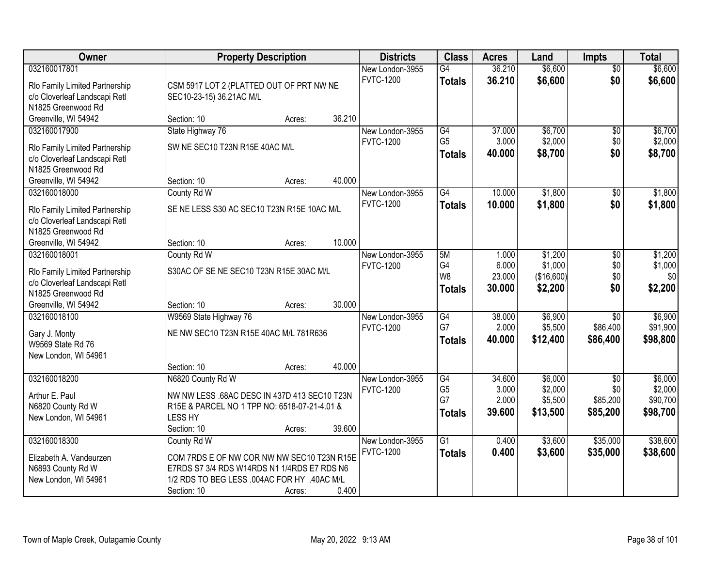| Owner                                                                                                 | <b>Property Description</b>                                                                                                                                                      |        | <b>Districts</b>                    | <b>Class</b>                                       | <b>Acres</b>                       | Land                                      | <b>Impts</b>                                   | <b>Total</b>                               |
|-------------------------------------------------------------------------------------------------------|----------------------------------------------------------------------------------------------------------------------------------------------------------------------------------|--------|-------------------------------------|----------------------------------------------------|------------------------------------|-------------------------------------------|------------------------------------------------|--------------------------------------------|
| 032160017801<br>Rlo Family Limited Partnership<br>c/o Cloverleaf Landscapi Retl<br>N1825 Greenwood Rd | CSM 5917 LOT 2 (PLATTED OUT OF PRT NW NE<br>SEC10-23-15) 36.21AC M/L                                                                                                             |        | New London-3955<br><b>FVTC-1200</b> | $\overline{G4}$<br><b>Totals</b>                   | 36.210<br>36.210                   | \$6,600<br>\$6,600                        | $\overline{50}$<br>\$0                         | \$6,600<br>\$6,600                         |
| Greenville, WI 54942                                                                                  | Section: 10<br>Acres:                                                                                                                                                            | 36.210 |                                     |                                                    |                                    |                                           |                                                |                                            |
| 032160017900<br>Rlo Family Limited Partnership<br>c/o Cloverleaf Landscapi Retl<br>N1825 Greenwood Rd | State Highway 76<br>SW NE SEC10 T23N R15E 40AC M/L                                                                                                                               |        | New London-3955<br><b>FVTC-1200</b> | $\overline{G4}$<br>G <sub>5</sub><br><b>Totals</b> | 37.000<br>3.000<br>40.000          | \$6,700<br>\$2,000<br>\$8,700             | \$0<br>\$0<br>\$0                              | \$6,700<br>\$2,000<br>\$8,700              |
| Greenville, WI 54942                                                                                  | Section: 10<br>Acres:                                                                                                                                                            | 40.000 |                                     |                                                    |                                    |                                           |                                                |                                            |
| 032160018000<br>Rlo Family Limited Partnership<br>c/o Cloverleaf Landscapi Retl<br>N1825 Greenwood Rd | County Rd W<br>SE NE LESS S30 AC SEC10 T23N R15E 10AC M/L                                                                                                                        |        | New London-3955<br><b>FVTC-1200</b> | $\overline{G4}$<br><b>Totals</b>                   | 10.000<br>10.000                   | \$1,800<br>\$1,800                        | \$0<br>\$0                                     | \$1,800<br>\$1,800                         |
| Greenville, WI 54942<br>032160018001                                                                  | Section: 10<br>Acres:<br>County Rd W                                                                                                                                             | 10.000 | New London-3955                     | 5M                                                 | 1.000                              | \$1,200                                   |                                                | \$1,200                                    |
| Rlo Family Limited Partnership<br>c/o Cloverleaf Landscapi Retl<br>N1825 Greenwood Rd                 | S30AC OF SE NE SEC10 T23N R15E 30AC M/L                                                                                                                                          |        | <b>FVTC-1200</b>                    | G4<br>W8<br><b>Totals</b>                          | 6.000<br>23.000<br>30,000          | \$1,000<br>(\$16,600)<br>\$2,200          | \$0<br>\$0<br>\$0<br>\$0                       | \$1,000<br>\$0<br>\$2,200                  |
| Greenville, WI 54942                                                                                  | Section: 10<br>Acres:                                                                                                                                                            | 30.000 |                                     |                                                    |                                    |                                           |                                                |                                            |
| 032160018100<br>Gary J. Monty<br>W9569 State Rd 76<br>New London, WI 54961                            | W9569 State Highway 76<br>NE NW SEC10 T23N R15E 40AC M/L 781R636                                                                                                                 |        | New London-3955<br><b>FVTC-1200</b> | G4<br>G7<br><b>Totals</b>                          | 38.000<br>2.000<br>40.000          | \$6,900<br>\$5,500<br>\$12,400            | $\overline{30}$<br>\$86,400<br>\$86,400        | \$6,900<br>\$91,900<br>\$98,800            |
|                                                                                                       | Section: 10<br>Acres:                                                                                                                                                            | 40.000 |                                     |                                                    |                                    |                                           |                                                |                                            |
| 032160018200<br>Arthur E. Paul<br>N6820 County Rd W<br>New London, WI 54961                           | N6820 County Rd W<br>NW NW LESS .68AC DESC IN 437D 413 SEC10 T23N<br>R15E & PARCEL NO 1 TPP NO: 6518-07-21-4.01 &<br><b>LESS HY</b><br>Section: 10<br>Acres:                     | 39.600 | New London-3955<br><b>FVTC-1200</b> | G4<br>G <sub>5</sub><br>G7<br><b>Totals</b>        | 34.600<br>3.000<br>2.000<br>39,600 | \$6,000<br>\$2,000<br>\$5,500<br>\$13,500 | $\overline{50}$<br>\$0<br>\$85,200<br>\$85,200 | \$6,000<br>\$2,000<br>\$90,700<br>\$98,700 |
| 032160018300<br>Elizabeth A. Vandeurzen<br>N6893 County Rd W<br>New London, WI 54961                  | County Rd W<br>COM 7RDS E OF NW COR NW NW SEC10 T23N R15E<br>E7RDS S7 3/4 RDS W14RDS N1 1/4RDS E7 RDS N6<br>1/2 RDS TO BEG LESS .004AC FOR HY .40AC M/L<br>Section: 10<br>Acres: | 0.400  | New London-3955<br><b>FVTC-1200</b> | $\overline{G1}$<br><b>Totals</b>                   | 0.400<br>0.400                     | \$3,600<br>\$3,600                        | \$35,000<br>\$35,000                           | \$38,600<br>\$38,600                       |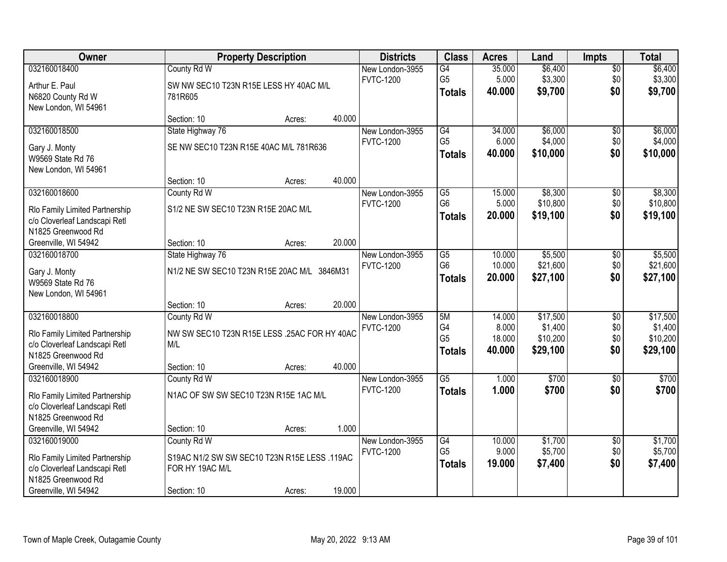| Owner                          |                                              | <b>Property Description</b> |        | <b>Districts</b> | <b>Class</b>           | <b>Acres</b>    | Land                | <b>Impts</b>    | <b>Total</b>        |
|--------------------------------|----------------------------------------------|-----------------------------|--------|------------------|------------------------|-----------------|---------------------|-----------------|---------------------|
| 032160018400                   | County Rd W                                  |                             |        | New London-3955  | G4                     | 35.000          | \$6,400             | $\overline{$0}$ | \$6,400             |
| Arthur E. Paul                 | SW NW SEC10 T23N R15E LESS HY 40AC M/L       |                             |        | <b>FVTC-1200</b> | G <sub>5</sub>         | 5.000           | \$3,300             | \$0             | \$3,300             |
| N6820 County Rd W              | 781R605                                      |                             |        |                  | <b>Totals</b>          | 40.000          | \$9,700             | \$0             | \$9,700             |
| New London, WI 54961           |                                              |                             |        |                  |                        |                 |                     |                 |                     |
|                                | Section: 10                                  | Acres:                      | 40.000 |                  |                        |                 |                     |                 |                     |
| 032160018500                   | State Highway 76                             |                             |        | New London-3955  | G4                     | 34.000          | \$6,000             | \$0             | \$6,000             |
| Gary J. Monty                  | SE NW SEC10 T23N R15E 40AC M/L 781R636       |                             |        | <b>FVTC-1200</b> | G <sub>5</sub>         | 6.000           | \$4,000             | \$0             | \$4,000             |
| W9569 State Rd 76              |                                              |                             |        |                  | <b>Totals</b>          | 40.000          | \$10,000            | \$0             | \$10,000            |
| New London, WI 54961           |                                              |                             |        |                  |                        |                 |                     |                 |                     |
|                                | Section: 10                                  | Acres:                      | 40.000 |                  |                        |                 |                     |                 |                     |
| 032160018600                   | County Rd W                                  |                             |        | New London-3955  | $\overline{G5}$        | 15.000          | \$8,300             | \$0             | \$8,300             |
| Rlo Family Limited Partnership | S1/2 NE SW SEC10 T23N R15E 20AC M/L          |                             |        | <b>FVTC-1200</b> | G <sub>6</sub>         | 5.000           | \$10,800            | \$0             | \$10,800            |
| c/o Cloverleaf Landscapi Retl  |                                              |                             |        |                  | <b>Totals</b>          | 20.000          | \$19,100            | \$0             | \$19,100            |
| N1825 Greenwood Rd             |                                              |                             |        |                  |                        |                 |                     |                 |                     |
| Greenville, WI 54942           | Section: 10                                  | Acres:                      | 20.000 |                  |                        |                 |                     |                 |                     |
| 032160018700                   | State Highway 76                             |                             |        | New London-3955  | $\overline{G5}$        | 10.000          | \$5,500             | \$0             | \$5,500             |
| Gary J. Monty                  | N1/2 NE SW SEC10 T23N R15E 20AC M/L 3846M31  |                             |        | <b>FVTC-1200</b> | G <sub>6</sub>         | 10.000          | \$21,600            | \$0             | \$21,600            |
| W9569 State Rd 76              |                                              |                             |        |                  | <b>Totals</b>          | 20.000          | \$27,100            | \$0             | \$27,100            |
| New London, WI 54961           |                                              |                             |        |                  |                        |                 |                     |                 |                     |
|                                | Section: 10                                  | Acres:                      | 20.000 |                  |                        |                 |                     |                 |                     |
| 032160018800                   | County Rd W                                  |                             |        | New London-3955  | 5M                     | 14.000          | \$17,500            | $\overline{50}$ | \$17,500            |
| Rlo Family Limited Partnership | NW SW SEC10 T23N R15E LESS .25AC FOR HY 40AC |                             |        | <b>FVTC-1200</b> | G4<br>G <sub>5</sub>   | 8.000<br>18.000 | \$1,400<br>\$10,200 | \$0             | \$1,400<br>\$10,200 |
| c/o Cloverleaf Landscapi Retl  | M/L                                          |                             |        |                  | <b>Totals</b>          | 40.000          | \$29,100            | \$0<br>\$0      | \$29,100            |
| N1825 Greenwood Rd             |                                              |                             |        |                  |                        |                 |                     |                 |                     |
| Greenville, WI 54942           | Section: 10                                  | Acres:                      | 40.000 |                  |                        |                 |                     |                 |                     |
| 032160018900                   | County Rd W                                  |                             |        | New London-3955  | $\overline{\text{G5}}$ | 1.000           | \$700               | $\sqrt{6}$      | \$700               |
| Rlo Family Limited Partnership | N1AC OF SW SW SEC10 T23N R15E 1AC M/L        |                             |        | <b>FVTC-1200</b> | <b>Totals</b>          | 1.000           | \$700               | \$0             | \$700               |
| c/o Cloverleaf Landscapi Retl  |                                              |                             |        |                  |                        |                 |                     |                 |                     |
| N1825 Greenwood Rd             |                                              |                             |        |                  |                        |                 |                     |                 |                     |
| Greenville, WI 54942           | Section: 10                                  | Acres:                      | 1.000  |                  |                        |                 |                     |                 |                     |
| 032160019000                   | County Rd W                                  |                             |        | New London-3955  | G4                     | 10.000          | \$1,700             | $\overline{60}$ | \$1,700             |
| Rlo Family Limited Partnership | S19AC N1/2 SW SW SEC10 T23N R15E LESS .119AC |                             |        | <b>FVTC-1200</b> | G <sub>5</sub>         | 9.000           | \$5,700             | \$0             | \$5,700             |
| c/o Cloverleaf Landscapi Retl  | FOR HY 19AC M/L                              |                             |        |                  | <b>Totals</b>          | 19.000          | \$7,400             | \$0             | \$7,400             |
| N1825 Greenwood Rd             |                                              |                             |        |                  |                        |                 |                     |                 |                     |
| Greenville, WI 54942           | Section: 10                                  | Acres:                      | 19.000 |                  |                        |                 |                     |                 |                     |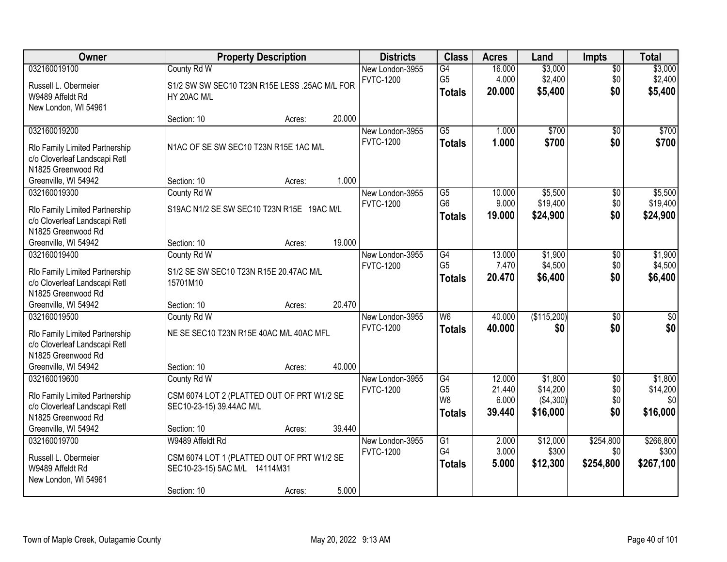| 032160019100<br>\$3,000<br>County Rd W<br>New London-3955<br>G4<br>16.000<br>\$0<br>G <sub>5</sub><br>\$2,400<br>\$2,400<br>4.000<br>\$0<br><b>FVTC-1200</b><br>Russell L. Obermeier<br>S1/2 SW SW SEC10 T23N R15E LESS .25AC M/L FOR<br>\$0<br>20.000<br>\$5,400<br><b>Totals</b><br>W9489 Affeldt Rd<br>HY 20AC M/L<br>New London, WI 54961<br>20.000<br>Section: 10<br>Acres:<br>032160019200<br>$\overline{G5}$<br>\$700<br>1.000<br>$\overline{50}$<br>New London-3955<br><b>FVTC-1200</b><br>1.000<br>\$700<br>\$0<br><b>Totals</b><br>N1AC OF SE SW SEC10 T23N R15E 1AC M/L<br>Rlo Family Limited Partnership<br>c/o Cloverleaf Landscapi Retl<br>N1825 Greenwood Rd<br>1.000<br>Greenville, WI 54942<br>Section: 10<br>Acres:<br>032160019300<br>$\overline{G5}$<br>\$5,500<br>County Rd W<br>10.000<br>\$0<br>New London-3955<br>G <sub>6</sub><br>9.000<br>\$19,400<br>\$0<br><b>FVTC-1200</b><br>S19AC N1/2 SE SW SEC10 T23N R15E 19AC M/L<br>Rlo Family Limited Partnership<br>19.000<br>\$24,900<br>\$0<br>\$24,900<br><b>Totals</b><br>c/o Cloverleaf Landscapi Retl<br>N1825 Greenwood Rd<br>19.000<br>Greenville, WI 54942<br>Section: 10<br>Acres:<br>\$1,900<br>032160019400<br>County Rd W<br>$\overline{G4}$<br>13.000<br>New London-3955<br>\$0<br>G <sub>5</sub><br>\$4,500<br>7.470<br>\$0<br><b>FVTC-1200</b><br>Rlo Family Limited Partnership<br>S1/2 SE SW SEC10 T23N R15E 20.47AC M/L<br>\$0<br>\$6,400<br>20.470<br>\$6,400<br><b>Totals</b><br>c/o Cloverleaf Landscapi Retl<br>15701M10<br>N1825 Greenwood Rd<br>20.470<br>Greenville, WI 54942<br>Section: 10<br>Acres:<br>(\$115,200)<br>W6<br>40.000<br>$\overline{30}$<br>032160019500<br>County Rd W<br>New London-3955<br>\$0<br><b>FVTC-1200</b><br>40.000<br>\$0<br>\$0<br><b>Totals</b><br>NE SE SEC10 T23N R15E 40AC M/L 40AC MFL<br>Rlo Family Limited Partnership<br>c/o Cloverleaf Landscapi Retl<br>N1825 Greenwood Rd<br>Greenville, WI 54942<br>40.000<br>Section: 10<br>Acres:<br>G4<br>032160019600<br>12.000<br>\$1,800<br>$\overline{50}$<br>County Rd W<br>New London-3955<br>G <sub>5</sub><br>\$14,200<br>\$0<br>21.440<br><b>FVTC-1200</b><br>CSM 6074 LOT 2 (PLATTED OUT OF PRT W1/2 SE<br>Rlo Family Limited Partnership<br>W <sub>8</sub><br>( \$4,300)<br>\$0<br>6.000<br>c/o Cloverleaf Landscapi Retl<br>SEC10-23-15) 39.44AC M/L<br>\$0<br>\$16,000<br>39.440<br>\$16,000<br>Totals<br>N1825 Greenwood Rd<br>39.440<br>Greenville, WI 54942<br>Section: 10<br>Acres:<br>\$12,000<br>\$254,800<br>032160019700<br>W9489 Affeldt Rd<br>$\overline{G1}$<br>2.000<br>New London-3955<br>G4<br>3.000<br>\$300<br>\$0<br><b>FVTC-1200</b><br>Russell L. Obermeier<br>CSM 6074 LOT 1 (PLATTED OUT OF PRT W1/2 SE<br>5.000<br>\$12,300<br>\$254,800<br>\$267,100<br><b>Totals</b><br>W9489 Affeldt Rd<br>SEC10-23-15) 5AC M/L 14114M31<br>New London, WI 54961 | Owner | <b>Property Description</b> | <b>Districts</b> | <b>Class</b> | <b>Acres</b> | Land | <b>Impts</b> | <b>Total</b> |
|----------------------------------------------------------------------------------------------------------------------------------------------------------------------------------------------------------------------------------------------------------------------------------------------------------------------------------------------------------------------------------------------------------------------------------------------------------------------------------------------------------------------------------------------------------------------------------------------------------------------------------------------------------------------------------------------------------------------------------------------------------------------------------------------------------------------------------------------------------------------------------------------------------------------------------------------------------------------------------------------------------------------------------------------------------------------------------------------------------------------------------------------------------------------------------------------------------------------------------------------------------------------------------------------------------------------------------------------------------------------------------------------------------------------------------------------------------------------------------------------------------------------------------------------------------------------------------------------------------------------------------------------------------------------------------------------------------------------------------------------------------------------------------------------------------------------------------------------------------------------------------------------------------------------------------------------------------------------------------------------------------------------------------------------------------------------------------------------------------------------------------------------------------------------------------------------------------------------------------------------------------------------------------------------------------------------------------------------------------------------------------------------------------------------------------------------------------------------------------------------------------------------------------------------------------------------------------------------------------------------------------------------------------------------------------------------------------------------------------------------------------------------------------------------------------------------------------------------------------------------|-------|-----------------------------|------------------|--------------|--------------|------|--------------|--------------|
| \$5,400<br>\$700                                                                                                                                                                                                                                                                                                                                                                                                                                                                                                                                                                                                                                                                                                                                                                                                                                                                                                                                                                                                                                                                                                                                                                                                                                                                                                                                                                                                                                                                                                                                                                                                                                                                                                                                                                                                                                                                                                                                                                                                                                                                                                                                                                                                                                                                                                                                                                                                                                                                                                                                                                                                                                                                                                                                                                                                                                                     |       |                             |                  |              |              |      |              | \$3,000      |
|                                                                                                                                                                                                                                                                                                                                                                                                                                                                                                                                                                                                                                                                                                                                                                                                                                                                                                                                                                                                                                                                                                                                                                                                                                                                                                                                                                                                                                                                                                                                                                                                                                                                                                                                                                                                                                                                                                                                                                                                                                                                                                                                                                                                                                                                                                                                                                                                                                                                                                                                                                                                                                                                                                                                                                                                                                                                      |       |                             |                  |              |              |      |              |              |
|                                                                                                                                                                                                                                                                                                                                                                                                                                                                                                                                                                                                                                                                                                                                                                                                                                                                                                                                                                                                                                                                                                                                                                                                                                                                                                                                                                                                                                                                                                                                                                                                                                                                                                                                                                                                                                                                                                                                                                                                                                                                                                                                                                                                                                                                                                                                                                                                                                                                                                                                                                                                                                                                                                                                                                                                                                                                      |       |                             |                  |              |              |      |              |              |
|                                                                                                                                                                                                                                                                                                                                                                                                                                                                                                                                                                                                                                                                                                                                                                                                                                                                                                                                                                                                                                                                                                                                                                                                                                                                                                                                                                                                                                                                                                                                                                                                                                                                                                                                                                                                                                                                                                                                                                                                                                                                                                                                                                                                                                                                                                                                                                                                                                                                                                                                                                                                                                                                                                                                                                                                                                                                      |       |                             |                  |              |              |      |              |              |
| \$700<br>\$5,500<br>\$19,400<br>\$1,900<br>\$4,500<br>$\sqrt{50}$<br>\$1,800<br>\$14,200<br>\$0<br>\$266,800<br>\$300                                                                                                                                                                                                                                                                                                                                                                                                                                                                                                                                                                                                                                                                                                                                                                                                                                                                                                                                                                                                                                                                                                                                                                                                                                                                                                                                                                                                                                                                                                                                                                                                                                                                                                                                                                                                                                                                                                                                                                                                                                                                                                                                                                                                                                                                                                                                                                                                                                                                                                                                                                                                                                                                                                                                                |       |                             |                  |              |              |      |              |              |
|                                                                                                                                                                                                                                                                                                                                                                                                                                                                                                                                                                                                                                                                                                                                                                                                                                                                                                                                                                                                                                                                                                                                                                                                                                                                                                                                                                                                                                                                                                                                                                                                                                                                                                                                                                                                                                                                                                                                                                                                                                                                                                                                                                                                                                                                                                                                                                                                                                                                                                                                                                                                                                                                                                                                                                                                                                                                      |       |                             |                  |              |              |      |              |              |
|                                                                                                                                                                                                                                                                                                                                                                                                                                                                                                                                                                                                                                                                                                                                                                                                                                                                                                                                                                                                                                                                                                                                                                                                                                                                                                                                                                                                                                                                                                                                                                                                                                                                                                                                                                                                                                                                                                                                                                                                                                                                                                                                                                                                                                                                                                                                                                                                                                                                                                                                                                                                                                                                                                                                                                                                                                                                      |       |                             |                  |              |              |      |              |              |
|                                                                                                                                                                                                                                                                                                                                                                                                                                                                                                                                                                                                                                                                                                                                                                                                                                                                                                                                                                                                                                                                                                                                                                                                                                                                                                                                                                                                                                                                                                                                                                                                                                                                                                                                                                                                                                                                                                                                                                                                                                                                                                                                                                                                                                                                                                                                                                                                                                                                                                                                                                                                                                                                                                                                                                                                                                                                      |       |                             |                  |              |              |      |              |              |
|                                                                                                                                                                                                                                                                                                                                                                                                                                                                                                                                                                                                                                                                                                                                                                                                                                                                                                                                                                                                                                                                                                                                                                                                                                                                                                                                                                                                                                                                                                                                                                                                                                                                                                                                                                                                                                                                                                                                                                                                                                                                                                                                                                                                                                                                                                                                                                                                                                                                                                                                                                                                                                                                                                                                                                                                                                                                      |       |                             |                  |              |              |      |              |              |
|                                                                                                                                                                                                                                                                                                                                                                                                                                                                                                                                                                                                                                                                                                                                                                                                                                                                                                                                                                                                                                                                                                                                                                                                                                                                                                                                                                                                                                                                                                                                                                                                                                                                                                                                                                                                                                                                                                                                                                                                                                                                                                                                                                                                                                                                                                                                                                                                                                                                                                                                                                                                                                                                                                                                                                                                                                                                      |       |                             |                  |              |              |      |              |              |
|                                                                                                                                                                                                                                                                                                                                                                                                                                                                                                                                                                                                                                                                                                                                                                                                                                                                                                                                                                                                                                                                                                                                                                                                                                                                                                                                                                                                                                                                                                                                                                                                                                                                                                                                                                                                                                                                                                                                                                                                                                                                                                                                                                                                                                                                                                                                                                                                                                                                                                                                                                                                                                                                                                                                                                                                                                                                      |       |                             |                  |              |              |      |              |              |
|                                                                                                                                                                                                                                                                                                                                                                                                                                                                                                                                                                                                                                                                                                                                                                                                                                                                                                                                                                                                                                                                                                                                                                                                                                                                                                                                                                                                                                                                                                                                                                                                                                                                                                                                                                                                                                                                                                                                                                                                                                                                                                                                                                                                                                                                                                                                                                                                                                                                                                                                                                                                                                                                                                                                                                                                                                                                      |       |                             |                  |              |              |      |              |              |
|                                                                                                                                                                                                                                                                                                                                                                                                                                                                                                                                                                                                                                                                                                                                                                                                                                                                                                                                                                                                                                                                                                                                                                                                                                                                                                                                                                                                                                                                                                                                                                                                                                                                                                                                                                                                                                                                                                                                                                                                                                                                                                                                                                                                                                                                                                                                                                                                                                                                                                                                                                                                                                                                                                                                                                                                                                                                      |       |                             |                  |              |              |      |              |              |
|                                                                                                                                                                                                                                                                                                                                                                                                                                                                                                                                                                                                                                                                                                                                                                                                                                                                                                                                                                                                                                                                                                                                                                                                                                                                                                                                                                                                                                                                                                                                                                                                                                                                                                                                                                                                                                                                                                                                                                                                                                                                                                                                                                                                                                                                                                                                                                                                                                                                                                                                                                                                                                                                                                                                                                                                                                                                      |       |                             |                  |              |              |      |              |              |
|                                                                                                                                                                                                                                                                                                                                                                                                                                                                                                                                                                                                                                                                                                                                                                                                                                                                                                                                                                                                                                                                                                                                                                                                                                                                                                                                                                                                                                                                                                                                                                                                                                                                                                                                                                                                                                                                                                                                                                                                                                                                                                                                                                                                                                                                                                                                                                                                                                                                                                                                                                                                                                                                                                                                                                                                                                                                      |       |                             |                  |              |              |      |              |              |
|                                                                                                                                                                                                                                                                                                                                                                                                                                                                                                                                                                                                                                                                                                                                                                                                                                                                                                                                                                                                                                                                                                                                                                                                                                                                                                                                                                                                                                                                                                                                                                                                                                                                                                                                                                                                                                                                                                                                                                                                                                                                                                                                                                                                                                                                                                                                                                                                                                                                                                                                                                                                                                                                                                                                                                                                                                                                      |       |                             |                  |              |              |      |              |              |
|                                                                                                                                                                                                                                                                                                                                                                                                                                                                                                                                                                                                                                                                                                                                                                                                                                                                                                                                                                                                                                                                                                                                                                                                                                                                                                                                                                                                                                                                                                                                                                                                                                                                                                                                                                                                                                                                                                                                                                                                                                                                                                                                                                                                                                                                                                                                                                                                                                                                                                                                                                                                                                                                                                                                                                                                                                                                      |       |                             |                  |              |              |      |              |              |
|                                                                                                                                                                                                                                                                                                                                                                                                                                                                                                                                                                                                                                                                                                                                                                                                                                                                                                                                                                                                                                                                                                                                                                                                                                                                                                                                                                                                                                                                                                                                                                                                                                                                                                                                                                                                                                                                                                                                                                                                                                                                                                                                                                                                                                                                                                                                                                                                                                                                                                                                                                                                                                                                                                                                                                                                                                                                      |       |                             |                  |              |              |      |              |              |
|                                                                                                                                                                                                                                                                                                                                                                                                                                                                                                                                                                                                                                                                                                                                                                                                                                                                                                                                                                                                                                                                                                                                                                                                                                                                                                                                                                                                                                                                                                                                                                                                                                                                                                                                                                                                                                                                                                                                                                                                                                                                                                                                                                                                                                                                                                                                                                                                                                                                                                                                                                                                                                                                                                                                                                                                                                                                      |       |                             |                  |              |              |      |              |              |
|                                                                                                                                                                                                                                                                                                                                                                                                                                                                                                                                                                                                                                                                                                                                                                                                                                                                                                                                                                                                                                                                                                                                                                                                                                                                                                                                                                                                                                                                                                                                                                                                                                                                                                                                                                                                                                                                                                                                                                                                                                                                                                                                                                                                                                                                                                                                                                                                                                                                                                                                                                                                                                                                                                                                                                                                                                                                      |       |                             |                  |              |              |      |              |              |
|                                                                                                                                                                                                                                                                                                                                                                                                                                                                                                                                                                                                                                                                                                                                                                                                                                                                                                                                                                                                                                                                                                                                                                                                                                                                                                                                                                                                                                                                                                                                                                                                                                                                                                                                                                                                                                                                                                                                                                                                                                                                                                                                                                                                                                                                                                                                                                                                                                                                                                                                                                                                                                                                                                                                                                                                                                                                      |       |                             |                  |              |              |      |              |              |
|                                                                                                                                                                                                                                                                                                                                                                                                                                                                                                                                                                                                                                                                                                                                                                                                                                                                                                                                                                                                                                                                                                                                                                                                                                                                                                                                                                                                                                                                                                                                                                                                                                                                                                                                                                                                                                                                                                                                                                                                                                                                                                                                                                                                                                                                                                                                                                                                                                                                                                                                                                                                                                                                                                                                                                                                                                                                      |       |                             |                  |              |              |      |              |              |
|                                                                                                                                                                                                                                                                                                                                                                                                                                                                                                                                                                                                                                                                                                                                                                                                                                                                                                                                                                                                                                                                                                                                                                                                                                                                                                                                                                                                                                                                                                                                                                                                                                                                                                                                                                                                                                                                                                                                                                                                                                                                                                                                                                                                                                                                                                                                                                                                                                                                                                                                                                                                                                                                                                                                                                                                                                                                      |       |                             |                  |              |              |      |              |              |
|                                                                                                                                                                                                                                                                                                                                                                                                                                                                                                                                                                                                                                                                                                                                                                                                                                                                                                                                                                                                                                                                                                                                                                                                                                                                                                                                                                                                                                                                                                                                                                                                                                                                                                                                                                                                                                                                                                                                                                                                                                                                                                                                                                                                                                                                                                                                                                                                                                                                                                                                                                                                                                                                                                                                                                                                                                                                      |       |                             |                  |              |              |      |              |              |
|                                                                                                                                                                                                                                                                                                                                                                                                                                                                                                                                                                                                                                                                                                                                                                                                                                                                                                                                                                                                                                                                                                                                                                                                                                                                                                                                                                                                                                                                                                                                                                                                                                                                                                                                                                                                                                                                                                                                                                                                                                                                                                                                                                                                                                                                                                                                                                                                                                                                                                                                                                                                                                                                                                                                                                                                                                                                      |       |                             |                  |              |              |      |              |              |
|                                                                                                                                                                                                                                                                                                                                                                                                                                                                                                                                                                                                                                                                                                                                                                                                                                                                                                                                                                                                                                                                                                                                                                                                                                                                                                                                                                                                                                                                                                                                                                                                                                                                                                                                                                                                                                                                                                                                                                                                                                                                                                                                                                                                                                                                                                                                                                                                                                                                                                                                                                                                                                                                                                                                                                                                                                                                      |       |                             |                  |              |              |      |              |              |
|                                                                                                                                                                                                                                                                                                                                                                                                                                                                                                                                                                                                                                                                                                                                                                                                                                                                                                                                                                                                                                                                                                                                                                                                                                                                                                                                                                                                                                                                                                                                                                                                                                                                                                                                                                                                                                                                                                                                                                                                                                                                                                                                                                                                                                                                                                                                                                                                                                                                                                                                                                                                                                                                                                                                                                                                                                                                      |       |                             |                  |              |              |      |              |              |
|                                                                                                                                                                                                                                                                                                                                                                                                                                                                                                                                                                                                                                                                                                                                                                                                                                                                                                                                                                                                                                                                                                                                                                                                                                                                                                                                                                                                                                                                                                                                                                                                                                                                                                                                                                                                                                                                                                                                                                                                                                                                                                                                                                                                                                                                                                                                                                                                                                                                                                                                                                                                                                                                                                                                                                                                                                                                      |       |                             |                  |              |              |      |              |              |
|                                                                                                                                                                                                                                                                                                                                                                                                                                                                                                                                                                                                                                                                                                                                                                                                                                                                                                                                                                                                                                                                                                                                                                                                                                                                                                                                                                                                                                                                                                                                                                                                                                                                                                                                                                                                                                                                                                                                                                                                                                                                                                                                                                                                                                                                                                                                                                                                                                                                                                                                                                                                                                                                                                                                                                                                                                                                      |       |                             |                  |              |              |      |              |              |
|                                                                                                                                                                                                                                                                                                                                                                                                                                                                                                                                                                                                                                                                                                                                                                                                                                                                                                                                                                                                                                                                                                                                                                                                                                                                                                                                                                                                                                                                                                                                                                                                                                                                                                                                                                                                                                                                                                                                                                                                                                                                                                                                                                                                                                                                                                                                                                                                                                                                                                                                                                                                                                                                                                                                                                                                                                                                      |       |                             |                  |              |              |      |              |              |
|                                                                                                                                                                                                                                                                                                                                                                                                                                                                                                                                                                                                                                                                                                                                                                                                                                                                                                                                                                                                                                                                                                                                                                                                                                                                                                                                                                                                                                                                                                                                                                                                                                                                                                                                                                                                                                                                                                                                                                                                                                                                                                                                                                                                                                                                                                                                                                                                                                                                                                                                                                                                                                                                                                                                                                                                                                                                      |       |                             |                  |              |              |      |              |              |
|                                                                                                                                                                                                                                                                                                                                                                                                                                                                                                                                                                                                                                                                                                                                                                                                                                                                                                                                                                                                                                                                                                                                                                                                                                                                                                                                                                                                                                                                                                                                                                                                                                                                                                                                                                                                                                                                                                                                                                                                                                                                                                                                                                                                                                                                                                                                                                                                                                                                                                                                                                                                                                                                                                                                                                                                                                                                      |       |                             |                  |              |              |      |              |              |
| 5.000<br>Section: 10<br>Acres:                                                                                                                                                                                                                                                                                                                                                                                                                                                                                                                                                                                                                                                                                                                                                                                                                                                                                                                                                                                                                                                                                                                                                                                                                                                                                                                                                                                                                                                                                                                                                                                                                                                                                                                                                                                                                                                                                                                                                                                                                                                                                                                                                                                                                                                                                                                                                                                                                                                                                                                                                                                                                                                                                                                                                                                                                                       |       |                             |                  |              |              |      |              |              |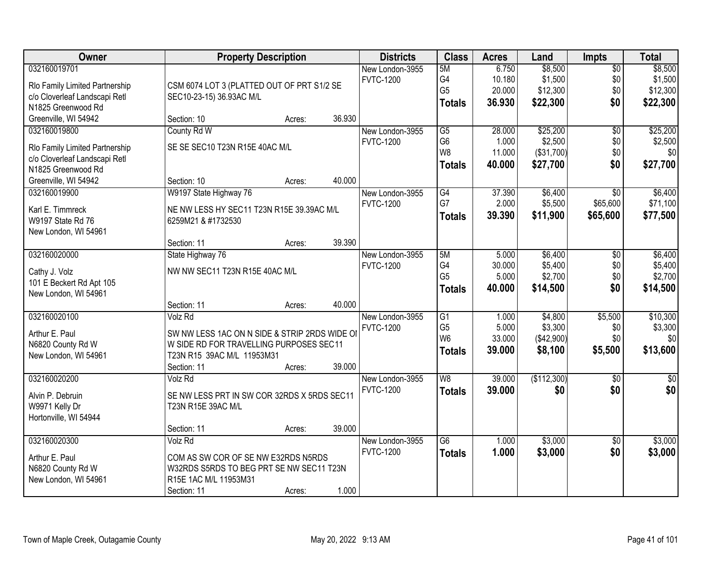| <b>Owner</b>                   | <b>Property Description</b>                   |        |        | <b>Districts</b> | <b>Class</b>    | <b>Acres</b> | Land        | <b>Impts</b>    | <b>Total</b> |
|--------------------------------|-----------------------------------------------|--------|--------|------------------|-----------------|--------------|-------------|-----------------|--------------|
| 032160019701                   |                                               |        |        | New London-3955  | 5M              | 6.750        | \$8,500     | $\overline{60}$ | \$8,500      |
| Rlo Family Limited Partnership | CSM 6074 LOT 3 (PLATTED OUT OF PRT S1/2 SE    |        |        | <b>FVTC-1200</b> | G4              | 10.180       | \$1,500     | \$0             | \$1,500      |
| c/o Cloverleaf Landscapi Retl  | SEC10-23-15) 36.93AC M/L                      |        |        |                  | G <sub>5</sub>  | 20.000       | \$12,300    | \$0             | \$12,300     |
| N1825 Greenwood Rd             |                                               |        |        |                  | <b>Totals</b>   | 36.930       | \$22,300    | \$0             | \$22,300     |
| Greenville, WI 54942           | Section: 10                                   | Acres: | 36.930 |                  |                 |              |             |                 |              |
| 032160019800                   | County Rd W                                   |        |        | New London-3955  | $\overline{G5}$ | 28.000       | \$25,200    | $\overline{50}$ | \$25,200     |
| Rlo Family Limited Partnership | SE SE SEC10 T23N R15E 40AC M/L                |        |        | <b>FVTC-1200</b> | G <sub>6</sub>  | 1.000        | \$2,500     | \$0             | \$2,500      |
| c/o Cloverleaf Landscapi Retl  |                                               |        |        |                  | W <sub>8</sub>  | 11.000       | (\$31,700)  | \$0             | \$0          |
| N1825 Greenwood Rd             |                                               |        |        |                  | <b>Totals</b>   | 40.000       | \$27,700    | \$0             | \$27,700     |
| Greenville, WI 54942           | Section: 10                                   | Acres: | 40.000 |                  |                 |              |             |                 |              |
| 032160019900                   | W9197 State Highway 76                        |        |        | New London-3955  | G4              | 37.390       | \$6,400     | \$0             | \$6,400      |
| Karl E. Timmreck               | NE NW LESS HY SEC11 T23N R15E 39.39AC M/L     |        |        | <b>FVTC-1200</b> | G7              | 2.000        | \$5,500     | \$65,600        | \$71,100     |
| W9197 State Rd 76              | 6259M21 & #1732530                            |        |        |                  | <b>Totals</b>   | 39.390       | \$11,900    | \$65,600        | \$77,500     |
| New London, WI 54961           |                                               |        |        |                  |                 |              |             |                 |              |
|                                | Section: 11                                   | Acres: | 39.390 |                  |                 |              |             |                 |              |
| 032160020000                   | State Highway 76                              |        |        | New London-3955  | 5M              | 5.000        | \$6,400     | \$0             | \$6,400      |
| Cathy J. Volz                  | NW NW SEC11 T23N R15E 40AC M/L                |        |        | <b>FVTC-1200</b> | G4              | 30.000       | \$5,400     | \$0             | \$5,400      |
| 101 E Beckert Rd Apt 105       |                                               |        |        |                  | G <sub>5</sub>  | 5.000        | \$2,700     | \$0             | \$2,700      |
| New London, WI 54961           |                                               |        |        |                  | <b>Totals</b>   | 40.000       | \$14,500    | \$0             | \$14,500     |
|                                | Section: 11                                   | Acres: | 40.000 |                  |                 |              |             |                 |              |
| 032160020100                   | Volz Rd                                       |        |        | New London-3955  | $\overline{G1}$ | 1.000        | \$4,800     | \$5,500         | \$10,300     |
| Arthur E. Paul                 | SW NW LESS 1AC ON N SIDE & STRIP 2RDS WIDE OI |        |        | <b>FVTC-1200</b> | G <sub>5</sub>  | 5.000        | \$3,300     | \$0             | \$3,300      |
| N6820 County Rd W              | W SIDE RD FOR TRAVELLING PURPOSES SEC11       |        |        |                  | W <sub>6</sub>  | 33.000       | (\$42,900)  | \$0             | \$0          |
| New London, WI 54961           | T23N R15 39AC M/L 11953M31                    |        |        |                  | <b>Totals</b>   | 39.000       | \$8,100     | \$5,500         | \$13,600     |
|                                | Section: 11                                   | Acres: | 39.000 |                  |                 |              |             |                 |              |
| 032160020200                   | Volz Rd                                       |        |        | New London-3955  | W <sub>8</sub>  | 39.000       | (\$112,300) | $\overline{50}$ | $\sqrt{50}$  |
| Alvin P. Debruin               | SE NW LESS PRT IN SW COR 32RDS X 5RDS SEC11   |        |        | <b>FVTC-1200</b> | <b>Totals</b>   | 39.000       | \$0         | \$0             | \$0          |
| W9971 Kelly Dr                 | T23N R15E 39AC M/L                            |        |        |                  |                 |              |             |                 |              |
| Hortonville, WI 54944          |                                               |        |        |                  |                 |              |             |                 |              |
|                                | Section: 11                                   | Acres: | 39.000 |                  |                 |              |             |                 |              |
| 032160020300                   | Volz Rd                                       |        |        | New London-3955  | $\overline{G6}$ | 1.000        | \$3,000     | $\overline{30}$ | \$3,000      |
| Arthur E. Paul                 | COM AS SW COR OF SE NW E32RDS N5RDS           |        |        | <b>FVTC-1200</b> | <b>Totals</b>   | 1.000        | \$3,000     | \$0             | \$3,000      |
| N6820 County Rd W              | W32RDS S5RDS TO BEG PRT SE NW SEC11 T23N      |        |        |                  |                 |              |             |                 |              |
| New London, WI 54961           | R15E 1AC M/L 11953M31                         |        |        |                  |                 |              |             |                 |              |
|                                | Section: 11                                   | Acres: | 1.000  |                  |                 |              |             |                 |              |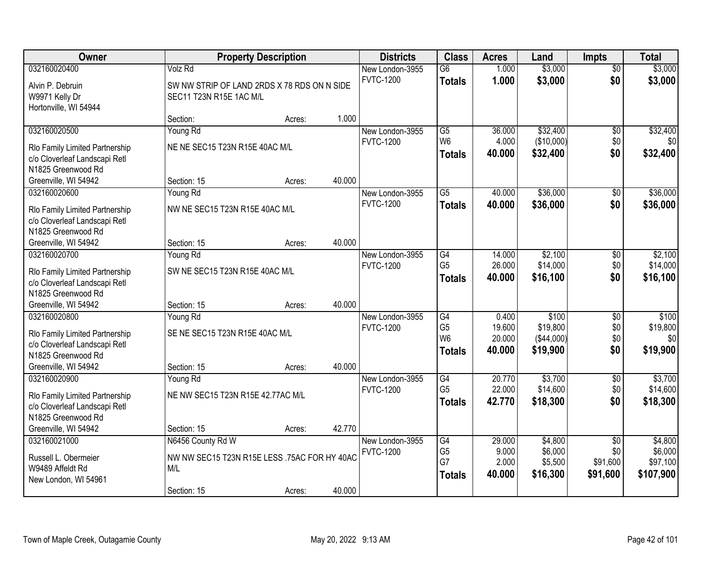| 032160020400<br>$\overline{G6}$<br>1.000<br>\$3,000<br>Volz Rd<br>New London-3955<br>$\overline{50}$<br>1.000<br>\$3,000<br>\$0<br><b>FVTC-1200</b><br>\$3,000<br><b>Totals</b><br>Alvin P. Debruin<br>SW NW STRIP OF LAND 2RDS X 78 RDS ON N SIDE<br>W9971 Kelly Dr<br>SEC11 T23N R15E 1AC M/L<br>Hortonville, WI 54944<br>1.000<br>Section:<br>Acres:<br>\$32,400<br>032160020500<br>Young Rd<br>$\overline{G5}$<br>36.000<br>$\overline{50}$<br>New London-3955<br>W <sub>6</sub><br>4.000<br>(\$10,000)<br>\$0<br><b>FVTC-1200</b><br>NE NE SEC15 T23N R15E 40AC M/L<br>Rlo Family Limited Partnership<br>\$0<br>40.000<br>\$32,400<br><b>Totals</b><br>c/o Cloverleaf Landscapi Retl<br>N1825 Greenwood Rd<br>40.000<br>Greenville, WI 54942<br>Section: 15<br>Acres:<br>\$36,000<br>032160020600<br>Young Rd<br>$\overline{G5}$<br>40.000<br>New London-3955<br>$\sqrt[6]{3}$<br><b>FVTC-1200</b><br>\$0<br>\$36,000<br>40.000<br><b>Totals</b><br>NW NE SEC15 T23N R15E 40AC M/L<br>Rlo Family Limited Partnership<br>c/o Cloverleaf Landscapi Retl<br>N1825 Greenwood Rd<br>40.000<br>Greenville, WI 54942<br>Section: 15<br>Acres:<br>032160020700<br>$\overline{G4}$<br>\$2,100<br>Young Rd<br>New London-3955<br>14.000<br>\$0<br>G <sub>5</sub><br>\$14,000<br>26.000<br>\$0<br><b>FVTC-1200</b><br>SW NE SEC15 T23N R15E 40AC M/L<br>Rlo Family Limited Partnership<br>\$0<br>40.000<br>\$16,100<br><b>Totals</b><br>c/o Cloverleaf Landscapi Retl<br>N1825 Greenwood Rd<br>40.000<br>Greenville, WI 54942<br>Section: 15<br>Acres:<br>\$100<br>032160020800<br>$\overline{G4}$<br>0.400<br>$\overline{50}$<br>\$100<br>Young Rd<br>New London-3955<br>G <sub>5</sub><br>19.600<br>\$19,800<br>\$0<br><b>FVTC-1200</b><br>SE NE SEC15 T23N R15E 40AC M/L<br>Rlo Family Limited Partnership<br>W <sub>6</sub><br>\$0<br>20.000<br>(\$44,000)<br>c/o Cloverleaf Landscapi Retl<br>\$0<br>\$19,900<br>40.000<br>\$19,900<br><b>Totals</b><br>N1825 Greenwood Rd<br>40.000<br>Greenville, WI 54942<br>Section: 15<br>Acres:<br>$\overline{G4}$<br>\$3,700<br>032160020900<br>20.770<br>$\overline{$0}$<br>Young Rd<br>New London-3955<br>G <sub>5</sub><br>\$14,600<br>22.000<br>\$0<br><b>FVTC-1200</b><br>NE NW SEC15 T23N R15E 42.77AC M/L<br>Rlo Family Limited Partnership<br>42.770<br>\$18,300<br>\$0<br>\$18,300<br><b>Totals</b><br>c/o Cloverleaf Landscapi Retl<br>N1825 Greenwood Rd<br>Greenville, WI 54942<br>42.770<br>Section: 15<br>Acres:<br>032160021000<br>N6456 County Rd W<br>G4<br>\$4,800<br>New London-3955<br>29.000<br>$\overline{50}$<br>G <sub>5</sub><br>9.000<br>\$6,000<br><b>FVTC-1200</b><br>\$0<br>NW NW SEC15 T23N R15E LESS .75AC FOR HY 40AC<br>Russell L. Obermeier<br>G7<br>2.000<br>\$91,600<br>\$5,500<br>W9489 Affeldt Rd<br>M/L<br>40.000<br>\$16,300<br>\$91,600<br>\$107,900<br><b>Totals</b><br>New London, WI 54961 | Owner |             | <b>Property Description</b> |        | <b>Districts</b> | <b>Class</b> | <b>Acres</b> | Land    | <b>Impts</b> | <b>Total</b> |
|------------------------------------------------------------------------------------------------------------------------------------------------------------------------------------------------------------------------------------------------------------------------------------------------------------------------------------------------------------------------------------------------------------------------------------------------------------------------------------------------------------------------------------------------------------------------------------------------------------------------------------------------------------------------------------------------------------------------------------------------------------------------------------------------------------------------------------------------------------------------------------------------------------------------------------------------------------------------------------------------------------------------------------------------------------------------------------------------------------------------------------------------------------------------------------------------------------------------------------------------------------------------------------------------------------------------------------------------------------------------------------------------------------------------------------------------------------------------------------------------------------------------------------------------------------------------------------------------------------------------------------------------------------------------------------------------------------------------------------------------------------------------------------------------------------------------------------------------------------------------------------------------------------------------------------------------------------------------------------------------------------------------------------------------------------------------------------------------------------------------------------------------------------------------------------------------------------------------------------------------------------------------------------------------------------------------------------------------------------------------------------------------------------------------------------------------------------------------------------------------------------------------------------------------------------------------------------------------------------------------------------------------------------------------------------------------------------------------------------------------------------------------------------------------------------------------------------------------------------------------------|-------|-------------|-----------------------------|--------|------------------|--------------|--------------|---------|--------------|--------------|
|                                                                                                                                                                                                                                                                                                                                                                                                                                                                                                                                                                                                                                                                                                                                                                                                                                                                                                                                                                                                                                                                                                                                                                                                                                                                                                                                                                                                                                                                                                                                                                                                                                                                                                                                                                                                                                                                                                                                                                                                                                                                                                                                                                                                                                                                                                                                                                                                                                                                                                                                                                                                                                                                                                                                                                                                                                                                              |       |             |                             |        |                  |              |              | \$3,000 |              |              |
|                                                                                                                                                                                                                                                                                                                                                                                                                                                                                                                                                                                                                                                                                                                                                                                                                                                                                                                                                                                                                                                                                                                                                                                                                                                                                                                                                                                                                                                                                                                                                                                                                                                                                                                                                                                                                                                                                                                                                                                                                                                                                                                                                                                                                                                                                                                                                                                                                                                                                                                                                                                                                                                                                                                                                                                                                                                                              |       |             |                             |        |                  |              |              |         |              |              |
| \$32,400<br>\$32,400                                                                                                                                                                                                                                                                                                                                                                                                                                                                                                                                                                                                                                                                                                                                                                                                                                                                                                                                                                                                                                                                                                                                                                                                                                                                                                                                                                                                                                                                                                                                                                                                                                                                                                                                                                                                                                                                                                                                                                                                                                                                                                                                                                                                                                                                                                                                                                                                                                                                                                                                                                                                                                                                                                                                                                                                                                                         |       |             |                             |        |                  |              |              |         |              |              |
|                                                                                                                                                                                                                                                                                                                                                                                                                                                                                                                                                                                                                                                                                                                                                                                                                                                                                                                                                                                                                                                                                                                                                                                                                                                                                                                                                                                                                                                                                                                                                                                                                                                                                                                                                                                                                                                                                                                                                                                                                                                                                                                                                                                                                                                                                                                                                                                                                                                                                                                                                                                                                                                                                                                                                                                                                                                                              |       |             |                             |        |                  |              |              |         |              |              |
| \$0<br>\$36,000<br>\$36,000<br>\$2,100<br>\$14,000<br>\$16,100<br>\$19,800<br>\$0<br>\$3,700<br>\$14,600<br>\$4,800<br>\$6,000<br>\$97,100                                                                                                                                                                                                                                                                                                                                                                                                                                                                                                                                                                                                                                                                                                                                                                                                                                                                                                                                                                                                                                                                                                                                                                                                                                                                                                                                                                                                                                                                                                                                                                                                                                                                                                                                                                                                                                                                                                                                                                                                                                                                                                                                                                                                                                                                                                                                                                                                                                                                                                                                                                                                                                                                                                                                   |       |             |                             |        |                  |              |              |         |              |              |
|                                                                                                                                                                                                                                                                                                                                                                                                                                                                                                                                                                                                                                                                                                                                                                                                                                                                                                                                                                                                                                                                                                                                                                                                                                                                                                                                                                                                                                                                                                                                                                                                                                                                                                                                                                                                                                                                                                                                                                                                                                                                                                                                                                                                                                                                                                                                                                                                                                                                                                                                                                                                                                                                                                                                                                                                                                                                              |       |             |                             |        |                  |              |              |         |              |              |
|                                                                                                                                                                                                                                                                                                                                                                                                                                                                                                                                                                                                                                                                                                                                                                                                                                                                                                                                                                                                                                                                                                                                                                                                                                                                                                                                                                                                                                                                                                                                                                                                                                                                                                                                                                                                                                                                                                                                                                                                                                                                                                                                                                                                                                                                                                                                                                                                                                                                                                                                                                                                                                                                                                                                                                                                                                                                              |       |             |                             |        |                  |              |              |         |              |              |
|                                                                                                                                                                                                                                                                                                                                                                                                                                                                                                                                                                                                                                                                                                                                                                                                                                                                                                                                                                                                                                                                                                                                                                                                                                                                                                                                                                                                                                                                                                                                                                                                                                                                                                                                                                                                                                                                                                                                                                                                                                                                                                                                                                                                                                                                                                                                                                                                                                                                                                                                                                                                                                                                                                                                                                                                                                                                              |       |             |                             |        |                  |              |              |         |              |              |
|                                                                                                                                                                                                                                                                                                                                                                                                                                                                                                                                                                                                                                                                                                                                                                                                                                                                                                                                                                                                                                                                                                                                                                                                                                                                                                                                                                                                                                                                                                                                                                                                                                                                                                                                                                                                                                                                                                                                                                                                                                                                                                                                                                                                                                                                                                                                                                                                                                                                                                                                                                                                                                                                                                                                                                                                                                                                              |       |             |                             |        |                  |              |              |         |              |              |
|                                                                                                                                                                                                                                                                                                                                                                                                                                                                                                                                                                                                                                                                                                                                                                                                                                                                                                                                                                                                                                                                                                                                                                                                                                                                                                                                                                                                                                                                                                                                                                                                                                                                                                                                                                                                                                                                                                                                                                                                                                                                                                                                                                                                                                                                                                                                                                                                                                                                                                                                                                                                                                                                                                                                                                                                                                                                              |       |             |                             |        |                  |              |              |         |              |              |
|                                                                                                                                                                                                                                                                                                                                                                                                                                                                                                                                                                                                                                                                                                                                                                                                                                                                                                                                                                                                                                                                                                                                                                                                                                                                                                                                                                                                                                                                                                                                                                                                                                                                                                                                                                                                                                                                                                                                                                                                                                                                                                                                                                                                                                                                                                                                                                                                                                                                                                                                                                                                                                                                                                                                                                                                                                                                              |       |             |                             |        |                  |              |              |         |              |              |
|                                                                                                                                                                                                                                                                                                                                                                                                                                                                                                                                                                                                                                                                                                                                                                                                                                                                                                                                                                                                                                                                                                                                                                                                                                                                                                                                                                                                                                                                                                                                                                                                                                                                                                                                                                                                                                                                                                                                                                                                                                                                                                                                                                                                                                                                                                                                                                                                                                                                                                                                                                                                                                                                                                                                                                                                                                                                              |       |             |                             |        |                  |              |              |         |              |              |
|                                                                                                                                                                                                                                                                                                                                                                                                                                                                                                                                                                                                                                                                                                                                                                                                                                                                                                                                                                                                                                                                                                                                                                                                                                                                                                                                                                                                                                                                                                                                                                                                                                                                                                                                                                                                                                                                                                                                                                                                                                                                                                                                                                                                                                                                                                                                                                                                                                                                                                                                                                                                                                                                                                                                                                                                                                                                              |       |             |                             |        |                  |              |              |         |              |              |
|                                                                                                                                                                                                                                                                                                                                                                                                                                                                                                                                                                                                                                                                                                                                                                                                                                                                                                                                                                                                                                                                                                                                                                                                                                                                                                                                                                                                                                                                                                                                                                                                                                                                                                                                                                                                                                                                                                                                                                                                                                                                                                                                                                                                                                                                                                                                                                                                                                                                                                                                                                                                                                                                                                                                                                                                                                                                              |       |             |                             |        |                  |              |              |         |              |              |
|                                                                                                                                                                                                                                                                                                                                                                                                                                                                                                                                                                                                                                                                                                                                                                                                                                                                                                                                                                                                                                                                                                                                                                                                                                                                                                                                                                                                                                                                                                                                                                                                                                                                                                                                                                                                                                                                                                                                                                                                                                                                                                                                                                                                                                                                                                                                                                                                                                                                                                                                                                                                                                                                                                                                                                                                                                                                              |       |             |                             |        |                  |              |              |         |              |              |
|                                                                                                                                                                                                                                                                                                                                                                                                                                                                                                                                                                                                                                                                                                                                                                                                                                                                                                                                                                                                                                                                                                                                                                                                                                                                                                                                                                                                                                                                                                                                                                                                                                                                                                                                                                                                                                                                                                                                                                                                                                                                                                                                                                                                                                                                                                                                                                                                                                                                                                                                                                                                                                                                                                                                                                                                                                                                              |       |             |                             |        |                  |              |              |         |              |              |
|                                                                                                                                                                                                                                                                                                                                                                                                                                                                                                                                                                                                                                                                                                                                                                                                                                                                                                                                                                                                                                                                                                                                                                                                                                                                                                                                                                                                                                                                                                                                                                                                                                                                                                                                                                                                                                                                                                                                                                                                                                                                                                                                                                                                                                                                                                                                                                                                                                                                                                                                                                                                                                                                                                                                                                                                                                                                              |       |             |                             |        |                  |              |              |         |              |              |
|                                                                                                                                                                                                                                                                                                                                                                                                                                                                                                                                                                                                                                                                                                                                                                                                                                                                                                                                                                                                                                                                                                                                                                                                                                                                                                                                                                                                                                                                                                                                                                                                                                                                                                                                                                                                                                                                                                                                                                                                                                                                                                                                                                                                                                                                                                                                                                                                                                                                                                                                                                                                                                                                                                                                                                                                                                                                              |       |             |                             |        |                  |              |              |         |              |              |
|                                                                                                                                                                                                                                                                                                                                                                                                                                                                                                                                                                                                                                                                                                                                                                                                                                                                                                                                                                                                                                                                                                                                                                                                                                                                                                                                                                                                                                                                                                                                                                                                                                                                                                                                                                                                                                                                                                                                                                                                                                                                                                                                                                                                                                                                                                                                                                                                                                                                                                                                                                                                                                                                                                                                                                                                                                                                              |       |             |                             |        |                  |              |              |         |              |              |
|                                                                                                                                                                                                                                                                                                                                                                                                                                                                                                                                                                                                                                                                                                                                                                                                                                                                                                                                                                                                                                                                                                                                                                                                                                                                                                                                                                                                                                                                                                                                                                                                                                                                                                                                                                                                                                                                                                                                                                                                                                                                                                                                                                                                                                                                                                                                                                                                                                                                                                                                                                                                                                                                                                                                                                                                                                                                              |       |             |                             |        |                  |              |              |         |              |              |
|                                                                                                                                                                                                                                                                                                                                                                                                                                                                                                                                                                                                                                                                                                                                                                                                                                                                                                                                                                                                                                                                                                                                                                                                                                                                                                                                                                                                                                                                                                                                                                                                                                                                                                                                                                                                                                                                                                                                                                                                                                                                                                                                                                                                                                                                                                                                                                                                                                                                                                                                                                                                                                                                                                                                                                                                                                                                              |       |             |                             |        |                  |              |              |         |              |              |
|                                                                                                                                                                                                                                                                                                                                                                                                                                                                                                                                                                                                                                                                                                                                                                                                                                                                                                                                                                                                                                                                                                                                                                                                                                                                                                                                                                                                                                                                                                                                                                                                                                                                                                                                                                                                                                                                                                                                                                                                                                                                                                                                                                                                                                                                                                                                                                                                                                                                                                                                                                                                                                                                                                                                                                                                                                                                              |       |             |                             |        |                  |              |              |         |              |              |
|                                                                                                                                                                                                                                                                                                                                                                                                                                                                                                                                                                                                                                                                                                                                                                                                                                                                                                                                                                                                                                                                                                                                                                                                                                                                                                                                                                                                                                                                                                                                                                                                                                                                                                                                                                                                                                                                                                                                                                                                                                                                                                                                                                                                                                                                                                                                                                                                                                                                                                                                                                                                                                                                                                                                                                                                                                                                              |       |             |                             |        |                  |              |              |         |              |              |
|                                                                                                                                                                                                                                                                                                                                                                                                                                                                                                                                                                                                                                                                                                                                                                                                                                                                                                                                                                                                                                                                                                                                                                                                                                                                                                                                                                                                                                                                                                                                                                                                                                                                                                                                                                                                                                                                                                                                                                                                                                                                                                                                                                                                                                                                                                                                                                                                                                                                                                                                                                                                                                                                                                                                                                                                                                                                              |       |             |                             |        |                  |              |              |         |              |              |
|                                                                                                                                                                                                                                                                                                                                                                                                                                                                                                                                                                                                                                                                                                                                                                                                                                                                                                                                                                                                                                                                                                                                                                                                                                                                                                                                                                                                                                                                                                                                                                                                                                                                                                                                                                                                                                                                                                                                                                                                                                                                                                                                                                                                                                                                                                                                                                                                                                                                                                                                                                                                                                                                                                                                                                                                                                                                              |       |             |                             |        |                  |              |              |         |              |              |
|                                                                                                                                                                                                                                                                                                                                                                                                                                                                                                                                                                                                                                                                                                                                                                                                                                                                                                                                                                                                                                                                                                                                                                                                                                                                                                                                                                                                                                                                                                                                                                                                                                                                                                                                                                                                                                                                                                                                                                                                                                                                                                                                                                                                                                                                                                                                                                                                                                                                                                                                                                                                                                                                                                                                                                                                                                                                              |       |             |                             |        |                  |              |              |         |              |              |
|                                                                                                                                                                                                                                                                                                                                                                                                                                                                                                                                                                                                                                                                                                                                                                                                                                                                                                                                                                                                                                                                                                                                                                                                                                                                                                                                                                                                                                                                                                                                                                                                                                                                                                                                                                                                                                                                                                                                                                                                                                                                                                                                                                                                                                                                                                                                                                                                                                                                                                                                                                                                                                                                                                                                                                                                                                                                              |       |             |                             |        |                  |              |              |         |              |              |
|                                                                                                                                                                                                                                                                                                                                                                                                                                                                                                                                                                                                                                                                                                                                                                                                                                                                                                                                                                                                                                                                                                                                                                                                                                                                                                                                                                                                                                                                                                                                                                                                                                                                                                                                                                                                                                                                                                                                                                                                                                                                                                                                                                                                                                                                                                                                                                                                                                                                                                                                                                                                                                                                                                                                                                                                                                                                              |       |             |                             |        |                  |              |              |         |              |              |
|                                                                                                                                                                                                                                                                                                                                                                                                                                                                                                                                                                                                                                                                                                                                                                                                                                                                                                                                                                                                                                                                                                                                                                                                                                                                                                                                                                                                                                                                                                                                                                                                                                                                                                                                                                                                                                                                                                                                                                                                                                                                                                                                                                                                                                                                                                                                                                                                                                                                                                                                                                                                                                                                                                                                                                                                                                                                              |       |             |                             |        |                  |              |              |         |              |              |
|                                                                                                                                                                                                                                                                                                                                                                                                                                                                                                                                                                                                                                                                                                                                                                                                                                                                                                                                                                                                                                                                                                                                                                                                                                                                                                                                                                                                                                                                                                                                                                                                                                                                                                                                                                                                                                                                                                                                                                                                                                                                                                                                                                                                                                                                                                                                                                                                                                                                                                                                                                                                                                                                                                                                                                                                                                                                              |       |             |                             |        |                  |              |              |         |              |              |
| Acres:                                                                                                                                                                                                                                                                                                                                                                                                                                                                                                                                                                                                                                                                                                                                                                                                                                                                                                                                                                                                                                                                                                                                                                                                                                                                                                                                                                                                                                                                                                                                                                                                                                                                                                                                                                                                                                                                                                                                                                                                                                                                                                                                                                                                                                                                                                                                                                                                                                                                                                                                                                                                                                                                                                                                                                                                                                                                       |       | Section: 15 |                             | 40.000 |                  |              |              |         |              |              |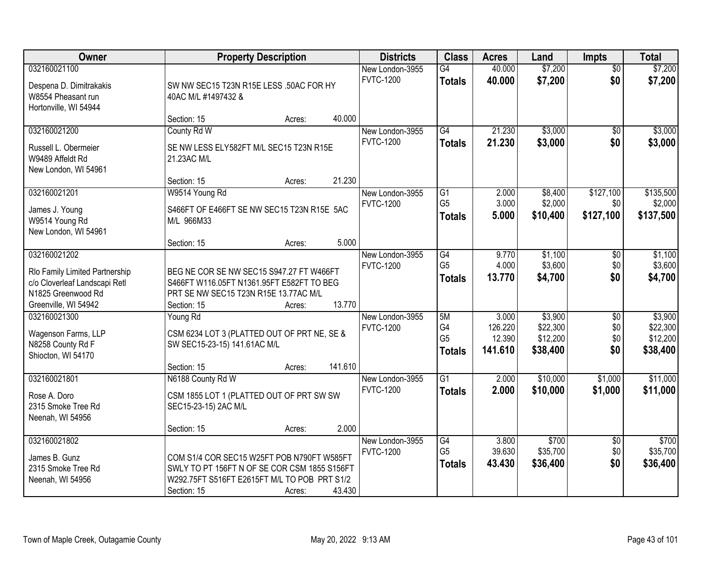| Owner                                                                                                                         | <b>Property Description</b>                                                                                                                                                   | <b>Districts</b>                    | <b>Class</b>                                | <b>Acres</b>                          | Land                                        | <b>Impts</b>                         | <b>Total</b>                                |
|-------------------------------------------------------------------------------------------------------------------------------|-------------------------------------------------------------------------------------------------------------------------------------------------------------------------------|-------------------------------------|---------------------------------------------|---------------------------------------|---------------------------------------------|--------------------------------------|---------------------------------------------|
| 032160021100<br>Despena D. Dimitrakakis<br>W8554 Pheasant run                                                                 | SW NW SEC15 T23N R15E LESS .50AC FOR HY<br>40AC M/L #1497432 &                                                                                                                | New London-3955<br><b>FVTC-1200</b> | $\overline{G4}$<br><b>Totals</b>            | 40.000<br>40.000                      | \$7,200<br>\$7,200                          | $\overline{50}$<br>\$0               | \$7,200<br>\$7,200                          |
| Hortonville, WI 54944                                                                                                         | 40.000<br>Section: 15<br>Acres:                                                                                                                                               |                                     |                                             |                                       |                                             |                                      |                                             |
| 032160021200<br>Russell L. Obermeier<br>W9489 Affeldt Rd<br>New London, WI 54961                                              | County Rd W<br>SE NW LESS ELY582FT M/L SEC15 T23N R15E<br>21.23AC M/L                                                                                                         | New London-3955<br><b>FVTC-1200</b> | G4<br><b>Totals</b>                         | 21.230<br>21.230                      | \$3,000<br>\$3,000                          | \$0<br>\$0                           | \$3,000<br>\$3,000                          |
| 032160021201<br>James J. Young<br>W9514 Young Rd<br>New London, WI 54961                                                      | 21.230<br>Section: 15<br>Acres:<br>W9514 Young Rd<br>S466FT OF E466FT SE NW SEC15 T23N R15E 5AC<br>M/L 966M33<br>5.000<br>Section: 15<br>Acres:                               | New London-3955<br><b>FVTC-1200</b> | G1<br>G <sub>5</sub><br><b>Totals</b>       | 2.000<br>3.000<br>5.000               | \$8,400<br>\$2,000<br>\$10,400              | \$127,100<br>\$0<br>\$127,100        | \$135,500<br>\$2,000<br>\$137,500           |
| 032160021202<br>Rlo Family Limited Partnership<br>c/o Cloverleaf Landscapi Retl<br>N1825 Greenwood Rd<br>Greenville, WI 54942 | BEG NE COR SE NW SEC15 S947.27 FT W466FT<br>S466FT W116.05FT N1361.95FT E582FT TO BEG<br>PRT SE NW SEC15 T23N R15E 13.77AC M/L<br>13.770<br>Section: 15<br>Acres:             | New London-3955<br><b>FVTC-1200</b> | G4<br>G <sub>5</sub><br><b>Totals</b>       | 9.770<br>4.000<br>13.770              | \$1,100<br>\$3,600<br>\$4,700               | $\sqrt[6]{3}$<br>\$0<br>\$0          | \$1,100<br>\$3,600<br>\$4,700               |
| 032160021300<br>Wagenson Farms, LLP<br>N8258 County Rd F<br>Shiocton, WI 54170                                                | Young Rd<br>CSM 6234 LOT 3 (PLATTED OUT OF PRT NE, SE &<br>SW SEC15-23-15) 141.61AC M/L<br>141.610<br>Section: 15<br>Acres:                                                   | New London-3955<br><b>FVTC-1200</b> | 5M<br>G4<br>G <sub>5</sub><br><b>Totals</b> | 3.000<br>126.220<br>12.390<br>141.610 | \$3,900<br>\$22,300<br>\$12,200<br>\$38,400 | $\overline{50}$<br>\$0<br>\$0<br>\$0 | \$3,900<br>\$22,300<br>\$12,200<br>\$38,400 |
| 032160021801<br>Rose A. Doro<br>2315 Smoke Tree Rd<br>Neenah, WI 54956                                                        | N6188 County Rd W<br>CSM 1855 LOT 1 (PLATTED OUT OF PRT SW SW<br>SEC15-23-15) 2AC M/L<br>2.000<br>Section: 15<br>Acres:                                                       | New London-3955<br><b>FVTC-1200</b> | $\overline{G1}$<br><b>Totals</b>            | 2.000<br>2.000                        | \$10,000<br>\$10,000                        | \$1,000<br>\$1,000                   | \$11,000<br>\$11,000                        |
| 032160021802<br>James B. Gunz<br>2315 Smoke Tree Rd<br>Neenah, WI 54956                                                       | COM S1/4 COR SEC15 W25FT POB N790FT W585FT<br>SWLY TO PT 156FT N OF SE COR CSM 1855 S156FT<br>W292.75FT S516FT E2615FT M/L TO POB PRT S1/2<br>43.430<br>Section: 15<br>Acres: | New London-3955<br><b>FVTC-1200</b> | G4<br>G <sub>5</sub><br><b>Totals</b>       | 3.800<br>39.630<br>43.430             | \$700<br>\$35,700<br>\$36,400               | $\overline{60}$<br>\$0<br>\$0        | \$700<br>\$35,700<br>\$36,400               |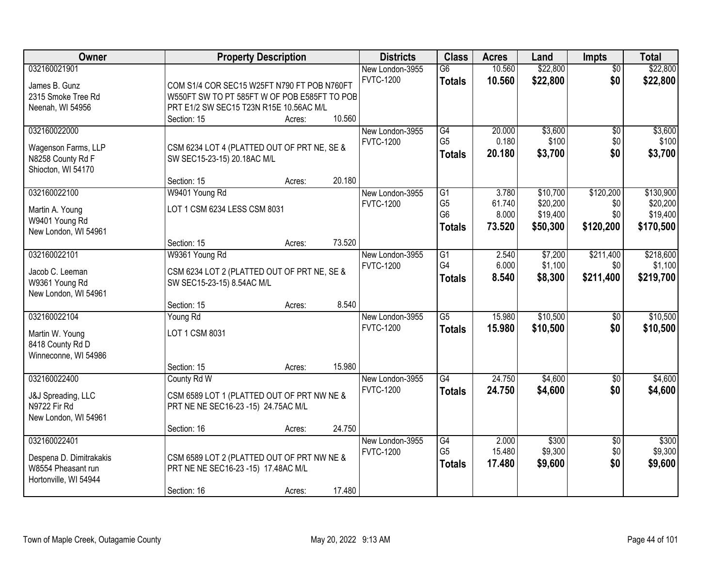| Owner                                    |                                                                            | <b>Property Description</b> |        | <b>Districts</b> | <b>Class</b>    | <b>Acres</b> | Land     | <b>Impts</b>    | <b>Total</b> |
|------------------------------------------|----------------------------------------------------------------------------|-----------------------------|--------|------------------|-----------------|--------------|----------|-----------------|--------------|
| 032160021901                             |                                                                            |                             |        | New London-3955  | $\overline{G6}$ | 10.560       | \$22,800 | $\overline{50}$ | \$22,800     |
| James B. Gunz                            | COM S1/4 COR SEC15 W25FT N790 FT POB N760FT                                |                             |        | <b>FVTC-1200</b> | <b>Totals</b>   | 10.560       | \$22,800 | \$0             | \$22,800     |
| 2315 Smoke Tree Rd                       | W550FT SW TO PT 585FT W OF POB E585FT TO POB                               |                             |        |                  |                 |              |          |                 |              |
| Neenah, WI 54956                         | PRT E1/2 SW SEC15 T23N R15E 10.56AC M/L                                    |                             |        |                  |                 |              |          |                 |              |
|                                          | Section: 15                                                                | Acres:                      | 10.560 |                  |                 |              |          |                 |              |
| 032160022000                             |                                                                            |                             |        | New London-3955  | G4              | 20.000       | \$3,600  | \$0             | \$3,600      |
|                                          |                                                                            |                             |        | <b>FVTC-1200</b> | G <sub>5</sub>  | 0.180        | \$100    | \$0             | \$100        |
| Wagenson Farms, LLP<br>N8258 County Rd F | CSM 6234 LOT 4 (PLATTED OUT OF PRT NE, SE &<br>SW SEC15-23-15) 20.18AC M/L |                             |        |                  | <b>Totals</b>   | 20.180       | \$3,700  | \$0             | \$3,700      |
| Shiocton, WI 54170                       |                                                                            |                             |        |                  |                 |              |          |                 |              |
|                                          | Section: 15                                                                | Acres:                      | 20.180 |                  |                 |              |          |                 |              |
| 032160022100                             | W9401 Young Rd                                                             |                             |        | New London-3955  | $\overline{G1}$ | 3.780        | \$10,700 | \$120,200       | \$130,900    |
|                                          |                                                                            |                             |        | <b>FVTC-1200</b> | G <sub>5</sub>  | 61.740       | \$20,200 | \$0             | \$20,200     |
| Martin A. Young                          | LOT 1 CSM 6234 LESS CSM 8031                                               |                             |        |                  | G <sub>6</sub>  | 8.000        | \$19,400 | \$0             | \$19,400     |
| W9401 Young Rd                           |                                                                            |                             |        |                  | <b>Totals</b>   | 73.520       | \$50,300 | \$120,200       | \$170,500    |
| New London, WI 54961                     | Section: 15                                                                | Acres:                      | 73.520 |                  |                 |              |          |                 |              |
| 032160022101                             | W9361 Young Rd                                                             |                             |        | New London-3955  | $\overline{G1}$ | 2.540        | \$7,200  | \$211,400       | \$218,600    |
|                                          |                                                                            |                             |        | <b>FVTC-1200</b> | G4              | 6.000        | \$1,100  | \$0             | \$1,100      |
| Jacob C. Leeman                          | CSM 6234 LOT 2 (PLATTED OUT OF PRT NE, SE &                                |                             |        |                  | <b>Totals</b>   | 8.540        | \$8,300  | \$211,400       | \$219,700    |
| W9361 Young Rd                           | SW SEC15-23-15) 8.54AC M/L                                                 |                             |        |                  |                 |              |          |                 |              |
| New London, WI 54961                     |                                                                            |                             |        |                  |                 |              |          |                 |              |
|                                          | Section: 15                                                                | Acres:                      | 8.540  |                  |                 |              |          |                 |              |
| 032160022104                             | Young Rd                                                                   |                             |        | New London-3955  | $\overline{G5}$ | 15.980       | \$10,500 | $\overline{50}$ | \$10,500     |
| Martin W. Young                          | LOT 1 CSM 8031                                                             |                             |        | <b>FVTC-1200</b> | <b>Totals</b>   | 15.980       | \$10,500 | \$0             | \$10,500     |
| 8418 County Rd D                         |                                                                            |                             |        |                  |                 |              |          |                 |              |
| Winneconne, WI 54986                     |                                                                            |                             |        |                  |                 |              |          |                 |              |
|                                          | Section: 15                                                                | Acres:                      | 15.980 |                  |                 |              |          |                 |              |
| 032160022400                             | County Rd W                                                                |                             |        | New London-3955  | G4              | 24.750       | \$4,600  | \$0             | \$4,600      |
| J&J Spreading, LLC                       | CSM 6589 LOT 1 (PLATTED OUT OF PRT NW NE &                                 |                             |        | <b>FVTC-1200</b> | <b>Totals</b>   | 24.750       | \$4,600  | \$0             | \$4,600      |
| N9722 Fir Rd                             | PRT NE NE SEC16-23 -15) 24.75AC M/L                                        |                             |        |                  |                 |              |          |                 |              |
| New London, WI 54961                     |                                                                            |                             |        |                  |                 |              |          |                 |              |
|                                          | Section: 16                                                                | Acres:                      | 24.750 |                  |                 |              |          |                 |              |
| 032160022401                             |                                                                            |                             |        | New London-3955  | G4              | 2.000        | \$300    | $\overline{60}$ | \$300        |
| Despena D. Dimitrakakis                  | CSM 6589 LOT 2 (PLATTED OUT OF PRT NW NE &                                 |                             |        | <b>FVTC-1200</b> | G <sub>5</sub>  | 15.480       | \$9,300  | \$0             | \$9,300      |
| W8554 Pheasant run                       | PRT NE NE SEC16-23 -15) 17.48AC M/L                                        |                             |        |                  | <b>Totals</b>   | 17.480       | \$9,600  | \$0             | \$9,600      |
| Hortonville, WI 54944                    |                                                                            |                             |        |                  |                 |              |          |                 |              |
|                                          | Section: 16                                                                | Acres:                      | 17.480 |                  |                 |              |          |                 |              |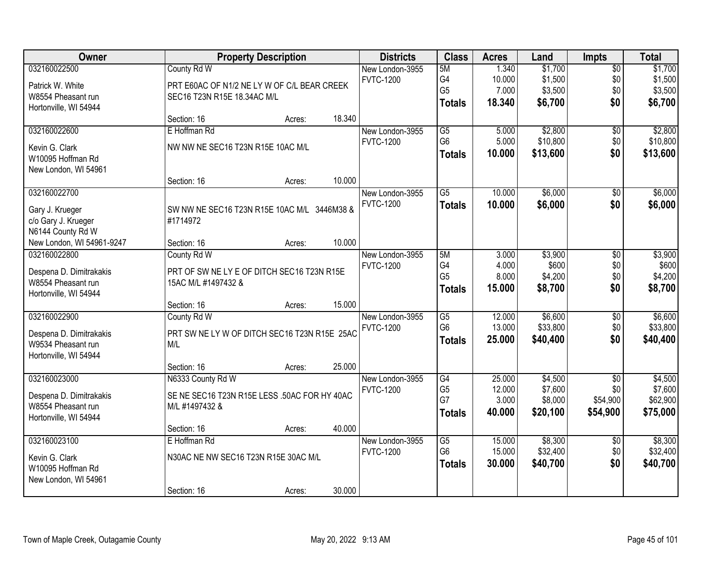| Owner                     |                                              | <b>Property Description</b> |        | <b>Districts</b>                    | <b>Class</b>         | <b>Acres</b>     | Land                | <b>Impts</b>           | <b>Total</b>        |
|---------------------------|----------------------------------------------|-----------------------------|--------|-------------------------------------|----------------------|------------------|---------------------|------------------------|---------------------|
| 032160022500              | County Rd W                                  |                             |        | New London-3955                     | 5M                   | 1.340            | \$1,700             | $\sqrt{$0}$            | \$1,700             |
| Patrick W. White          | PRT E60AC OF N1/2 NE LY W OF C/L BEAR CREEK  |                             |        | <b>FVTC-1200</b>                    | G4                   | 10.000           | \$1,500             | \$0                    | \$1,500             |
| W8554 Pheasant run        | SEC16 T23N R15E 18.34AC M/L                  |                             |        |                                     | G <sub>5</sub>       | 7.000            | \$3,500             | \$0                    | \$3,500             |
| Hortonville, WI 54944     |                                              |                             |        |                                     | <b>Totals</b>        | 18.340           | \$6,700             | \$0                    | \$6,700             |
|                           | Section: 16                                  | Acres:                      | 18.340 |                                     |                      |                  |                     |                        |                     |
| 032160022600              | E Hoffman Rd                                 |                             |        | New London-3955                     | $\overline{G5}$      | 5.000            | \$2,800             | \$0                    | \$2,800             |
| Kevin G. Clark            | NW NW NE SEC16 T23N R15E 10AC M/L            |                             |        | <b>FVTC-1200</b>                    | G <sub>6</sub>       | 5.000            | \$10,800            | \$0                    | \$10,800            |
| W10095 Hoffman Rd         |                                              |                             |        |                                     | <b>Totals</b>        | 10.000           | \$13,600            | \$0                    | \$13,600            |
| New London, WI 54961      |                                              |                             |        |                                     |                      |                  |                     |                        |                     |
|                           | Section: 16                                  | Acres:                      | 10.000 |                                     |                      |                  |                     |                        |                     |
| 032160022700              |                                              |                             |        | New London-3955                     | G5                   | 10.000           | \$6,000             | \$0                    | \$6,000             |
| Gary J. Krueger           | SW NW NE SEC16 T23N R15E 10AC M/L 3446M38 &  |                             |        | <b>FVTC-1200</b>                    | <b>Totals</b>        | 10.000           | \$6,000             | \$0                    | \$6,000             |
| c/o Gary J. Krueger       | #1714972                                     |                             |        |                                     |                      |                  |                     |                        |                     |
| N6144 County Rd W         |                                              |                             |        |                                     |                      |                  |                     |                        |                     |
| New London, WI 54961-9247 | Section: 16                                  | Acres:                      | 10.000 |                                     |                      |                  |                     |                        |                     |
| 032160022800              | County Rd W                                  |                             |        | New London-3955                     | 5M                   | 3.000            | \$3,900             | $\sqrt[6]{3}$          | \$3,900             |
| Despena D. Dimitrakakis   | PRT OF SW NE LY E OF DITCH SEC16 T23N R15E   |                             |        | <b>FVTC-1200</b>                    | G4                   | 4.000            | \$600               | \$0                    | \$600               |
| W8554 Pheasant run        | 15AC M/L #1497432 &                          |                             |        |                                     | G <sub>5</sub>       | 8.000            | \$4,200             | \$0                    | \$4,200             |
| Hortonville, WI 54944     |                                              |                             |        |                                     | <b>Totals</b>        | 15.000           | \$8,700             | \$0                    | \$8,700             |
|                           | Section: 16                                  | Acres:                      | 15.000 |                                     |                      |                  |                     |                        |                     |
| 032160022900              | County Rd W                                  |                             |        | New London-3955                     | $\overline{G5}$      | 12.000           | \$6,600             | $\overline{50}$        | \$6,600             |
| Despena D. Dimitrakakis   | PRT SW NE LY W OF DITCH SEC16 T23N R15E 25AC |                             |        | <b>FVTC-1200</b>                    | G <sub>6</sub>       | 13.000           | \$33,800            | \$0                    | \$33,800            |
| W9534 Pheasant run        | M/L                                          |                             |        |                                     | <b>Totals</b>        | 25.000           | \$40,400            | \$0                    | \$40,400            |
| Hortonville, WI 54944     |                                              |                             |        |                                     |                      |                  |                     |                        |                     |
|                           | Section: 16                                  | Acres:                      | 25.000 |                                     |                      |                  |                     |                        |                     |
| 032160023000              | N6333 County Rd W                            |                             |        | New London-3955                     | G4<br>G <sub>5</sub> | 25.000<br>12.000 | \$4,500<br>\$7,600  | $\overline{50}$<br>\$0 | \$4,500<br>\$7,600  |
| Despena D. Dimitrakakis   | SE NE SEC16 T23N R15E LESS .50AC FOR HY 40AC |                             |        | <b>FVTC-1200</b>                    | G7                   | 3.000            | \$8,000             | \$54,900               | \$62,900            |
| W8554 Pheasant run        | M/L #1497432 &                               |                             |        |                                     | <b>Totals</b>        | 40.000           | \$20,100            | \$54,900               | \$75,000            |
| Hortonville, WI 54944     |                                              |                             |        |                                     |                      |                  |                     |                        |                     |
|                           | Section: 16                                  | Acres:                      | 40.000 |                                     |                      |                  |                     |                        |                     |
| 032160023100              | E Hoffman Rd                                 |                             |        | New London-3955<br><b>FVTC-1200</b> | G5<br>G <sub>6</sub> | 15,000<br>15.000 | \$8,300<br>\$32,400 | $\overline{50}$<br>\$0 | \$8,300<br>\$32,400 |
| Kevin G. Clark            | N30AC NE NW SEC16 T23N R15E 30AC M/L         |                             |        |                                     | <b>Totals</b>        | 30.000           | \$40,700            | \$0                    | \$40,700            |
| W10095 Hoffman Rd         |                                              |                             |        |                                     |                      |                  |                     |                        |                     |
| New London, WI 54961      |                                              |                             |        |                                     |                      |                  |                     |                        |                     |
|                           | Section: 16                                  | Acres:                      | 30.000 |                                     |                      |                  |                     |                        |                     |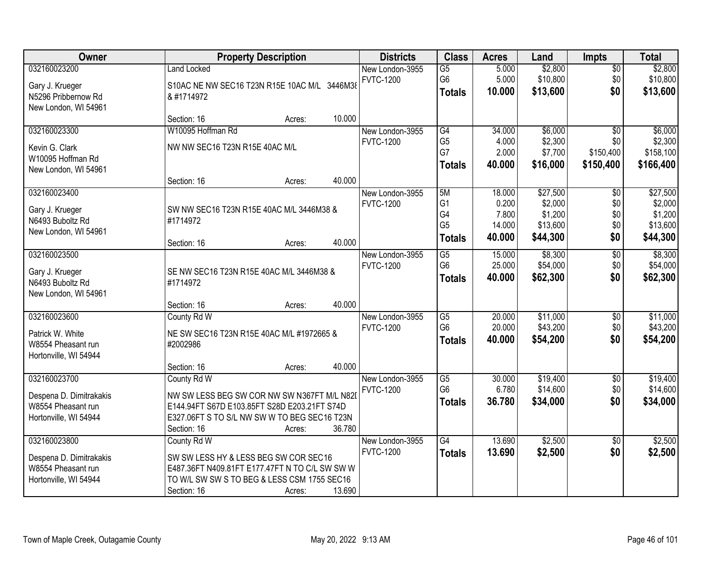| Owner                   |                                                | <b>Property Description</b> |        | <b>Districts</b> | <b>Class</b>         | <b>Acres</b>    | Land                | <b>Impts</b>    | <b>Total</b>        |
|-------------------------|------------------------------------------------|-----------------------------|--------|------------------|----------------------|-----------------|---------------------|-----------------|---------------------|
| 032160023200            | <b>Land Locked</b>                             |                             |        | New London-3955  | $\overline{G5}$      | 5.000           | \$2,800             | $\sqrt{$0}$     | \$2,800             |
| Gary J. Krueger         | S10AC NE NW SEC16 T23N R15E 10AC M/L 3446M38   |                             |        | <b>FVTC-1200</b> | G <sub>6</sub>       | 5.000           | \$10,800            | \$0             | \$10,800            |
| N5296 Pribbernow Rd     | & #1714972                                     |                             |        |                  | <b>Totals</b>        | 10.000          | \$13,600            | \$0             | \$13,600            |
| New London, WI 54961    |                                                |                             |        |                  |                      |                 |                     |                 |                     |
|                         | Section: 16                                    | Acres:                      | 10.000 |                  |                      |                 |                     |                 |                     |
| 032160023300            | W10095 Hoffman Rd                              |                             |        | New London-3955  | $\overline{G4}$      | 34.000          | \$6,000             | $\overline{50}$ | \$6,000             |
| Kevin G. Clark          | NW NW SEC16 T23N R15E 40AC M/L                 |                             |        | <b>FVTC-1200</b> | G <sub>5</sub>       | 4.000           | \$2,300             | \$0             | \$2,300             |
| W10095 Hoffman Rd       |                                                |                             |        |                  | G7                   | 2.000           | \$7,700             | \$150,400       | \$158,100           |
| New London, WI 54961    |                                                |                             |        |                  | <b>Totals</b>        | 40.000          | \$16,000            | \$150,400       | \$166,400           |
|                         | Section: 16                                    | Acres:                      | 40.000 |                  |                      |                 |                     |                 |                     |
| 032160023400            |                                                |                             |        | New London-3955  | 5M                   | 18.000          | \$27,500            | \$0             | \$27,500            |
| Gary J. Krueger         | SW NW SEC16 T23N R15E 40AC M/L 3446M38 &       |                             |        | <b>FVTC-1200</b> | G <sub>1</sub>       | 0.200           | \$2,000             | \$0             | \$2,000             |
| N6493 Buboltz Rd        | #1714972                                       |                             |        |                  | G4<br>G <sub>5</sub> | 7.800<br>14.000 | \$1,200<br>\$13,600 | \$0<br>\$0      | \$1,200<br>\$13,600 |
| New London, WI 54961    |                                                |                             |        |                  |                      | 40.000          | \$44,300            | \$0             | \$44,300            |
|                         | Section: 16                                    | Acres:                      | 40.000 |                  | <b>Totals</b>        |                 |                     |                 |                     |
| 032160023500            |                                                |                             |        | New London-3955  | G5                   | 15.000          | \$8,300             | \$0             | \$8,300             |
| Gary J. Krueger         | SE NW SEC16 T23N R15E 40AC M/L 3446M38 &       |                             |        | <b>FVTC-1200</b> | G <sub>6</sub>       | 25.000          | \$54,000            | \$0             | \$54,000            |
| N6493 Buboltz Rd        | #1714972                                       |                             |        |                  | <b>Totals</b>        | 40.000          | \$62,300            | \$0             | \$62,300            |
| New London, WI 54961    |                                                |                             |        |                  |                      |                 |                     |                 |                     |
|                         | Section: 16                                    | Acres:                      | 40.000 |                  |                      |                 |                     |                 |                     |
| 032160023600            | County Rd W                                    |                             |        | New London-3955  | $\overline{G5}$      | 20.000          | \$11,000            | $\overline{50}$ | \$11,000            |
| Patrick W. White        | NE SW SEC16 T23N R15E 40AC M/L #1972665 &      |                             |        | <b>FVTC-1200</b> | G <sub>6</sub>       | 20.000          | \$43,200            | \$0             | \$43,200            |
| W8554 Pheasant run      | #2002986                                       |                             |        |                  | <b>Totals</b>        | 40.000          | \$54,200            | \$0             | \$54,200            |
| Hortonville, WI 54944   |                                                |                             |        |                  |                      |                 |                     |                 |                     |
|                         | Section: 16                                    | Acres:                      | 40.000 |                  |                      |                 |                     |                 |                     |
| 032160023700            | County Rd W                                    |                             |        | New London-3955  | $\overline{G5}$      | 30.000          | \$19,400            | $\sqrt{6}$      | \$19,400            |
| Despena D. Dimitrakakis | NW SW LESS BEG SW COR NW SW N367FT M/L N82D    |                             |        | <b>FVTC-1200</b> | G <sub>6</sub>       | 6.780           | \$14,600            | \$0             | \$14,600            |
| W8554 Pheasant run      | E144.94FT S67D E103.85FT S28D E203.21FT S74D   |                             |        |                  | <b>Totals</b>        | 36.780          | \$34,000            | \$0             | \$34,000            |
| Hortonville, WI 54944   | E327.06FT S TO S/L NW SW W TO BEG SEC16 T23N   |                             |        |                  |                      |                 |                     |                 |                     |
|                         | Section: 16                                    | Acres:                      | 36.780 |                  |                      |                 |                     |                 |                     |
| 032160023800            | County Rd W                                    |                             |        | New London-3955  | G4                   | 13.690          | \$2,500             | $\overline{50}$ | \$2,500             |
| Despena D. Dimitrakakis | SW SW LESS HY & LESS BEG SW COR SEC16          |                             |        | <b>FVTC-1200</b> | <b>Totals</b>        | 13.690          | \$2,500             | \$0             | \$2,500             |
| W8554 Pheasant run      | E487.36FT N409.81FT E177.47FT N TO C/L SW SW W |                             |        |                  |                      |                 |                     |                 |                     |
| Hortonville, WI 54944   | TO W/L SW SW S TO BEG & LESS CSM 1755 SEC16    |                             |        |                  |                      |                 |                     |                 |                     |
|                         | Section: 16                                    | Acres:                      | 13.690 |                  |                      |                 |                     |                 |                     |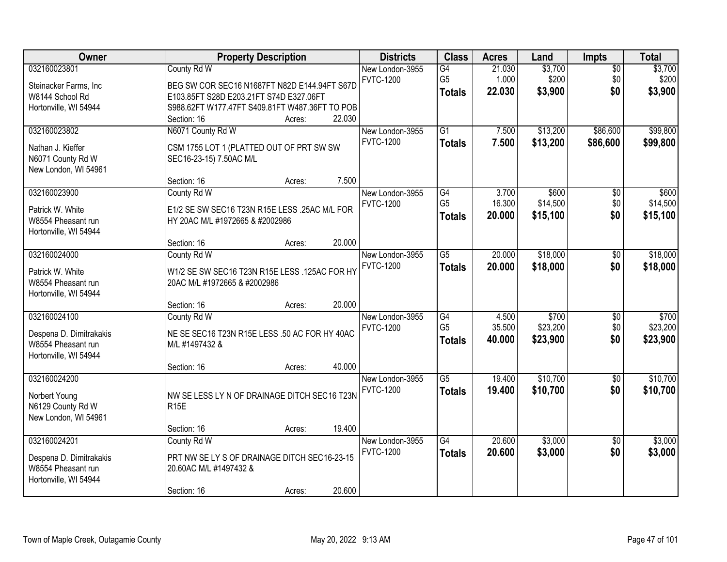| Owner                   |                                                | <b>Property Description</b> |        | <b>Districts</b> | <b>Class</b>    | <b>Acres</b> | Land     | Impts           | <b>Total</b> |
|-------------------------|------------------------------------------------|-----------------------------|--------|------------------|-----------------|--------------|----------|-----------------|--------------|
| 032160023801            | County Rd W                                    |                             |        | New London-3955  | G4              | 21.030       | \$3,700  | $\overline{50}$ | \$3,700      |
| Steinacker Farms, Inc   | BEG SW COR SEC16 N1687FT N82D E144.94FT S67D   |                             |        | <b>FVTC-1200</b> | G <sub>5</sub>  | 1.000        | \$200    | \$0             | \$200        |
| W8144 School Rd         | E103.85FT S28D E203.21FT S74D E327.06FT        |                             |        |                  | <b>Totals</b>   | 22.030       | \$3,900  | \$0             | \$3,900      |
| Hortonville, WI 54944   | S988.62FT W177.47FT S409.81FT W487.36FT TO POB |                             |        |                  |                 |              |          |                 |              |
|                         | Section: 16                                    | Acres:                      | 22.030 |                  |                 |              |          |                 |              |
| 032160023802            | N6071 County Rd W                              |                             |        | New London-3955  | $\overline{G1}$ | 7.500        | \$13,200 | \$86,600        | \$99,800     |
| Nathan J. Kieffer       | CSM 1755 LOT 1 (PLATTED OUT OF PRT SW SW       |                             |        | <b>FVTC-1200</b> | <b>Totals</b>   | 7.500        | \$13,200 | \$86,600        | \$99,800     |
| N6071 County Rd W       | SEC16-23-15) 7.50AC M/L                        |                             |        |                  |                 |              |          |                 |              |
| New London, WI 54961    |                                                |                             |        |                  |                 |              |          |                 |              |
|                         | Section: 16                                    | Acres:                      | 7.500  |                  |                 |              |          |                 |              |
| 032160023900            | County Rd W                                    |                             |        | New London-3955  | $\overline{G4}$ | 3.700        | \$600    | $\overline{50}$ | \$600        |
| Patrick W. White        | E1/2 SE SW SEC16 T23N R15E LESS .25AC M/L FOR  |                             |        | <b>FVTC-1200</b> | G <sub>5</sub>  | 16.300       | \$14,500 | \$0             | \$14,500     |
| W8554 Pheasant run      | HY 20AC M/L #1972665 & #2002986                |                             |        |                  | <b>Totals</b>   | 20.000       | \$15,100 | \$0             | \$15,100     |
| Hortonville, WI 54944   |                                                |                             |        |                  |                 |              |          |                 |              |
|                         | Section: 16                                    | Acres:                      | 20.000 |                  |                 |              |          |                 |              |
| 032160024000            | County Rd W                                    |                             |        | New London-3955  | $\overline{G5}$ | 20.000       | \$18,000 | \$0             | \$18,000     |
| Patrick W. White        | W1/2 SE SW SEC16 T23N R15E LESS .125AC FOR HY  |                             |        | <b>FVTC-1200</b> | <b>Totals</b>   | 20.000       | \$18,000 | \$0             | \$18,000     |
| W8554 Pheasant run      | 20AC M/L #1972665 & #2002986                   |                             |        |                  |                 |              |          |                 |              |
| Hortonville, WI 54944   |                                                |                             |        |                  |                 |              |          |                 |              |
|                         | Section: 16                                    | Acres:                      | 20.000 |                  |                 |              |          |                 |              |
| 032160024100            | County Rd W                                    |                             |        | New London-3955  | $\overline{G4}$ | 4.500        | \$700    | \$0             | \$700        |
| Despena D. Dimitrakakis | NE SE SEC16 T23N R15E LESS .50 AC FOR HY 40AC  |                             |        | <b>FVTC-1200</b> | G <sub>5</sub>  | 35.500       | \$23,200 | \$0             | \$23,200     |
| W8554 Pheasant run      | M/L #1497432 &                                 |                             |        |                  | <b>Totals</b>   | 40.000       | \$23,900 | \$0             | \$23,900     |
| Hortonville, WI 54944   |                                                |                             |        |                  |                 |              |          |                 |              |
|                         | Section: 16                                    | Acres:                      | 40.000 |                  |                 |              |          |                 |              |
| 032160024200            |                                                |                             |        | New London-3955  | $\overline{G5}$ | 19.400       | \$10,700 | $\overline{60}$ | \$10,700     |
| Norbert Young           | NW SE LESS LY N OF DRAINAGE DITCH SEC16 T23N   |                             |        | <b>FVTC-1200</b> | <b>Totals</b>   | 19.400       | \$10,700 | \$0             | \$10,700     |
| N6129 County Rd W       | R <sub>15E</sub>                               |                             |        |                  |                 |              |          |                 |              |
| New London, WI 54961    |                                                |                             |        |                  |                 |              |          |                 |              |
|                         | Section: 16                                    | Acres:                      | 19.400 |                  |                 |              |          |                 |              |
| 032160024201            | County Rd W                                    |                             |        | New London-3955  | $\overline{G4}$ | 20.600       | \$3,000  | $\overline{50}$ | \$3,000      |
| Despena D. Dimitrakakis | PRT NW SE LY S OF DRAINAGE DITCH SEC16-23-15   |                             |        | <b>FVTC-1200</b> | <b>Totals</b>   | 20.600       | \$3,000  | \$0             | \$3,000      |
| W8554 Pheasant run      | 20.60AC M/L #1497432 &                         |                             |        |                  |                 |              |          |                 |              |
| Hortonville, WI 54944   |                                                |                             |        |                  |                 |              |          |                 |              |
|                         | Section: 16                                    | Acres:                      | 20.600 |                  |                 |              |          |                 |              |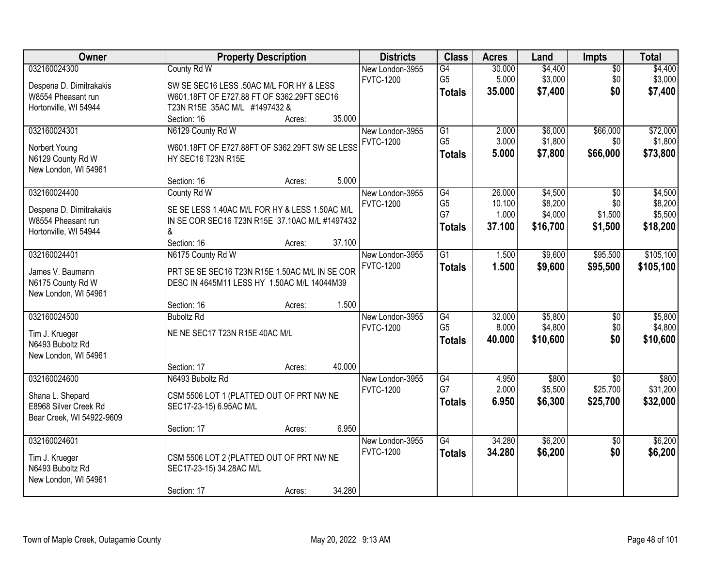| Owner                                         | <b>Property Description</b>                                                                      | <b>Districts</b>                    | <b>Class</b>    | <b>Acres</b> | Land     | <b>Impts</b>    | <b>Total</b> |
|-----------------------------------------------|--------------------------------------------------------------------------------------------------|-------------------------------------|-----------------|--------------|----------|-----------------|--------------|
| 032160024300                                  | County Rd W                                                                                      | New London-3955                     | G4              | 30.000       | \$4,400  | $\sqrt{$0}$     | \$4,400      |
| Despena D. Dimitrakakis                       | SW SE SEC16 LESS .50AC M/L FOR HY & LESS                                                         | <b>FVTC-1200</b>                    | G <sub>5</sub>  | 5.000        | \$3,000  | \$0             | \$3,000      |
| W8554 Pheasant run                            | W601.18FT OF E727.88 FT OF S362.29FT SEC16                                                       |                                     | <b>Totals</b>   | 35.000       | \$7,400  | \$0             | \$7,400      |
| Hortonville, WI 54944                         | T23N R15E 35AC M/L #1497432 &                                                                    |                                     |                 |              |          |                 |              |
|                                               | Section: 16<br>Acres:                                                                            | 35.000                              |                 |              |          |                 |              |
| 032160024301                                  | N6129 County Rd W                                                                                | New London-3955                     | G1              | 2.000        | \$6,000  | \$66,000        | \$72,000     |
|                                               | W601.18FT OF E727.88FT OF S362.29FT SW SE LESS                                                   | <b>FVTC-1200</b>                    | G <sub>5</sub>  | 3.000        | \$1,800  | \$0             | \$1,800      |
| Norbert Young<br>N6129 County Rd W            | HY SEC16 T23N R15E                                                                               |                                     | <b>Totals</b>   | 5.000        | \$7,800  | \$66,000        | \$73,800     |
| New London, WI 54961                          |                                                                                                  |                                     |                 |              |          |                 |              |
|                                               | Section: 16<br>Acres:                                                                            | 5.000                               |                 |              |          |                 |              |
| 032160024400                                  | County Rd W                                                                                      | New London-3955                     | G4              | 26.000       | \$4,500  | \$0             | \$4,500      |
|                                               |                                                                                                  | <b>FVTC-1200</b>                    | G <sub>5</sub>  | 10.100       | \$8,200  | \$0             | \$8,200      |
| Despena D. Dimitrakakis<br>W8554 Pheasant run | SE SE LESS 1.40AC M/L FOR HY & LESS 1.50AC M/L<br>IN SE COR SEC16 T23N R15E 37.10AC M/L #1497432 |                                     | G7              | 1.000        | \$4,000  | \$1,500         | \$5,500      |
| Hortonville, WI 54944                         | &                                                                                                |                                     | <b>Totals</b>   | 37.100       | \$16,700 | \$1,500         | \$18,200     |
|                                               | Section: 16<br>Acres:                                                                            | 37.100                              |                 |              |          |                 |              |
| 032160024401                                  | N6175 County Rd W                                                                                | New London-3955                     | $\overline{G1}$ | 1.500        | \$9,600  | \$95,500        | \$105,100    |
|                                               |                                                                                                  | <b>FVTC-1200</b>                    | <b>Totals</b>   | 1.500        | \$9,600  | \$95,500        | \$105,100    |
| James V. Baumann                              | PRT SE SE SEC16 T23N R15E 1.50AC M/L IN SE COR                                                   |                                     |                 |              |          |                 |              |
| N6175 County Rd W                             | DESC IN 4645M11 LESS HY 1.50AC M/L 14044M39                                                      |                                     |                 |              |          |                 |              |
| New London, WI 54961                          |                                                                                                  | 1.500                               |                 |              |          |                 |              |
| 032160024500                                  | Section: 16<br>Acres:<br><b>Buboltz Rd</b>                                                       |                                     | G4              | 32.000       | \$5,800  |                 | \$5,800      |
|                                               |                                                                                                  | New London-3955<br><b>FVTC-1200</b> | G <sub>5</sub>  | 8.000        | \$4,800  | \$0<br>\$0      | \$4,800      |
| Tim J. Krueger                                | NE NE SEC17 T23N R15E 40AC M/L                                                                   |                                     |                 | 40.000       | \$10,600 | \$0             | \$10,600     |
| N6493 Buboltz Rd                              |                                                                                                  |                                     | <b>Totals</b>   |              |          |                 |              |
| New London, WI 54961                          |                                                                                                  |                                     |                 |              |          |                 |              |
|                                               | Section: 17<br>Acres:                                                                            | 40.000                              |                 |              |          |                 |              |
| 032160024600                                  | N6493 Buboltz Rd                                                                                 | New London-3955                     | G4              | 4.950        | \$800    | \$0             | \$800        |
| Shana L. Shepard                              | CSM 5506 LOT 1 (PLATTED OUT OF PRT NW NE                                                         | <b>FVTC-1200</b>                    | G7              | 2.000        | \$5,500  | \$25,700        | \$31,200     |
| E8968 Silver Creek Rd                         | SEC17-23-15) 6.95AC M/L                                                                          |                                     | <b>Totals</b>   | 6.950        | \$6,300  | \$25,700        | \$32,000     |
| Bear Creek, WI 54922-9609                     |                                                                                                  |                                     |                 |              |          |                 |              |
|                                               | Section: 17<br>Acres:                                                                            | 6.950                               |                 |              |          |                 |              |
| 032160024601                                  |                                                                                                  | New London-3955                     | G4              | 34.280       | \$6,200  | $\overline{30}$ | \$6,200      |
| Tim J. Krueger                                | CSM 5506 LOT 2 (PLATTED OUT OF PRT NW NE                                                         | <b>FVTC-1200</b>                    | <b>Totals</b>   | 34.280       | \$6,200  | \$0             | \$6,200      |
| N6493 Buboltz Rd                              | SEC17-23-15) 34.28AC M/L                                                                         |                                     |                 |              |          |                 |              |
| New London, WI 54961                          |                                                                                                  |                                     |                 |              |          |                 |              |
|                                               | Section: 17<br>Acres:                                                                            | 34.280                              |                 |              |          |                 |              |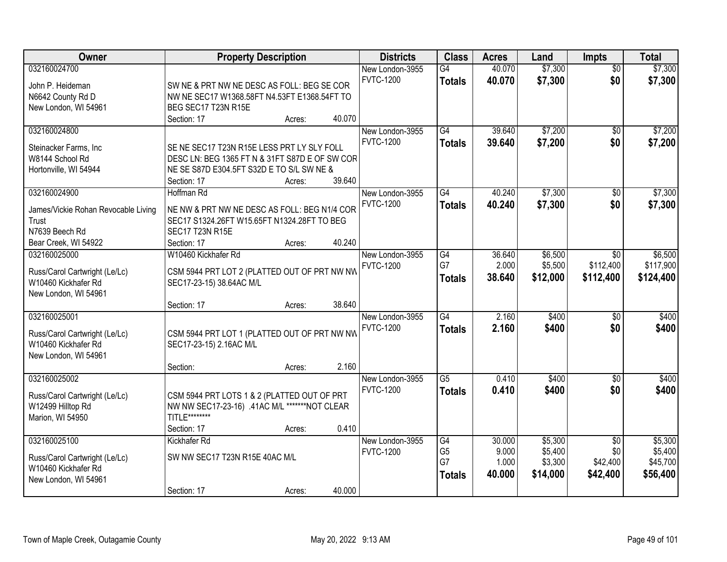| Owner                                                |                                                | <b>Property Description</b> |        | <b>Districts</b>                    | <b>Class</b>        | <b>Acres</b>     | Land               | Impts                  | <b>Total</b>       |
|------------------------------------------------------|------------------------------------------------|-----------------------------|--------|-------------------------------------|---------------------|------------------|--------------------|------------------------|--------------------|
| 032160024700<br>John P. Heideman                     | SW NE & PRT NW NE DESC AS FOLL: BEG SE COR     |                             |        | New London-3955<br><b>FVTC-1200</b> | G4<br><b>Totals</b> | 40.070<br>40.070 | \$7,300<br>\$7,300 | $\overline{50}$<br>\$0 | \$7,300<br>\$7,300 |
| N6642 County Rd D                                    | NW NE SEC17 W1368.58FT N4.53FT E1368.54FT TO   |                             |        |                                     |                     |                  |                    |                        |                    |
| New London, WI 54961                                 | BEG SEC17 T23N R15E                            |                             |        |                                     |                     |                  |                    |                        |                    |
|                                                      | Section: 17                                    | Acres:                      | 40.070 |                                     |                     |                  |                    |                        |                    |
| 032160024800                                         |                                                |                             |        | New London-3955<br><b>FVTC-1200</b> | G4<br><b>Totals</b> | 39.640<br>39.640 | \$7,200<br>\$7,200 | $\overline{50}$<br>\$0 | \$7,200<br>\$7,200 |
| Steinacker Farms, Inc.                               | SE NE SEC17 T23N R15E LESS PRT LY SLY FOLL     |                             |        |                                     |                     |                  |                    |                        |                    |
| W8144 School Rd                                      | DESC LN: BEG 1365 FT N & 31FT S87D E OF SW COR |                             |        |                                     |                     |                  |                    |                        |                    |
| Hortonville, WI 54944                                | NE SE S87D E304.5FT S32D E TO S/L SW NE &      |                             | 39.640 |                                     |                     |                  |                    |                        |                    |
| 032160024900                                         | Section: 17<br>Hoffman Rd                      | Acres:                      |        | New London-3955                     | G4                  | 40.240           | \$7,300            |                        | \$7,300            |
|                                                      |                                                |                             |        | <b>FVTC-1200</b>                    |                     |                  |                    | \$0                    |                    |
| James/Vickie Rohan Revocable Living                  | NE NW & PRT NW NE DESC AS FOLL: BEG N1/4 COR   |                             |        |                                     | <b>Totals</b>       | 40.240           | \$7,300            | \$0                    | \$7,300            |
| Trust                                                | SEC17 S1324.26FT W15.65FT N1324.28FT TO BEG    |                             |        |                                     |                     |                  |                    |                        |                    |
| N7639 Beech Rd                                       | <b>SEC17 T23N R15E</b>                         |                             |        |                                     |                     |                  |                    |                        |                    |
| Bear Creek, WI 54922                                 | Section: 17                                    | Acres:                      | 40.240 |                                     |                     |                  |                    |                        |                    |
| 032160025000                                         | W10460 Kickhafer Rd                            |                             |        | New London-3955                     | G4                  | 36.640           | \$6,500            | \$0                    | \$6,500            |
| Russ/Carol Cartwright (Le/Lc)                        | CSM 5944 PRT LOT 2 (PLATTED OUT OF PRT NW NW   |                             |        | <b>FVTC-1200</b>                    | G7                  | 2.000            | \$5,500            | \$112,400              | \$117,900          |
| W10460 Kickhafer Rd                                  | SEC17-23-15) 38.64AC M/L                       |                             |        |                                     | <b>Totals</b>       | 38.640           | \$12,000           | \$112,400              | \$124,400          |
| New London, WI 54961                                 |                                                |                             |        |                                     |                     |                  |                    |                        |                    |
|                                                      | Section: 17                                    | Acres:                      | 38.640 |                                     |                     |                  |                    |                        |                    |
| 032160025001                                         |                                                |                             |        | New London-3955                     | $\overline{G4}$     | 2.160            | \$400              | $\overline{50}$        | \$400              |
|                                                      |                                                |                             |        | <b>FVTC-1200</b>                    | <b>Totals</b>       | 2.160            | \$400              | \$0                    | \$400              |
| Russ/Carol Cartwright (Le/Lc)<br>W10460 Kickhafer Rd | CSM 5944 PRT LOT 1 (PLATTED OUT OF PRT NW NW   |                             |        |                                     |                     |                  |                    |                        |                    |
| New London, WI 54961                                 | SEC17-23-15) 2.16AC M/L                        |                             |        |                                     |                     |                  |                    |                        |                    |
|                                                      | Section:                                       | Acres:                      | 2.160  |                                     |                     |                  |                    |                        |                    |
| 032160025002                                         |                                                |                             |        | New London-3955                     | G5                  | 0.410            | \$400              | $\overline{60}$        | \$400              |
|                                                      |                                                |                             |        | <b>FVTC-1200</b>                    | <b>Totals</b>       | 0.410            | \$400              | \$0                    | \$400              |
| Russ/Carol Cartwright (Le/Lc)                        | CSM 5944 PRT LOTS 1 & 2 (PLATTED OUT OF PRT    |                             |        |                                     |                     |                  |                    |                        |                    |
| W12499 Hilltop Rd                                    | NW NW SEC17-23-16) .41AC M/L *******NOT CLEAR  |                             |        |                                     |                     |                  |                    |                        |                    |
| Marion, WI 54950                                     | TITLE********                                  |                             |        |                                     |                     |                  |                    |                        |                    |
|                                                      | Section: 17                                    | Acres:                      | 0.410  |                                     |                     |                  |                    |                        |                    |
| 032160025100                                         | Kickhafer Rd                                   |                             |        | New London-3955                     | G4                  | 30.000           | \$5,300            | $\overline{50}$        | \$5,300            |
| Russ/Carol Cartwright (Le/Lc)                        | SW NW SEC17 T23N R15E 40AC M/L                 |                             |        | <b>FVTC-1200</b>                    | G <sub>5</sub>      | 9.000            | \$5,400            | \$0                    | \$5,400            |
| W10460 Kickhafer Rd                                  |                                                |                             |        |                                     | G7                  | 1.000            | \$3,300            | \$42,400               | \$45,700           |
| New London, WI 54961                                 |                                                |                             |        |                                     | <b>Totals</b>       | 40.000           | \$14,000           | \$42,400               | \$56,400           |
|                                                      | Section: 17                                    | Acres:                      | 40.000 |                                     |                     |                  |                    |                        |                    |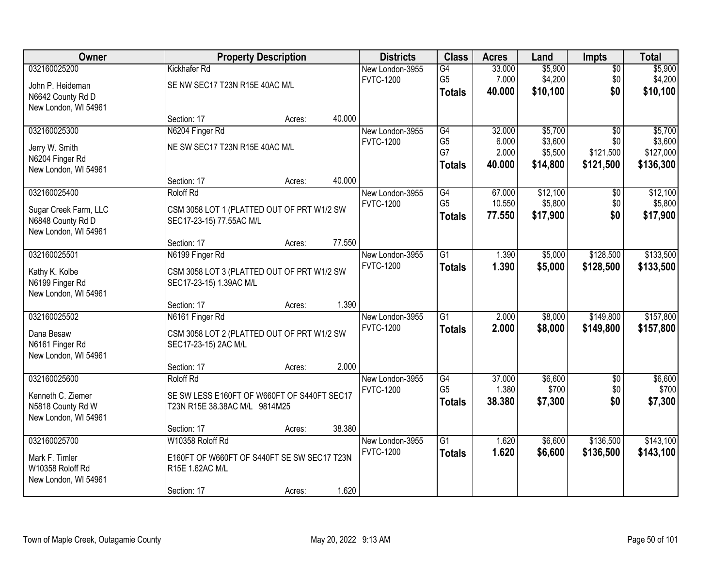| Owner                 |                                             | <b>Property Description</b> |        | <b>Districts</b> | <b>Class</b>    | <b>Acres</b> | Land     | <b>Impts</b>    | <b>Total</b> |
|-----------------------|---------------------------------------------|-----------------------------|--------|------------------|-----------------|--------------|----------|-----------------|--------------|
| 032160025200          | Kickhafer Rd                                |                             |        | New London-3955  | G4              | 33.000       | \$5,900  | $\overline{50}$ | \$5,900      |
| John P. Heideman      | SE NW SEC17 T23N R15E 40AC M/L              |                             |        | <b>FVTC-1200</b> | G <sub>5</sub>  | 7.000        | \$4,200  | \$0             | \$4,200      |
| N6642 County Rd D     |                                             |                             |        |                  | <b>Totals</b>   | 40.000       | \$10,100 | \$0             | \$10,100     |
| New London, WI 54961  |                                             |                             |        |                  |                 |              |          |                 |              |
|                       | Section: 17                                 | Acres:                      | 40.000 |                  |                 |              |          |                 |              |
| 032160025300          | N6204 Finger Rd                             |                             |        | New London-3955  | G4              | 32.000       | \$5,700  | $\overline{30}$ | \$5,700      |
| Jerry W. Smith        | NE SW SEC17 T23N R15E 40AC M/L              |                             |        | <b>FVTC-1200</b> | G <sub>5</sub>  | 6.000        | \$3,600  | \$0             | \$3,600      |
| N6204 Finger Rd       |                                             |                             |        |                  | G7              | 2.000        | \$5,500  | \$121,500       | \$127,000    |
| New London, WI 54961  |                                             |                             |        |                  | <b>Totals</b>   | 40.000       | \$14,800 | \$121,500       | \$136,300    |
|                       | Section: 17                                 | Acres:                      | 40.000 |                  |                 |              |          |                 |              |
| 032160025400          | <b>Roloff Rd</b>                            |                             |        | New London-3955  | G4              | 67.000       | \$12,100 | \$0             | \$12,100     |
| Sugar Creek Farm, LLC | CSM 3058 LOT 1 (PLATTED OUT OF PRT W1/2 SW  |                             |        | <b>FVTC-1200</b> | G <sub>5</sub>  | 10.550       | \$5,800  | \$0             | \$5,800      |
| N6848 County Rd D     | SEC17-23-15) 77.55AC M/L                    |                             |        |                  | <b>Totals</b>   | 77.550       | \$17,900 | \$0             | \$17,900     |
| New London, WI 54961  |                                             |                             |        |                  |                 |              |          |                 |              |
|                       | Section: 17                                 | Acres:                      | 77.550 |                  |                 |              |          |                 |              |
| 032160025501          | N6199 Finger Rd                             |                             |        | New London-3955  | $\overline{G1}$ | 1.390        | \$5,000  | \$128,500       | \$133,500    |
| Kathy K. Kolbe        | CSM 3058 LOT 3 (PLATTED OUT OF PRT W1/2 SW  |                             |        | <b>FVTC-1200</b> | <b>Totals</b>   | 1.390        | \$5,000  | \$128,500       | \$133,500    |
| N6199 Finger Rd       | SEC17-23-15) 1.39AC M/L                     |                             |        |                  |                 |              |          |                 |              |
| New London, WI 54961  |                                             |                             |        |                  |                 |              |          |                 |              |
|                       | Section: 17                                 | Acres:                      | 1.390  |                  |                 |              |          |                 |              |
| 032160025502          | N6161 Finger Rd                             |                             |        | New London-3955  | $\overline{G1}$ | 2.000        | \$8,000  | \$149,800       | \$157,800    |
| Dana Besaw            | CSM 3058 LOT 2 (PLATTED OUT OF PRT W1/2 SW  |                             |        | <b>FVTC-1200</b> | <b>Totals</b>   | 2.000        | \$8,000  | \$149,800       | \$157,800    |
| N6161 Finger Rd       | SEC17-23-15) 2AC M/L                        |                             |        |                  |                 |              |          |                 |              |
| New London, WI 54961  |                                             |                             |        |                  |                 |              |          |                 |              |
|                       | Section: 17                                 | Acres:                      | 2.000  |                  |                 |              |          |                 |              |
| 032160025600          | Roloff Rd                                   |                             |        | New London-3955  | $\overline{G4}$ | 37.000       | \$6,600  | $\overline{50}$ | \$6,600      |
| Kenneth C. Ziemer     | SE SW LESS E160FT OF W660FT OF S440FT SEC17 |                             |        | <b>FVTC-1200</b> | G <sub>5</sub>  | 1.380        | \$700    | \$0             | \$700        |
| N5818 County Rd W     | T23N R15E 38.38AC M/L 9814M25               |                             |        |                  | <b>Totals</b>   | 38,380       | \$7,300  | \$0             | \$7,300      |
| New London, WI 54961  |                                             |                             |        |                  |                 |              |          |                 |              |
|                       | Section: 17                                 | Acres:                      | 38.380 |                  |                 |              |          |                 |              |
| 032160025700          | W10358 Roloff Rd                            |                             |        | New London-3955  | $\overline{G1}$ | 1.620        | \$6,600  | \$136,500       | \$143,100    |
| Mark F. Timler        | E160FT OF W660FT OF S440FT SE SW SEC17 T23N |                             |        | <b>FVTC-1200</b> | <b>Totals</b>   | 1.620        | \$6,600  | \$136,500       | \$143,100    |
| W10358 Roloff Rd      | R15E 1.62AC M/L                             |                             |        |                  |                 |              |          |                 |              |
| New London, WI 54961  |                                             |                             |        |                  |                 |              |          |                 |              |
|                       | Section: 17                                 | Acres:                      | 1.620  |                  |                 |              |          |                 |              |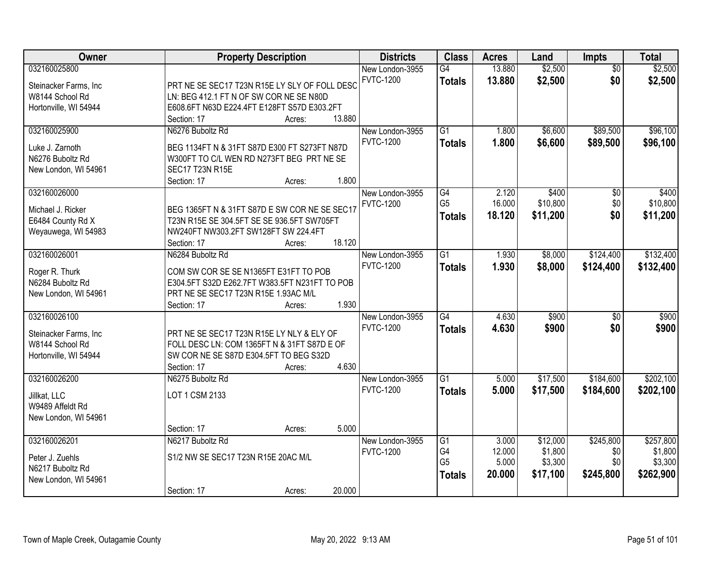| Owner                 | <b>Property Description</b>                   | <b>Districts</b> | <b>Class</b>    | <b>Acres</b>    | Land                | Impts            | <b>Total</b>         |
|-----------------------|-----------------------------------------------|------------------|-----------------|-----------------|---------------------|------------------|----------------------|
| 032160025800          |                                               | New London-3955  | G4              | 13.880          | \$2,500             | $\overline{50}$  | \$2,500              |
| Steinacker Farms, Inc | PRT NE SE SEC17 T23N R15E LY SLY OF FOLL DESC | <b>FVTC-1200</b> | <b>Totals</b>   | 13.880          | \$2,500             | \$0              | \$2,500              |
| W8144 School Rd       | LN: BEG 412.1 FT N OF SW COR NE SE N80D       |                  |                 |                 |                     |                  |                      |
| Hortonville, WI 54944 | E608.6FT N63D E224.4FT E128FT S57D E303.2FT   |                  |                 |                 |                     |                  |                      |
|                       | 13.880<br>Section: 17<br>Acres:               |                  |                 |                 |                     |                  |                      |
| 032160025900          | N6276 Buboltz Rd                              | New London-3955  | $\overline{G1}$ | 1.800           | \$6,600             | \$89,500         | \$96,100             |
|                       |                                               | <b>FVTC-1200</b> | <b>Totals</b>   | 1.800           | \$6,600             | \$89,500         | \$96,100             |
| Luke J. Zarnoth       | BEG 1134FT N & 31FT S87D E300 FT S273FT N87D  |                  |                 |                 |                     |                  |                      |
| N6276 Buboltz Rd      | W300FT TO C/L WEN RD N273FT BEG PRT NE SE     |                  |                 |                 |                     |                  |                      |
| New London, WI 54961  | <b>SEC17 T23N R15E</b>                        |                  |                 |                 |                     |                  |                      |
|                       | 1.800<br>Section: 17<br>Acres:                |                  |                 |                 |                     |                  |                      |
| 032160026000          |                                               | New London-3955  | G4              | 2.120           | \$400               | \$0              | \$400                |
| Michael J. Ricker     | BEG 1365FT N & 31FT S87D E SW COR NE SE SEC17 | <b>FVTC-1200</b> | G <sub>5</sub>  | 16.000          | \$10,800            | \$0              | \$10,800             |
| E6484 County Rd X     | T23N R15E SE 304.5FT SE SE 936.5FT SW705FT    |                  | <b>Totals</b>   | 18.120          | \$11,200            | \$0              | \$11,200             |
| Weyauwega, WI 54983   | NW240FT NW303.2FT SW128FT SW 224.4FT          |                  |                 |                 |                     |                  |                      |
|                       | 18.120<br>Section: 17<br>Acres:               |                  |                 |                 |                     |                  |                      |
| 032160026001          | N6284 Buboltz Rd                              | New London-3955  | $\overline{G1}$ | 1.930           | \$8,000             | \$124,400        | \$132,400            |
|                       |                                               | <b>FVTC-1200</b> | <b>Totals</b>   | 1.930           | \$8,000             | \$124,400        | \$132,400            |
| Roger R. Thurk        | COM SW COR SE SE N1365FT E31FT TO POB         |                  |                 |                 |                     |                  |                      |
| N6284 Buboltz Rd      | E304.5FT S32D E262.7FT W383.5FT N231FT TO POB |                  |                 |                 |                     |                  |                      |
| New London, WI 54961  | PRT NE SE SEC17 T23N R15E 1.93AC M/L          |                  |                 |                 |                     |                  |                      |
|                       | 1.930<br>Section: 17<br>Acres:                |                  |                 |                 |                     |                  |                      |
| 032160026100          |                                               | New London-3955  | $\overline{G4}$ | 4.630           | \$900               | $\overline{50}$  | \$900                |
| Steinacker Farms, Inc | PRT NE SE SEC17 T23N R15E LY NLY & ELY OF     | <b>FVTC-1200</b> | <b>Totals</b>   | 4.630           | \$900               | \$0              | \$900                |
| W8144 School Rd       | FOLL DESC LN: COM 1365FT N & 31FT S87D E OF   |                  |                 |                 |                     |                  |                      |
| Hortonville, WI 54944 | SW COR NE SE S87D E304.5FT TO BEG S32D        |                  |                 |                 |                     |                  |                      |
|                       | 4.630<br>Section: 17<br>Acres:                |                  |                 |                 |                     |                  |                      |
| 032160026200          | N6275 Buboltz Rd                              | New London-3955  | $\overline{G1}$ | 5.000           | \$17,500            | \$184,600        | \$202,100            |
|                       |                                               | <b>FVTC-1200</b> | <b>Totals</b>   | 5.000           | \$17,500            | \$184,600        | \$202,100            |
| Jillkat, LLC          | LOT 1 CSM 2133                                |                  |                 |                 |                     |                  |                      |
| W9489 Affeldt Rd      |                                               |                  |                 |                 |                     |                  |                      |
| New London, WI 54961  | 5.000                                         |                  |                 |                 |                     |                  |                      |
| 032160026201          | Section: 17<br>Acres:                         |                  |                 |                 |                     |                  |                      |
|                       | N6217 Buboltz Rd                              | New London-3955  | G1<br>G4        | 3.000<br>12.000 | \$12,000<br>\$1,800 | \$245,800<br>\$0 | \$257,800<br>\$1,800 |
| Peter J. Zuehls       | S1/2 NW SE SEC17 T23N R15E 20AC M/L           | <b>FVTC-1200</b> | G <sub>5</sub>  | 5.000           | \$3,300             | \$0              | \$3,300              |
| N6217 Buboltz Rd      |                                               |                  |                 |                 |                     |                  |                      |
| New London, WI 54961  |                                               |                  | <b>Totals</b>   | 20.000          | \$17,100            | \$245,800        | \$262,900            |
|                       | 20.000<br>Section: 17<br>Acres:               |                  |                 |                 |                     |                  |                      |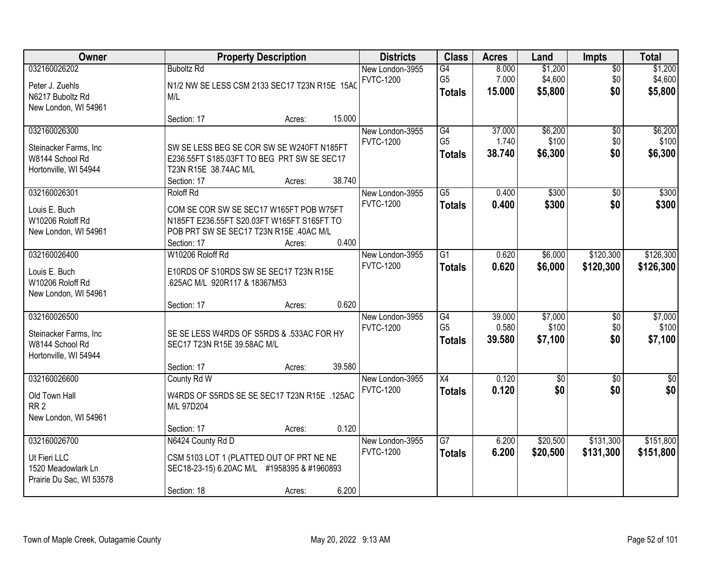| Owner                                                                              | <b>Property Description</b>                                                                                                                                            |        | <b>Districts</b>                    | <b>Class</b>                          | <b>Acres</b>              | Land                          | <b>Impts</b>              | <b>Total</b>                  |
|------------------------------------------------------------------------------------|------------------------------------------------------------------------------------------------------------------------------------------------------------------------|--------|-------------------------------------|---------------------------------------|---------------------------|-------------------------------|---------------------------|-------------------------------|
| 032160026202<br>Peter J. Zuehls<br>N6217 Buboltz Rd                                | <b>Buboltz Rd</b><br>N1/2 NW SE LESS CSM 2133 SEC17 T23N R15E 15A0<br>M/L                                                                                              |        | New London-3955<br><b>FVTC-1200</b> | G4<br>G <sub>5</sub><br><b>Totals</b> | 8.000<br>7.000<br>15.000  | \$1,200<br>\$4,600<br>\$5,800 | $\sqrt{$0}$<br>\$0<br>\$0 | \$1,200<br>\$4,600<br>\$5,800 |
| New London, WI 54961                                                               | Section: 17<br>Acres:                                                                                                                                                  | 15.000 |                                     |                                       |                           |                               |                           |                               |
| 032160026300<br>Steinacker Farms, Inc.<br>W8144 School Rd<br>Hortonville, WI 54944 | SW SE LESS BEG SE COR SW SE W240FT N185FT<br>E236.55FT S185.03FT TO BEG PRT SW SE SEC17<br>T23N R15E 38.74AC M/L<br>Section: 17<br>Acres:                              | 38.740 | New London-3955<br><b>FVTC-1200</b> | G4<br>G <sub>5</sub><br><b>Totals</b> | 37.000<br>1.740<br>38.740 | \$6,200<br>\$100<br>\$6,300   | \$0<br>\$0<br>\$0         | \$6,200<br>\$100<br>\$6,300   |
| 032160026301<br>Louis E. Buch<br>W10206 Roloff Rd<br>New London, WI 54961          | Roloff Rd<br>COM SE COR SW SE SEC17 W165FT POB W75FT<br>N185FT E236.55FT S20.03FT W165FT S165FT TO<br>POB PRT SW SE SEC17 T23N R15E .40AC M/L<br>Section: 17<br>Acres: | 0.400  | New London-3955<br><b>FVTC-1200</b> | $\overline{G5}$<br><b>Totals</b>      | 0.400<br>0.400            | \$300<br>\$300                | \$0<br>\$0                | \$300<br>\$300                |
| 032160026400<br>Louis E. Buch<br>W10206 Roloff Rd<br>New London, WI 54961          | W10206 Roloff Rd<br>E10RDS OF S10RDS SW SE SEC17 T23N R15E<br>.625AC M/L 920R117 & 18367M53<br>Section: 17<br>Acres:                                                   | 0.620  | New London-3955<br><b>FVTC-1200</b> | $\overline{G1}$<br><b>Totals</b>      | 0.620<br>0.620            | \$6,000<br>\$6,000            | \$120,300<br>\$120,300    | \$126,300<br>\$126,300        |
| 032160026500<br>Steinacker Farms, Inc<br>W8144 School Rd<br>Hortonville, WI 54944  | SE SE LESS W4RDS OF S5RDS & .533AC FOR HY<br>SEC17 T23N R15E 39.58AC M/L<br>Section: 17<br>Acres:                                                                      | 39.580 | New London-3955<br><b>FVTC-1200</b> | G4<br>G <sub>5</sub><br><b>Totals</b> | 39.000<br>0.580<br>39.580 | \$7,000<br>\$100<br>\$7,100   | \$0<br>\$0<br>\$0         | \$7,000<br>\$100<br>\$7,100   |
| 032160026600<br>Old Town Hall<br>RR <sub>2</sub><br>New London, WI 54961           | County Rd W<br>W4RDS OF S5RDS SE SE SEC17 T23N R15E .125AC<br>M/L 97D204<br>Section: 17<br>Acres:                                                                      | 0.120  | New London-3955<br><b>FVTC-1200</b> | X4<br><b>Totals</b>                   | 0.120<br>0.120            | $\overline{50}$<br>\$0        | $\sqrt{6}$<br>\$0         | $\overline{\$0}$<br>\$0       |
| 032160026700<br>Ut Fieri LLC<br>1520 Meadowlark Ln<br>Prairie Du Sac, WI 53578     | N6424 County Rd D<br>CSM 5103 LOT 1 (PLATTED OUT OF PRT NE NE<br>SEC18-23-15) 6.20AC M/L #1958395 & #1960893<br>Section: 18<br>Acres:                                  | 6.200  | New London-3955<br><b>FVTC-1200</b> | $\overline{G7}$<br><b>Totals</b>      | 6.200<br>6.200            | \$20,500<br>\$20,500          | \$131,300<br>\$131,300    | \$151,800<br>\$151,800        |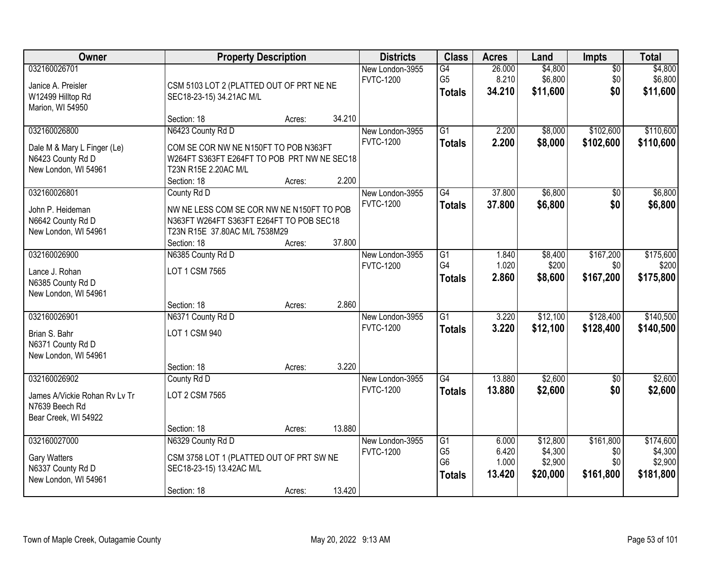| Owner                                                                       |                                                                                                                                       | <b>Property Description</b> |        | <b>Districts</b>                    | <b>Class</b>                           | <b>Acres</b>              | Land                           | Impts                         | <b>Total</b>                    |
|-----------------------------------------------------------------------------|---------------------------------------------------------------------------------------------------------------------------------------|-----------------------------|--------|-------------------------------------|----------------------------------------|---------------------------|--------------------------------|-------------------------------|---------------------------------|
| 032160026701<br>Janice A. Preisler<br>W12499 Hilltop Rd<br>Marion, WI 54950 | CSM 5103 LOT 2 (PLATTED OUT OF PRT NE NE<br>SEC18-23-15) 34.21AC M/L                                                                  |                             |        | New London-3955<br><b>FVTC-1200</b> | G4<br>G <sub>5</sub><br><b>Totals</b>  | 26.000<br>8.210<br>34.210 | \$4,800<br>\$6,800<br>\$11,600 | $\overline{50}$<br>\$0<br>\$0 | \$4,800<br>\$6,800<br>\$11,600  |
|                                                                             | Section: 18                                                                                                                           | Acres:                      | 34.210 |                                     |                                        |                           |                                |                               |                                 |
| 032160026800<br>Dale M & Mary L Finger (Le)                                 | N6423 County Rd D<br>COM SE COR NW NE N150FT TO POB N363FT                                                                            |                             |        | New London-3955<br><b>FVTC-1200</b> | $\overline{G1}$<br><b>Totals</b>       | 2.200<br>2.200            | \$8,000<br>\$8,000             | \$102,600<br>\$102,600        | \$110,600<br>\$110,600          |
| N6423 County Rd D<br>New London, WI 54961                                   | W264FT S363FT E264FT TO POB PRT NW NE SEC18<br>T23N R15E 2.20AC M/L<br>Section: 18                                                    | Acres:                      | 2.200  |                                     |                                        |                           |                                |                               |                                 |
| 032160026801                                                                | County Rd D                                                                                                                           |                             |        | New London-3955                     | G4                                     | 37.800                    | \$6,800                        | $\overline{50}$               | \$6,800                         |
| John P. Heideman<br>N6642 County Rd D<br>New London, WI 54961               | NW NE LESS COM SE COR NW NE N150FT TO POB<br>N363FT W264FT S363FT E264FT TO POB SEC18<br>T23N R15E 37.80AC M/L 7538M29<br>Section: 18 | Acres:                      | 37.800 | <b>FVTC-1200</b>                    | <b>Totals</b>                          | 37.800                    | \$6,800                        | \$0                           | \$6,800                         |
| 032160026900                                                                | N6385 County Rd D                                                                                                                     |                             |        | New London-3955                     | G1                                     | 1.840                     | \$8,400                        | \$167,200                     | \$175,600                       |
| Lance J. Rohan<br>N6385 County Rd D<br>New London, WI 54961                 | LOT 1 CSM 7565                                                                                                                        |                             |        | <b>FVTC-1200</b>                    | G <sub>4</sub><br><b>Totals</b>        | 1.020<br>2.860            | \$200<br>\$8,600               | \$0<br>\$167,200              | \$200<br>\$175,800              |
|                                                                             | Section: 18                                                                                                                           | Acres:                      | 2.860  |                                     |                                        |                           |                                |                               |                                 |
| 032160026901<br>Brian S. Bahr<br>N6371 County Rd D<br>New London, WI 54961  | N6371 County Rd D<br>LOT 1 CSM 940                                                                                                    |                             |        | New London-3955<br><b>FVTC-1200</b> | $\overline{G1}$<br><b>Totals</b>       | 3.220<br>3.220            | \$12,100<br>\$12,100           | \$128,400<br>\$128,400        | \$140,500<br>\$140,500          |
|                                                                             | Section: 18                                                                                                                           | Acres:                      | 3.220  |                                     |                                        |                           |                                |                               |                                 |
| 032160026902                                                                | County Rd D                                                                                                                           |                             |        | New London-3955                     | G4                                     | 13.880                    | \$2,600                        | $\overline{50}$               | \$2,600                         |
| James A/Vickie Rohan Rv Lv Tr<br>N7639 Beech Rd<br>Bear Creek, WI 54922     | LOT 2 CSM 7565                                                                                                                        |                             |        | <b>FVTC-1200</b>                    | <b>Totals</b>                          | 13.880                    | \$2,600                        | \$0                           | \$2,600                         |
|                                                                             | Section: 18                                                                                                                           | Acres:                      | 13.880 |                                     |                                        |                           |                                |                               |                                 |
| 032160027000<br>Gary Watters<br>N6337 County Rd D                           | N6329 County Rd D<br>CSM 3758 LOT 1 (PLATTED OUT OF PRT SW NE<br>SEC18-23-15) 13.42AC M/L                                             |                             |        | New London-3955<br><b>FVTC-1200</b> | G1<br>G <sub>5</sub><br>G <sub>6</sub> | 6.000<br>6.420<br>1.000   | \$12,800<br>\$4,300<br>\$2,900 | \$161,800<br>\$0<br>\$0       | \$174,600<br>\$4,300<br>\$2,900 |
| New London, WI 54961                                                        |                                                                                                                                       |                             |        |                                     | <b>Totals</b>                          | 13.420                    | \$20,000                       | \$161,800                     | \$181,800                       |
|                                                                             | Section: 18                                                                                                                           | Acres:                      | 13.420 |                                     |                                        |                           |                                |                               |                                 |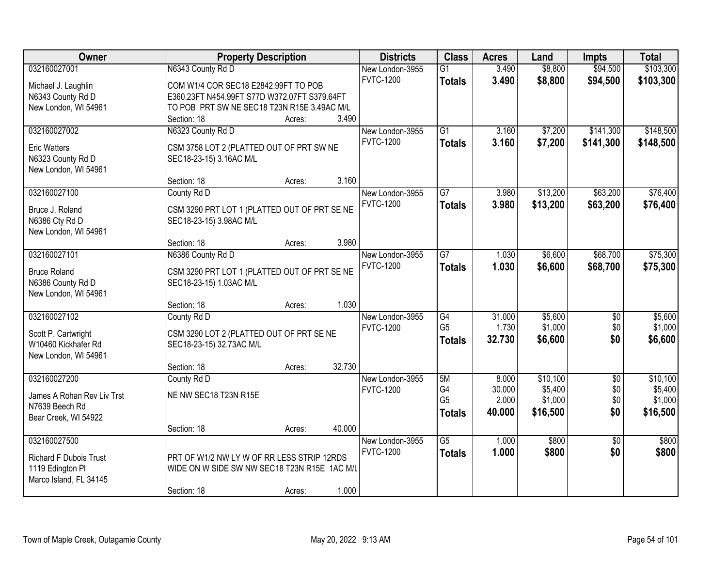| Owner                                      | <b>Property Description</b>                                          |        |        | <b>Districts</b> | <b>Class</b>    | <b>Acres</b> | Land     | <b>Impts</b>    | <b>Total</b> |
|--------------------------------------------|----------------------------------------------------------------------|--------|--------|------------------|-----------------|--------------|----------|-----------------|--------------|
| 032160027001                               | N6343 County Rd D                                                    |        |        | New London-3955  | $\overline{G1}$ | 3.490        | \$8,800  | \$94,500        | \$103,300    |
| Michael J. Laughlin                        | COM W1/4 COR SEC18 E2842.99FT TO POB                                 |        |        | <b>FVTC-1200</b> | <b>Totals</b>   | 3.490        | \$8,800  | \$94,500        | \$103,300    |
| N6343 County Rd D                          | E360.23FT N454.99FT S77D W372.07FT S379.64FT                         |        |        |                  |                 |              |          |                 |              |
| New London, WI 54961                       | TO POB PRT SW NE SEC18 T23N R15E 3.49AC M/L                          |        |        |                  |                 |              |          |                 |              |
|                                            | Section: 18                                                          | Acres: | 3.490  |                  |                 |              |          |                 |              |
| 032160027002                               | N6323 County Rd D                                                    |        |        | New London-3955  | $\overline{G1}$ | 3.160        | \$7,200  | \$141,300       | \$148,500    |
|                                            |                                                                      |        |        | <b>FVTC-1200</b> | <b>Totals</b>   | 3.160        | \$7,200  | \$141,300       | \$148,500    |
| <b>Eric Watters</b>                        | CSM 3758 LOT 2 (PLATTED OUT OF PRT SW NE                             |        |        |                  |                 |              |          |                 |              |
| N6323 County Rd D<br>New London, WI 54961  | SEC18-23-15) 3.16AC M/L                                              |        |        |                  |                 |              |          |                 |              |
|                                            | Section: 18                                                          | Acres: | 3.160  |                  |                 |              |          |                 |              |
| 032160027100                               | County Rd D                                                          |        |        | New London-3955  | $\overline{G7}$ | 3.980        | \$13,200 | \$63,200        | \$76,400     |
|                                            |                                                                      |        |        | <b>FVTC-1200</b> |                 | 3.980        | \$13,200 | \$63,200        | \$76,400     |
| Bruce J. Roland                            | CSM 3290 PRT LOT 1 (PLATTED OUT OF PRT SE NE                         |        |        |                  | <b>Totals</b>   |              |          |                 |              |
| N6386 Cty Rd D                             | SEC18-23-15) 3.98AC M/L                                              |        |        |                  |                 |              |          |                 |              |
| New London, WI 54961                       |                                                                      |        |        |                  |                 |              |          |                 |              |
|                                            | Section: 18                                                          | Acres: | 3.980  |                  |                 |              |          |                 |              |
| 032160027101                               | N6386 County Rd D                                                    |        |        | New London-3955  | $\overline{G7}$ | 1.030        | \$6,600  | \$68,700        | \$75,300     |
| <b>Bruce Roland</b>                        | CSM 3290 PRT LOT 1 (PLATTED OUT OF PRT SE NE                         |        |        | <b>FVTC-1200</b> | <b>Totals</b>   | 1.030        | \$6,600  | \$68,700        | \$75,300     |
| N6386 County Rd D                          | SEC18-23-15) 1.03AC M/L                                              |        |        |                  |                 |              |          |                 |              |
| New London, WI 54961                       |                                                                      |        |        |                  |                 |              |          |                 |              |
|                                            | Section: 18                                                          | Acres: | 1.030  |                  |                 |              |          |                 |              |
| 032160027102                               | County Rd D                                                          |        |        | New London-3955  | $\overline{G4}$ | 31.000       | \$5,600  | $\overline{50}$ | \$5,600      |
|                                            |                                                                      |        |        | <b>FVTC-1200</b> | G <sub>5</sub>  | 1.730        | \$1,000  | \$0             | \$1,000      |
| Scott P. Cartwright<br>W10460 Kickhafer Rd | CSM 3290 LOT 2 (PLATTED OUT OF PRT SE NE<br>SEC18-23-15) 32.73AC M/L |        |        |                  | <b>Totals</b>   | 32.730       | \$6,600  | \$0             | \$6,600      |
| New London, WI 54961                       |                                                                      |        |        |                  |                 |              |          |                 |              |
|                                            | Section: 18                                                          | Acres: | 32.730 |                  |                 |              |          |                 |              |
| 032160027200                               | County Rd D                                                          |        |        | New London-3955  | 5M              | 8.000        | \$10,100 | $\overline{50}$ | \$10,100     |
|                                            |                                                                      |        |        | <b>FVTC-1200</b> | G4              | 30.000       | \$5,400  | \$0             | \$5,400      |
| James A Rohan Rev Liv Trst                 | NE NW SEC18 T23N R15E                                                |        |        |                  | G <sub>5</sub>  | 2.000        | \$1,000  | \$0             | \$1,000      |
| N7639 Beech Rd                             |                                                                      |        |        |                  | <b>Totals</b>   | 40.000       | \$16,500 | \$0             | \$16,500     |
| Bear Creek, WI 54922                       |                                                                      |        |        |                  |                 |              |          |                 |              |
|                                            | Section: 18                                                          | Acres: | 40.000 |                  |                 |              |          |                 |              |
| 032160027500                               |                                                                      |        |        | New London-3955  | $\overline{G5}$ | 1.000        | \$800    | $\overline{30}$ | \$800        |
| <b>Richard F Dubois Trust</b>              | PRT OF W1/2 NW LY W OF RR LESS STRIP 12RDS                           |        |        | <b>FVTC-1200</b> | <b>Totals</b>   | 1.000        | \$800    | \$0             | \$800        |
| 1119 Edington Pl                           | WIDE ON W SIDE SW NW SEC18 T23N R15E 1AC M/L                         |        |        |                  |                 |              |          |                 |              |
| Marco Island, FL 34145                     |                                                                      |        |        |                  |                 |              |          |                 |              |
|                                            | Section: 18                                                          | Acres: | 1.000  |                  |                 |              |          |                 |              |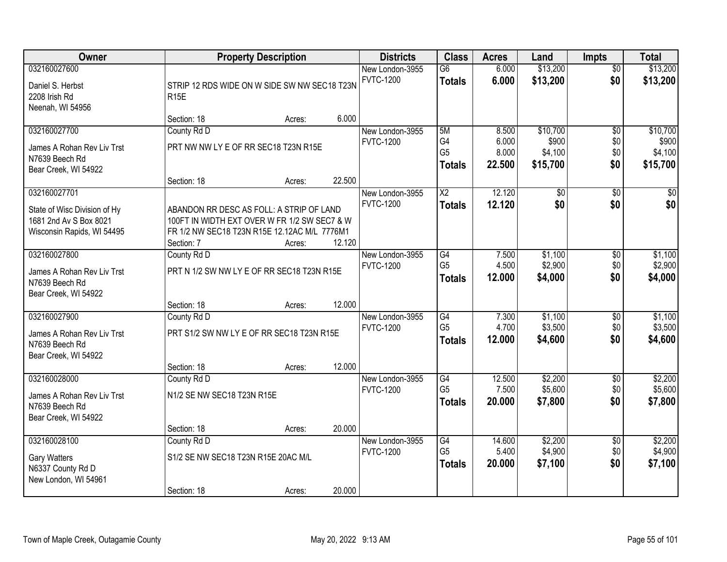| Owner                                                                                |                                                                                                                                                        | <b>Property Description</b> |        | <b>Districts</b>                    | <b>Class</b>                                       | <b>Acres</b>                      | Land                                     | <b>Impts</b>                         | <b>Total</b>                             |
|--------------------------------------------------------------------------------------|--------------------------------------------------------------------------------------------------------------------------------------------------------|-----------------------------|--------|-------------------------------------|----------------------------------------------------|-----------------------------------|------------------------------------------|--------------------------------------|------------------------------------------|
| 032160027600<br>Daniel S. Herbst<br>2208 Irish Rd<br>Neenah, WI 54956                | STRIP 12 RDS WIDE ON W SIDE SW NW SEC18 T23N<br><b>R15E</b>                                                                                            |                             |        | New London-3955<br><b>FVTC-1200</b> | $\overline{G6}$<br><b>Totals</b>                   | 6.000<br>6.000                    | \$13,200<br>\$13,200                     | $\overline{50}$<br>\$0               | \$13,200<br>\$13,200                     |
|                                                                                      | Section: 18                                                                                                                                            | Acres:                      | 6.000  |                                     |                                                    |                                   |                                          |                                      |                                          |
| 032160027700<br>James A Rohan Rev Liv Trst<br>N7639 Beech Rd<br>Bear Creek, WI 54922 | County Rd D<br>PRT NW NW LY E OF RR SEC18 T23N R15E<br>Section: 18                                                                                     | Acres:                      | 22.500 | New London-3955<br><b>FVTC-1200</b> | 5M<br>G4<br>G <sub>5</sub><br><b>Totals</b>        | 8.500<br>6.000<br>8.000<br>22.500 | \$10,700<br>\$900<br>\$4,100<br>\$15,700 | $\overline{50}$<br>\$0<br>\$0<br>\$0 | \$10,700<br>\$900<br>\$4,100<br>\$15,700 |
| 032160027701                                                                         |                                                                                                                                                        |                             |        | New London-3955                     | X2                                                 | 12.120                            | \$0                                      | \$0                                  | \$0                                      |
| State of Wisc Division of Hy<br>1681 2nd Av S Box 8021<br>Wisconsin Rapids, WI 54495 | ABANDON RR DESC AS FOLL: A STRIP OF LAND<br>100FT IN WIDTH EXT OVER W FR 1/2 SW SEC7 & W<br>FR 1/2 NW SEC18 T23N R15E 12.12AC M/L 7776M1<br>Section: 7 | Acres:                      | 12.120 | <b>FVTC-1200</b>                    | <b>Totals</b>                                      | 12.120                            | \$0                                      | \$0                                  | \$0                                      |
| 032160027800                                                                         | County Rd D                                                                                                                                            |                             |        | New London-3955                     | G4                                                 | 7.500                             | \$1,100                                  | \$0                                  | \$1,100                                  |
| James A Rohan Rev Liv Trst<br>N7639 Beech Rd<br>Bear Creek, WI 54922                 | PRT N 1/2 SW NW LY E OF RR SEC18 T23N R15E                                                                                                             |                             |        | <b>FVTC-1200</b>                    | G <sub>5</sub><br><b>Totals</b>                    | 4.500<br>12.000                   | \$2,900<br>\$4,000                       | \$0<br>\$0                           | \$2,900<br>\$4,000                       |
|                                                                                      | Section: 18                                                                                                                                            | Acres:                      | 12.000 |                                     |                                                    |                                   |                                          |                                      |                                          |
| 032160027900<br>James A Rohan Rev Liv Trst<br>N7639 Beech Rd<br>Bear Creek, WI 54922 | County Rd D<br>PRT S1/2 SW NW LY E OF RR SEC18 T23N R15E<br>Section: 18                                                                                | Acres:                      | 12.000 | New London-3955<br><b>FVTC-1200</b> | $\overline{G4}$<br>G <sub>5</sub><br><b>Totals</b> | 7.300<br>4.700<br>12.000          | \$1,100<br>\$3,500<br>\$4,600            | $\overline{30}$<br>\$0<br>\$0        | \$1,100<br>\$3,500<br>\$4,600            |
| 032160028000                                                                         | County Rd D                                                                                                                                            |                             |        | New London-3955                     | G4                                                 | 12.500                            | \$2,200                                  | $\overline{50}$                      | \$2,200                                  |
| James A Rohan Rev Liv Trst<br>N7639 Beech Rd<br>Bear Creek, WI 54922                 | N1/2 SE NW SEC18 T23N R15E                                                                                                                             |                             |        | <b>FVTC-1200</b>                    | G <sub>5</sub><br><b>Totals</b>                    | 7.500<br>20,000                   | \$5,600<br>\$7,800                       | \$0<br>\$0                           | \$5,600<br>\$7,800                       |
|                                                                                      | Section: 18                                                                                                                                            | Acres:                      | 20.000 |                                     |                                                    |                                   |                                          |                                      |                                          |
| 032160028100<br>Gary Watters<br>N6337 County Rd D<br>New London, WI 54961            | County Rd D<br>S1/2 SE NW SEC18 T23N R15E 20AC M/L<br>Section: 18                                                                                      | Acres:                      | 20.000 | New London-3955<br><b>FVTC-1200</b> | G4<br>G <sub>5</sub><br><b>Totals</b>              | 14.600<br>5.400<br>20.000         | \$2,200<br>\$4,900<br>\$7,100            | $\overline{50}$<br>\$0<br>\$0        | \$2,200<br>\$4,900<br>\$7,100            |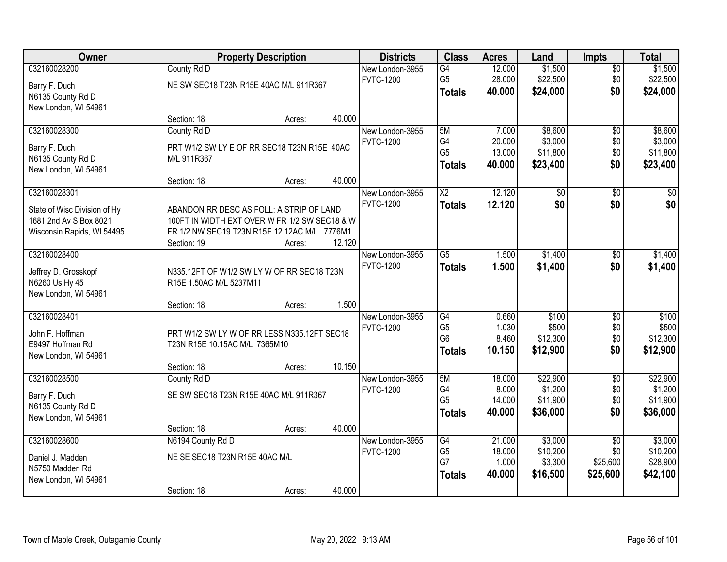| Owner                                                  |                                                                                           | <b>Property Description</b> |        | <b>Districts</b>                    | <b>Class</b>                     | <b>Acres</b>    | Land               | <b>Impts</b>           | <b>Total</b>       |
|--------------------------------------------------------|-------------------------------------------------------------------------------------------|-----------------------------|--------|-------------------------------------|----------------------------------|-----------------|--------------------|------------------------|--------------------|
| 032160028200                                           | County Rd D                                                                               |                             |        | New London-3955                     | G4                               | 12.000          | \$1,500            | $\overline{50}$        | \$1,500            |
| Barry F. Duch                                          | NE SW SEC18 T23N R15E 40AC M/L 911R367                                                    |                             |        | <b>FVTC-1200</b>                    | G <sub>5</sub>                   | 28.000          | \$22,500           | \$0                    | \$22,500           |
| N6135 County Rd D                                      |                                                                                           |                             |        |                                     | <b>Totals</b>                    | 40.000          | \$24,000           | \$0                    | \$24,000           |
| New London, WI 54961                                   |                                                                                           |                             |        |                                     |                                  |                 |                    |                        |                    |
|                                                        | Section: 18                                                                               | Acres:                      | 40.000 |                                     | 5M                               |                 |                    |                        |                    |
| 032160028300                                           | County Rd D                                                                               |                             |        | New London-3955<br><b>FVTC-1200</b> | G4                               | 7.000<br>20.000 | \$8,600<br>\$3,000 | $\overline{50}$<br>\$0 | \$8,600<br>\$3,000 |
| Barry F. Duch                                          | PRT W1/2 SW LY E OF RR SEC18 T23N R15E 40AC                                               |                             |        |                                     | G <sub>5</sub>                   | 13.000          | \$11,800           | \$0                    | \$11,800           |
| N6135 County Rd D                                      | M/L 911R367                                                                               |                             |        |                                     | <b>Totals</b>                    | 40.000          | \$23,400           | \$0                    | \$23,400           |
| New London, WI 54961                                   | Section: 18                                                                               | Acres:                      | 40.000 |                                     |                                  |                 |                    |                        |                    |
| 032160028301                                           |                                                                                           |                             |        | New London-3955                     | X2                               | 12.120          | \$0                | \$0                    | \$0                |
|                                                        |                                                                                           |                             |        | <b>FVTC-1200</b>                    | <b>Totals</b>                    | 12.120          | \$0                | \$0                    | \$0                |
| State of Wisc Division of Hy<br>1681 2nd Av S Box 8021 | ABANDON RR DESC AS FOLL: A STRIP OF LAND<br>100FT IN WIDTH EXT OVER W FR 1/2 SW SEC18 & W |                             |        |                                     |                                  |                 |                    |                        |                    |
| Wisconsin Rapids, WI 54495                             | FR 1/2 NW SEC19 T23N R15E 12.12AC M/L 7776M1                                              |                             |        |                                     |                                  |                 |                    |                        |                    |
|                                                        | Section: 19                                                                               | Acres:                      | 12.120 |                                     |                                  |                 |                    |                        |                    |
| 032160028400                                           |                                                                                           |                             |        | New London-3955                     | $\overline{G5}$                  | 1.500           | \$1,400            | \$0                    | \$1,400            |
| Jeffrey D. Grosskopf                                   | N335.12FT OF W1/2 SW LY W OF RR SEC18 T23N                                                |                             |        | <b>FVTC-1200</b>                    | <b>Totals</b>                    | 1.500           | \$1,400            | \$0                    | \$1,400            |
| N6260 Us Hy 45                                         | R15E 1.50AC M/L 5237M11                                                                   |                             |        |                                     |                                  |                 |                    |                        |                    |
| New London, WI 54961                                   |                                                                                           |                             |        |                                     |                                  |                 |                    |                        |                    |
|                                                        | Section: 18                                                                               | Acres:                      | 1.500  |                                     |                                  |                 |                    |                        |                    |
| 032160028401                                           |                                                                                           |                             |        | New London-3955                     | $\overline{G4}$                  | 0.660           | \$100              | $\overline{30}$        | \$100              |
| John F. Hoffman                                        | PRT W1/2 SW LY W OF RR LESS N335.12FT SEC18                                               |                             |        | <b>FVTC-1200</b>                    | G <sub>5</sub><br>G <sub>6</sub> | 1.030<br>8.460  | \$500<br>\$12,300  | \$0<br>\$0             | \$500<br>\$12,300  |
| E9497 Hoffman Rd                                       | T23N R15E 10.15AC M/L 7365M10                                                             |                             |        |                                     | <b>Totals</b>                    | 10.150          | \$12,900           | \$0                    | \$12,900           |
| New London, WI 54961                                   |                                                                                           |                             |        |                                     |                                  |                 |                    |                        |                    |
| 032160028500                                           | Section: 18<br>County Rd D                                                                | Acres:                      | 10.150 | New London-3955                     | 5M                               | 18.000          | \$22,900           | $\overline{30}$        | \$22,900           |
|                                                        |                                                                                           |                             |        | <b>FVTC-1200</b>                    | G4                               | 8.000           | \$1,200            | \$0                    | \$1,200            |
| Barry F. Duch                                          | SE SW SEC18 T23N R15E 40AC M/L 911R367                                                    |                             |        |                                     | G <sub>5</sub>                   | 14.000          | \$11,900           | \$0                    | \$11,900           |
| N6135 County Rd D<br>New London, WI 54961              |                                                                                           |                             |        |                                     | Totals                           | 40.000          | \$36,000           | \$0                    | \$36,000           |
|                                                        | Section: 18                                                                               | Acres:                      | 40.000 |                                     |                                  |                 |                    |                        |                    |
| 032160028600                                           | N6194 County Rd D                                                                         |                             |        | New London-3955                     | G4                               | 21.000          | \$3,000            | $\overline{30}$        | \$3,000            |
|                                                        | NE SE SEC18 T23N R15E 40AC M/L                                                            |                             |        | <b>FVTC-1200</b>                    | G <sub>5</sub>                   | 18.000          | \$10,200           | \$0                    | \$10,200           |
| Daniel J. Madden<br>N5750 Madden Rd                    |                                                                                           |                             |        |                                     | G7                               | 1.000           | \$3,300            | \$25,600               | \$28,900           |
| New London, WI 54961                                   |                                                                                           |                             |        |                                     | <b>Totals</b>                    | 40.000          | \$16,500           | \$25,600               | \$42,100           |
|                                                        | Section: 18                                                                               | Acres:                      | 40.000 |                                     |                                  |                 |                    |                        |                    |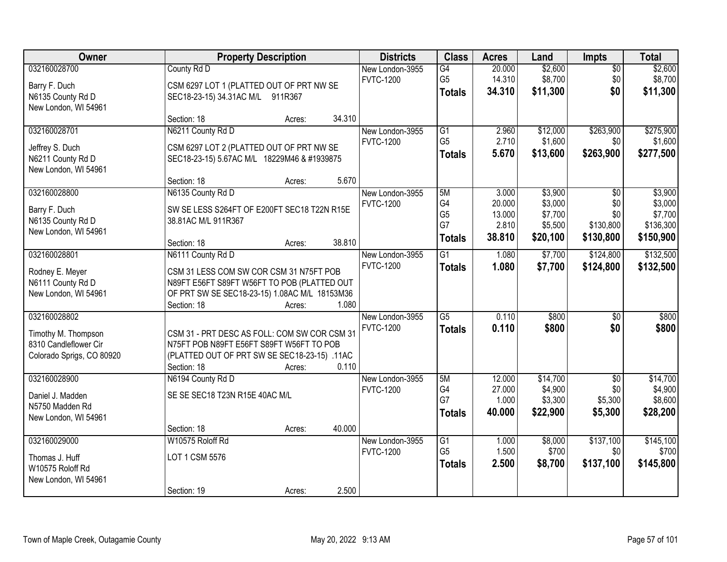| <b>Owner</b>                       |                                               | <b>Property Description</b> |        | <b>Districts</b> | <b>Class</b>    | <b>Acres</b> | Land     | Impts           | <b>Total</b> |
|------------------------------------|-----------------------------------------------|-----------------------------|--------|------------------|-----------------|--------------|----------|-----------------|--------------|
| 032160028700                       | County Rd D                                   |                             |        | New London-3955  | G4              | 20.000       | \$2,600  | $\overline{50}$ | \$2,600      |
| Barry F. Duch                      | CSM 6297 LOT 1 (PLATTED OUT OF PRT NW SE      |                             |        | <b>FVTC-1200</b> | G <sub>5</sub>  | 14.310       | \$8,700  | \$0             | \$8,700      |
| N6135 County Rd D                  | SEC18-23-15) 34.31AC M/L 911R367              |                             |        |                  | <b>Totals</b>   | 34.310       | \$11,300 | \$0             | \$11,300     |
| New London, WI 54961               |                                               |                             |        |                  |                 |              |          |                 |              |
|                                    | Section: 18                                   | Acres:                      | 34.310 |                  |                 |              |          |                 |              |
| 032160028701                       | N6211 County Rd D                             |                             |        | New London-3955  | G1              | 2.960        | \$12,000 | \$263,900       | \$275,900    |
| Jeffrey S. Duch                    | CSM 6297 LOT 2 (PLATTED OUT OF PRT NW SE      |                             |        | <b>FVTC-1200</b> | G <sub>5</sub>  | 2.710        | \$1,600  | \$0             | \$1,600      |
| N6211 County Rd D                  | SEC18-23-15) 5.67AC M/L 18229M46 & #1939875   |                             |        |                  | <b>Totals</b>   | 5.670        | \$13,600 | \$263,900       | \$277,500    |
| New London, WI 54961               |                                               |                             |        |                  |                 |              |          |                 |              |
|                                    | Section: 18                                   | Acres:                      | 5.670  |                  |                 |              |          |                 |              |
| 032160028800                       | N6135 County Rd D                             |                             |        | New London-3955  | 5M              | 3.000        | \$3,900  | $\overline{50}$ | \$3,900      |
| Barry F. Duch                      | SW SE LESS S264FT OF E200FT SEC18 T22N R15E   |                             |        | <b>FVTC-1200</b> | G4              | 20.000       | \$3,000  | \$0             | \$3,000      |
| N6135 County Rd D                  | 38.81AC M/L 911R367                           |                             |        |                  | G <sub>5</sub>  | 13.000       | \$7,700  | \$0             | \$7,700      |
| New London, WI 54961               |                                               |                             |        |                  | G7              | 2.810        | \$5,500  | \$130,800       | \$136,300    |
|                                    | Section: 18                                   | Acres:                      | 38.810 |                  | <b>Totals</b>   | 38.810       | \$20,100 | \$130,800       | \$150,900    |
| 032160028801                       | N6111 County Rd D                             |                             |        | New London-3955  | $\overline{G1}$ | 1.080        | \$7,700  | \$124,800       | \$132,500    |
| Rodney E. Meyer                    | CSM 31 LESS COM SW COR CSM 31 N75FT POB       |                             |        | <b>FVTC-1200</b> | <b>Totals</b>   | 1.080        | \$7,700  | \$124,800       | \$132,500    |
| N6111 County Rd D                  | N89FT E56FT S89FT W56FT TO POB (PLATTED OUT   |                             |        |                  |                 |              |          |                 |              |
| New London, WI 54961               | OF PRT SW SE SEC18-23-15) 1.08AC M/L 18153M36 |                             |        |                  |                 |              |          |                 |              |
|                                    | Section: 18                                   | Acres:                      | 1.080  |                  |                 |              |          |                 |              |
| 032160028802                       |                                               |                             |        | New London-3955  | $\overline{G5}$ | 0.110        | \$800    | $\overline{50}$ | \$800        |
| Timothy M. Thompson                | CSM 31 - PRT DESC AS FOLL: COM SW COR CSM 31  |                             |        | <b>FVTC-1200</b> | <b>Totals</b>   | 0.110        | \$800    | \$0             | \$800        |
| 8310 Candleflower Cir              | N75FT POB N89FT E56FT S89FT W56FT TO POB      |                             |        |                  |                 |              |          |                 |              |
| Colorado Sprigs, CO 80920          | (PLATTED OUT OF PRT SW SE SEC18-23-15) .11AC  |                             |        |                  |                 |              |          |                 |              |
|                                    | Section: 18                                   | Acres:                      | 0.110  |                  |                 |              |          |                 |              |
| 032160028900                       | N6194 County Rd D                             |                             |        | New London-3955  | 5M              | 12.000       | \$14,700 | $\overline{50}$ | \$14,700     |
| Daniel J. Madden                   | SE SE SEC18 T23N R15E 40AC M/L                |                             |        | <b>FVTC-1200</b> | G4              | 27.000       | \$4,900  | \$0             | \$4,900      |
| N5750 Madden Rd                    |                                               |                             |        |                  | G7              | 1.000        | \$3,300  | \$5,300         | \$8,600      |
| New London, WI 54961               |                                               |                             |        |                  | <b>Totals</b>   | 40.000       | \$22,900 | \$5,300         | \$28,200     |
|                                    | Section: 18                                   | Acres:                      | 40.000 |                  |                 |              |          |                 |              |
| 032160029000                       | W10575 Roloff Rd                              |                             |        | New London-3955  | G1              | 1.000        | \$8,000  | \$137,100       | \$145,100    |
|                                    | LOT 1 CSM 5576                                |                             |        | <b>FVTC-1200</b> | G <sub>5</sub>  | 1.500        | \$700    | \$0             | \$700        |
| Thomas J. Huff<br>W10575 Roloff Rd |                                               |                             |        |                  | <b>Totals</b>   | 2.500        | \$8,700  | \$137,100       | \$145,800    |
| New London, WI 54961               |                                               |                             |        |                  |                 |              |          |                 |              |
|                                    | Section: 19                                   | Acres:                      | 2.500  |                  |                 |              |          |                 |              |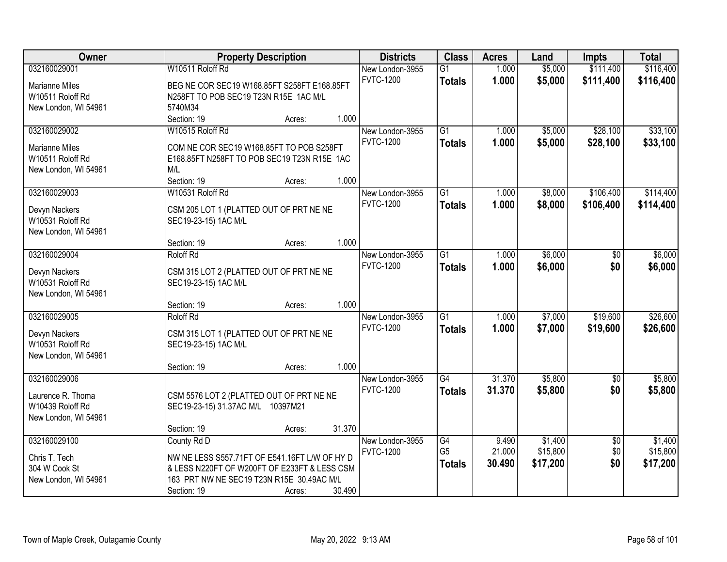| Owner                 |                                               | <b>Property Description</b> |        | <b>Districts</b> | <b>Class</b>    | <b>Acres</b> | Land     | <b>Impts</b>    | <b>Total</b> |
|-----------------------|-----------------------------------------------|-----------------------------|--------|------------------|-----------------|--------------|----------|-----------------|--------------|
| 032160029001          | W10511 Roloff Rd                              |                             |        | New London-3955  | $\overline{G1}$ | 1.000        | \$5,000  | \$111,400       | \$116,400    |
| <b>Marianne Miles</b> | BEG NE COR SEC19 W168.85FT S258FT E168.85FT   |                             |        | <b>FVTC-1200</b> | <b>Totals</b>   | 1.000        | \$5,000  | \$111,400       | \$116,400    |
| W10511 Roloff Rd      | N258FT TO POB SEC19 T23N R15E 1AC M/L         |                             |        |                  |                 |              |          |                 |              |
| New London, WI 54961  | 5740M34                                       |                             |        |                  |                 |              |          |                 |              |
|                       | Section: 19                                   | Acres:                      | 1.000  |                  |                 |              |          |                 |              |
| 032160029002          | W10515 Roloff Rd                              |                             |        | New London-3955  | $\overline{G1}$ | 1.000        | \$5,000  | \$28,100        | \$33,100     |
|                       |                                               |                             |        | <b>FVTC-1200</b> | <b>Totals</b>   | 1.000        | \$5,000  | \$28,100        | \$33,100     |
| <b>Marianne Miles</b> | COM NE COR SEC19 W168.85FT TO POB S258FT      |                             |        |                  |                 |              |          |                 |              |
| W10511 Roloff Rd      | E168.85FT N258FT TO POB SEC19 T23N R15E 1AC   |                             |        |                  |                 |              |          |                 |              |
| New London, WI 54961  | M/L<br>Section: 19                            |                             | 1.000  |                  |                 |              |          |                 |              |
| 032160029003          | W10531 Roloff Rd                              | Acres:                      |        | New London-3955  | $\overline{G1}$ | 1.000        | \$8,000  | \$106,400       | \$114,400    |
|                       |                                               |                             |        | <b>FVTC-1200</b> |                 |              |          |                 |              |
| Devyn Nackers         | CSM 205 LOT 1 (PLATTED OUT OF PRT NE NE       |                             |        |                  | Totals          | 1.000        | \$8,000  | \$106,400       | \$114,400    |
| W10531 Roloff Rd      | SEC19-23-15) 1AC M/L                          |                             |        |                  |                 |              |          |                 |              |
| New London, WI 54961  |                                               |                             |        |                  |                 |              |          |                 |              |
|                       | Section: 19                                   | Acres:                      | 1.000  |                  |                 |              |          |                 |              |
| 032160029004          | Roloff Rd                                     |                             |        | New London-3955  | $\overline{G1}$ | 1.000        | \$6,000  | \$0             | \$6,000      |
| Devyn Nackers         | CSM 315 LOT 2 (PLATTED OUT OF PRT NE NE       |                             |        | <b>FVTC-1200</b> | <b>Totals</b>   | 1.000        | \$6,000  | \$0             | \$6,000      |
| W10531 Roloff Rd      | SEC19-23-15) 1AC M/L                          |                             |        |                  |                 |              |          |                 |              |
| New London, WI 54961  |                                               |                             |        |                  |                 |              |          |                 |              |
|                       | Section: 19                                   | Acres:                      | 1.000  |                  |                 |              |          |                 |              |
| 032160029005          | Roloff Rd                                     |                             |        | New London-3955  | $\overline{G1}$ | 1.000        | \$7,000  | \$19,600        | \$26,600     |
|                       |                                               |                             |        | <b>FVTC-1200</b> | <b>Totals</b>   | 1.000        | \$7,000  | \$19,600        | \$26,600     |
| Devyn Nackers         | CSM 315 LOT 1 (PLATTED OUT OF PRT NE NE       |                             |        |                  |                 |              |          |                 |              |
| W10531 Roloff Rd      | SEC19-23-15) 1AC M/L                          |                             |        |                  |                 |              |          |                 |              |
| New London, WI 54961  |                                               |                             |        |                  |                 |              |          |                 |              |
|                       | Section: 19                                   | Acres:                      | 1.000  |                  |                 |              |          |                 |              |
| 032160029006          |                                               |                             |        | New London-3955  | G4              | 31.370       | \$5,800  | \$0             | \$5,800      |
| Laurence R. Thoma     | CSM 5576 LOT 2 (PLATTED OUT OF PRT NE NE      |                             |        | <b>FVTC-1200</b> | <b>Totals</b>   | 31.370       | \$5,800  | \$0             | \$5,800      |
| W10439 Roloff Rd      | SEC19-23-15) 31.37AC M/L 10397M21             |                             |        |                  |                 |              |          |                 |              |
| New London, WI 54961  |                                               |                             |        |                  |                 |              |          |                 |              |
|                       | Section: 19                                   | Acres:                      | 31.370 |                  |                 |              |          |                 |              |
| 032160029100          | County Rd D                                   |                             |        | New London-3955  | G4              | 9.490        | \$1,400  | $\overline{30}$ | \$1,400      |
|                       |                                               |                             |        | <b>FVTC-1200</b> | G <sub>5</sub>  | 21.000       | \$15,800 | \$0             | \$15,800     |
| Chris T. Tech         | NW NE LESS S557.71FT OF E541.16FT L/W OF HY D |                             |        |                  | <b>Totals</b>   | 30.490       | \$17,200 | \$0             | \$17,200     |
| 304 W Cook St         | & LESS N220FT OF W200FT OF E233FT & LESS CSM  |                             |        |                  |                 |              |          |                 |              |
| New London, WI 54961  | 163 PRT NW NE SEC19 T23N R15E 30.49AC M/L     |                             |        |                  |                 |              |          |                 |              |
|                       | Section: 19                                   | Acres:                      | 30.490 |                  |                 |              |          |                 |              |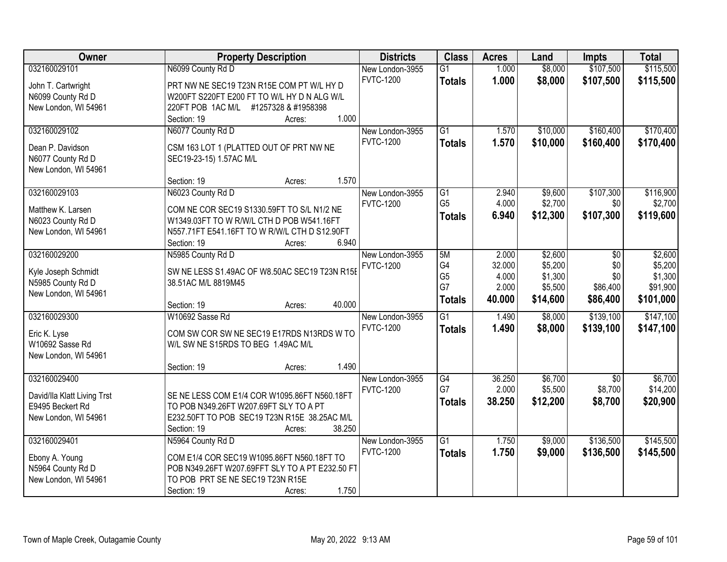| Owner                       | <b>Property Description</b>                            | <b>Districts</b> | <b>Class</b>    | <b>Acres</b> | Land     | <b>Impts</b> | <b>Total</b> |
|-----------------------------|--------------------------------------------------------|------------------|-----------------|--------------|----------|--------------|--------------|
| 032160029101                | N6099 County Rd D                                      | New London-3955  | $\overline{G1}$ | 1.000        | \$8,000  | \$107,500    | \$115,500    |
| John T. Cartwright          | PRT NW NE SEC19 T23N R15E COM PT W/L HY D              | <b>FVTC-1200</b> | <b>Totals</b>   | 1.000        | \$8,000  | \$107,500    | \$115,500    |
| N6099 County Rd D           | W200FT S220FT E200 FT TO W/L HY D N ALG W/L            |                  |                 |              |          |              |              |
| New London, WI 54961        | 220FT POB 1AC M/L #1257328 & #1958398                  |                  |                 |              |          |              |              |
|                             | 1.000<br>Section: 19<br>Acres:                         |                  |                 |              |          |              |              |
| 032160029102                | N6077 County Rd D                                      | New London-3955  | $\overline{G1}$ | 1.570        | \$10,000 | \$160,400    | \$170,400    |
|                             |                                                        | <b>FVTC-1200</b> | <b>Totals</b>   | 1.570        | \$10,000 | \$160,400    | \$170,400    |
| Dean P. Davidson            | CSM 163 LOT 1 (PLATTED OUT OF PRT NW NE                |                  |                 |              |          |              |              |
| N6077 County Rd D           | SEC19-23-15) 1.57AC M/L                                |                  |                 |              |          |              |              |
| New London, WI 54961        | 1.570<br>Section: 19<br>Acres:                         |                  |                 |              |          |              |              |
| 032160029103                | N6023 County Rd D                                      | New London-3955  | $\overline{G1}$ | 2.940        | \$9,600  | \$107,300    | \$116,900    |
|                             |                                                        | <b>FVTC-1200</b> | G <sub>5</sub>  | 4.000        | \$2,700  | \$0          | \$2,700      |
| Matthew K. Larsen           | COM NE COR SEC19 S1330.59FT TO S/L N1/2 NE             |                  | Totals          | 6.940        | \$12,300 | \$107,300    | \$119,600    |
| N6023 County Rd D           | W1349.03FT TO W R/W/L CTH D POB W541.16FT              |                  |                 |              |          |              |              |
| New London, WI 54961        | N557.71FT E541.16FT TO W R/W/L CTH D S12.90FT          |                  |                 |              |          |              |              |
|                             | 6.940<br>Section: 19<br>Acres:                         |                  |                 |              |          |              |              |
| 032160029200                | N5985 County Rd D                                      | New London-3955  | 5M              | 2.000        | \$2,600  | $\sqrt{6}$   | \$2,600      |
| Kyle Joseph Schmidt         | SW NE LESS S1.49AC OF W8.50AC SEC19 T23N R15E          | <b>FVTC-1200</b> | G4              | 32.000       | \$5,200  | \$0          | \$5,200      |
| N5985 County Rd D           | 38.51AC M/L 8819M45                                    |                  | G <sub>5</sub>  | 4.000        | \$1,300  | \$0          | \$1,300      |
| New London, WI 54961        |                                                        |                  | G7              | 2.000        | \$5,500  | \$86,400     | \$91,900     |
|                             | 40.000<br>Section: 19<br>Acres:                        |                  | <b>Totals</b>   | 40.000       | \$14,600 | \$86,400     | \$101,000    |
| 032160029300                | W10692 Sasse Rd                                        | New London-3955  | $\overline{G1}$ | 1.490        | \$8,000  | \$139,100    | \$147,100    |
| Eric K. Lyse                | COM SW COR SW NE SEC19 E17RDS N13RDS W TO              | <b>FVTC-1200</b> | <b>Totals</b>   | 1.490        | \$8,000  | \$139,100    | \$147,100    |
| W10692 Sasse Rd             | W/L SW NE S15RDS TO BEG 1.49AC M/L                     |                  |                 |              |          |              |              |
| New London, WI 54961        |                                                        |                  |                 |              |          |              |              |
|                             | 1.490<br>Section: 19<br>Acres:                         |                  |                 |              |          |              |              |
| 032160029400                |                                                        | New London-3955  | G4              | 36.250       | \$6,700  | \$0          | \$6,700      |
|                             |                                                        | <b>FVTC-1200</b> | G7              | 2.000        | \$5,500  | \$8,700      | \$14,200     |
| David/Ila Klatt Living Trst | SE NE LESS COM E1/4 COR W1095.86FT N560.18FT           |                  | <b>Totals</b>   | 38.250       | \$12,200 | \$8,700      | \$20,900     |
| E9495 Beckert Rd            | TO POB N349.26FT W207.69FT SLY TO A PT                 |                  |                 |              |          |              |              |
| New London, WI 54961        | E232.50FT TO POB SEC19 T23N R15E 38.25AC M/L<br>38.250 |                  |                 |              |          |              |              |
| 032160029401                | Section: 19<br>Acres:<br>N5964 County Rd D             | New London-3955  | $\overline{G1}$ | 1.750        | \$9,000  | \$136,500    | \$145,500    |
|                             |                                                        | <b>FVTC-1200</b> |                 |              |          |              |              |
| Ebony A. Young              | COM E1/4 COR SEC19 W1095.86FT N560.18FT TO             |                  | <b>Totals</b>   | 1.750        | \$9,000  | \$136,500    | \$145,500    |
| N5964 County Rd D           | POB N349.26FT W207.69FFT SLY TO A PT E232.50 FT        |                  |                 |              |          |              |              |
| New London, WI 54961        | TO POB PRT SE NE SEC19 T23N R15E                       |                  |                 |              |          |              |              |
|                             | 1.750<br>Section: 19<br>Acres:                         |                  |                 |              |          |              |              |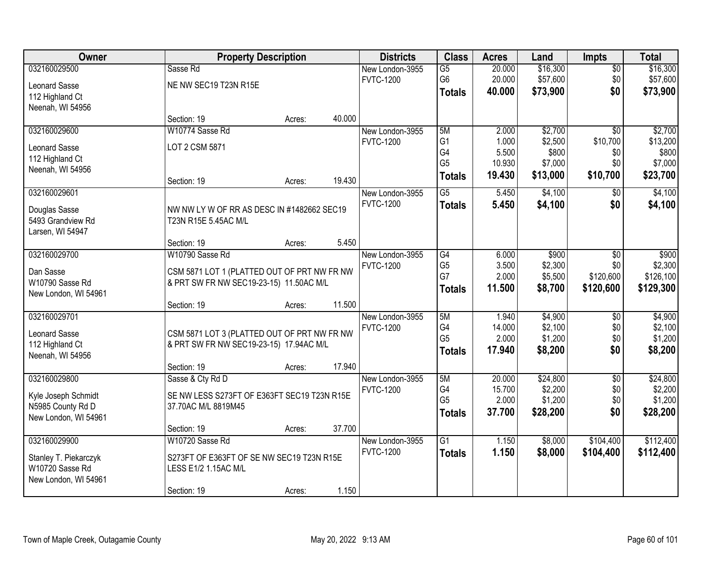| Owner                 |                                             | <b>Property Description</b> |        | <b>Districts</b> | <b>Class</b>         | <b>Acres</b>     | Land               | <b>Impts</b>    | <b>Total</b>       |
|-----------------------|---------------------------------------------|-----------------------------|--------|------------------|----------------------|------------------|--------------------|-----------------|--------------------|
| 032160029500          | Sasse Rd                                    |                             |        | New London-3955  | $\overline{G5}$      | 20.000           | \$16,300           | $\sqrt{$0}$     | \$16,300           |
| Leonard Sasse         | NE NW SEC19 T23N R15E                       |                             |        | <b>FVTC-1200</b> | G <sub>6</sub>       | 20.000           | \$57,600           | \$0             | \$57,600           |
| 112 Highland Ct       |                                             |                             |        |                  | <b>Totals</b>        | 40.000           | \$73,900           | \$0             | \$73,900           |
| Neenah, WI 54956      |                                             |                             |        |                  |                      |                  |                    |                 |                    |
|                       | Section: 19                                 | Acres:                      | 40.000 |                  |                      |                  |                    |                 |                    |
| 032160029600          | W10774 Sasse Rd                             |                             |        | New London-3955  | 5M                   | 2.000            | \$2,700            | $\overline{50}$ | \$2,700            |
| <b>Leonard Sasse</b>  | LOT 2 CSM 5871                              |                             |        | <b>FVTC-1200</b> | G <sub>1</sub>       | 1.000            | \$2,500            | \$10,700        | \$13,200           |
| 112 Highland Ct       |                                             |                             |        |                  | G4<br>G <sub>5</sub> | 5.500            | \$800              | \$0<br>\$0      | \$800              |
| Neenah, WI 54956      |                                             |                             |        |                  |                      | 10.930<br>19.430 | \$7,000            | \$10,700        | \$7,000            |
|                       | Section: 19                                 | Acres:                      | 19.430 |                  | <b>Totals</b>        |                  | \$13,000           |                 | \$23,700           |
| 032160029601          |                                             |                             |        | New London-3955  | G5                   | 5.450            | \$4,100            | \$0             | \$4,100            |
| Douglas Sasse         | NW NW LYW OF RR AS DESC IN #1482662 SEC19   |                             |        | <b>FVTC-1200</b> | <b>Totals</b>        | 5.450            | \$4,100            | \$0             | \$4,100            |
| 5493 Grandview Rd     | T23N R15E 5.45AC M/L                        |                             |        |                  |                      |                  |                    |                 |                    |
| Larsen, WI 54947      |                                             |                             |        |                  |                      |                  |                    |                 |                    |
|                       | Section: 19                                 | Acres:                      | 5.450  |                  |                      |                  |                    |                 |                    |
| 032160029700          | W10790 Sasse Rd                             |                             |        | New London-3955  | G4                   | 6.000            | \$900              | $\sqrt[6]{3}$   | \$900              |
| Dan Sasse             | CSM 5871 LOT 1 (PLATTED OUT OF PRT NW FR NW |                             |        | <b>FVTC-1200</b> | G <sub>5</sub>       | 3.500            | \$2,300            | \$0             | \$2,300            |
| W10790 Sasse Rd       | & PRT SW FR NW SEC19-23-15) 11.50AC M/L     |                             |        |                  | G7                   | 2.000<br>11.500  | \$5,500<br>\$8,700 | \$120,600       | \$126,100          |
| New London, WI 54961  |                                             |                             |        |                  | <b>Totals</b>        |                  |                    | \$120,600       | \$129,300          |
|                       | Section: 19                                 | Acres:                      | 11.500 |                  |                      |                  |                    |                 |                    |
| 032160029701          |                                             |                             |        | New London-3955  | 5M                   | 1.940            | \$4,900            | $\overline{50}$ | \$4,900            |
| Leonard Sasse         | CSM 5871 LOT 3 (PLATTED OUT OF PRT NW FR NW |                             |        | <b>FVTC-1200</b> | G4<br>G <sub>5</sub> | 14.000<br>2.000  | \$2,100<br>\$1,200 | \$0<br>\$0      | \$2,100<br>\$1,200 |
| 112 Highland Ct       | & PRT SW FR NW SEC19-23-15) 17.94AC M/L     |                             |        |                  | <b>Totals</b>        | 17.940           | \$8,200            | \$0             | \$8,200            |
| Neenah, WI 54956      |                                             |                             |        |                  |                      |                  |                    |                 |                    |
|                       | Section: 19                                 | Acres:                      | 17.940 |                  |                      |                  |                    |                 |                    |
| 032160029800          | Sasse & Cty Rd D                            |                             |        | New London-3955  | 5M<br>G4             | 20.000<br>15.700 | \$24,800           | $\overline{50}$ | \$24,800           |
| Kyle Joseph Schmidt   | SE NW LESS S273FT OF E363FT SEC19 T23N R15E |                             |        | <b>FVTC-1200</b> | G <sub>5</sub>       | 2.000            | \$2,200<br>\$1,200 | \$0<br>\$0      | \$2,200<br>\$1,200 |
| N5985 County Rd D     | 37.70AC M/L 8819M45                         |                             |        |                  | <b>Totals</b>        | 37.700           | \$28,200           | \$0             | \$28,200           |
| New London, WI 54961  |                                             |                             |        |                  |                      |                  |                    |                 |                    |
|                       | Section: 19                                 | Acres:                      | 37.700 |                  |                      |                  |                    |                 |                    |
| 032160029900          | W10720 Sasse Rd                             |                             |        | New London-3955  | $\overline{G1}$      | 1.150            | \$8,000            | \$104,400       | \$112,400          |
| Stanley T. Piekarczyk | S273FT OF E363FT OF SE NW SEC19 T23N R15E   |                             |        | <b>FVTC-1200</b> | <b>Totals</b>        | 1.150            | \$8,000            | \$104,400       | \$112,400          |
| W10720 Sasse Rd       | LESS E1/2 1.15AC M/L                        |                             |        |                  |                      |                  |                    |                 |                    |
| New London, WI 54961  |                                             |                             |        |                  |                      |                  |                    |                 |                    |
|                       | Section: 19                                 | Acres:                      | 1.150  |                  |                      |                  |                    |                 |                    |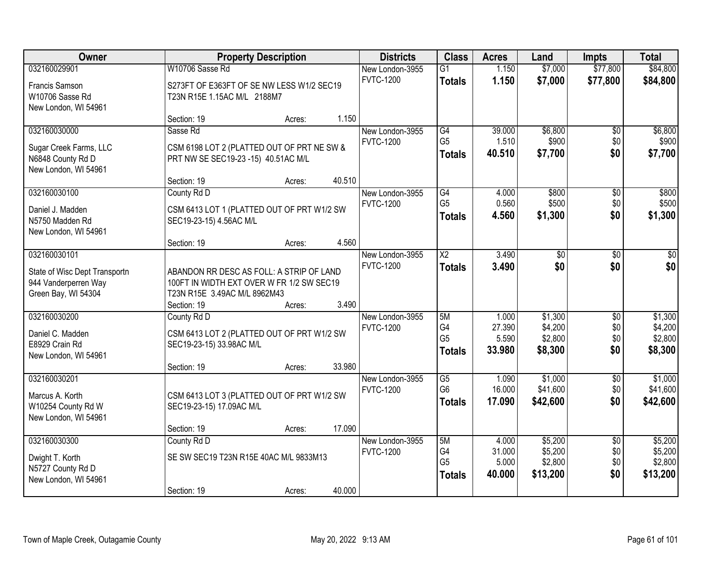| <b>Owner</b>                                                                                 |                                                                                                                       | <b>Property Description</b> |        | <b>Districts</b>                    | <b>Class</b>                                      | <b>Acres</b>                       | Land                                      | <b>Impts</b>                         | <b>Total</b>                              |
|----------------------------------------------------------------------------------------------|-----------------------------------------------------------------------------------------------------------------------|-----------------------------|--------|-------------------------------------|---------------------------------------------------|------------------------------------|-------------------------------------------|--------------------------------------|-------------------------------------------|
| 032160029901                                                                                 | W10706 Sasse Rd                                                                                                       |                             |        | New London-3955                     | $\overline{G1}$                                   | 1.150                              | \$7,000                                   | \$77,800                             | \$84,800                                  |
| Francis Samson<br>W10706 Sasse Rd<br>New London, WI 54961                                    | S273FT OF E363FT OF SE NW LESS W1/2 SEC19<br>T23N R15E 1.15AC M/L 2188M7                                              |                             |        | <b>FVTC-1200</b>                    | <b>Totals</b>                                     | 1.150                              | \$7,000                                   | \$77,800                             | \$84,800                                  |
|                                                                                              | Section: 19                                                                                                           | Acres:                      | 1.150  |                                     |                                                   |                                    |                                           |                                      |                                           |
| 032160030000<br>Sugar Creek Farms, LLC<br>N6848 County Rd D<br>New London, WI 54961          | Sasse Rd<br>CSM 6198 LOT 2 (PLATTED OUT OF PRT NE SW &<br>PRT NW SE SEC19-23 -15) 40.51AC M/L                         |                             |        | New London-3955<br><b>FVTC-1200</b> | G4<br>G <sub>5</sub><br><b>Totals</b>             | 39.000<br>1.510<br>40.510          | \$6,800<br>\$900<br>\$7,700               | \$0<br>\$0<br>\$0                    | \$6,800<br>\$900<br>\$7,700               |
|                                                                                              | Section: 19                                                                                                           | Acres:                      | 40.510 |                                     |                                                   |                                    |                                           |                                      |                                           |
| 032160030100<br>Daniel J. Madden<br>N5750 Madden Rd<br>New London, WI 54961                  | County Rd D<br>CSM 6413 LOT 1 (PLATTED OUT OF PRT W1/2 SW<br>SEC19-23-15) 4.56AC M/L                                  |                             |        | New London-3955<br><b>FVTC-1200</b> | G4<br>G <sub>5</sub><br><b>Totals</b>             | 4.000<br>0.560<br>4.560            | \$800<br>\$500<br>\$1,300                 | $\overline{50}$<br>\$0<br>\$0        | \$800<br>\$500<br>\$1,300                 |
|                                                                                              | Section: 19                                                                                                           | Acres:                      | 4.560  |                                     |                                                   |                                    |                                           |                                      |                                           |
| 032160030101<br>State of Wisc Dept Transportn<br>944 Vanderperren Way<br>Green Bay, WI 54304 | ABANDON RR DESC AS FOLL: A STRIP OF LAND<br>100FT IN WIDTH EXT OVER W FR 1/2 SW SEC19<br>T23N R15E 3.49AC M/L 8962M43 |                             |        | New London-3955<br><b>FVTC-1200</b> | $\overline{\text{X2}}$<br><b>Totals</b>           | 3.490<br>3.490                     | \$0<br>\$0                                | \$0<br>\$0                           | \$0<br>\$0                                |
| 032160030200                                                                                 | Section: 19<br>County Rd D                                                                                            | Acres:                      | 3.490  | New London-3955                     | 5M                                                | 1.000                              | \$1,300                                   | $\overline{30}$                      | \$1,300                                   |
| Daniel C. Madden<br>E8929 Crain Rd<br>New London, WI 54961                                   | CSM 6413 LOT 2 (PLATTED OUT OF PRT W1/2 SW<br>SEC19-23-15) 33.98AC M/L                                                |                             | 33.980 | <b>FVTC-1200</b>                    | G <sub>4</sub><br>G <sub>5</sub><br><b>Totals</b> | 27.390<br>5.590<br>33.980          | \$4,200<br>\$2,800<br>\$8,300             | \$0<br>\$0<br>\$0                    | \$4,200<br>\$2,800<br>\$8,300             |
| 032160030201                                                                                 | Section: 19                                                                                                           | Acres:                      |        | New London-3955                     | $\overline{G5}$                                   | 1.090                              | \$1,000                                   | $\sqrt{$0}$                          | \$1,000                                   |
| Marcus A. Korth<br>W10254 County Rd W<br>New London, WI 54961                                | CSM 6413 LOT 3 (PLATTED OUT OF PRT W1/2 SW<br>SEC19-23-15) 17.09AC M/L                                                |                             |        | <b>FVTC-1200</b>                    | G <sub>6</sub><br><b>Totals</b>                   | 16.000<br>17.090                   | \$41,600<br>\$42,600                      | \$0<br>\$0                           | \$41,600<br>\$42,600                      |
|                                                                                              | Section: 19                                                                                                           | Acres:                      | 17.090 |                                     |                                                   |                                    |                                           |                                      |                                           |
| 032160030300<br>Dwight T. Korth<br>N5727 County Rd D<br>New London, WI 54961                 | County Rd D<br>SE SW SEC19 T23N R15E 40AC M/L 9833M13<br>Section: 19                                                  | Acres:                      | 40.000 | New London-3955<br><b>FVTC-1200</b> | 5M<br>G4<br>G <sub>5</sub><br><b>Totals</b>       | 4.000<br>31.000<br>5.000<br>40.000 | \$5,200<br>\$5,200<br>\$2,800<br>\$13,200 | $\overline{50}$<br>\$0<br>\$0<br>\$0 | \$5,200<br>\$5,200<br>\$2,800<br>\$13,200 |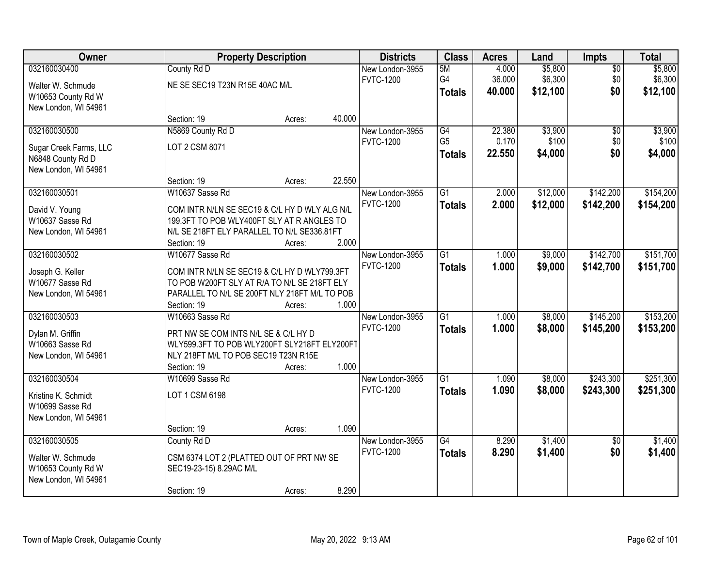| Owner                  |                                               | <b>Property Description</b> |        | <b>Districts</b> | <b>Class</b>    | <b>Acres</b> | Land     | <b>Impts</b>    | <b>Total</b> |
|------------------------|-----------------------------------------------|-----------------------------|--------|------------------|-----------------|--------------|----------|-----------------|--------------|
| 032160030400           | County Rd D                                   |                             |        | New London-3955  | 5M              | 4.000        | \$5,800  | $\overline{50}$ | \$5,800      |
| Walter W. Schmude      | NE SE SEC19 T23N R15E 40AC M/L                |                             |        | <b>FVTC-1200</b> | G4              | 36.000       | \$6,300  | \$0             | \$6,300      |
| W10653 County Rd W     |                                               |                             |        |                  | <b>Totals</b>   | 40.000       | \$12,100 | \$0             | \$12,100     |
| New London, WI 54961   |                                               |                             |        |                  |                 |              |          |                 |              |
|                        | Section: 19                                   | Acres:                      | 40.000 |                  |                 |              |          |                 |              |
| 032160030500           | N5869 County Rd D                             |                             |        | New London-3955  | $\overline{G4}$ | 22.380       | \$3,900  | $\overline{50}$ | \$3,900      |
| Sugar Creek Farms, LLC | LOT 2 CSM 8071                                |                             |        | <b>FVTC-1200</b> | G <sub>5</sub>  | 0.170        | \$100    | \$0             | \$100        |
| N6848 County Rd D      |                                               |                             |        |                  | <b>Totals</b>   | 22.550       | \$4,000  | \$0             | \$4,000      |
| New London, WI 54961   |                                               |                             |        |                  |                 |              |          |                 |              |
|                        | Section: 19                                   | Acres:                      | 22.550 |                  |                 |              |          |                 |              |
| 032160030501           | W10637 Sasse Rd                               |                             |        | New London-3955  | G1              | 2.000        | \$12,000 | \$142,200       | \$154,200    |
| David V. Young         | COM INTR N/LN SE SEC19 & C/L HY D WLY ALG N/L |                             |        | <b>FVTC-1200</b> | <b>Totals</b>   | 2.000        | \$12,000 | \$142,200       | \$154,200    |
| W10637 Sasse Rd        | 199.3FT TO POB WLY400FT SLY AT R ANGLES TO    |                             |        |                  |                 |              |          |                 |              |
| New London, WI 54961   | N/L SE 218FT ELY PARALLEL TO N/L SE336.81FT   |                             |        |                  |                 |              |          |                 |              |
|                        | Section: 19                                   | Acres:                      | 2.000  |                  |                 |              |          |                 |              |
| 032160030502           | W10677 Sasse Rd                               |                             |        | New London-3955  | $\overline{G1}$ | 1.000        | \$9,000  | \$142,700       | \$151,700    |
| Joseph G. Keller       | COM INTR N/LN SE SEC19 & C/L HY D WLY799.3FT  |                             |        | <b>FVTC-1200</b> | <b>Totals</b>   | 1.000        | \$9,000  | \$142,700       | \$151,700    |
| W10677 Sasse Rd        | TO POB W200FT SLY AT R/A TO N/L SE 218FT ELY  |                             |        |                  |                 |              |          |                 |              |
| New London, WI 54961   | PARALLEL TO N/L SE 200FT NLY 218FT M/L TO POB |                             |        |                  |                 |              |          |                 |              |
|                        | Section: 19                                   | Acres:                      | 1.000  |                  |                 |              |          |                 |              |
| 032160030503           | W10663 Sasse Rd                               |                             |        | New London-3955  | $\overline{G1}$ | 1.000        | \$8,000  | \$145,200       | \$153,200    |
| Dylan M. Griffin       | PRT NW SE COM INTS N/L SE & C/L HY D          |                             |        | <b>FVTC-1200</b> | <b>Totals</b>   | 1.000        | \$8,000  | \$145,200       | \$153,200    |
| W10663 Sasse Rd        | WLY599.3FT TO POB WLY200FT SLY218FT ELY200FT  |                             |        |                  |                 |              |          |                 |              |
| New London, WI 54961   | NLY 218FT M/L TO POB SEC19 T23N R15E          |                             |        |                  |                 |              |          |                 |              |
|                        | Section: 19                                   | Acres:                      | 1.000  |                  |                 |              |          |                 |              |
| 032160030504           | W10699 Sasse Rd                               |                             |        | New London-3955  | $\overline{G1}$ | 1.090        | \$8,000  | \$243,300       | \$251,300    |
| Kristine K. Schmidt    | LOT 1 CSM 6198                                |                             |        | <b>FVTC-1200</b> | <b>Totals</b>   | 1.090        | \$8,000  | \$243,300       | \$251,300    |
| W10699 Sasse Rd        |                                               |                             |        |                  |                 |              |          |                 |              |
| New London, WI 54961   |                                               |                             |        |                  |                 |              |          |                 |              |
|                        | Section: 19                                   | Acres:                      | 1.090  |                  |                 |              |          |                 |              |
| 032160030505           | County Rd D                                   |                             |        | New London-3955  | $\overline{G4}$ | 8.290        | \$1,400  | $\overline{50}$ | \$1,400      |
| Walter W. Schmude      | CSM 6374 LOT 2 (PLATTED OUT OF PRT NW SE      |                             |        | <b>FVTC-1200</b> | <b>Totals</b>   | 8.290        | \$1,400  | \$0             | \$1,400      |
| W10653 County Rd W     | SEC19-23-15) 8.29AC M/L                       |                             |        |                  |                 |              |          |                 |              |
| New London, WI 54961   |                                               |                             |        |                  |                 |              |          |                 |              |
|                        | Section: 19                                   | Acres:                      | 8.290  |                  |                 |              |          |                 |              |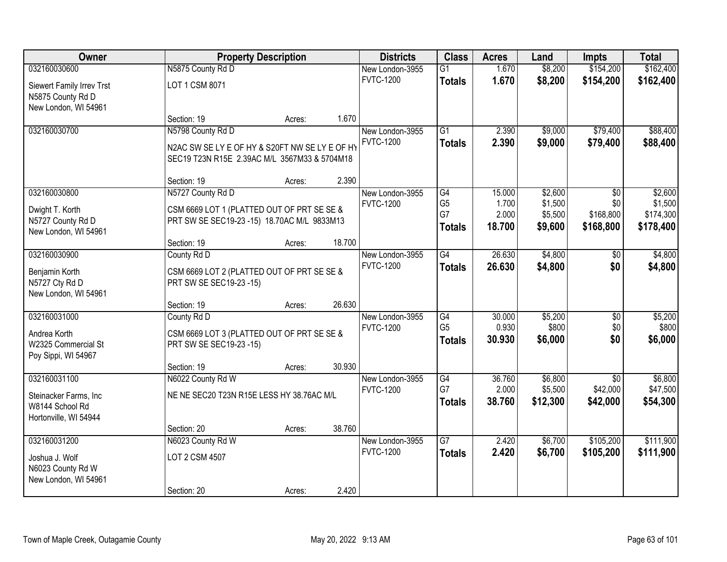| Owner                            |                                                                       | <b>Property Description</b> |        | <b>Districts</b> | <b>Class</b>    | <b>Acres</b> | Land     | <b>Impts</b>    | <b>Total</b> |
|----------------------------------|-----------------------------------------------------------------------|-----------------------------|--------|------------------|-----------------|--------------|----------|-----------------|--------------|
| 032160030600                     | N5875 County Rd D                                                     |                             |        | New London-3955  | $\overline{G1}$ | 1.670        | \$8,200  | \$154,200       | \$162,400    |
| Siewert Family Irrev Trst        | LOT 1 CSM 8071                                                        |                             |        | <b>FVTC-1200</b> | <b>Totals</b>   | 1.670        | \$8,200  | \$154,200       | \$162,400    |
| N5875 County Rd D                |                                                                       |                             |        |                  |                 |              |          |                 |              |
| New London, WI 54961             |                                                                       |                             |        |                  |                 |              |          |                 |              |
|                                  | Section: 19                                                           | Acres:                      | 1.670  |                  |                 |              |          |                 |              |
| 032160030700                     | N5798 County Rd D                                                     |                             |        | New London-3955  | $\overline{G1}$ | 2.390        | \$9,000  | \$79,400        | \$88,400     |
|                                  | N2AC SW SE LY E OF HY & S20FT NW SE LY E OF HY                        |                             |        | <b>FVTC-1200</b> | <b>Totals</b>   | 2.390        | \$9,000  | \$79,400        | \$88,400     |
|                                  | SEC19 T23N R15E 2.39AC M/L 3567M33 & 5704M18                          |                             |        |                  |                 |              |          |                 |              |
|                                  |                                                                       |                             |        |                  |                 |              |          |                 |              |
| 032160030800                     | Section: 19<br>N5727 County Rd D                                      | Acres:                      | 2.390  | New London-3955  | G4              | 15.000       | \$2,600  | \$0             | \$2,600      |
|                                  |                                                                       |                             |        | <b>FVTC-1200</b> | G <sub>5</sub>  | 1.700        | \$1,500  | \$0             | \$1,500      |
| Dwight T. Korth                  | CSM 6669 LOT 1 (PLATTED OUT OF PRT SE SE &                            |                             |        |                  | G7              | 2.000        | \$5,500  | \$168,800       | \$174,300    |
| N5727 County Rd D                | PRT SW SE SEC19-23 -15) 18.70AC M/L 9833M13                           |                             |        |                  | <b>Totals</b>   | 18.700       | \$9,600  | \$168,800       | \$178,400    |
| New London, WI 54961             | Section: 19                                                           | Acres:                      | 18.700 |                  |                 |              |          |                 |              |
| 032160030900                     | County Rd D                                                           |                             |        | New London-3955  | $\overline{G4}$ | 26.630       | \$4,800  | \$0             | \$4,800      |
|                                  |                                                                       |                             |        | <b>FVTC-1200</b> | <b>Totals</b>   | 26.630       | \$4,800  | \$0             | \$4,800      |
| Benjamin Korth<br>N5727 Cty Rd D | CSM 6669 LOT 2 (PLATTED OUT OF PRT SE SE &<br>PRT SW SE SEC19-23 -15) |                             |        |                  |                 |              |          |                 |              |
| New London, WI 54961             |                                                                       |                             |        |                  |                 |              |          |                 |              |
|                                  | Section: 19                                                           | Acres:                      | 26.630 |                  |                 |              |          |                 |              |
| 032160031000                     | County Rd D                                                           |                             |        | New London-3955  | $\overline{G4}$ | 30.000       | \$5,200  | $\overline{50}$ | \$5,200      |
| Andrea Korth                     | CSM 6669 LOT 3 (PLATTED OUT OF PRT SE SE &                            |                             |        | <b>FVTC-1200</b> | G <sub>5</sub>  | 0.930        | \$800    | \$0             | \$800        |
| W2325 Commercial St              | PRT SW SE SEC19-23 -15)                                               |                             |        |                  | <b>Totals</b>   | 30.930       | \$6,000  | \$0             | \$6,000      |
| Poy Sippi, WI 54967              |                                                                       |                             |        |                  |                 |              |          |                 |              |
|                                  | Section: 19                                                           | Acres:                      | 30.930 |                  |                 |              |          |                 |              |
| 032160031100                     | N6022 County Rd W                                                     |                             |        | New London-3955  | $\overline{G4}$ | 36.760       | \$6,800  | \$0             | \$6,800      |
| Steinacker Farms, Inc            | NE NE SEC20 T23N R15E LESS HY 38.76AC M/L                             |                             |        | <b>FVTC-1200</b> | G7              | 2.000        | \$5,500  | \$42,000        | \$47,500     |
| W8144 School Rd                  |                                                                       |                             |        |                  | <b>Totals</b>   | 38.760       | \$12,300 | \$42,000        | \$54,300     |
| Hortonville, WI 54944            |                                                                       |                             |        |                  |                 |              |          |                 |              |
|                                  | Section: 20                                                           | Acres:                      | 38.760 |                  |                 |              |          |                 |              |
| 032160031200                     | N6023 County Rd W                                                     |                             |        | New London-3955  | $\overline{G7}$ | 2.420        | \$6,700  | \$105,200       | \$111,900    |
| Joshua J. Wolf                   | LOT 2 CSM 4507                                                        |                             |        | <b>FVTC-1200</b> | <b>Totals</b>   | 2.420        | \$6,700  | \$105,200       | \$111,900    |
| N6023 County Rd W                |                                                                       |                             |        |                  |                 |              |          |                 |              |
| New London, WI 54961             |                                                                       |                             |        |                  |                 |              |          |                 |              |
|                                  | Section: 20                                                           | Acres:                      | 2.420  |                  |                 |              |          |                 |              |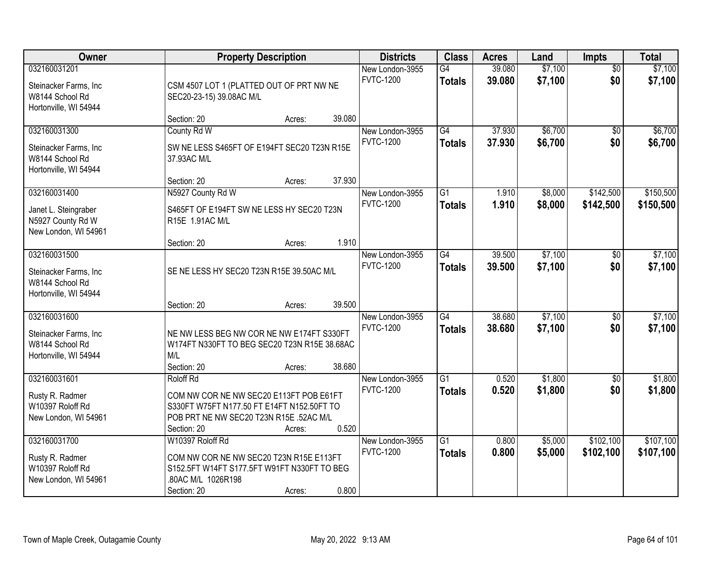| Owner                                     | <b>Property Description</b>                                       |        |        | <b>Districts</b>                    | <b>Class</b>    | <b>Acres</b> | Land    | <b>Impts</b>    | <b>Total</b> |
|-------------------------------------------|-------------------------------------------------------------------|--------|--------|-------------------------------------|-----------------|--------------|---------|-----------------|--------------|
| 032160031201                              |                                                                   |        |        | New London-3955                     | G4              | 39.080       | \$7,100 | $\overline{50}$ | \$7,100      |
| Steinacker Farms, Inc                     | CSM 4507 LOT 1 (PLATTED OUT OF PRT NW NE                          |        |        | <b>FVTC-1200</b>                    | <b>Totals</b>   | 39.080       | \$7,100 | \$0             | \$7,100      |
| W8144 School Rd                           | SEC20-23-15) 39.08AC M/L                                          |        |        |                                     |                 |              |         |                 |              |
| Hortonville, WI 54944                     |                                                                   |        |        |                                     |                 |              |         |                 |              |
| 032160031300                              | Section: 20<br>County Rd W                                        | Acres: | 39.080 | New London-3955                     | $\overline{G4}$ | 37.930       | \$6,700 | $\overline{50}$ | \$6,700      |
|                                           |                                                                   |        |        | <b>FVTC-1200</b>                    | <b>Totals</b>   | 37.930       | \$6,700 | \$0             | \$6,700      |
| Steinacker Farms, Inc                     | SW NE LESS S465FT OF E194FT SEC20 T23N R15E                       |        |        |                                     |                 |              |         |                 |              |
| W8144 School Rd                           | 37.93AC M/L                                                       |        |        |                                     |                 |              |         |                 |              |
| Hortonville, WI 54944                     | Section: 20                                                       | Acres: | 37.930 |                                     |                 |              |         |                 |              |
| 032160031400                              | N5927 County Rd W                                                 |        |        | New London-3955                     | $\overline{G1}$ | 1.910        | \$8,000 | \$142,500       | \$150,500    |
|                                           |                                                                   |        |        | <b>FVTC-1200</b>                    | <b>Totals</b>   | 1.910        | \$8,000 | \$142,500       | \$150,500    |
| Janet L. Steingraber<br>N5927 County Rd W | S465FT OF E194FT SW NE LESS HY SEC20 T23N<br>R15E 1.91AC M/L      |        |        |                                     |                 |              |         |                 |              |
| New London, WI 54961                      |                                                                   |        |        |                                     |                 |              |         |                 |              |
|                                           | Section: 20                                                       | Acres: | 1.910  |                                     |                 |              |         |                 |              |
| 032160031500                              |                                                                   |        |        | New London-3955                     | G4              | 39.500       | \$7,100 | \$0             | \$7,100      |
| Steinacker Farms, Inc.                    | SE NE LESS HY SEC20 T23N R15E 39.50AC M/L                         |        |        | <b>FVTC-1200</b>                    | <b>Totals</b>   | 39,500       | \$7,100 | \$0             | \$7,100      |
| W8144 School Rd                           |                                                                   |        |        |                                     |                 |              |         |                 |              |
| Hortonville, WI 54944                     |                                                                   |        |        |                                     |                 |              |         |                 |              |
|                                           | Section: 20                                                       | Acres: | 39.500 |                                     |                 |              |         |                 |              |
| 032160031600                              |                                                                   |        |        | New London-3955                     | $\overline{G4}$ | 38.680       | \$7,100 | $\overline{30}$ | \$7,100      |
| Steinacker Farms, Inc                     | NE NW LESS BEG NW COR NE NW E174FT S330FT                         |        |        | <b>FVTC-1200</b>                    | <b>Totals</b>   | 38.680       | \$7,100 | \$0             | \$7,100      |
| W8144 School Rd                           | W174FT N330FT TO BEG SEC20 T23N R15E 38.68AC                      |        |        |                                     |                 |              |         |                 |              |
| Hortonville, WI 54944                     | M/L                                                               |        |        |                                     |                 |              |         |                 |              |
|                                           | Section: 20                                                       | Acres: | 38.680 |                                     |                 |              |         |                 |              |
| 032160031601                              | Roloff Rd                                                         |        |        | New London-3955<br><b>FVTC-1200</b> | $\overline{G1}$ | 0.520        | \$1,800 | $\sqrt{6}$      | \$1,800      |
| Rusty R. Radmer                           | COM NW COR NE NW SEC20 E113FT POB E61FT                           |        |        |                                     | <b>Totals</b>   | 0.520        | \$1,800 | \$0             | \$1,800      |
| W10397 Roloff Rd                          | S330FT W75FT N177.50 FT E14FT N152.50FT TO                        |        |        |                                     |                 |              |         |                 |              |
| New London, WI 54961                      | POB PRT NE NW SEC20 T23N R15E .52AC M/L<br>Section: 20            |        | 0.520  |                                     |                 |              |         |                 |              |
| 032160031700                              | W10397 Roloff Rd                                                  | Acres: |        | New London-3955                     | $\overline{G1}$ | 0.800        | \$5,000 | \$102,100       | \$107,100    |
|                                           |                                                                   |        |        | <b>FVTC-1200</b>                    | <b>Totals</b>   | 0.800        | \$5,000 | \$102,100       | \$107,100    |
| Rusty R. Radmer                           | COM NW COR NE NW SEC20 T23N R15E E113FT                           |        |        |                                     |                 |              |         |                 |              |
| W10397 Roloff Rd<br>New London, WI 54961  | S152.5FT W14FT S177.5FT W91FT N330FT TO BEG<br>.80AC M/L 1026R198 |        |        |                                     |                 |              |         |                 |              |
|                                           | Section: 20                                                       | Acres: | 0.800  |                                     |                 |              |         |                 |              |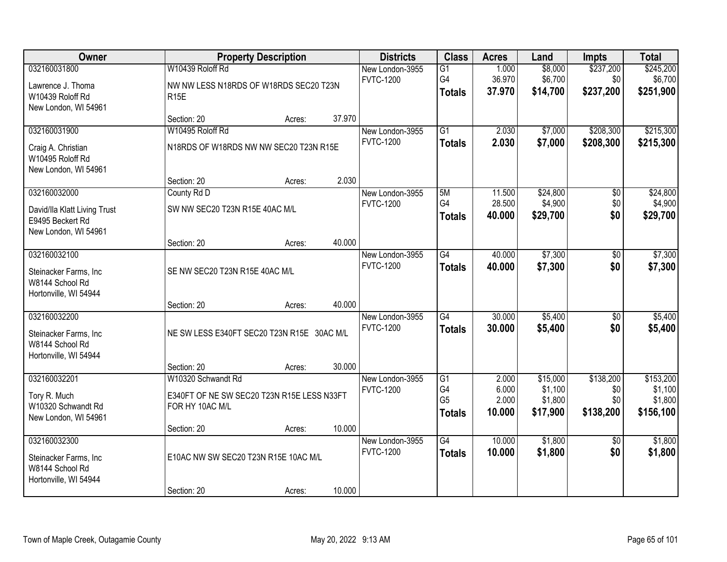| Owner                                            |                                            | <b>Property Description</b> |        | <b>Districts</b>                    | <b>Class</b>    | <b>Acres</b>   | Land     | <b>Impts</b>    | <b>Total</b> |
|--------------------------------------------------|--------------------------------------------|-----------------------------|--------|-------------------------------------|-----------------|----------------|----------|-----------------|--------------|
| 032160031800                                     | W10439 Roloff Rd                           |                             |        | New London-3955                     | $\overline{G1}$ | 1.000          | \$8,000  | \$237,200       | \$245,200    |
| Lawrence J. Thoma                                | NW NW LESS N18RDS OF W18RDS SEC20 T23N     |                             |        | <b>FVTC-1200</b>                    | G4              | 36.970         | \$6,700  | \$0             | \$6,700      |
| W10439 Roloff Rd                                 | <b>R15E</b>                                |                             |        |                                     | <b>Totals</b>   | 37.970         | \$14,700 | \$237,200       | \$251,900    |
| New London, WI 54961                             |                                            |                             |        |                                     |                 |                |          |                 |              |
|                                                  | Section: 20                                | Acres:                      | 37.970 |                                     |                 |                |          |                 |              |
| 032160031900                                     | W10495 Roloff Rd                           |                             |        | New London-3955<br><b>FVTC-1200</b> | $\overline{G1}$ | 2.030<br>2.030 | \$7,000  | \$208,300       | \$215,300    |
| Craig A. Christian                               | N18RDS OF W18RDS NW NW SEC20 T23N R15E     |                             |        |                                     | <b>Totals</b>   |                | \$7,000  | \$208,300       | \$215,300    |
| W10495 Roloff Rd                                 |                                            |                             |        |                                     |                 |                |          |                 |              |
| New London, WI 54961                             | Section: 20                                | Acres:                      | 2.030  |                                     |                 |                |          |                 |              |
| 032160032000                                     | County Rd D                                |                             |        | New London-3955                     | 5M              | 11.500         | \$24,800 | $\overline{50}$ | \$24,800     |
|                                                  |                                            |                             |        | <b>FVTC-1200</b>                    | G4              | 28.500         | \$4,900  | \$0             | \$4,900      |
| David/Ila Klatt Living Trust<br>E9495 Beckert Rd | SW NW SEC20 T23N R15E 40AC M/L             |                             |        |                                     | <b>Totals</b>   | 40.000         | \$29,700 | \$0             | \$29,700     |
| New London, WI 54961                             |                                            |                             |        |                                     |                 |                |          |                 |              |
|                                                  | Section: 20                                | Acres:                      | 40.000 |                                     |                 |                |          |                 |              |
| 032160032100                                     |                                            |                             |        | New London-3955                     | G4              | 40.000         | \$7,300  | \$0             | \$7,300      |
| Steinacker Farms, Inc                            | SE NW SEC20 T23N R15E 40AC M/L             |                             |        | <b>FVTC-1200</b>                    | <b>Totals</b>   | 40.000         | \$7,300  | \$0             | \$7,300      |
| W8144 School Rd                                  |                                            |                             |        |                                     |                 |                |          |                 |              |
| Hortonville, WI 54944                            |                                            |                             |        |                                     |                 |                |          |                 |              |
|                                                  | Section: 20                                | Acres:                      | 40.000 |                                     |                 |                |          |                 |              |
| 032160032200                                     |                                            |                             |        | New London-3955                     | $\overline{G4}$ | 30.000         | \$5,400  | $\overline{50}$ | \$5,400      |
| Steinacker Farms, Inc                            | NE SW LESS E340FT SEC20 T23N R15E 30AC M/L |                             |        | <b>FVTC-1200</b>                    | <b>Totals</b>   | 30.000         | \$5,400  | \$0             | \$5,400      |
| W8144 School Rd                                  |                                            |                             |        |                                     |                 |                |          |                 |              |
| Hortonville, WI 54944                            |                                            |                             |        |                                     |                 |                |          |                 |              |
| 032160032201                                     | Section: 20<br>W10320 Schwandt Rd          | Acres:                      | 30.000 |                                     | G1              | 2.000          | \$15,000 | \$138,200       | \$153,200    |
|                                                  |                                            |                             |        | New London-3955<br><b>FVTC-1200</b> | G4              | 6.000          | \$1,100  | \$0             | \$1,100      |
| Tory R. Much                                     | E340FT OF NE SW SEC20 T23N R15E LESS N33FT |                             |        |                                     | G <sub>5</sub>  | 2.000          | \$1,800  | \$0             | \$1,800      |
| W10320 Schwandt Rd<br>New London, WI 54961       | FOR HY 10AC M/L                            |                             |        |                                     | <b>Totals</b>   | 10.000         | \$17,900 | \$138,200       | \$156,100    |
|                                                  | Section: 20                                | Acres:                      | 10.000 |                                     |                 |                |          |                 |              |
| 032160032300                                     |                                            |                             |        | New London-3955                     | $\overline{G4}$ | 10.000         | \$1,800  | $\overline{50}$ | \$1,800      |
|                                                  | E10AC NW SW SEC20 T23N R15E 10AC M/L       |                             |        | <b>FVTC-1200</b>                    | <b>Totals</b>   | 10.000         | \$1,800  | \$0             | \$1,800      |
| Steinacker Farms, Inc<br>W8144 School Rd         |                                            |                             |        |                                     |                 |                |          |                 |              |
| Hortonville, WI 54944                            |                                            |                             |        |                                     |                 |                |          |                 |              |
|                                                  | Section: 20                                | Acres:                      | 10.000 |                                     |                 |                |          |                 |              |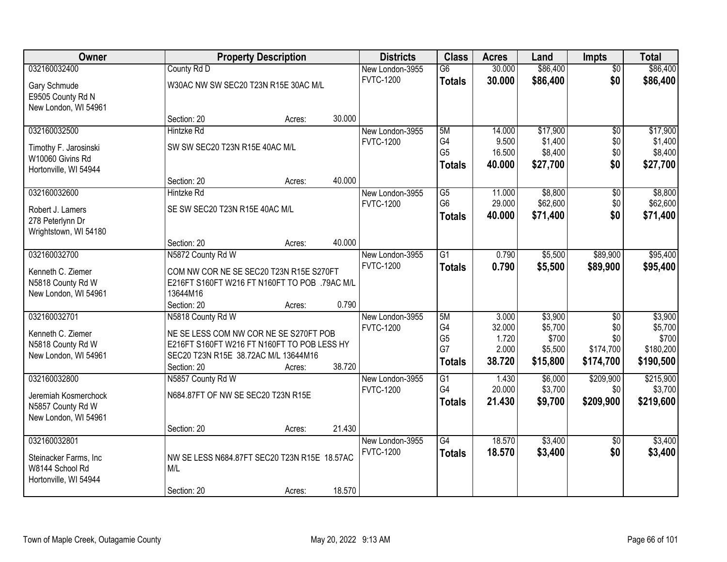| <b>Owner</b>          | <b>Property Description</b>                   |        |        | <b>Districts</b> | <b>Class</b>    | <b>Acres</b>    | Land               | <b>Impts</b>     | <b>Total</b>         |
|-----------------------|-----------------------------------------------|--------|--------|------------------|-----------------|-----------------|--------------------|------------------|----------------------|
| 032160032400          | County Rd D                                   |        |        | New London-3955  | $\overline{G6}$ | 30.000          | \$86,400           | $\overline{50}$  | \$86,400             |
| Gary Schmude          | W30AC NW SW SEC20 T23N R15E 30AC M/L          |        |        | <b>FVTC-1200</b> | <b>Totals</b>   | 30.000          | \$86,400           | \$0              | \$86,400             |
| E9505 County Rd N     |                                               |        |        |                  |                 |                 |                    |                  |                      |
| New London, WI 54961  |                                               |        |        |                  |                 |                 |                    |                  |                      |
|                       | Section: 20                                   | Acres: | 30.000 |                  |                 |                 |                    |                  |                      |
| 032160032500          | <b>Hintzke Rd</b>                             |        |        | New London-3955  | 5M              | 14.000          | \$17,900           | $\overline{50}$  | \$17,900             |
| Timothy F. Jarosinski | SW SW SEC20 T23N R15E 40AC M/L                |        |        | <b>FVTC-1200</b> | G4              | 9.500           | \$1,400            | \$0              | \$1,400              |
| W10060 Givins Rd      |                                               |        |        |                  | G <sub>5</sub>  | 16.500          | \$8,400            | \$0              | \$8,400              |
| Hortonville, WI 54944 |                                               |        |        |                  | <b>Totals</b>   | 40.000          | \$27,700           | \$0              | \$27,700             |
|                       | Section: 20                                   | Acres: | 40.000 |                  |                 |                 |                    |                  |                      |
| 032160032600          | Hintzke Rd                                    |        |        | New London-3955  | G5              | 11.000          | \$8,800            | \$0              | \$8,800              |
| Robert J. Lamers      | SE SW SEC20 T23N R15E 40AC M/L                |        |        | <b>FVTC-1200</b> | G <sub>6</sub>  | 29.000          | \$62,600           | \$0              | \$62,600             |
| 278 Peterlynn Dr      |                                               |        |        |                  | <b>Totals</b>   | 40.000          | \$71,400           | \$0              | \$71,400             |
| Wrightstown, WI 54180 |                                               |        |        |                  |                 |                 |                    |                  |                      |
|                       | Section: 20                                   | Acres: | 40.000 |                  |                 |                 |                    |                  |                      |
| 032160032700          | N5872 County Rd W                             |        |        | New London-3955  | $\overline{G1}$ | 0.790           | \$5,500            | \$89,900         | \$95,400             |
| Kenneth C. Ziemer     | COM NW COR NE SE SEC20 T23N R15E S270FT       |        |        | <b>FVTC-1200</b> | <b>Totals</b>   | 0.790           | \$5,500            | \$89,900         | \$95,400             |
| N5818 County Rd W     | E216FT S160FT W216 FT N160FT TO POB .79AC M/L |        |        |                  |                 |                 |                    |                  |                      |
| New London, WI 54961  | 13644M16                                      |        |        |                  |                 |                 |                    |                  |                      |
|                       | Section: 20                                   | Acres: | 0.790  |                  |                 |                 |                    |                  |                      |
| 032160032701          | N5818 County Rd W                             |        |        | New London-3955  | 5M              | 3.000           | \$3,900            | $\overline{50}$  | \$3,900              |
|                       |                                               |        |        | <b>FVTC-1200</b> | G4              | 32.000          | \$5,700            | \$0              | \$5,700              |
| Kenneth C. Ziemer     | NE SE LESS COM NW COR NE SE S270FT POB        |        |        |                  | G <sub>5</sub>  | 1.720           | \$700              | \$0              | \$700                |
| N5818 County Rd W     | E216FT S160FT W216 FT N160FT TO POB LESS HY   |        |        |                  | G7              | 2.000           | \$5,500            | \$174,700        | \$180,200            |
| New London, WI 54961  | SEC20 T23N R15E 38.72AC M/L 13644M16          |        |        |                  | <b>Totals</b>   | 38.720          | \$15,800           | \$174,700        | \$190,500            |
|                       | Section: 20                                   | Acres: | 38.720 |                  |                 |                 |                    |                  |                      |
| 032160032800          | N5857 County Rd W                             |        |        | New London-3955  | G1<br>G4        | 1.430<br>20.000 | \$6,000<br>\$3,700 | \$209,900<br>\$0 | \$215,900<br>\$3,700 |
| Jeremiah Kosmerchock  | N684.87FT OF NW SE SEC20 T23N R15E            |        |        | <b>FVTC-1200</b> |                 |                 |                    |                  |                      |
| N5857 County Rd W     |                                               |        |        |                  | <b>Totals</b>   | 21.430          | \$9,700            | \$209,900        | \$219,600            |
| New London, WI 54961  |                                               |        |        |                  |                 |                 |                    |                  |                      |
|                       | Section: 20                                   | Acres: | 21.430 |                  |                 |                 |                    |                  |                      |
| 032160032801          |                                               |        |        | New London-3955  | $\overline{G4}$ | 18.570          | \$3,400            | $\overline{50}$  | \$3,400              |
| Steinacker Farms, Inc | NW SE LESS N684.87FT SEC20 T23N R15E 18.57AC  |        |        | <b>FVTC-1200</b> | <b>Totals</b>   | 18.570          | \$3,400            | \$0              | \$3,400              |
| W8144 School Rd       | M/L                                           |        |        |                  |                 |                 |                    |                  |                      |
| Hortonville, WI 54944 |                                               |        |        |                  |                 |                 |                    |                  |                      |
|                       | Section: 20                                   | Acres: | 18.570 |                  |                 |                 |                    |                  |                      |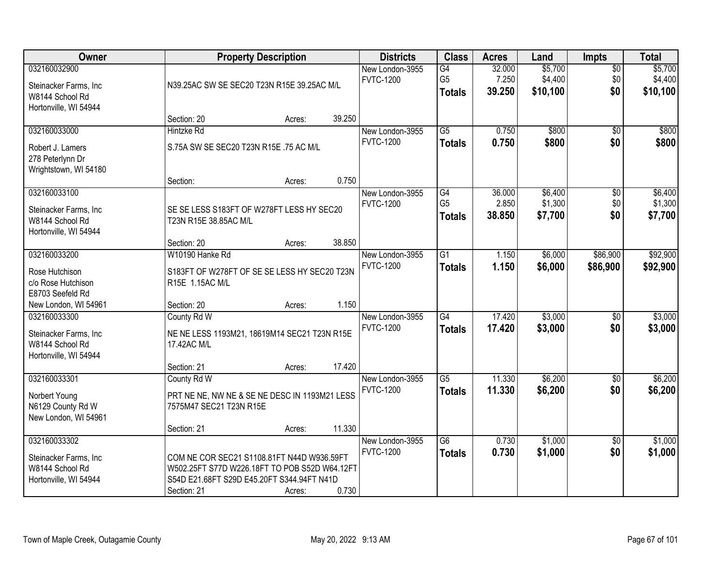| Owner                                                                              |                                                                                                                                                          | <b>Property Description</b> |        | <b>Districts</b>                    | <b>Class</b>                                       | <b>Acres</b>              | Land                           | <b>Impts</b>                  | <b>Total</b>                   |
|------------------------------------------------------------------------------------|----------------------------------------------------------------------------------------------------------------------------------------------------------|-----------------------------|--------|-------------------------------------|----------------------------------------------------|---------------------------|--------------------------------|-------------------------------|--------------------------------|
| 032160032900<br>Steinacker Farms, Inc.<br>W8144 School Rd<br>Hortonville, WI 54944 | N39.25AC SW SE SEC20 T23N R15E 39.25AC M/L                                                                                                               |                             |        | New London-3955<br><b>FVTC-1200</b> | $\overline{G4}$<br>G <sub>5</sub><br><b>Totals</b> | 32.000<br>7.250<br>39.250 | \$5,700<br>\$4,400<br>\$10,100 | $\overline{50}$<br>\$0<br>\$0 | \$5,700<br>\$4,400<br>\$10,100 |
|                                                                                    | Section: 20                                                                                                                                              | Acres:                      | 39.250 |                                     |                                                    |                           |                                |                               |                                |
| 032160033000<br>Robert J. Lamers<br>278 Peterlynn Dr<br>Wrightstown, WI 54180      | <b>Hintzke Rd</b><br>S.75A SW SE SEC20 T23N R15E .75 AC M/L                                                                                              |                             |        | New London-3955<br><b>FVTC-1200</b> | $\overline{G5}$<br><b>Totals</b>                   | 0.750<br>0.750            | \$800<br>\$800                 | $\overline{50}$<br>\$0        | \$800<br>\$800                 |
|                                                                                    | Section:                                                                                                                                                 | Acres:                      | 0.750  |                                     |                                                    |                           |                                |                               |                                |
| 032160033100<br>Steinacker Farms, Inc<br>W8144 School Rd<br>Hortonville, WI 54944  | SE SE LESS S183FT OF W278FT LESS HY SEC20<br>T23N R15E 38.85AC M/L                                                                                       |                             |        | New London-3955<br><b>FVTC-1200</b> | G4<br>G <sub>5</sub><br><b>Totals</b>              | 36.000<br>2.850<br>38.850 | \$6,400<br>\$1,300<br>\$7,700  | $\overline{50}$<br>\$0<br>\$0 | \$6,400<br>\$1,300<br>\$7,700  |
|                                                                                    | Section: 20                                                                                                                                              | Acres:                      | 38.850 |                                     |                                                    |                           |                                |                               |                                |
| 032160033200<br>Rose Hutchison<br>c/o Rose Hutchison<br>E8703 Seefeld Rd           | W10190 Hanke Rd<br>S183FT OF W278FT OF SE SE LESS HY SEC20 T23N<br>R15E 1.15AC M/L                                                                       |                             |        | New London-3955<br><b>FVTC-1200</b> | $\overline{G1}$<br><b>Totals</b>                   | 1.150<br>1.150            | \$6,000<br>\$6,000             | \$86,900<br>\$86,900          | \$92,900<br>\$92,900           |
| New London, WI 54961                                                               | Section: 20                                                                                                                                              | Acres:                      | 1.150  |                                     |                                                    |                           |                                |                               |                                |
| 032160033300<br>Steinacker Farms, Inc<br>W8144 School Rd<br>Hortonville, WI 54944  | County Rd W<br>NE NE LESS 1193M21, 18619M14 SEC21 T23N R15E<br>17.42AC M/L                                                                               |                             |        | New London-3955<br><b>FVTC-1200</b> | $\overline{G4}$<br><b>Totals</b>                   | 17.420<br>17.420          | \$3,000<br>\$3,000             | \$0<br>\$0                    | \$3,000<br>\$3,000             |
|                                                                                    | Section: 21                                                                                                                                              | Acres:                      | 17.420 |                                     |                                                    |                           |                                |                               |                                |
| 032160033301<br>Norbert Young<br>N6129 County Rd W<br>New London, WI 54961         | County Rd W<br>PRT NE NE, NW NE & SE NE DESC IN 1193M21 LESS<br>7575M47 SEC21 T23N R15E                                                                  |                             |        | New London-3955<br><b>FVTC-1200</b> | $\overline{G5}$<br><b>Totals</b>                   | 11.330<br>11.330          | \$6,200<br>\$6,200             | $\overline{60}$<br>\$0        | \$6,200<br>\$6,200             |
|                                                                                    | Section: 21                                                                                                                                              | Acres:                      | 11.330 |                                     |                                                    |                           |                                |                               |                                |
| 032160033302<br>Steinacker Farms, Inc<br>W8144 School Rd<br>Hortonville, WI 54944  | COM NE COR SEC21 S1108.81FT N44D W936.59FT<br>W502.25FT S77D W226.18FT TO POB S52D W64.12FT<br>S54D E21.68FT S29D E45.20FT S344.94FT N41D<br>Section: 21 | Acres:                      | 0.730  | New London-3955<br><b>FVTC-1200</b> | $\overline{G6}$<br><b>Totals</b>                   | 0.730<br>0.730            | \$1,000<br>\$1,000             | $\overline{30}$<br>\$0        | \$1,000<br>\$1,000             |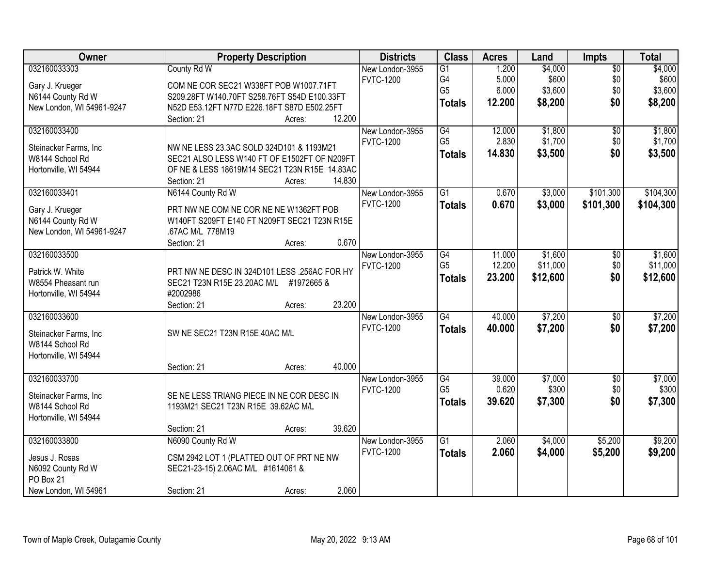| Owner                     | <b>Property Description</b>                   |        | <b>Districts</b> | <b>Class</b>    | <b>Acres</b> | Land     | <b>Impts</b>    | <b>Total</b> |
|---------------------------|-----------------------------------------------|--------|------------------|-----------------|--------------|----------|-----------------|--------------|
| 032160033303              | County Rd W                                   |        | New London-3955  | $\overline{G1}$ | 1.200        | \$4,000  | $\overline{50}$ | \$4,000      |
| Gary J. Krueger           | COM NE COR SEC21 W338FT POB W1007.71FT        |        | <b>FVTC-1200</b> | G4              | 5.000        | \$600    | \$0             | \$600        |
| N6144 County Rd W         | S209.28FT W140.70FT S258.76FT S54D E100.33FT  |        |                  | G <sub>5</sub>  | 6.000        | \$3,600  | \$0             | \$3,600      |
| New London, WI 54961-9247 | N52D E53.12FT N77D E226.18FT S87D E502.25FT   |        |                  | <b>Totals</b>   | 12.200       | \$8,200  | \$0             | \$8,200      |
|                           | Section: 21                                   | Acres: | 12.200           |                 |              |          |                 |              |
| 032160033400              |                                               |        | New London-3955  | G4              | 12.000       | \$1,800  | $\overline{50}$ | \$1,800      |
|                           |                                               |        | <b>FVTC-1200</b> | G <sub>5</sub>  | 2.830        | \$1,700  | \$0             | \$1,700      |
| Steinacker Farms, Inc     | NW NE LESS 23.3AC SOLD 324D101 & 1193M21      |        |                  | <b>Totals</b>   | 14.830       | \$3,500  | \$0             | \$3,500      |
| W8144 School Rd           | SEC21 ALSO LESS W140 FT OF E1502FT OF N209FT  |        |                  |                 |              |          |                 |              |
| Hortonville, WI 54944     | OF NE & LESS 18619M14 SEC21 T23N R15E 14.83AC |        |                  |                 |              |          |                 |              |
|                           | Section: 21                                   | Acres: | 14.830           |                 |              |          |                 |              |
| 032160033401              | N6144 County Rd W                             |        | New London-3955  | $\overline{G1}$ | 0.670        | \$3,000  | \$101,300       | \$104,300    |
| Gary J. Krueger           | PRT NW NE COM NE COR NE NE W1362FT POB        |        | <b>FVTC-1200</b> | <b>Totals</b>   | 0.670        | \$3,000  | \$101,300       | \$104,300    |
| N6144 County Rd W         | W140FT S209FT E140 FT N209FT SEC21 T23N R15E  |        |                  |                 |              |          |                 |              |
| New London, WI 54961-9247 | .67AC M/L 778M19                              |        |                  |                 |              |          |                 |              |
|                           | Section: 21                                   | Acres: | 0.670            |                 |              |          |                 |              |
| 032160033500              |                                               |        | New London-3955  | G4              | 11.000       | \$1,600  | \$0             | \$1,600      |
|                           |                                               |        | <b>FVTC-1200</b> | G <sub>5</sub>  | 12.200       | \$11,000 | \$0             | \$11,000     |
| Patrick W. White          | PRT NW NE DESC IN 324D101 LESS .256AC FOR HY  |        |                  | <b>Totals</b>   | 23.200       | \$12,600 | \$0             | \$12,600     |
| W8554 Pheasant run        | SEC21 T23N R15E 23.20AC M/L #1972665 &        |        |                  |                 |              |          |                 |              |
| Hortonville, WI 54944     | #2002986                                      |        |                  |                 |              |          |                 |              |
|                           | Section: 21                                   | Acres: | 23.200           | $\overline{G4}$ |              |          |                 |              |
| 032160033600              |                                               |        | New London-3955  |                 | 40.000       | \$7,200  | $\overline{50}$ | \$7,200      |
| Steinacker Farms, Inc     | SW NE SEC21 T23N R15E 40AC M/L                |        | <b>FVTC-1200</b> | <b>Totals</b>   | 40.000       | \$7,200  | \$0             | \$7,200      |
| W8144 School Rd           |                                               |        |                  |                 |              |          |                 |              |
| Hortonville, WI 54944     |                                               |        |                  |                 |              |          |                 |              |
|                           | Section: 21                                   | Acres: | 40.000           |                 |              |          |                 |              |
| 032160033700              |                                               |        | New London-3955  | G4              | 39.000       | \$7,000  | $\sqrt{6}$      | \$7,000      |
| Steinacker Farms, Inc.    | SE NE LESS TRIANG PIECE IN NE COR DESC IN     |        | <b>FVTC-1200</b> | G <sub>5</sub>  | 0.620        | \$300    | \$0             | \$300        |
| W8144 School Rd           | 1193M21 SEC21 T23N R15E 39.62AC M/L           |        |                  | <b>Totals</b>   | 39.620       | \$7,300  | \$0             | \$7,300      |
| Hortonville, WI 54944     |                                               |        |                  |                 |              |          |                 |              |
|                           | Section: 21                                   | Acres: | 39.620           |                 |              |          |                 |              |
| 032160033800              | N6090 County Rd W                             |        | New London-3955  | $\overline{G1}$ | 2.060        | \$4,000  | \$5,200         | \$9,200      |
|                           |                                               |        | <b>FVTC-1200</b> | <b>Totals</b>   | 2.060        | \$4,000  | \$5,200         | \$9,200      |
| Jesus J. Rosas            | CSM 2942 LOT 1 (PLATTED OUT OF PRT NE NW      |        |                  |                 |              |          |                 |              |
| N6092 County Rd W         | SEC21-23-15) 2.06AC M/L #1614061 &            |        |                  |                 |              |          |                 |              |
| PO Box 21                 |                                               |        |                  |                 |              |          |                 |              |
| New London, WI 54961      | Section: 21                                   | Acres: | 2.060            |                 |              |          |                 |              |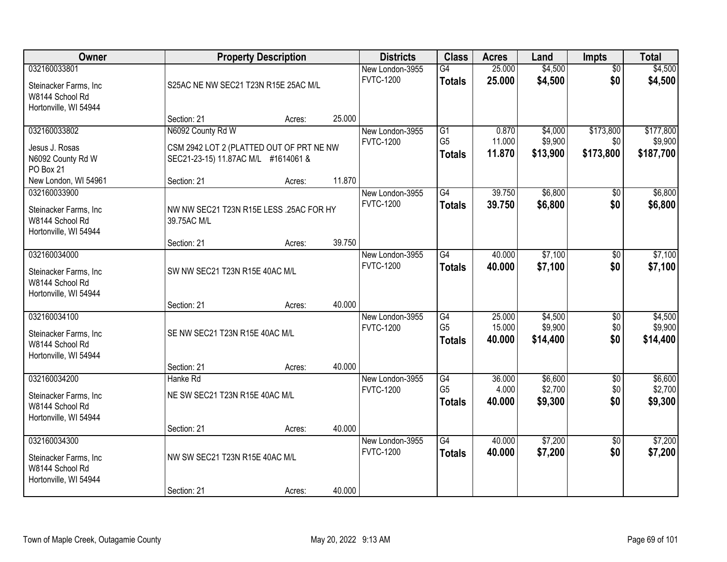| Owner                                                                             |                                                                                                      | <b>Property Description</b> |        | <b>Districts</b>                    | <b>Class</b>                          | <b>Acres</b>               | Land                           | <b>Impts</b>                  | <b>Total</b>                      |
|-----------------------------------------------------------------------------------|------------------------------------------------------------------------------------------------------|-----------------------------|--------|-------------------------------------|---------------------------------------|----------------------------|--------------------------------|-------------------------------|-----------------------------------|
| 032160033801<br>Steinacker Farms, Inc<br>W8144 School Rd<br>Hortonville, WI 54944 | S25AC NE NW SEC21 T23N R15E 25AC M/L                                                                 |                             |        | New London-3955<br><b>FVTC-1200</b> | G4<br><b>Totals</b>                   | 25.000<br>25.000           | \$4,500<br>\$4,500             | $\overline{50}$<br>\$0        | \$4,500<br>\$4,500                |
|                                                                                   | Section: 21                                                                                          | Acres:                      | 25.000 |                                     |                                       |                            |                                |                               |                                   |
| 032160033802<br>Jesus J. Rosas<br>N6092 County Rd W<br>PO Box 21                  | N6092 County Rd W<br>CSM 2942 LOT 2 (PLATTED OUT OF PRT NE NW<br>SEC21-23-15) 11.87AC M/L #1614061 & |                             |        | New London-3955<br><b>FVTC-1200</b> | G1<br>G <sub>5</sub><br><b>Totals</b> | 0.870<br>11.000<br>11.870  | \$4,000<br>\$9,900<br>\$13,900 | \$173,800<br>\$0<br>\$173,800 | \$177,800<br>\$9,900<br>\$187,700 |
| New London, WI 54961                                                              | Section: 21                                                                                          | Acres:                      | 11.870 |                                     |                                       |                            |                                |                               |                                   |
| 032160033900<br>Steinacker Farms, Inc<br>W8144 School Rd<br>Hortonville, WI 54944 | NW NW SEC21 T23N R15E LESS .25AC FOR HY<br>39.75AC M/L                                               |                             |        | New London-3955<br><b>FVTC-1200</b> | G4<br><b>Totals</b>                   | 39.750<br>39.750           | \$6,800<br>\$6,800             | \$0<br>\$0                    | \$6,800<br>\$6,800                |
|                                                                                   | Section: 21                                                                                          | Acres:                      | 39.750 |                                     |                                       |                            |                                |                               |                                   |
| 032160034000<br>Steinacker Farms, Inc<br>W8144 School Rd<br>Hortonville, WI 54944 | SW NW SEC21 T23N R15E 40AC M/L                                                                       |                             |        | New London-3955<br><b>FVTC-1200</b> | $\overline{G4}$<br><b>Totals</b>      | 40.000<br>40.000           | \$7,100<br>\$7,100             | \$0<br>\$0                    | \$7,100<br>\$7,100                |
|                                                                                   | Section: 21                                                                                          | Acres:                      | 40.000 |                                     |                                       |                            |                                |                               |                                   |
| 032160034100<br>Steinacker Farms, Inc<br>W8144 School Rd<br>Hortonville, WI 54944 | SE NW SEC21 T23N R15E 40AC M/L<br>Section: 21                                                        | Acres:                      | 40.000 | New London-3955<br><b>FVTC-1200</b> | G4<br>G <sub>5</sub><br><b>Totals</b> | 25.000<br>15.000<br>40.000 | \$4,500<br>\$9,900<br>\$14,400 | \$0<br>\$0<br>\$0             | \$4,500<br>\$9,900<br>\$14,400    |
| 032160034200                                                                      | Hanke Rd                                                                                             |                             |        | New London-3955                     | G4                                    | 36.000                     | \$6,600                        | $\overline{60}$               | \$6,600                           |
| Steinacker Farms, Inc<br>W8144 School Rd<br>Hortonville, WI 54944                 | NE SW SEC21 T23N R15E 40AC M/L                                                                       |                             |        | <b>FVTC-1200</b>                    | G <sub>5</sub><br><b>Totals</b>       | 4.000<br>40.000            | \$2,700<br>\$9,300             | \$0<br>\$0                    | \$2,700<br>\$9,300                |
|                                                                                   | Section: 21                                                                                          | Acres:                      | 40.000 |                                     |                                       |                            |                                |                               |                                   |
| 032160034300<br>Steinacker Farms, Inc<br>W8144 School Rd<br>Hortonville, WI 54944 | NW SW SEC21 T23N R15E 40AC M/L                                                                       |                             |        | New London-3955<br><b>FVTC-1200</b> | $\overline{G4}$<br><b>Totals</b>      | 40.000<br>40.000           | \$7,200<br>\$7,200             | $\overline{50}$<br>\$0        | \$7,200<br>\$7,200                |
|                                                                                   | Section: 21                                                                                          | Acres:                      | 40.000 |                                     |                                       |                            |                                |                               |                                   |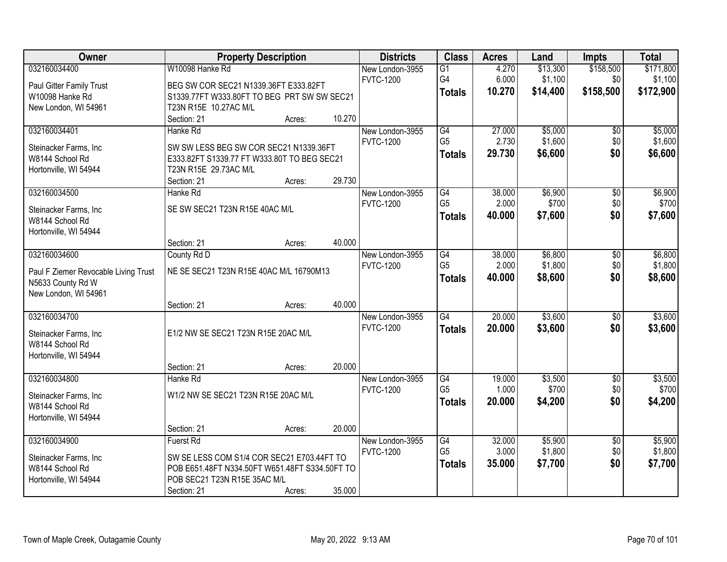| Owner                                    |                                                                                              | <b>Property Description</b> |        | <b>Districts</b> | <b>Class</b>         | <b>Acres</b> | Land     | <b>Impts</b>    | <b>Total</b> |
|------------------------------------------|----------------------------------------------------------------------------------------------|-----------------------------|--------|------------------|----------------------|--------------|----------|-----------------|--------------|
| 032160034400                             | W10098 Hanke Rd                                                                              |                             |        | New London-3955  | $\overline{G1}$      | 4.270        | \$13,300 | \$158,500       | \$171,800    |
| Paul Gitter Family Trust                 | BEG SW COR SEC21 N1339.36FT E333.82FT                                                        |                             |        | <b>FVTC-1200</b> | G4                   | 6.000        | \$1,100  | \$0             | \$1,100      |
| W10098 Hanke Rd                          | S1339.77FT W333.80FT TO BEG PRT SW SW SEC21                                                  |                             |        |                  | <b>Totals</b>        | 10.270       | \$14,400 | \$158,500       | \$172,900    |
| New London, WI 54961                     | T23N R15E 10.27AC M/L                                                                        |                             |        |                  |                      |              |          |                 |              |
|                                          | Section: 21                                                                                  | Acres:                      | 10.270 |                  |                      |              |          |                 |              |
| 032160034401                             | Hanke Rd                                                                                     |                             |        | New London-3955  | G4                   | 27.000       | \$5,000  | $\overline{50}$ | \$5,000      |
|                                          |                                                                                              |                             |        | <b>FVTC-1200</b> | G <sub>5</sub>       | 2.730        | \$1,600  | \$0             | \$1,600      |
| Steinacker Farms, Inc                    | SW SW LESS BEG SW COR SEC21 N1339.36FT                                                       |                             |        |                  | <b>Totals</b>        | 29.730       | \$6,600  | \$0             | \$6,600      |
| W8144 School Rd                          | E333.82FT S1339.77 FT W333.80T TO BEG SEC21                                                  |                             |        |                  |                      |              |          |                 |              |
| Hortonville, WI 54944                    | T23N R15E 29.73AC M/L                                                                        |                             |        |                  |                      |              |          |                 |              |
|                                          | Section: 21                                                                                  | Acres:                      | 29.730 |                  |                      |              |          |                 |              |
| 032160034500                             | Hanke Rd                                                                                     |                             |        | New London-3955  | G4<br>G <sub>5</sub> | 38.000       | \$6,900  | \$0             | \$6,900      |
| Steinacker Farms, Inc                    | SE SW SEC21 T23N R15E 40AC M/L                                                               |                             |        | <b>FVTC-1200</b> |                      | 2.000        | \$700    | \$0             | \$700        |
| W8144 School Rd                          |                                                                                              |                             |        |                  | Totals               | 40.000       | \$7,600  | \$0             | \$7,600      |
| Hortonville, WI 54944                    |                                                                                              |                             |        |                  |                      |              |          |                 |              |
|                                          | Section: 21                                                                                  | Acres:                      | 40.000 |                  |                      |              |          |                 |              |
| 032160034600                             | County Rd D                                                                                  |                             |        | New London-3955  | $\overline{G4}$      | 38.000       | \$6,800  | \$0             | \$6,800      |
| Paul F Ziemer Revocable Living Trust     | NE SE SEC21 T23N R15E 40AC M/L 16790M13                                                      |                             |        | <b>FVTC-1200</b> | G <sub>5</sub>       | 2.000        | \$1,800  | \$0             | \$1,800      |
| N5633 County Rd W                        |                                                                                              |                             |        |                  | <b>Totals</b>        | 40.000       | \$8,600  | \$0             | \$8,600      |
| New London, WI 54961                     |                                                                                              |                             |        |                  |                      |              |          |                 |              |
|                                          | Section: 21                                                                                  | Acres:                      | 40.000 |                  |                      |              |          |                 |              |
| 032160034700                             |                                                                                              |                             |        | New London-3955  | G4                   | 20.000       | \$3,600  | $\overline{50}$ | \$3,600      |
|                                          |                                                                                              |                             |        | <b>FVTC-1200</b> | <b>Totals</b>        | 20.000       | \$3,600  | \$0             | \$3,600      |
| Steinacker Farms, Inc                    | E1/2 NW SE SEC21 T23N R15E 20AC M/L                                                          |                             |        |                  |                      |              |          |                 |              |
| W8144 School Rd                          |                                                                                              |                             |        |                  |                      |              |          |                 |              |
| Hortonville, WI 54944                    |                                                                                              |                             |        |                  |                      |              |          |                 |              |
|                                          | Section: 21                                                                                  | Acres:                      | 20.000 |                  |                      |              |          |                 |              |
| 032160034800                             | Hanke Rd                                                                                     |                             |        | New London-3955  | G4                   | 19.000       | \$3,500  | $\sqrt{$0}$     | \$3,500      |
| Steinacker Farms, Inc                    | W1/2 NW SE SEC21 T23N R15E 20AC M/L                                                          |                             |        | <b>FVTC-1200</b> | G <sub>5</sub>       | 1.000        | \$700    | \$0             | \$700        |
| W8144 School Rd                          |                                                                                              |                             |        |                  | <b>Totals</b>        | 20.000       | \$4,200  | \$0             | \$4,200      |
| Hortonville, WI 54944                    |                                                                                              |                             |        |                  |                      |              |          |                 |              |
|                                          | Section: 21                                                                                  | Acres:                      | 20.000 |                  |                      |              |          |                 |              |
| 032160034900                             | <b>Fuerst Rd</b>                                                                             |                             |        | New London-3955  | G4                   | 32.000       | \$5,900  | $\overline{50}$ | \$5,900      |
|                                          |                                                                                              |                             |        | <b>FVTC-1200</b> | G <sub>5</sub>       | 3.000        | \$1,800  | \$0             | \$1,800      |
| Steinacker Farms, Inc<br>W8144 School Rd | SW SE LESS COM S1/4 COR SEC21 E703.44FT TO<br>POB E651.48FT N334.50FT W651.48FT S334.50FT TO |                             |        |                  | <b>Totals</b>        | 35.000       | \$7,700  | \$0             | \$7,700      |
| Hortonville, WI 54944                    | POB SEC21 T23N R15E 35AC M/L                                                                 |                             |        |                  |                      |              |          |                 |              |
|                                          | Section: 21                                                                                  | Acres:                      | 35.000 |                  |                      |              |          |                 |              |
|                                          |                                                                                              |                             |        |                  |                      |              |          |                 |              |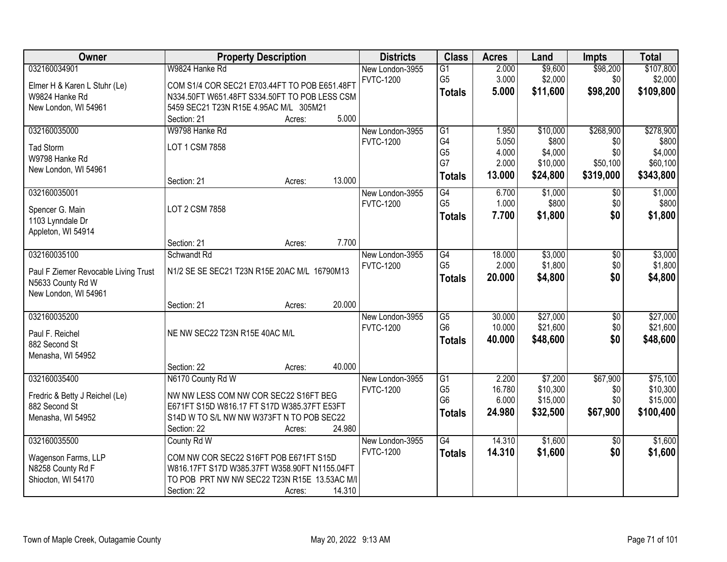| Owner                                     | <b>Property Description</b>                   |        |        | <b>Districts</b> | <b>Class</b>                      | <b>Acres</b>    | Land                | <b>Impts</b>    | <b>Total</b>         |
|-------------------------------------------|-----------------------------------------------|--------|--------|------------------|-----------------------------------|-----------------|---------------------|-----------------|----------------------|
| 032160034901                              | W9824 Hanke Rd                                |        |        | New London-3955  | $\overline{G1}$                   | 2.000           | \$9,600             | \$98,200        | \$107,800            |
| Elmer H & Karen L Stuhr (Le)              | COM S1/4 COR SEC21 E703.44FT TO POB E651.48FT |        |        | <b>FVTC-1200</b> | G <sub>5</sub>                    | 3.000           | \$2,000             | \$0             | \$2,000              |
| W9824 Hanke Rd                            | N334.50FT W651.48FT S334.50FT TO POB LESS CSM |        |        |                  | <b>Totals</b>                     | 5.000           | \$11,600            | \$98,200        | \$109,800            |
| New London, WI 54961                      | 5459 SEC21 T23N R15E 4.95AC M/L 305M21        |        |        |                  |                                   |                 |                     |                 |                      |
|                                           | Section: 21                                   | Acres: | 5.000  |                  |                                   |                 |                     |                 |                      |
| 032160035000                              | W9798 Hanke Rd                                |        |        | New London-3955  | $\overline{G1}$                   | 1.950           | \$10,000            | \$268,900       | \$278,900            |
| <b>Tad Storm</b>                          | LOT 1 CSM 7858                                |        |        | <b>FVTC-1200</b> | G4                                | 5.050           | \$800               | \$0             | \$800                |
| W9798 Hanke Rd                            |                                               |        |        |                  | G <sub>5</sub>                    | 4.000           | \$4,000             | \$0             | \$4,000              |
| New London, WI 54961                      |                                               |        |        |                  | G7                                | 2.000           | \$10,000            | \$50,100        | \$60,100             |
|                                           | Section: 21                                   | Acres: | 13.000 |                  | <b>Totals</b>                     | 13.000          | \$24,800            | \$319,000       | \$343,800            |
| 032160035001                              |                                               |        |        | New London-3955  | G4                                | 6.700           | \$1,000             | \$0             | \$1,000              |
| Spencer G. Main                           | LOT 2 CSM 7858                                |        |        | <b>FVTC-1200</b> | G <sub>5</sub>                    | 1.000           | \$800               | \$0             | \$800                |
| 1103 Lynndale Dr                          |                                               |        |        |                  | <b>Totals</b>                     | 7.700           | \$1,800             | \$0             | \$1,800              |
| Appleton, WI 54914                        |                                               |        |        |                  |                                   |                 |                     |                 |                      |
|                                           | Section: 21                                   | Acres: | 7.700  |                  |                                   |                 |                     |                 |                      |
| 032160035100                              | Schwandt Rd                                   |        |        | New London-3955  | $\overline{G4}$                   | 18.000          | \$3,000             | \$0             | \$3,000              |
|                                           |                                               |        |        | <b>FVTC-1200</b> | G <sub>5</sub>                    | 2.000           | \$1,800             | \$0             | \$1,800              |
| Paul F Ziemer Revocable Living Trust      | N1/2 SE SE SEC21 T23N R15E 20AC M/L 16790M13  |        |        |                  | <b>Totals</b>                     | 20.000          | \$4,800             | \$0             | \$4,800              |
| N5633 County Rd W<br>New London, WI 54961 |                                               |        |        |                  |                                   |                 |                     |                 |                      |
|                                           | Section: 21                                   | Acres: | 20.000 |                  |                                   |                 |                     |                 |                      |
| 032160035200                              |                                               |        |        | New London-3955  | $\overline{G5}$                   | 30.000          | \$27,000            | \$0             | \$27,000             |
|                                           |                                               |        |        | <b>FVTC-1200</b> | G <sub>6</sub>                    | 10.000          | \$21,600            | \$0             | \$21,600             |
| Paul F. Reichel                           | NE NW SEC22 T23N R15E 40AC M/L                |        |        |                  | <b>Totals</b>                     | 40.000          | \$48,600            | \$0             | \$48,600             |
| 882 Second St                             |                                               |        |        |                  |                                   |                 |                     |                 |                      |
| Menasha, WI 54952                         |                                               |        |        |                  |                                   |                 |                     |                 |                      |
|                                           | Section: 22                                   | Acres: | 40.000 |                  |                                   |                 |                     |                 |                      |
| 032160035400                              | N6170 County Rd W                             |        |        | New London-3955  | $\overline{G1}$<br>G <sub>5</sub> | 2.200<br>16.780 | \$7,200<br>\$10,300 | \$67,900        | \$75,100<br>\$10,300 |
| Fredric & Betty J Reichel (Le)            | NW NW LESS COM NW COR SEC22 S16FT BEG         |        |        | <b>FVTC-1200</b> | G <sub>6</sub>                    | 6.000           | \$15,000            | \$0<br>\$0      | \$15,000             |
| 882 Second St                             | E671FT S15D W816.17 FT S17D W385.37FT E53FT   |        |        |                  | Totals                            | 24.980          | \$32,500            | \$67,900        | \$100,400            |
| Menasha, WI 54952                         | S14D W TO S/L NW NW W373FT N TO POB SEC22     |        |        |                  |                                   |                 |                     |                 |                      |
|                                           | Section: 22                                   | Acres: | 24.980 |                  |                                   |                 |                     |                 |                      |
| 032160035500                              | County Rd W                                   |        |        | New London-3955  | G4                                | 14.310          | \$1,600             | $\overline{30}$ | \$1,600              |
| Wagenson Farms, LLP                       | COM NW COR SEC22 S16FT POB E671FT S15D        |        |        | <b>FVTC-1200</b> | <b>Totals</b>                     | 14.310          | \$1,600             | \$0             | \$1,600              |
| N8258 County Rd F                         | W816.17FT S17D W385.37FT W358.90FT N1155.04FT |        |        |                  |                                   |                 |                     |                 |                      |
| Shiocton, WI 54170                        | TO POB PRT NW NW SEC22 T23N R15E 13.53AC M/I  |        |        |                  |                                   |                 |                     |                 |                      |
|                                           | Section: 22                                   | Acres: | 14.310 |                  |                                   |                 |                     |                 |                      |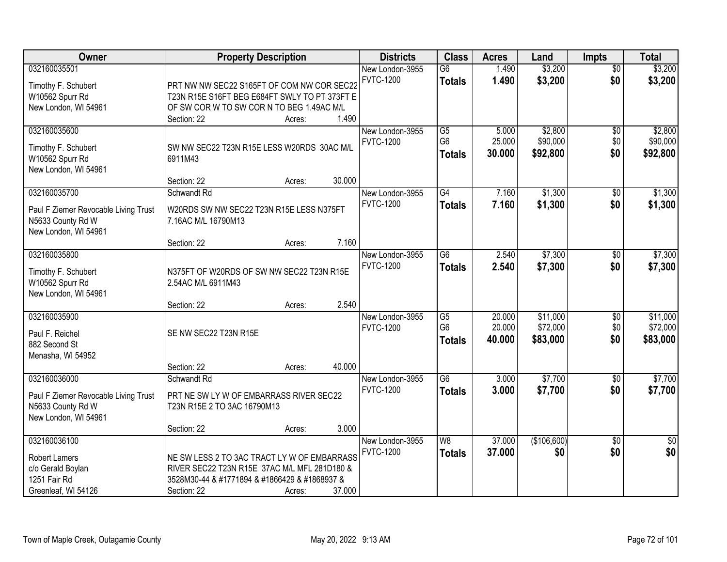| <b>Owner</b>                                              | <b>Property Description</b>                   |        | <b>Districts</b> | <b>Class</b>    | <b>Acres</b> | Land        | <b>Impts</b>    | <b>Total</b>    |
|-----------------------------------------------------------|-----------------------------------------------|--------|------------------|-----------------|--------------|-------------|-----------------|-----------------|
| 032160035501                                              |                                               |        | New London-3955  | $\overline{G6}$ | 1.490        | \$3,200     | $\overline{50}$ | \$3,200         |
| Timothy F. Schubert                                       | PRT NW NW SEC22 S165FT OF COM NW COR SEC22    |        | <b>FVTC-1200</b> | <b>Totals</b>   | 1.490        | \$3,200     | \$0             | \$3,200         |
| W10562 Spurr Rd                                           | T23N R15E S16FT BEG E684FT SWLY TO PT 373FT E |        |                  |                 |              |             |                 |                 |
| New London, WI 54961                                      | OF SW COR W TO SW COR N TO BEG 1.49AC M/L     |        |                  |                 |              |             |                 |                 |
|                                                           | Section: 22<br>Acres:                         | 1.490  |                  |                 |              |             |                 |                 |
| 032160035600                                              |                                               |        | New London-3955  | $\overline{G5}$ | 5.000        | \$2,800     | \$0             | \$2,800         |
| Timothy F. Schubert                                       | SW NW SEC22 T23N R15E LESS W20RDS 30AC M/L    |        | <b>FVTC-1200</b> | G <sub>6</sub>  | 25.000       | \$90,000    | \$0             | \$90,000        |
| W10562 Spurr Rd                                           | 6911M43                                       |        |                  | <b>Totals</b>   | 30.000       | \$92,800    | \$0             | \$92,800        |
| New London, WI 54961                                      |                                               |        |                  |                 |              |             |                 |                 |
|                                                           | Section: 22<br>Acres:                         | 30.000 |                  |                 |              |             |                 |                 |
| 032160035700                                              | Schwandt Rd                                   |        | New London-3955  | $\overline{G4}$ | 7.160        | \$1,300     | $\sqrt{6}$      | \$1,300         |
|                                                           | W20RDS SW NW SEC22 T23N R15E LESS N375FT      |        | <b>FVTC-1200</b> | <b>Totals</b>   | 7.160        | \$1,300     | \$0             | \$1,300         |
| Paul F Ziemer Revocable Living Trust<br>N5633 County Rd W | 7.16AC M/L 16790M13                           |        |                  |                 |              |             |                 |                 |
| New London, WI 54961                                      |                                               |        |                  |                 |              |             |                 |                 |
|                                                           | Section: 22<br>Acres:                         | 7.160  |                  |                 |              |             |                 |                 |
| 032160035800                                              |                                               |        | New London-3955  | $\overline{G6}$ | 2.540        | \$7,300     | \$0             | \$7,300         |
|                                                           |                                               |        | <b>FVTC-1200</b> | <b>Totals</b>   | 2.540        | \$7,300     | \$0             | \$7,300         |
| Timothy F. Schubert                                       | N375FT OF W20RDS OF SW NW SEC22 T23N R15E     |        |                  |                 |              |             |                 |                 |
| W10562 Spurr Rd                                           | 2.54AC M/L 6911M43                            |        |                  |                 |              |             |                 |                 |
| New London, WI 54961                                      | Section: 22<br>Acres:                         | 2.540  |                  |                 |              |             |                 |                 |
| 032160035900                                              |                                               |        | New London-3955  | $\overline{G5}$ | 20.000       | \$11,000    | \$0             | \$11,000        |
|                                                           |                                               |        | <b>FVTC-1200</b> | G <sub>6</sub>  | 20.000       | \$72,000    | \$0             | \$72,000        |
| Paul F. Reichel                                           | SE NW SEC22 T23N R15E                         |        |                  | <b>Totals</b>   | 40.000       | \$83,000    | \$0             | \$83,000        |
| 882 Second St                                             |                                               |        |                  |                 |              |             |                 |                 |
| Menasha, WI 54952                                         |                                               |        |                  |                 |              |             |                 |                 |
|                                                           | Section: 22<br>Acres:                         | 40.000 |                  |                 |              |             |                 |                 |
| 032160036000                                              | Schwandt Rd                                   |        | New London-3955  | $\overline{G6}$ | 3.000        | \$7,700     | $\overline{60}$ | \$7,700         |
| Paul F Ziemer Revocable Living Trust                      | PRT NE SW LY W OF EMBARRASS RIVER SEC22       |        | <b>FVTC-1200</b> | <b>Totals</b>   | 3.000        | \$7,700     | \$0             | \$7,700         |
| N5633 County Rd W                                         | T23N R15E 2 TO 3AC 16790M13                   |        |                  |                 |              |             |                 |                 |
| New London, WI 54961                                      |                                               |        |                  |                 |              |             |                 |                 |
|                                                           | Section: 22<br>Acres:                         | 3.000  |                  |                 |              |             |                 |                 |
| 032160036100                                              |                                               |        | New London-3955  | W8              | 37.000       | (\$106,600) | $\overline{50}$ | $\overline{50}$ |
| Robert Lamers                                             | NE SW LESS 2 TO 3AC TRACT LY W OF EMBARRASS   |        | <b>FVTC-1200</b> | <b>Totals</b>   | 37.000       | \$0         | \$0             | \$0             |
| c/o Gerald Boylan                                         | RIVER SEC22 T23N R15E 37AC M/L MFL 281D180 &  |        |                  |                 |              |             |                 |                 |
| 1251 Fair Rd                                              | 3528M30-44 & #1771894 & #1866429 & #1868937 & |        |                  |                 |              |             |                 |                 |
| Greenleaf, WI 54126                                       | Section: 22<br>Acres:                         | 37.000 |                  |                 |              |             |                 |                 |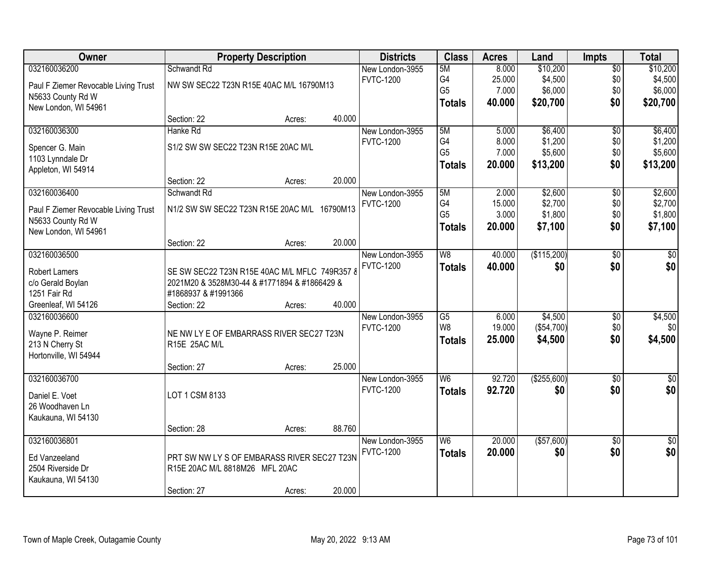| Owner                                     |                                               | <b>Property Description</b> |        | <b>Districts</b>                    | <b>Class</b>    | <b>Acres</b> | Land        | <b>Impts</b>    | <b>Total</b>   |
|-------------------------------------------|-----------------------------------------------|-----------------------------|--------|-------------------------------------|-----------------|--------------|-------------|-----------------|----------------|
| 032160036200                              | Schwandt Rd                                   |                             |        | New London-3955                     | 5M              | 8.000        | \$10,200    | $\overline{50}$ | \$10,200       |
| Paul F Ziemer Revocable Living Trust      | NW SW SEC22 T23N R15E 40AC M/L 16790M13       |                             |        | <b>FVTC-1200</b>                    | G4              | 25.000       | \$4,500     | \$0             | \$4,500        |
| N5633 County Rd W                         |                                               |                             |        |                                     | G <sub>5</sub>  | 7.000        | \$6,000     | \$0             | \$6,000        |
| New London, WI 54961                      |                                               |                             |        |                                     | <b>Totals</b>   | 40,000       | \$20,700    | \$0             | \$20,700       |
|                                           | Section: 22                                   | Acres:                      | 40.000 |                                     |                 |              |             |                 |                |
| 032160036300                              | Hanke Rd                                      |                             |        | New London-3955                     | 5M              | 5.000        | \$6,400     | $\overline{50}$ | \$6,400        |
|                                           | S1/2 SW SW SEC22 T23N R15E 20AC M/L           |                             |        | <b>FVTC-1200</b>                    | G4              | 8.000        | \$1,200     | \$0             | \$1,200        |
| Spencer G. Main                           |                                               |                             |        |                                     | G <sub>5</sub>  | 7.000        | \$5,600     | \$0             | \$5,600        |
| 1103 Lynndale Dr<br>Appleton, WI 54914    |                                               |                             |        |                                     | <b>Totals</b>   | 20.000       | \$13,200    | \$0             | \$13,200       |
|                                           | Section: 22                                   | Acres:                      | 20.000 |                                     |                 |              |             |                 |                |
| 032160036400                              | Schwandt Rd                                   |                             |        | New London-3955                     | 5M              | 2.000        | \$2,600     | \$0             | \$2,600        |
|                                           |                                               |                             |        | <b>FVTC-1200</b>                    | G4              | 15.000       | \$2,700     | \$0             | \$2,700        |
| Paul F Ziemer Revocable Living Trust      | N1/2 SW SW SEC22 T23N R15E 20AC M/L 16790M13  |                             |        |                                     | G <sub>5</sub>  | 3.000        | \$1,800     | \$0             | \$1,800        |
| N5633 County Rd W<br>New London, WI 54961 |                                               |                             |        |                                     | <b>Totals</b>   | 20,000       | \$7,100     | \$0             | \$7,100        |
|                                           | Section: 22                                   | Acres:                      | 20.000 |                                     |                 |              |             |                 |                |
| 032160036500                              |                                               |                             |        | New London-3955                     | W8              | 40.000       | (\$115,200) | \$0             | \$0            |
|                                           |                                               |                             |        | <b>FVTC-1200</b>                    | <b>Totals</b>   | 40.000       | \$0         | \$0             | \$0            |
| Robert Lamers                             | SE SW SEC22 T23N R15E 40AC M/L MFLC 749R357 8 |                             |        |                                     |                 |              |             |                 |                |
| c/o Gerald Boylan                         | 2021M20 & 3528M30-44 & #1771894 & #1866429 &  |                             |        |                                     |                 |              |             |                 |                |
| 1251 Fair Rd<br>Greenleaf, WI 54126       | #1868937 & #1991366                           |                             | 40.000 |                                     |                 |              |             |                 |                |
| 032160036600                              | Section: 22                                   | Acres:                      |        |                                     | $\overline{G5}$ | 6.000        | \$4,500     |                 |                |
|                                           |                                               |                             |        | New London-3955<br><b>FVTC-1200</b> | W <sub>8</sub>  | 19.000       | (\$54,700)  | \$0<br>\$0      | \$4,500<br>\$0 |
| Wayne P. Reimer                           | NE NW LY E OF EMBARRASS RIVER SEC27 T23N      |                             |        |                                     |                 | 25.000       | \$4,500     | \$0             | \$4,500        |
| 213 N Cherry St                           | R15E 25AC M/L                                 |                             |        |                                     | <b>Totals</b>   |              |             |                 |                |
| Hortonville, WI 54944                     |                                               |                             |        |                                     |                 |              |             |                 |                |
|                                           | Section: 27                                   | Acres:                      | 25.000 |                                     |                 |              |             |                 |                |
| 032160036700                              |                                               |                             |        | New London-3955                     | W <sub>6</sub>  | 92.720       | (\$255,600) | $\overline{60}$ | $\sqrt{50}$    |
| Daniel E. Voet                            | LOT 1 CSM 8133                                |                             |        | <b>FVTC-1200</b>                    | <b>Totals</b>   | 92.720       | \$0         | \$0             | \$0            |
| 26 Woodhaven Ln                           |                                               |                             |        |                                     |                 |              |             |                 |                |
| Kaukauna, WI 54130                        |                                               |                             |        |                                     |                 |              |             |                 |                |
|                                           | Section: 28                                   | Acres:                      | 88.760 |                                     |                 |              |             |                 |                |
| 032160036801                              |                                               |                             |        | New London-3955                     | W <sub>6</sub>  | 20.000       | (\$57,600)  | $\overline{30}$ | $\frac{1}{6}$  |
| Ed Vanzeeland                             | PRT SW NW LY S OF EMBARASS RIVER SEC27 T23N   |                             |        | <b>FVTC-1200</b>                    | <b>Totals</b>   | 20.000       | \$0         | \$0             | \$0            |
| 2504 Riverside Dr                         | R15E 20AC M/L 8818M26 MFL 20AC                |                             |        |                                     |                 |              |             |                 |                |
| Kaukauna, WI 54130                        |                                               |                             |        |                                     |                 |              |             |                 |                |
|                                           | Section: 27                                   | Acres:                      | 20.000 |                                     |                 |              |             |                 |                |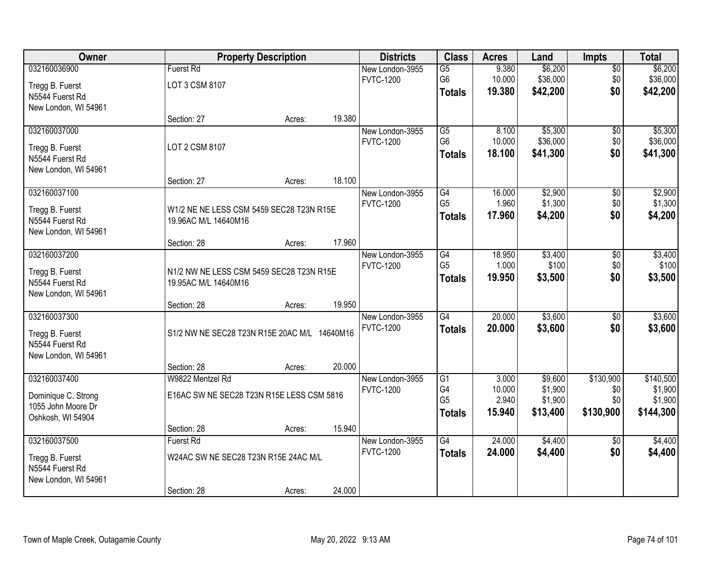| Owner                |                                              | <b>Property Description</b> |        | <b>Districts</b> | <b>Class</b>    | <b>Acres</b> | Land     | <b>Impts</b>    | <b>Total</b> |
|----------------------|----------------------------------------------|-----------------------------|--------|------------------|-----------------|--------------|----------|-----------------|--------------|
| 032160036900         | <b>Fuerst Rd</b>                             |                             |        | New London-3955  | $\overline{G5}$ | 9.380        | \$6,200  | $\sqrt{$0}$     | \$6,200      |
| Tregg B. Fuerst      | LOT 3 CSM 8107                               |                             |        | <b>FVTC-1200</b> | G <sub>6</sub>  | 10.000       | \$36,000 | \$0             | \$36,000     |
| N5544 Fuerst Rd      |                                              |                             |        |                  | <b>Totals</b>   | 19.380       | \$42,200 | \$0             | \$42,200     |
| New London, WI 54961 |                                              |                             |        |                  |                 |              |          |                 |              |
|                      | Section: 27                                  | Acres:                      | 19.380 |                  |                 |              |          |                 |              |
| 032160037000         |                                              |                             |        | New London-3955  | $\overline{G5}$ | 8.100        | \$5,300  | \$0             | \$5,300      |
| Tregg B. Fuerst      | LOT 2 CSM 8107                               |                             |        | <b>FVTC-1200</b> | G <sub>6</sub>  | 10.000       | \$36,000 | \$0             | \$36,000     |
| N5544 Fuerst Rd      |                                              |                             |        |                  | <b>Totals</b>   | 18.100       | \$41,300 | \$0             | \$41,300     |
| New London, WI 54961 |                                              |                             |        |                  |                 |              |          |                 |              |
|                      | Section: 27                                  | Acres:                      | 18.100 |                  |                 |              |          |                 |              |
| 032160037100         |                                              |                             |        | New London-3955  | G4              | 16.000       | \$2,900  | $\sqrt[6]{3}$   | \$2,900      |
| Tregg B. Fuerst      | W1/2 NE NE LESS CSM 5459 SEC28 T23N R15E     |                             |        | <b>FVTC-1200</b> | G <sub>5</sub>  | 1.960        | \$1,300  | \$0             | \$1,300      |
| N5544 Fuerst Rd      | 19.96AC M/L 14640M16                         |                             |        |                  | <b>Totals</b>   | 17.960       | \$4,200  | \$0             | \$4,200      |
| New London, WI 54961 |                                              |                             |        |                  |                 |              |          |                 |              |
|                      | Section: 28                                  | Acres:                      | 17.960 |                  |                 |              |          |                 |              |
| 032160037200         |                                              |                             |        | New London-3955  | G4              | 18.950       | \$3,400  | \$0             | \$3,400      |
| Tregg B. Fuerst      | N1/2 NW NE LESS CSM 5459 SEC28 T23N R15E     |                             |        | <b>FVTC-1200</b> | G <sub>5</sub>  | 1.000        | \$100    | \$0             | \$100        |
| N5544 Fuerst Rd      | 19.95AC M/L 14640M16                         |                             |        |                  | <b>Totals</b>   | 19.950       | \$3,500  | \$0             | \$3,500      |
| New London, WI 54961 |                                              |                             |        |                  |                 |              |          |                 |              |
|                      | Section: 28                                  | Acres:                      | 19.950 |                  |                 |              |          |                 |              |
| 032160037300         |                                              |                             |        | New London-3955  | $\overline{G4}$ | 20.000       | \$3,600  | $\overline{50}$ | \$3,600      |
| Tregg B. Fuerst      | S1/2 NW NE SEC28 T23N R15E 20AC M/L 14640M16 |                             |        | <b>FVTC-1200</b> | <b>Totals</b>   | 20.000       | \$3,600  | \$0             | \$3,600      |
| N5544 Fuerst Rd      |                                              |                             |        |                  |                 |              |          |                 |              |
| New London, WI 54961 |                                              |                             |        |                  |                 |              |          |                 |              |
|                      | Section: 28                                  | Acres:                      | 20.000 |                  |                 |              |          |                 |              |
| 032160037400         | W9822 Mentzel Rd                             |                             |        | New London-3955  | G1              | 3.000        | \$9,600  | \$130,900       | \$140,500    |
| Dominique C. Strong  | E16AC SW NE SEC28 T23N R15E LESS CSM 5816    |                             |        | <b>FVTC-1200</b> | G4              | 10.000       | \$1,900  | \$0             | \$1,900      |
| 1055 John Moore Dr   |                                              |                             |        |                  | G <sub>5</sub>  | 2.940        | \$1,900  | \$0             | \$1,900      |
| Oshkosh, WI 54904    |                                              |                             |        |                  | <b>Totals</b>   | 15.940       | \$13,400 | \$130,900       | \$144,300    |
|                      | Section: 28                                  | Acres:                      | 15.940 |                  |                 |              |          |                 |              |
| 032160037500         | <b>Fuerst Rd</b>                             |                             |        | New London-3955  | $\overline{G4}$ | 24.000       | \$4,400  | $\overline{50}$ | \$4,400      |
| Tregg B. Fuerst      | W24AC SW NE SEC28 T23N R15E 24AC M/L         |                             |        | <b>FVTC-1200</b> | <b>Totals</b>   | 24.000       | \$4,400  | \$0             | \$4,400      |
| N5544 Fuerst Rd      |                                              |                             |        |                  |                 |              |          |                 |              |
| New London, WI 54961 |                                              |                             |        |                  |                 |              |          |                 |              |
|                      | Section: 28                                  | Acres:                      | 24.000 |                  |                 |              |          |                 |              |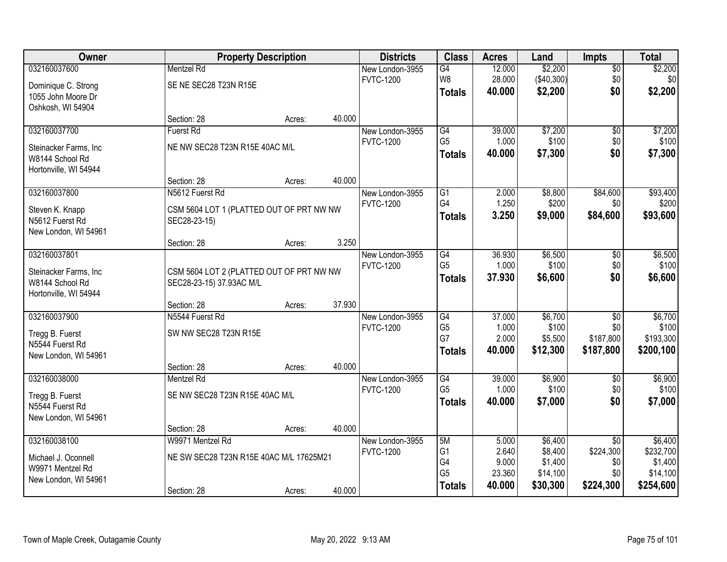| Owner                 |                                          | <b>Property Description</b> |        | <b>Districts</b> | <b>Class</b>    | <b>Acres</b> | Land       | <b>Impts</b>    | <b>Total</b> |
|-----------------------|------------------------------------------|-----------------------------|--------|------------------|-----------------|--------------|------------|-----------------|--------------|
| 032160037600          | <b>Mentzel Rd</b>                        |                             |        | New London-3955  | G4              | 12.000       | \$2,200    | \$0             | \$2,200      |
| Dominique C. Strong   | SE NE SEC28 T23N R15E                    |                             |        | <b>FVTC-1200</b> | W8              | 28.000       | (\$40,300) | \$0             | \$0          |
| 1055 John Moore Dr    |                                          |                             |        |                  | <b>Totals</b>   | 40.000       | \$2,200    | \$0             | \$2,200      |
| Oshkosh, WI 54904     |                                          |                             |        |                  |                 |              |            |                 |              |
|                       | Section: 28                              | Acres:                      | 40.000 |                  |                 |              |            |                 |              |
| 032160037700          | <b>Fuerst Rd</b>                         |                             |        | New London-3955  | G4              | 39.000       | \$7,200    | \$0             | \$7,200      |
| Steinacker Farms, Inc | NE NW SEC28 T23N R15E 40AC M/L           |                             |        | <b>FVTC-1200</b> | G <sub>5</sub>  | 1.000        | \$100      | \$0             | \$100        |
| W8144 School Rd       |                                          |                             |        |                  | <b>Totals</b>   | 40.000       | \$7,300    | \$0             | \$7,300      |
| Hortonville, WI 54944 |                                          |                             |        |                  |                 |              |            |                 |              |
|                       | Section: 28                              | Acres:                      | 40.000 |                  |                 |              |            |                 |              |
| 032160037800          | N5612 Fuerst Rd                          |                             |        | New London-3955  | $\overline{G1}$ | 2.000        | \$8,800    | \$84,600        | \$93,400     |
| Steven K. Knapp       | CSM 5604 LOT 1 (PLATTED OUT OF PRT NW NW |                             |        | <b>FVTC-1200</b> | G4              | 1.250        | \$200      | \$0             | \$200        |
| N5612 Fuerst Rd       | SEC28-23-15)                             |                             |        |                  | <b>Totals</b>   | 3.250        | \$9,000    | \$84,600        | \$93,600     |
| New London, WI 54961  |                                          |                             |        |                  |                 |              |            |                 |              |
|                       | Section: 28                              | Acres:                      | 3.250  |                  |                 |              |            |                 |              |
| 032160037801          |                                          |                             |        | New London-3955  | G4              | 36.930       | \$6,500    | \$0             | \$6,500      |
| Steinacker Farms, Inc | CSM 5604 LOT 2 (PLATTED OUT OF PRT NW NW |                             |        | <b>FVTC-1200</b> | G <sub>5</sub>  | 1.000        | \$100      | \$0             | \$100        |
| W8144 School Rd       | SEC28-23-15) 37.93AC M/L                 |                             |        |                  | <b>Totals</b>   | 37.930       | \$6,600    | \$0             | \$6,600      |
| Hortonville, WI 54944 |                                          |                             |        |                  |                 |              |            |                 |              |
|                       | Section: 28                              | Acres:                      | 37.930 |                  |                 |              |            |                 |              |
| 032160037900          | N5544 Fuerst Rd                          |                             |        | New London-3955  | G4              | 37.000       | \$6,700    | $\overline{50}$ | \$6,700      |
| Tregg B. Fuerst       | SW NW SEC28 T23N R15E                    |                             |        | <b>FVTC-1200</b> | G <sub>5</sub>  | 1.000        | \$100      | \$0             | \$100        |
| N5544 Fuerst Rd       |                                          |                             |        |                  | G7              | 2.000        | \$5,500    | \$187,800       | \$193,300    |
| New London, WI 54961  |                                          |                             |        |                  | <b>Totals</b>   | 40.000       | \$12,300   | \$187,800       | \$200,100    |
|                       | Section: 28                              | Acres:                      | 40.000 |                  |                 |              |            |                 |              |
| 032160038000          | Mentzel Rd                               |                             |        | New London-3955  | G4              | 39.000       | \$6,900    | \$0             | \$6,900      |
| Tregg B. Fuerst       | SE NW SEC28 T23N R15E 40AC M/L           |                             |        | <b>FVTC-1200</b> | G <sub>5</sub>  | 1.000        | \$100      | \$0             | \$100        |
| N5544 Fuerst Rd       |                                          |                             |        |                  | <b>Totals</b>   | 40.000       | \$7,000    | \$0             | \$7,000      |
| New London, WI 54961  |                                          |                             |        |                  |                 |              |            |                 |              |
|                       | Section: 28                              | Acres:                      | 40.000 |                  |                 |              |            |                 |              |
| 032160038100          | W9971 Mentzel Rd                         |                             |        | New London-3955  | 5M              | 5.000        | \$6,400    | $\overline{50}$ | \$6,400      |
| Michael J. Oconnell   | NE SW SEC28 T23N R15E 40AC M/L 17625M21  |                             |        | <b>FVTC-1200</b> | G <sub>1</sub>  | 2.640        | \$8,400    | \$224,300       | \$232,700    |
| W9971 Mentzel Rd      |                                          |                             |        |                  | G4              | 9.000        | \$1,400    | \$0             | \$1,400      |
| New London, WI 54961  |                                          |                             |        |                  | G <sub>5</sub>  | 23.360       | \$14,100   | \$0             | \$14,100     |
|                       | Section: 28                              | Acres:                      | 40.000 |                  | <b>Totals</b>   | 40.000       | \$30,300   | \$224,300       | \$254,600    |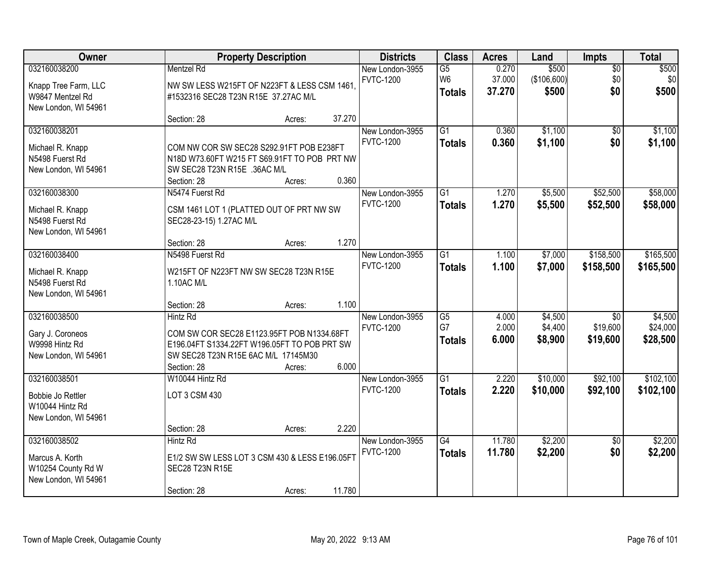| Owner                                                                            |                                                                                                                                                                                    | <b>Property Description</b> |                | <b>Districts</b>                    | <b>Class</b>                                       | <b>Acres</b>              | Land                          | Impts                                   | <b>Total</b>                    |
|----------------------------------------------------------------------------------|------------------------------------------------------------------------------------------------------------------------------------------------------------------------------------|-----------------------------|----------------|-------------------------------------|----------------------------------------------------|---------------------------|-------------------------------|-----------------------------------------|---------------------------------|
| 032160038200<br>Knapp Tree Farm, LLC<br>W9847 Mentzel Rd<br>New London, WI 54961 | <b>Mentzel Rd</b><br>NW SW LESS W215FT OF N223FT & LESS CSM 1461,<br>#1532316 SEC28 T23N R15E 37.27AC M/L                                                                          |                             |                | New London-3955<br><b>FVTC-1200</b> | $\overline{G5}$<br>W <sub>6</sub><br><b>Totals</b> | 0.270<br>37.000<br>37.270 | \$500<br>(\$106,600)<br>\$500 | $\overline{50}$<br>\$0<br>\$0           | \$500<br>\$0<br>\$500           |
|                                                                                  | Section: 28                                                                                                                                                                        | Acres:                      | 37.270         |                                     |                                                    |                           |                               |                                         |                                 |
| 032160038201<br>Michael R. Knapp<br>N5498 Fuerst Rd<br>New London, WI 54961      | COM NW COR SW SEC28 S292.91FT POB E238FT<br>N18D W73.60FT W215 FT S69.91FT TO POB PRT NW<br>SW SEC28 T23N R15E .36AC M/L<br>Section: 28                                            | Acres:                      | 0.360          | New London-3955<br><b>FVTC-1200</b> | $\overline{G1}$<br><b>Totals</b>                   | 0.360<br>0.360            | \$1,100<br>\$1,100            | $\overline{50}$<br>\$0                  | \$1,100<br>\$1,100              |
| 032160038300<br>Michael R. Knapp<br>N5498 Fuerst Rd<br>New London, WI 54961      | N5474 Fuerst Rd<br>CSM 1461 LOT 1 (PLATTED OUT OF PRT NW SW<br>SEC28-23-15) 1.27AC M/L<br>Section: 28                                                                              | Acres:                      | 1.270          | New London-3955<br><b>FVTC-1200</b> | $\overline{G1}$<br><b>Totals</b>                   | 1.270<br>1.270            | \$5,500<br>\$5,500            | \$52,500<br>\$52,500                    | \$58,000<br>\$58,000            |
| 032160038400<br>Michael R. Knapp<br>N5498 Fuerst Rd<br>New London, WI 54961      | N5498 Fuerst Rd<br>W215FT OF N223FT NW SW SEC28 T23N R15E<br>1.10AC M/L                                                                                                            |                             |                | New London-3955<br><b>FVTC-1200</b> | G1<br><b>Totals</b>                                | 1.100<br>1.100            | \$7,000<br>\$7,000            | \$158,500<br>\$158,500                  | \$165,500<br>\$165,500          |
| 032160038500<br>Gary J. Coroneos<br>W9998 Hintz Rd<br>New London, WI 54961       | Section: 28<br><b>Hintz Rd</b><br>COM SW COR SEC28 E1123.95FT POB N1334.68FT<br>E196.04FT S1334.22FT W196.05FT TO POB PRT SW<br>SW SEC28 T23N R15E 6AC M/L 17145M30<br>Section: 28 | Acres:<br>Acres:            | 1.100<br>6.000 | New London-3955<br><b>FVTC-1200</b> | $\overline{G5}$<br>G7<br><b>Totals</b>             | 4.000<br>2.000<br>6.000   | \$4,500<br>\$4,400<br>\$8,900 | $\overline{50}$<br>\$19,600<br>\$19,600 | \$4,500<br>\$24,000<br>\$28,500 |
| 032160038501<br>Bobbie Jo Rettler<br>W10044 Hintz Rd<br>New London, WI 54961     | W10044 Hintz Rd<br>LOT 3 CSM 430<br>Section: 28                                                                                                                                    | Acres:                      | 2.220          | New London-3955<br><b>FVTC-1200</b> | $\overline{G1}$<br><b>Totals</b>                   | 2.220<br>2.220            | \$10,000<br>\$10,000          | \$92,100<br>\$92,100                    | \$102,100<br>\$102,100          |
| 032160038502<br>Marcus A. Korth<br>W10254 County Rd W<br>New London, WI 54961    | <b>Hintz Rd</b><br>E1/2 SW SW LESS LOT 3 CSM 430 & LESS E196.05FT<br>SEC28 T23N R15E<br>Section: 28                                                                                | Acres:                      | 11.780         | New London-3955<br><b>FVTC-1200</b> | $\overline{G4}$<br><b>Totals</b>                   | 11.780<br>11.780          | \$2,200<br>\$2,200            | $\overline{50}$<br>\$0                  | \$2,200<br>\$2,200              |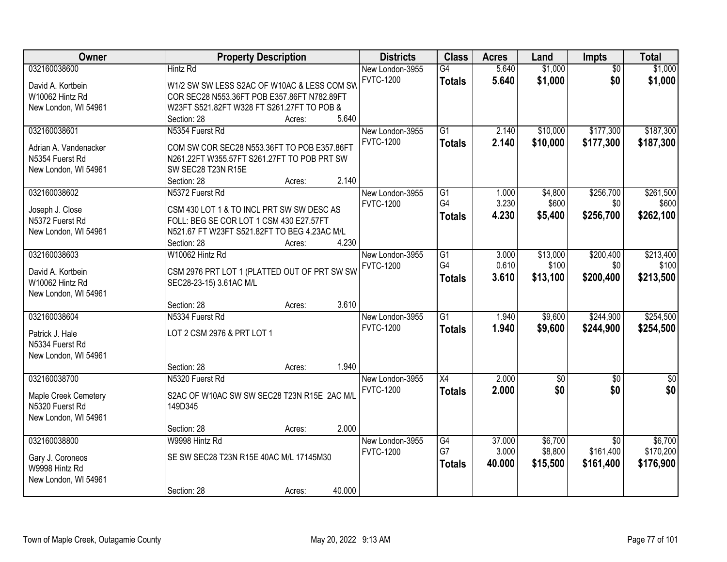| Owner                 | <b>Property Description</b>                  | <b>Districts</b> | <b>Class</b>    | <b>Acres</b> | Land        | Impts           | <b>Total</b>  |
|-----------------------|----------------------------------------------|------------------|-----------------|--------------|-------------|-----------------|---------------|
| 032160038600          | <b>Hintz Rd</b>                              | New London-3955  | G4              | 5.640        | \$1,000     | $\overline{50}$ | \$1,000       |
| David A. Kortbein     | W1/2 SW SW LESS S2AC OF W10AC & LESS COM SW  | <b>FVTC-1200</b> | <b>Totals</b>   | 5.640        | \$1,000     | \$0             | \$1,000       |
| W10062 Hintz Rd       | COR SEC28 N553.36FT POB E357.86FT N782.89FT  |                  |                 |              |             |                 |               |
| New London, WI 54961  | W23FT S521.82FT W328 FT S261.27FT TO POB &   |                  |                 |              |             |                 |               |
|                       | 5.640<br>Section: 28<br>Acres:               |                  |                 |              |             |                 |               |
| 032160038601          | N5354 Fuerst Rd                              | New London-3955  | $\overline{G1}$ | 2.140        | \$10,000    | \$177,300       | \$187,300     |
|                       |                                              | <b>FVTC-1200</b> | <b>Totals</b>   | 2.140        | \$10,000    | \$177,300       | \$187,300     |
| Adrian A. Vandenacker | COM SW COR SEC28 N553.36FT TO POB E357.86FT  |                  |                 |              |             |                 |               |
| N5354 Fuerst Rd       | N261.22FT W355.57FT S261.27FT TO POB PRT SW  |                  |                 |              |             |                 |               |
| New London, WI 54961  | SW SEC28 T23N R15E<br>2.140<br>Section: 28   |                  |                 |              |             |                 |               |
| 032160038602          | Acres:<br>N5372 Fuerst Rd                    | New London-3955  | G1              | 1.000        | \$4,800     | \$256,700       | \$261,500     |
|                       |                                              | <b>FVTC-1200</b> | G <sub>4</sub>  | 3.230        | \$600       | \$0             | \$600         |
| Joseph J. Close       | CSM 430 LOT 1 & TO INCL PRT SW SW DESC AS    |                  |                 | 4.230        |             |                 |               |
| N5372 Fuerst Rd       | FOLL: BEG SE COR LOT 1 CSM 430 E27.57FT      |                  | <b>Totals</b>   |              | \$5,400     | \$256,700       | \$262,100     |
| New London, WI 54961  | N521.67 FT W23FT S521.82FT TO BEG 4.23AC M/L |                  |                 |              |             |                 |               |
|                       | 4.230<br>Section: 28<br>Acres:               |                  |                 |              |             |                 |               |
| 032160038603          | W10062 Hintz Rd                              | New London-3955  | G1              | 3.000        | \$13,000    | \$200,400       | \$213,400     |
| David A. Kortbein     | CSM 2976 PRT LOT 1 (PLATTED OUT OF PRT SW SW | <b>FVTC-1200</b> | G4              | 0.610        | \$100       | \$0             | \$100         |
| W10062 Hintz Rd       | SEC28-23-15) 3.61AC M/L                      |                  | <b>Totals</b>   | 3.610        | \$13,100    | \$200,400       | \$213,500     |
| New London, WI 54961  |                                              |                  |                 |              |             |                 |               |
|                       | 3.610<br>Section: 28<br>Acres:               |                  |                 |              |             |                 |               |
| 032160038604          | N5334 Fuerst Rd                              | New London-3955  | $\overline{G1}$ | 1.940        | \$9,600     | \$244,900       | \$254,500     |
|                       |                                              | <b>FVTC-1200</b> |                 | 1.940        | \$9,600     | \$244,900       | \$254,500     |
| Patrick J. Hale       | LOT 2 CSM 2976 & PRT LOT 1                   |                  | <b>Totals</b>   |              |             |                 |               |
| N5334 Fuerst Rd       |                                              |                  |                 |              |             |                 |               |
| New London, WI 54961  |                                              |                  |                 |              |             |                 |               |
|                       | 1.940<br>Section: 28<br>Acres:               |                  |                 |              |             |                 |               |
| 032160038700          | N5320 Fuerst Rd                              | New London-3955  | X4              | 2.000        | $\sqrt{$0}$ | $\sqrt{6}$      | $\frac{6}{3}$ |
| Maple Creek Cemetery  | S2AC OF W10AC SW SW SEC28 T23N R15E 2AC M/L  | <b>FVTC-1200</b> | <b>Totals</b>   | 2.000        | \$0         | \$0             | \$0           |
| N5320 Fuerst Rd       | 149D345                                      |                  |                 |              |             |                 |               |
| New London, WI 54961  |                                              |                  |                 |              |             |                 |               |
|                       | 2.000<br>Section: 28<br>Acres:               |                  |                 |              |             |                 |               |
| 032160038800          | W9998 Hintz Rd                               | New London-3955  | G4              | 37.000       | \$6,700     | $\overline{50}$ | \$6,700       |
|                       |                                              | <b>FVTC-1200</b> | G7              | 3.000        | \$8,800     | \$161,400       | \$170,200     |
| Gary J. Coroneos      | SE SW SEC28 T23N R15E 40AC M/L 17145M30      |                  |                 | 40.000       | \$15,500    | \$161,400       | \$176,900     |
| W9998 Hintz Rd        |                                              |                  | <b>Totals</b>   |              |             |                 |               |
| New London, WI 54961  |                                              |                  |                 |              |             |                 |               |
|                       | 40.000<br>Section: 28<br>Acres:              |                  |                 |              |             |                 |               |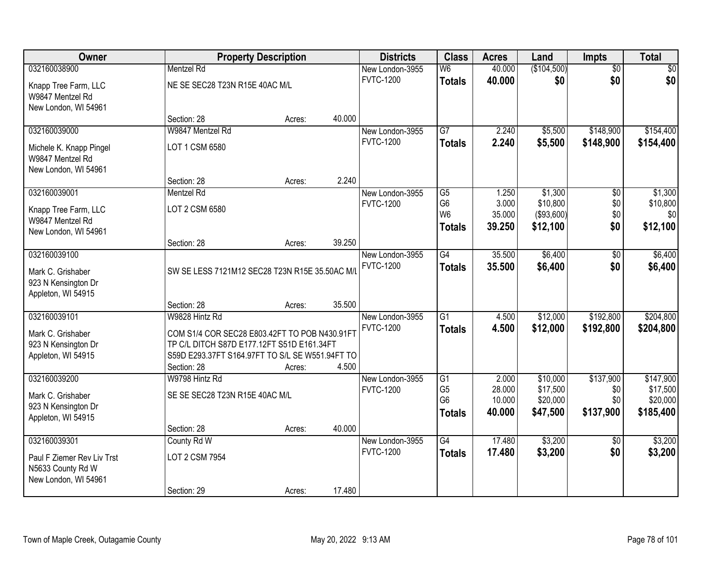| Owner                                                                   |                                                 | <b>Property Description</b> |        | <b>Districts</b>                    | <b>Class</b>                     | <b>Acres</b>   | Land                | Impts                  | <b>Total</b>           |
|-------------------------------------------------------------------------|-------------------------------------------------|-----------------------------|--------|-------------------------------------|----------------------------------|----------------|---------------------|------------------------|------------------------|
| 032160038900                                                            | <b>Mentzel Rd</b>                               |                             |        | New London-3955                     | $\overline{\mathsf{W6}}$         | 40.000         | (\$104,500)         | $\overline{50}$        | \$0                    |
| Knapp Tree Farm, LLC<br>W9847 Mentzel Rd<br>New London, WI 54961        | NE SE SEC28 T23N R15E 40AC M/L                  |                             |        | <b>FVTC-1200</b>                    | <b>Totals</b>                    | 40.000         | \$0                 | \$0                    | \$0                    |
|                                                                         | Section: 28                                     | Acres:                      | 40.000 |                                     |                                  |                |                     |                        |                        |
| 032160039000<br>Michele K. Knapp Pingel                                 | W9847 Mentzel Rd<br>LOT 1 CSM 6580              |                             |        | New London-3955<br><b>FVTC-1200</b> | $\overline{G7}$<br><b>Totals</b> | 2.240<br>2.240 | \$5,500<br>\$5,500  | \$148,900<br>\$148,900 | \$154,400<br>\$154,400 |
| W9847 Mentzel Rd<br>New London, WI 54961                                |                                                 |                             |        |                                     |                                  |                |                     |                        |                        |
|                                                                         | Section: 28                                     | Acres:                      | 2.240  |                                     |                                  |                |                     |                        |                        |
| 032160039001                                                            | Mentzel Rd                                      |                             |        | New London-3955<br><b>FVTC-1200</b> | G5<br>G <sub>6</sub>             | 1.250<br>3.000 | \$1,300<br>\$10,800 | \$0<br>\$0             | \$1,300<br>\$10,800    |
| Knapp Tree Farm, LLC                                                    | LOT 2 CSM 6580                                  |                             |        |                                     | W <sub>6</sub>                   | 35.000         | ( \$93,600)         | \$0                    | \$0                    |
| W9847 Mentzel Rd<br>New London, WI 54961                                |                                                 |                             |        |                                     | <b>Totals</b>                    | 39.250         | \$12,100            | \$0                    | \$12,100               |
|                                                                         | Section: 28                                     | Acres:                      | 39.250 |                                     |                                  |                |                     |                        |                        |
| 032160039100                                                            |                                                 |                             |        | New London-3955                     | G4                               | 35.500         | \$6,400             | \$0                    | \$6,400                |
| Mark C. Grishaber<br>923 N Kensington Dr<br>Appleton, WI 54915          | SW SE LESS 7121M12 SEC28 T23N R15E 35.50AC M/L  |                             |        | <b>FVTC-1200</b>                    | <b>Totals</b>                    | 35.500         | \$6,400             | \$0                    | \$6,400                |
|                                                                         | Section: 28                                     | Acres:                      | 35.500 |                                     |                                  |                |                     |                        |                        |
| 032160039101                                                            | W9828 Hintz Rd                                  |                             |        | New London-3955                     | $\overline{G1}$                  | 4.500          | \$12,000            | \$192,800              | \$204,800              |
| Mark C. Grishaber                                                       | COM S1/4 COR SEC28 E803.42FT TO POB N430.91FT   |                             |        | <b>FVTC-1200</b>                    | <b>Totals</b>                    | 4.500          | \$12,000            | \$192,800              | \$204,800              |
| 923 N Kensington Dr                                                     | TP C/L DITCH S87D E177.12FT S51D E161.34FT      |                             |        |                                     |                                  |                |                     |                        |                        |
| Appleton, WI 54915                                                      | S59D E293.37FT S164.97FT TO S/L SE W551.94FT TO |                             |        |                                     |                                  |                |                     |                        |                        |
| 032160039200                                                            | Section: 28<br>W9798 Hintz Rd                   | Acres:                      | 4.500  |                                     | G1                               | 2.000          | \$10,000            | \$137,900              | \$147,900              |
|                                                                         |                                                 |                             |        | New London-3955<br><b>FVTC-1200</b> | G <sub>5</sub>                   | 28.000         | \$17,500            | \$0                    | \$17,500               |
| Mark C. Grishaber                                                       | SE SE SEC28 T23N R15E 40AC M/L                  |                             |        |                                     | G <sub>6</sub>                   | 10.000         | \$20,000            | \$0                    | \$20,000               |
| 923 N Kensington Dr<br>Appleton, WI 54915                               |                                                 |                             |        |                                     | <b>Totals</b>                    | 40.000         | \$47,500            | \$137,900              | \$185,400              |
|                                                                         | Section: 28                                     | Acres:                      | 40.000 |                                     |                                  |                |                     |                        |                        |
| 032160039301                                                            | County Rd W                                     |                             |        | New London-3955                     | $\overline{G4}$                  | 17.480         | \$3,200             | $\overline{50}$        | \$3,200                |
| Paul F Ziemer Rev Liv Trst<br>N5633 County Rd W<br>New London, WI 54961 | LOT 2 CSM 7954                                  |                             |        | <b>FVTC-1200</b>                    | <b>Totals</b>                    | 17.480         | \$3,200             | \$0                    | \$3,200                |
|                                                                         | Section: 29                                     | Acres:                      | 17.480 |                                     |                                  |                |                     |                        |                        |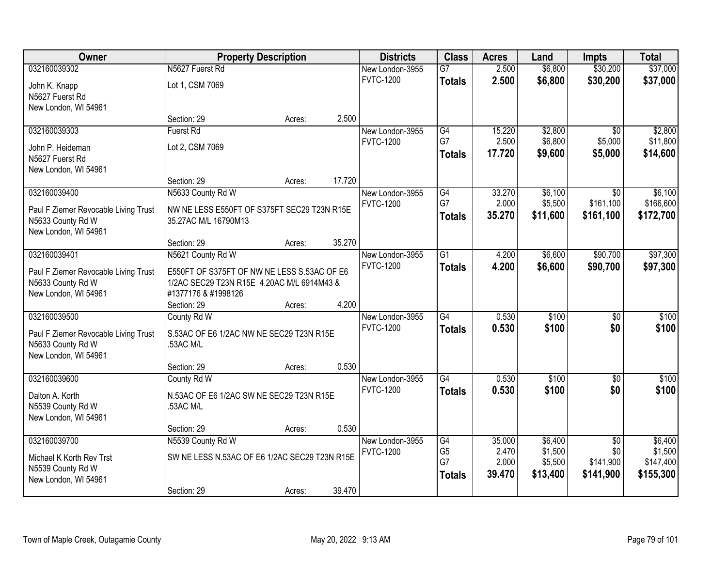| Owner                                | <b>Property Description</b>                   |        |        | <b>Districts</b> | <b>Class</b>    | <b>Acres</b> | Land     | <b>Impts</b>    | <b>Total</b> |
|--------------------------------------|-----------------------------------------------|--------|--------|------------------|-----------------|--------------|----------|-----------------|--------------|
| 032160039302                         | N5627 Fuerst Rd                               |        |        | New London-3955  | $\overline{G7}$ | 2.500        | \$6,800  | \$30,200        | \$37,000     |
| John K. Knapp                        | Lot 1, CSM 7069                               |        |        | <b>FVTC-1200</b> | <b>Totals</b>   | 2.500        | \$6,800  | \$30,200        | \$37,000     |
| N5627 Fuerst Rd                      |                                               |        |        |                  |                 |              |          |                 |              |
| New London, WI 54961                 |                                               |        |        |                  |                 |              |          |                 |              |
|                                      | Section: 29                                   | Acres: | 2.500  |                  |                 |              |          |                 |              |
| 032160039303                         | <b>Fuerst Rd</b>                              |        |        | New London-3955  | G4              | 15.220       | \$2,800  | $\overline{50}$ | \$2,800      |
| John P. Heideman                     | Lot 2, CSM 7069                               |        |        | <b>FVTC-1200</b> | G7              | 2.500        | \$6,800  | \$5,000         | \$11,800     |
| N5627 Fuerst Rd                      |                                               |        |        |                  | <b>Totals</b>   | 17.720       | \$9,600  | \$5,000         | \$14,600     |
| New London, WI 54961                 |                                               |        |        |                  |                 |              |          |                 |              |
|                                      | Section: 29                                   | Acres: | 17.720 |                  |                 |              |          |                 |              |
| 032160039400                         | N5633 County Rd W                             |        |        | New London-3955  | G4              | 33.270       | \$6,100  | \$0             | \$6,100      |
| Paul F Ziemer Revocable Living Trust | NW NE LESS E550FT OF S375FT SEC29 T23N R15E   |        |        | <b>FVTC-1200</b> | G7              | 2.000        | \$5,500  | \$161,100       | \$166,600    |
| N5633 County Rd W                    | 35.27AC M/L 16790M13                          |        |        |                  | <b>Totals</b>   | 35.270       | \$11,600 | \$161,100       | \$172,700    |
| New London, WI 54961                 |                                               |        |        |                  |                 |              |          |                 |              |
|                                      | Section: 29                                   | Acres: | 35.270 |                  |                 |              |          |                 |              |
| 032160039401                         | N5621 County Rd W                             |        |        | New London-3955  | $\overline{G1}$ | 4.200        | \$6,600  | \$90,700        | \$97,300     |
| Paul F Ziemer Revocable Living Trust | E550FT OF S375FT OF NW NE LESS S.53AC OF E6   |        |        | <b>FVTC-1200</b> | <b>Totals</b>   | 4.200        | \$6,600  | \$90,700        | \$97,300     |
| N5633 County Rd W                    | 1/2AC SEC29 T23N R15E 4.20AC M/L 6914M43 &    |        |        |                  |                 |              |          |                 |              |
| New London, WI 54961                 | #1377176 & #1998126                           |        |        |                  |                 |              |          |                 |              |
|                                      | Section: 29                                   | Acres: | 4.200  |                  |                 |              |          |                 |              |
| 032160039500                         | County Rd W                                   |        |        | New London-3955  | $\overline{G4}$ | 0.530        | \$100    | $\overline{50}$ | \$100        |
| Paul F Ziemer Revocable Living Trust | S.53AC OF E6 1/2AC NW NE SEC29 T23N R15E      |        |        | <b>FVTC-1200</b> | <b>Totals</b>   | 0.530        | \$100    | \$0             | \$100        |
| N5633 County Rd W                    | .53AC M/L                                     |        |        |                  |                 |              |          |                 |              |
| New London, WI 54961                 |                                               |        |        |                  |                 |              |          |                 |              |
|                                      | Section: 29                                   | Acres: | 0.530  |                  |                 |              |          |                 |              |
| 032160039600                         | County Rd W                                   |        |        | New London-3955  | G4              | 0.530        | \$100    | $\overline{50}$ | \$100        |
| Dalton A. Korth                      | N.53AC OF E6 1/2AC SW NE SEC29 T23N R15E      |        |        | <b>FVTC-1200</b> | <b>Totals</b>   | 0.530        | \$100    | \$0             | \$100        |
| N5539 County Rd W                    | 53AC M/L                                      |        |        |                  |                 |              |          |                 |              |
| New London, WI 54961                 |                                               |        |        |                  |                 |              |          |                 |              |
|                                      | Section: 29                                   | Acres: | 0.530  |                  |                 |              |          |                 |              |
| 032160039700                         | N5539 County Rd W                             |        |        | New London-3955  | G4              | 35.000       | \$6,400  | $\overline{50}$ | \$6,400      |
| Michael K Korth Rev Trst             | SW NE LESS N.53AC OF E6 1/2AC SEC29 T23N R15E |        |        | <b>FVTC-1200</b> | G <sub>5</sub>  | 2.470        | \$1,500  | \$0             | \$1,500      |
| N5539 County Rd W                    |                                               |        |        |                  | G7              | 2.000        | \$5,500  | \$141,900       | \$147,400    |
| New London, WI 54961                 |                                               |        |        |                  | <b>Totals</b>   | 39.470       | \$13,400 | \$141,900       | \$155,300    |
|                                      | Section: 29                                   | Acres: | 39.470 |                  |                 |              |          |                 |              |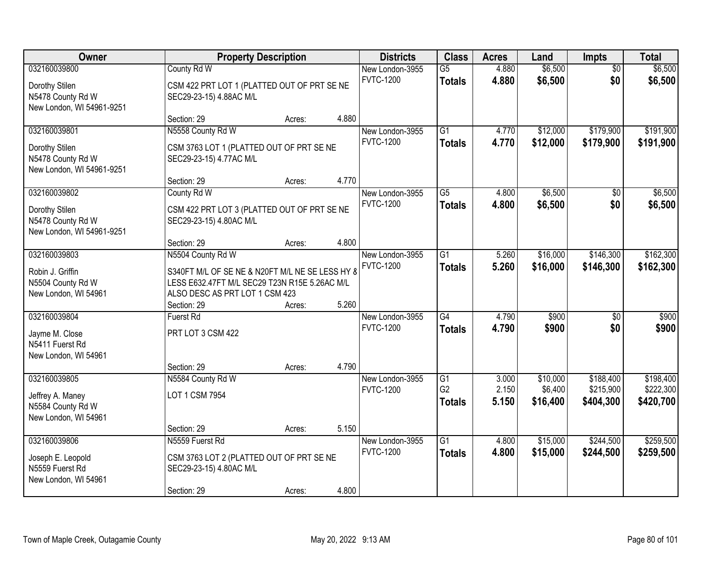| Owner                                                                            |                                                                                                                                                         | <b>Property Description</b> |       | <b>Districts</b>                    | <b>Class</b>                     | <b>Acres</b>   | Land                 | <b>Impts</b>           | <b>Total</b>           |
|----------------------------------------------------------------------------------|---------------------------------------------------------------------------------------------------------------------------------------------------------|-----------------------------|-------|-------------------------------------|----------------------------------|----------------|----------------------|------------------------|------------------------|
| 032160039800<br>Dorothy Stilen<br>N5478 County Rd W<br>New London, WI 54961-9251 | County Rd W<br>CSM 422 PRT LOT 1 (PLATTED OUT OF PRT SE NE<br>SEC29-23-15) 4.88AC M/L                                                                   |                             |       | New London-3955<br><b>FVTC-1200</b> | $\overline{G5}$<br><b>Totals</b> | 4.880<br>4.880 | \$6,500<br>\$6,500   | $\overline{50}$<br>\$0 | \$6,500<br>\$6,500     |
|                                                                                  | Section: 29                                                                                                                                             | Acres:                      | 4.880 |                                     |                                  |                |                      |                        |                        |
| 032160039801<br>Dorothy Stilen<br>N5478 County Rd W<br>New London, WI 54961-9251 | N5558 County Rd W<br>CSM 3763 LOT 1 (PLATTED OUT OF PRT SE NE<br>SEC29-23-15) 4.77AC M/L                                                                |                             |       | New London-3955<br><b>FVTC-1200</b> | $\overline{G1}$<br><b>Totals</b> | 4.770<br>4.770 | \$12,000<br>\$12,000 | \$179,900<br>\$179,900 | \$191,900<br>\$191,900 |
|                                                                                  | Section: 29                                                                                                                                             | Acres:                      | 4.770 |                                     |                                  |                |                      |                        |                        |
| 032160039802<br>Dorothy Stilen<br>N5478 County Rd W<br>New London, WI 54961-9251 | County Rd W<br>CSM 422 PRT LOT 3 (PLATTED OUT OF PRT SE NE<br>SEC29-23-15) 4.80AC M/L                                                                   |                             |       | New London-3955<br><b>FVTC-1200</b> | $\overline{G5}$<br><b>Totals</b> | 4.800<br>4.800 | \$6,500<br>\$6,500   | \$0<br>\$0             | \$6,500<br>\$6,500     |
|                                                                                  | Section: 29                                                                                                                                             | Acres:                      | 4.800 |                                     |                                  |                |                      |                        |                        |
| 032160039803<br>Robin J. Griffin<br>N5504 County Rd W<br>New London, WI 54961    | N5504 County Rd W<br>S340FT M/L OF SE NE & N20FT M/L NE SE LESS HY 8<br>LESS E632.47FT M/L SEC29 T23N R15E 5.26AC M/L<br>ALSO DESC AS PRT LOT 1 CSM 423 |                             |       | New London-3955<br><b>FVTC-1200</b> | $\overline{G1}$<br><b>Totals</b> | 5.260<br>5.260 | \$16,000<br>\$16,000 | \$146,300<br>\$146,300 | \$162,300<br>\$162,300 |
|                                                                                  | Section: 29                                                                                                                                             | Acres:                      | 5.260 |                                     |                                  |                |                      |                        |                        |
| 032160039804<br>Jayme M. Close<br>N5411 Fuerst Rd<br>New London, WI 54961        | <b>Fuerst Rd</b><br>PRT LOT 3 CSM 422<br>Section: 29                                                                                                    | Acres:                      | 4.790 | New London-3955<br><b>FVTC-1200</b> | $\overline{G4}$<br><b>Totals</b> | 4.790<br>4.790 | \$900<br>\$900       | $\overline{50}$<br>\$0 | \$900<br>\$900         |
| 032160039805                                                                     | N5584 County Rd W                                                                                                                                       |                             |       | New London-3955                     | $\overline{G1}$                  | 3.000          | \$10,000             | \$188,400              | \$198,400              |
| Jeffrey A. Maney<br>N5584 County Rd W<br>New London, WI 54961                    | LOT 1 CSM 7954                                                                                                                                          |                             |       | <b>FVTC-1200</b>                    | G <sub>2</sub><br><b>Totals</b>  | 2.150<br>5.150 | \$6,400<br>\$16,400  | \$215,900<br>\$404,300 | \$222,300<br>\$420,700 |
|                                                                                  | Section: 29                                                                                                                                             | Acres:                      | 5.150 |                                     |                                  |                |                      |                        |                        |
| 032160039806<br>Joseph E. Leopold<br>N5559 Fuerst Rd<br>New London, WI 54961     | N5559 Fuerst Rd<br>CSM 3763 LOT 2 (PLATTED OUT OF PRT SE NE<br>SEC29-23-15) 4.80AC M/L<br>Section: 29                                                   | Acres:                      | 4.800 | New London-3955<br><b>FVTC-1200</b> | $\overline{G1}$<br><b>Totals</b> | 4.800<br>4.800 | \$15,000<br>\$15,000 | \$244,500<br>\$244,500 | \$259,500<br>\$259,500 |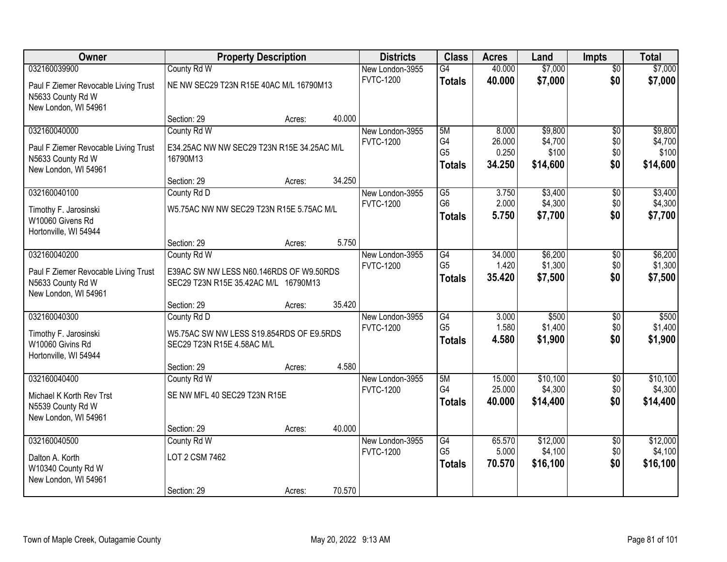| <b>Owner</b>                                                                      |                                                                                 | <b>Property Description</b> |        | <b>Districts</b> | <b>Class</b>                          | <b>Acres</b>              | Land                         | <b>Impts</b>      | <b>Total</b>                 |
|-----------------------------------------------------------------------------------|---------------------------------------------------------------------------------|-----------------------------|--------|------------------|---------------------------------------|---------------------------|------------------------------|-------------------|------------------------------|
| 032160039900                                                                      | County Rd W                                                                     |                             |        | New London-3955  | $\overline{G4}$                       | 40.000                    | \$7,000                      | $\overline{50}$   | \$7,000                      |
| Paul F Ziemer Revocable Living Trust<br>N5633 County Rd W<br>New London, WI 54961 | NE NW SEC29 T23N R15E 40AC M/L 16790M13                                         |                             |        | <b>FVTC-1200</b> | <b>Totals</b>                         | 40.000                    | \$7,000                      | \$0               | \$7,000                      |
|                                                                                   | Section: 29                                                                     | Acres:                      | 40.000 |                  |                                       |                           |                              |                   |                              |
| 032160040000                                                                      | County Rd W                                                                     |                             |        | New London-3955  | 5M                                    | 8.000                     | \$9,800                      | $\overline{50}$   | \$9,800                      |
| Paul F Ziemer Revocable Living Trust<br>N5633 County Rd W<br>New London, WI 54961 | E34.25AC NW NW SEC29 T23N R15E 34.25AC M/L<br>16790M13                          |                             |        | <b>FVTC-1200</b> | G4<br>G <sub>5</sub><br><b>Totals</b> | 26.000<br>0.250<br>34.250 | \$4,700<br>\$100<br>\$14,600 | \$0<br>\$0<br>\$0 | \$4,700<br>\$100<br>\$14,600 |
|                                                                                   | Section: 29                                                                     | Acres:                      | 34.250 |                  |                                       |                           |                              |                   |                              |
| 032160040100                                                                      | County Rd D                                                                     |                             |        | New London-3955  | $\overline{G5}$                       | 3.750                     | \$3,400                      | \$0               | \$3,400                      |
| Timothy F. Jarosinski<br>W10060 Givens Rd<br>Hortonville, WI 54944                | W5.75AC NW NW SEC29 T23N R15E 5.75AC M/L                                        |                             |        | <b>FVTC-1200</b> | G <sub>6</sub><br><b>Totals</b>       | 2.000<br>5.750            | \$4,300<br>\$7,700           | \$0<br>\$0        | \$4,300<br>\$7,700           |
|                                                                                   | Section: 29                                                                     | Acres:                      | 5.750  |                  |                                       |                           |                              |                   |                              |
| 032160040200                                                                      | County Rd W                                                                     |                             |        | New London-3955  | $\overline{G4}$                       | 34.000                    | \$6,200                      | \$0               | \$6,200                      |
| Paul F Ziemer Revocable Living Trust<br>N5633 County Rd W<br>New London, WI 54961 | E39AC SW NW LESS N60.146RDS OF W9.50RDS<br>SEC29 T23N R15E 35.42AC M/L 16790M13 |                             |        | <b>FVTC-1200</b> | G <sub>5</sub><br><b>Totals</b>       | 1.420<br>35.420           | \$1,300<br>\$7,500           | \$0<br>\$0        | \$1,300<br>\$7,500           |
|                                                                                   | Section: 29                                                                     | Acres:                      | 35.420 |                  |                                       |                           |                              |                   |                              |
| 032160040300                                                                      | County Rd D                                                                     |                             |        | New London-3955  | $\overline{G4}$                       | 3.000                     | \$500                        | \$0               | \$500                        |
| Timothy F. Jarosinski<br>W10060 Givins Rd<br>Hortonville, WI 54944                | W5.75AC SW NW LESS S19.854RDS OF E9.5RDS<br>SEC29 T23N R15E 4.58AC M/L          |                             |        | <b>FVTC-1200</b> | G <sub>5</sub><br><b>Totals</b>       | 1.580<br>4.580            | \$1,400<br>\$1,900           | \$0<br>\$0        | \$1,400<br>\$1,900           |
|                                                                                   | Section: 29                                                                     | Acres:                      | 4.580  |                  |                                       |                           |                              |                   |                              |
| 032160040400                                                                      | County Rd W                                                                     |                             |        | New London-3955  | 5M                                    | 15.000                    | \$10,100                     | $\sqrt{6}$        | \$10,100                     |
| Michael K Korth Rev Trst<br>N5539 County Rd W<br>New London, WI 54961             | SE NW MFL 40 SEC29 T23N R15E                                                    |                             |        | <b>FVTC-1200</b> | G4<br><b>Totals</b>                   | 25.000<br>40.000          | \$4,300<br>\$14,400          | \$0<br>\$0        | \$4,300<br>\$14,400          |
|                                                                                   | Section: 29                                                                     | Acres:                      | 40.000 |                  |                                       |                           |                              |                   |                              |
| 032160040500                                                                      | County Rd W                                                                     |                             |        | New London-3955  | G4                                    | 65.570                    | \$12,000                     | $\overline{30}$   | \$12,000                     |
| Dalton A. Korth<br>W10340 County Rd W<br>New London, WI 54961                     | LOT 2 CSM 7462                                                                  |                             |        | <b>FVTC-1200</b> | G <sub>5</sub><br><b>Totals</b>       | 5.000<br>70.570           | \$4,100<br>\$16,100          | \$0<br>\$0        | \$4,100<br>\$16,100          |
|                                                                                   | Section: 29                                                                     | Acres:                      | 70.570 |                  |                                       |                           |                              |                   |                              |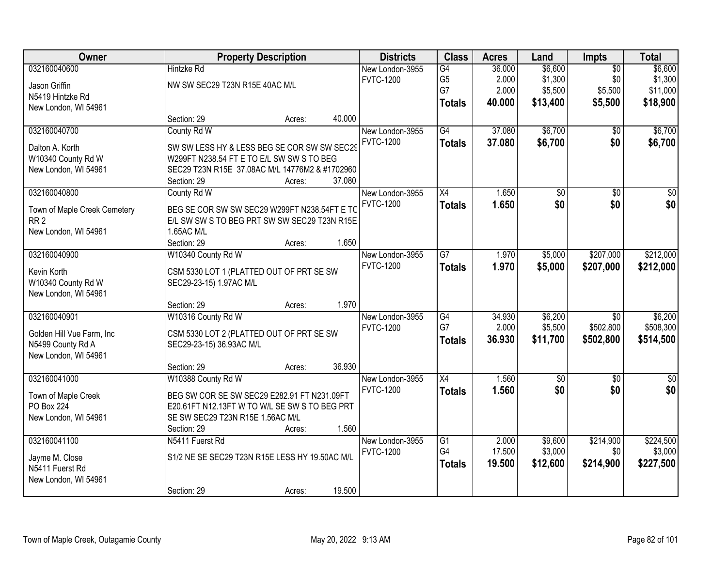| Owner                                           |                                                                      | <b>Property Description</b> |        | <b>Districts</b> | <b>Class</b>    | <b>Acres</b> | Land            | Impts           | <b>Total</b>    |
|-------------------------------------------------|----------------------------------------------------------------------|-----------------------------|--------|------------------|-----------------|--------------|-----------------|-----------------|-----------------|
| 032160040600                                    | <b>Hintzke Rd</b>                                                    |                             |        | New London-3955  | G4              | 36.000       | \$6,600         | $\overline{50}$ | \$6,600         |
| Jason Griffin                                   | NW SW SEC29 T23N R15E 40AC M/L                                       |                             |        | <b>FVTC-1200</b> | G <sub>5</sub>  | 2.000        | \$1,300         | \$0             | \$1,300         |
| N5419 Hintzke Rd                                |                                                                      |                             |        |                  | G7              | 2.000        | \$5,500         | \$5,500         | \$11,000        |
| New London, WI 54961                            |                                                                      |                             |        |                  | <b>Totals</b>   | 40.000       | \$13,400        | \$5,500         | \$18,900        |
|                                                 | Section: 29                                                          | Acres:                      | 40.000 |                  |                 |              |                 |                 |                 |
| 032160040700                                    | County Rd W                                                          |                             |        | New London-3955  | G4              | 37.080       | \$6,700         | \$0             | \$6,700         |
| Dalton A. Korth                                 | SW SW LESS HY & LESS BEG SE COR SW SW SEC29                          |                             |        | <b>FVTC-1200</b> | <b>Totals</b>   | 37.080       | \$6,700         | \$0             | \$6,700         |
| W10340 County Rd W                              | W299FT N238.54 FT E TO E/L SW SW S TO BEG                            |                             |        |                  |                 |              |                 |                 |                 |
| New London, WI 54961                            | SEC29 T23N R15E 37.08AC M/L 14776M2 & #1702960                       |                             |        |                  |                 |              |                 |                 |                 |
|                                                 | Section: 29                                                          | Acres:                      | 37.080 |                  |                 |              |                 |                 |                 |
| 032160040800                                    | County Rd W                                                          |                             |        | New London-3955  | X4              | 1.650        | \$0             | \$0             | \$0             |
| Town of Maple Creek Cemetery                    | BEG SE COR SW SW SEC29 W299FT N238.54FT E TO                         |                             |        | <b>FVTC-1200</b> | <b>Totals</b>   | 1.650        | \$0             | \$0             | \$0             |
| RR <sub>2</sub>                                 | E/L SW SW S TO BEG PRT SW SW SEC29 T23N R15E                         |                             |        |                  |                 |              |                 |                 |                 |
| New London, WI 54961                            | 1.65AC M/L                                                           |                             |        |                  |                 |              |                 |                 |                 |
|                                                 | Section: 29                                                          | Acres:                      | 1.650  |                  |                 |              |                 |                 |                 |
| 032160040900                                    | W10340 County Rd W                                                   |                             |        | New London-3955  | $\overline{G7}$ | 1.970        | \$5,000         | \$207,000       | \$212,000       |
| Kevin Korth                                     | CSM 5330 LOT 1 (PLATTED OUT OF PRT SE SW                             |                             |        | <b>FVTC-1200</b> | <b>Totals</b>   | 1.970        | \$5,000         | \$207,000       | \$212,000       |
| W10340 County Rd W                              | SEC29-23-15) 1.97AC M/L                                              |                             |        |                  |                 |              |                 |                 |                 |
| New London, WI 54961                            |                                                                      |                             |        |                  |                 |              |                 |                 |                 |
|                                                 | Section: 29                                                          | Acres:                      | 1.970  |                  |                 |              |                 |                 |                 |
| 032160040901                                    | W10316 County Rd W                                                   |                             |        | New London-3955  | $\overline{G4}$ | 34.930       | \$6,200         | $\overline{30}$ | \$6,200         |
|                                                 |                                                                      |                             |        | <b>FVTC-1200</b> | G7              | 2.000        | \$5,500         | \$502,800       | \$508,300       |
| Golden Hill Vue Farm, Inc.<br>N5499 County Rd A | CSM 5330 LOT 2 (PLATTED OUT OF PRT SE SW<br>SEC29-23-15) 36.93AC M/L |                             |        |                  | <b>Totals</b>   | 36.930       | \$11,700        | \$502,800       | \$514,500       |
| New London, WI 54961                            |                                                                      |                             |        |                  |                 |              |                 |                 |                 |
|                                                 | Section: 29                                                          | Acres:                      | 36.930 |                  |                 |              |                 |                 |                 |
| 032160041000                                    | W10388 County Rd W                                                   |                             |        | New London-3955  | $\overline{X4}$ | 1.560        | $\overline{50}$ | $\overline{50}$ | $\overline{50}$ |
| Town of Maple Creek                             | BEG SW COR SE SW SEC29 E282.91 FT N231.09FT                          |                             |        | <b>FVTC-1200</b> | <b>Totals</b>   | 1.560        | \$0             | \$0             | \$0             |
| <b>PO Box 224</b>                               | E20.61FT N12.13FT W TO W/L SE SW S TO BEG PRT                        |                             |        |                  |                 |              |                 |                 |                 |
| New London, WI 54961                            | SE SW SEC29 T23N R15E 1.56AC M/L                                     |                             |        |                  |                 |              |                 |                 |                 |
|                                                 | Section: 29                                                          | Acres:                      | 1.560  |                  |                 |              |                 |                 |                 |
| 032160041100                                    | N5411 Fuerst Rd                                                      |                             |        | New London-3955  | $\overline{G1}$ | 2.000        | \$9,600         | \$214,900       | \$224,500       |
| Jayme M. Close                                  | S1/2 NE SE SEC29 T23N R15E LESS HY 19.50AC M/L                       |                             |        | <b>FVTC-1200</b> | G4              | 17.500       | \$3,000         | \$0             | \$3,000         |
| N5411 Fuerst Rd                                 |                                                                      |                             |        |                  | <b>Totals</b>   | 19.500       | \$12,600        | \$214,900       | \$227,500       |
| New London, WI 54961                            |                                                                      |                             |        |                  |                 |              |                 |                 |                 |
|                                                 | Section: 29                                                          | Acres:                      | 19.500 |                  |                 |              |                 |                 |                 |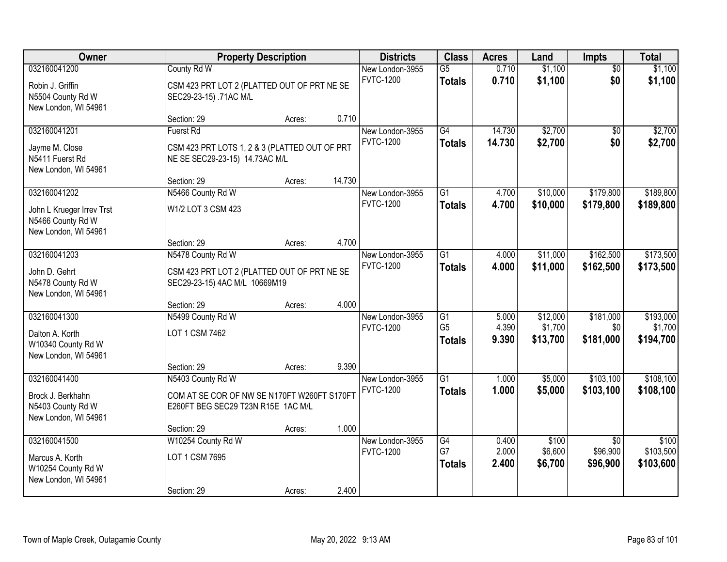| Owner<br><b>Property Description</b>                                                   |                                                                                                        | <b>Class</b><br><b>Districts</b> |        | <b>Acres</b>                        | Land                                   | Impts                   | <b>Total</b>                    |                                         |                                   |
|----------------------------------------------------------------------------------------|--------------------------------------------------------------------------------------------------------|----------------------------------|--------|-------------------------------------|----------------------------------------|-------------------------|---------------------------------|-----------------------------------------|-----------------------------------|
| 032160041200<br>Robin J. Griffin<br>N5504 County Rd W<br>New London, WI 54961          | County Rd W<br>CSM 423 PRT LOT 2 (PLATTED OUT OF PRT NE SE<br>SEC29-23-15) .71AC M/L                   |                                  |        | New London-3955<br><b>FVTC-1200</b> | $\overline{G5}$<br><b>Totals</b>       | 0.710<br>0.710          | \$1,100<br>\$1,100              | $\overline{50}$<br>\$0                  | \$1,100<br>\$1,100                |
|                                                                                        | Section: 29                                                                                            | Acres:                           | 0.710  |                                     |                                        |                         |                                 |                                         |                                   |
| 032160041201<br>Jayme M. Close<br>N5411 Fuerst Rd<br>New London, WI 54961              | <b>Fuerst Rd</b><br>CSM 423 PRT LOTS 1, 2 & 3 (PLATTED OUT OF PRT<br>NE SE SEC29-23-15) 14.73AC M/L    |                                  |        | New London-3955<br><b>FVTC-1200</b> | G4<br><b>Totals</b>                    | 14.730<br>14.730        | \$2,700<br>\$2,700              | \$0<br>\$0                              | \$2,700<br>\$2,700                |
|                                                                                        | Section: 29                                                                                            | Acres:                           | 14.730 |                                     |                                        |                         |                                 |                                         |                                   |
| 032160041202<br>John L Krueger Irrev Trst<br>N5466 County Rd W<br>New London, WI 54961 | N5466 County Rd W<br>W1/2 LOT 3 CSM 423                                                                |                                  |        | New London-3955<br><b>FVTC-1200</b> | $\overline{G1}$<br><b>Totals</b>       | 4.700<br>4.700          | \$10,000<br>\$10,000            | \$179,800<br>\$179,800                  | \$189,800<br>\$189,800            |
|                                                                                        | Section: 29                                                                                            | Acres:                           | 4.700  |                                     |                                        |                         |                                 |                                         |                                   |
| 032160041203<br>John D. Gehrt<br>N5478 County Rd W<br>New London, WI 54961             | N5478 County Rd W<br>CSM 423 PRT LOT 2 (PLATTED OUT OF PRT NE SE<br>SEC29-23-15) 4AC M/L 10669M19      |                                  |        | New London-3955<br><b>FVTC-1200</b> | $\overline{G1}$<br><b>Totals</b>       | 4.000<br>4.000          | \$11,000<br>\$11,000            | \$162,500<br>\$162,500                  | \$173,500<br>\$173,500            |
|                                                                                        | Section: 29                                                                                            | Acres:                           | 4.000  |                                     |                                        |                         |                                 |                                         |                                   |
| 032160041300<br>Dalton A. Korth<br>W10340 County Rd W<br>New London, WI 54961          | N5499 County Rd W<br>LOT 1 CSM 7462                                                                    |                                  |        | New London-3955<br><b>FVTC-1200</b> | G1<br>G <sub>5</sub><br><b>Totals</b>  | 5.000<br>4.390<br>9.390 | \$12,000<br>\$1,700<br>\$13,700 | \$181,000<br>\$0<br>\$181,000           | \$193,000<br>\$1,700<br>\$194,700 |
|                                                                                        | Section: 29                                                                                            | Acres:                           | 9.390  |                                     | $\overline{G1}$                        |                         |                                 |                                         |                                   |
| 032160041400<br>Brock J. Berkhahn<br>N5403 County Rd W<br>New London, WI 54961         | N5403 County Rd W<br>COM AT SE COR OF NW SE N170FT W260FT S170FT<br>E260FT BEG SEC29 T23N R15E 1AC M/L |                                  |        | New London-3955<br><b>FVTC-1200</b> | <b>Totals</b>                          | 1.000<br>1.000          | \$5,000<br>\$5,000              | \$103,100<br>\$103,100                  | \$108,100<br>\$108,100            |
|                                                                                        | Section: 29                                                                                            | Acres:                           | 1.000  |                                     |                                        |                         |                                 |                                         |                                   |
| 032160041500<br>Marcus A. Korth<br>W10254 County Rd W<br>New London, WI 54961          | W10254 County Rd W<br>LOT 1 CSM 7695<br>Section: 29                                                    | Acres:                           | 2.400  | New London-3955<br><b>FVTC-1200</b> | $\overline{G4}$<br>G7<br><b>Totals</b> | 0.400<br>2.000<br>2.400 | \$100<br>\$6,600<br>\$6,700     | $\overline{50}$<br>\$96,900<br>\$96,900 | \$100<br>\$103,500<br>\$103,600   |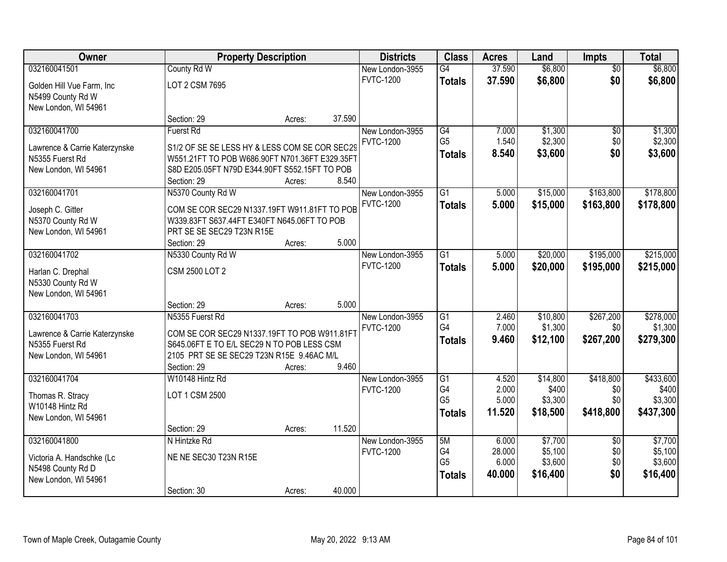| Owner                         |                                                | <b>Property Description</b> |        | <b>Districts</b> | <b>Class</b>         | <b>Acres</b>    | Land               | Impts           | <b>Total</b>       |
|-------------------------------|------------------------------------------------|-----------------------------|--------|------------------|----------------------|-----------------|--------------------|-----------------|--------------------|
| 032160041501                  | County Rd W                                    |                             |        | New London-3955  | G4                   | 37.590          | \$6,800            | $\overline{50}$ | \$6,800            |
| Golden Hill Vue Farm, Inc.    | LOT 2 CSM 7695                                 |                             |        | <b>FVTC-1200</b> | <b>Totals</b>        | 37.590          | \$6,800            | \$0             | \$6,800            |
| N5499 County Rd W             |                                                |                             |        |                  |                      |                 |                    |                 |                    |
| New London, WI 54961          |                                                |                             |        |                  |                      |                 |                    |                 |                    |
|                               | Section: 29                                    | Acres:                      | 37.590 |                  |                      |                 |                    |                 |                    |
| 032160041700                  | <b>Fuerst Rd</b>                               |                             |        | New London-3955  | G4                   | 7.000           | \$1,300            | $\overline{60}$ | \$1,300            |
| Lawrence & Carrie Katerzynske | S1/2 OF SE SE LESS HY & LESS COM SE COR SEC29  |                             |        | <b>FVTC-1200</b> | G <sub>5</sub>       | 1.540           | \$2,300            | \$0             | \$2,300            |
| N5355 Fuerst Rd               | W551.21FT TO POB W686.90FT N701.36FT E329.35FT |                             |        |                  | <b>Totals</b>        | 8.540           | \$3,600            | \$0             | \$3,600            |
| New London, WI 54961          | S8D E205.05FT N79D E344.90FT S552.15FT TO POB  |                             |        |                  |                      |                 |                    |                 |                    |
|                               | Section: 29                                    | Acres:                      | 8.540  |                  |                      |                 |                    |                 |                    |
| 032160041701                  | N5370 County Rd W                              |                             |        | New London-3955  | $\overline{G1}$      | 5.000           | \$15,000           | \$163,800       | \$178,800          |
| Joseph C. Gitter              | COM SE COR SEC29 N1337.19FT W911.81FT TO POB   |                             |        | <b>FVTC-1200</b> | <b>Totals</b>        | 5.000           | \$15,000           | \$163,800       | \$178,800          |
| N5370 County Rd W             | W339.83FT S637.44FT E340FT N645.06FT TO POB    |                             |        |                  |                      |                 |                    |                 |                    |
| New London, WI 54961          | PRT SE SE SEC29 T23N R15E                      |                             |        |                  |                      |                 |                    |                 |                    |
|                               | Section: 29                                    | Acres:                      | 5.000  |                  |                      |                 |                    |                 |                    |
| 032160041702                  | N5330 County Rd W                              |                             |        | New London-3955  | $\overline{G1}$      | 5.000           | \$20,000           | \$195,000       | \$215,000          |
| Harlan C. Drephal             | <b>CSM 2500 LOT 2</b>                          |                             |        | <b>FVTC-1200</b> | <b>Totals</b>        | 5.000           | \$20,000           | \$195,000       | \$215,000          |
| N5330 County Rd W             |                                                |                             |        |                  |                      |                 |                    |                 |                    |
| New London, WI 54961          |                                                |                             |        |                  |                      |                 |                    |                 |                    |
|                               | Section: 29                                    | Acres:                      | 5.000  |                  |                      |                 |                    |                 |                    |
| 032160041703                  | N5355 Fuerst Rd                                |                             |        | New London-3955  | $\overline{G1}$      | 2.460           | \$10,800           | \$267,200       | \$278,000          |
| Lawrence & Carrie Katerzynske | COM SE COR SEC29 N1337.19FT TO POB W911.81FT   |                             |        | <b>FVTC-1200</b> | G4                   | 7.000           | \$1,300            | \$0             | \$1,300            |
| N5355 Fuerst Rd               | S645.06FT E TO E/L SEC29 N TO POB LESS CSM     |                             |        |                  | <b>Totals</b>        | 9.460           | \$12,100           | \$267,200       | \$279,300          |
| New London, WI 54961          | 2105 PRT SE SE SEC29 T23N R15E 9.46AC M/L      |                             |        |                  |                      |                 |                    |                 |                    |
|                               | Section: 29                                    | Acres:                      | 9.460  |                  |                      |                 |                    |                 |                    |
| 032160041704                  | W10148 Hintz Rd                                |                             |        | New London-3955  | G1                   | 4.520           | \$14,800           | \$418,800       | \$433,600          |
| Thomas R. Stracy              | LOT 1 CSM 2500                                 |                             |        | <b>FVTC-1200</b> | G4<br>G <sub>5</sub> | 2.000<br>5.000  | \$400<br>\$3,300   | \$0<br>\$0      | \$400<br>\$3,300   |
| W10148 Hintz Rd               |                                                |                             |        |                  | <b>Totals</b>        | 11.520          | \$18,500           | \$418,800       | \$437,300          |
| New London, WI 54961          |                                                |                             |        |                  |                      |                 |                    |                 |                    |
|                               | Section: 29                                    | Acres:                      | 11.520 |                  |                      |                 |                    |                 |                    |
| 032160041800                  | N Hintzke Rd                                   |                             |        | New London-3955  | 5M                   | 6.000<br>28.000 | \$7,700            | $\overline{50}$ | \$7,700            |
| Victoria A. Handschke (Lc     | NE NE SEC30 T23N R15E                          |                             |        | <b>FVTC-1200</b> | G4<br>G <sub>5</sub> | 6.000           | \$5,100<br>\$3,600 | \$0<br>\$0      | \$5,100<br>\$3,600 |
| N5498 County Rd D             |                                                |                             |        |                  | <b>Totals</b>        | 40.000          | \$16,400           | \$0             | \$16,400           |
| New London, WI 54961          |                                                |                             |        |                  |                      |                 |                    |                 |                    |
|                               | Section: 30                                    | Acres:                      | 40.000 |                  |                      |                 |                    |                 |                    |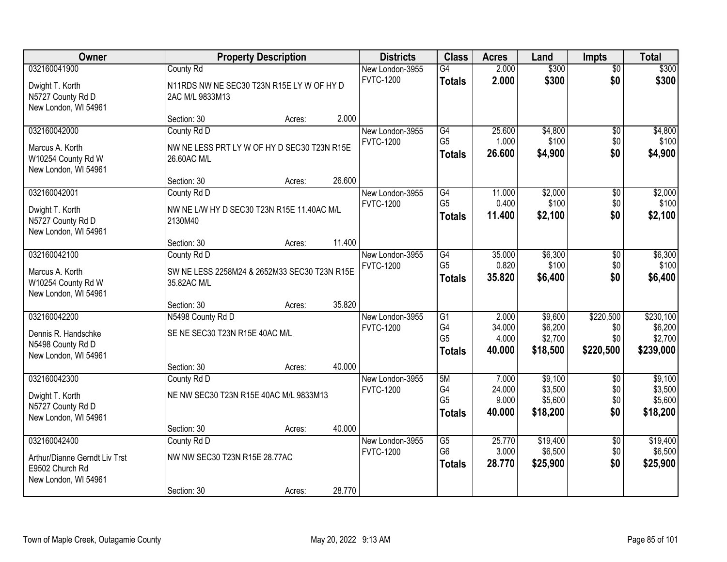| Owner                                 |                                                             | <b>Property Description</b> |        | <b>Districts</b> | <b>Class</b>                      | <b>Acres</b>    | Land                | <b>Impts</b>           | <b>Total</b>        |
|---------------------------------------|-------------------------------------------------------------|-----------------------------|--------|------------------|-----------------------------------|-----------------|---------------------|------------------------|---------------------|
| 032160041900                          | <b>County Rd</b>                                            |                             |        | New London-3955  | $\overline{G4}$                   | 2.000           | \$300               | $\overline{50}$        | \$300               |
| Dwight T. Korth                       | N11RDS NW NE SEC30 T23N R15E LY W OF HY D                   |                             |        | <b>FVTC-1200</b> | <b>Totals</b>                     | 2.000           | \$300               | \$0                    | \$300               |
| N5727 County Rd D                     | 2AC M/L 9833M13                                             |                             |        |                  |                                   |                 |                     |                        |                     |
| New London, WI 54961                  |                                                             |                             |        |                  |                                   |                 |                     |                        |                     |
|                                       | Section: 30                                                 | Acres:                      | 2.000  |                  |                                   |                 |                     |                        |                     |
| 032160042000                          | County Rd D                                                 |                             |        | New London-3955  | G4<br>G <sub>5</sub>              | 25.600<br>1.000 | \$4,800<br>\$100    | \$0                    | \$4,800             |
| Marcus A. Korth                       | NW NE LESS PRT LY W OF HY D SEC30 T23N R15E                 |                             |        | <b>FVTC-1200</b> | <b>Totals</b>                     | 26.600          | \$4,900             | \$0<br>\$0             | \$100<br>\$4,900    |
| W10254 County Rd W                    | 26.60AC M/L                                                 |                             |        |                  |                                   |                 |                     |                        |                     |
| New London, WI 54961                  |                                                             |                             | 26.600 |                  |                                   |                 |                     |                        |                     |
| 032160042001                          | Section: 30<br>County Rd D                                  | Acres:                      |        | New London-3955  | G4                                | 11.000          | \$2,000             | \$0                    | \$2,000             |
|                                       |                                                             |                             |        | <b>FVTC-1200</b> | G <sub>5</sub>                    | 0.400           | \$100               | \$0                    | \$100               |
| Dwight T. Korth                       | NW NE L/W HY D SEC30 T23N R15E 11.40AC M/L                  |                             |        |                  | <b>Totals</b>                     | 11.400          | \$2,100             | \$0                    | \$2,100             |
| N5727 County Rd D                     | 2130M40                                                     |                             |        |                  |                                   |                 |                     |                        |                     |
| New London, WI 54961                  | Section: 30                                                 | Acres:                      | 11.400 |                  |                                   |                 |                     |                        |                     |
| 032160042100                          | County Rd D                                                 |                             |        | New London-3955  | G4                                | 35.000          | \$6,300             | $\sqrt[6]{3}$          | \$6,300             |
|                                       |                                                             |                             |        | <b>FVTC-1200</b> | G <sub>5</sub>                    | 0.820           | \$100               | \$0                    | \$100               |
| Marcus A. Korth<br>W10254 County Rd W | SW NE LESS 2258M24 & 2652M33 SEC30 T23N R15E<br>35.82AC M/L |                             |        |                  | <b>Totals</b>                     | 35.820          | \$6,400             | \$0                    | \$6,400             |
| New London, WI 54961                  |                                                             |                             |        |                  |                                   |                 |                     |                        |                     |
|                                       | Section: 30                                                 | Acres:                      | 35.820 |                  |                                   |                 |                     |                        |                     |
| 032160042200                          | N5498 County Rd D                                           |                             |        | New London-3955  | $\overline{G1}$                   | 2.000           | \$9,600             | \$220,500              | \$230,100           |
| Dennis R. Handschke                   | SE NE SEC30 T23N R15E 40AC M/L                              |                             |        | <b>FVTC-1200</b> | G4                                | 34.000          | \$6,200             | \$0                    | \$6,200             |
| N5498 County Rd D                     |                                                             |                             |        |                  | G <sub>5</sub>                    | 4.000           | \$2,700             | \$0                    | \$2,700             |
| New London, WI 54961                  |                                                             |                             |        |                  | <b>Totals</b>                     | 40.000          | \$18,500            | \$220,500              | \$239,000           |
|                                       | Section: 30                                                 | Acres:                      | 40.000 |                  |                                   |                 |                     |                        |                     |
| 032160042300                          | County Rd D                                                 |                             |        | New London-3955  | 5M                                | 7.000           | \$9,100             | $\overline{50}$        | \$9,100             |
| Dwight T. Korth                       | NE NW SEC30 T23N R15E 40AC M/L 9833M13                      |                             |        | <b>FVTC-1200</b> | G4<br>G <sub>5</sub>              | 24.000          | \$3,500             | \$0                    | \$3,500             |
| N5727 County Rd D                     |                                                             |                             |        |                  | Totals                            | 9.000<br>40.000 | \$5,600<br>\$18,200 | \$0<br>\$0             | \$5,600<br>\$18,200 |
| New London, WI 54961                  |                                                             |                             |        |                  |                                   |                 |                     |                        |                     |
|                                       | Section: 30                                                 | Acres:                      | 40.000 |                  |                                   |                 |                     |                        |                     |
| 032160042400                          | County Rd D                                                 |                             |        | New London-3955  | $\overline{G5}$<br>G <sub>6</sub> | 25.770<br>3.000 | \$19,400<br>\$6,500 | $\overline{50}$<br>\$0 | \$19,400<br>\$6,500 |
| Arthur/Dianne Gerndt Liv Trst         | NW NW SEC30 T23N R15E 28.77AC                               |                             |        | <b>FVTC-1200</b> | <b>Totals</b>                     | 28.770          | \$25,900            | \$0                    | \$25,900            |
| E9502 Church Rd                       |                                                             |                             |        |                  |                                   |                 |                     |                        |                     |
| New London, WI 54961                  |                                                             |                             |        |                  |                                   |                 |                     |                        |                     |
|                                       | Section: 30                                                 | Acres:                      | 28.770 |                  |                                   |                 |                     |                        |                     |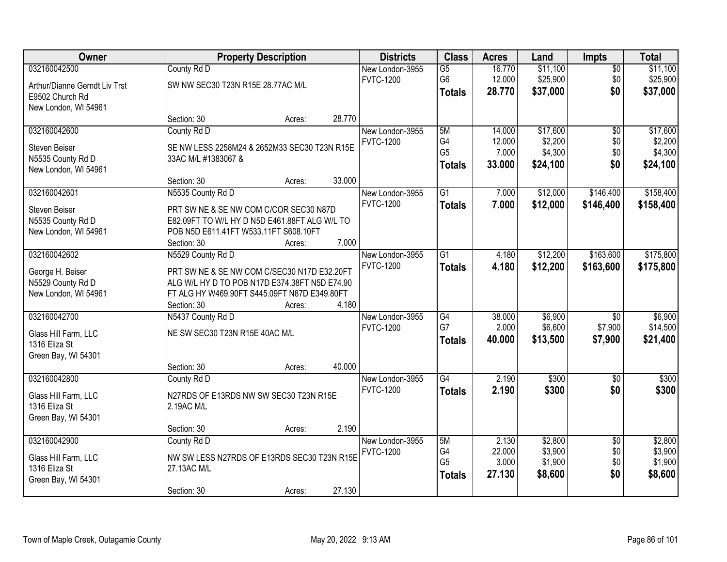|                                                                                                                                        | \$11,100  |
|----------------------------------------------------------------------------------------------------------------------------------------|-----------|
| 032160042500<br>County Rd D<br>\$11,100<br>New London-3955<br>$\overline{G5}$<br>16.770<br>$\overline{50}$                             |           |
| \$25,900<br>\$0<br>G <sub>6</sub><br>12.000<br><b>FVTC-1200</b><br>SW NW SEC30 T23N R15E 28.77AC M/L<br>Arthur/Dianne Gerndt Liv Trst  | \$25,900  |
| \$37,000<br>\$0<br>28.770<br><b>Totals</b><br>E9502 Church Rd                                                                          | \$37,000  |
| New London, WI 54961                                                                                                                   |           |
| 28.770<br>Section: 30<br>Acres:                                                                                                        |           |
| \$17,600<br>032160042600<br>County Rd D<br>5M<br>14.000<br>$\overline{50}$<br>New London-3955                                          | \$17,600  |
| G4<br>\$2,200<br>\$0<br><b>FVTC-1200</b><br>12.000<br>Steven Beiser<br>SE NW LESS 2258M24 & 2652M33 SEC30 T23N R15E                    | \$2,200   |
| G <sub>5</sub><br>\$4,300<br>\$0<br>7.000<br>N5535 County Rd D<br>33AC M/L #1383067 &                                                  | \$4,300   |
| \$0<br>33.000<br>\$24,100<br><b>Totals</b><br>New London, WI 54961                                                                     | \$24,100  |
| 33.000<br>Section: 30<br>Acres:                                                                                                        |           |
| N5535 County Rd D<br>$\overline{G1}$<br>\$12,000<br>\$146,400<br>032160042601<br>7.000<br>New London-3955                              | \$158,400 |
| <b>FVTC-1200</b><br>\$12,000<br>7.000<br>\$146,400<br><b>Totals</b><br>Steven Beiser<br>PRT SW NE & SE NW COM C/COR SEC30 N87D         | \$158,400 |
| N5535 County Rd D<br>E82.09FT TO W/L HY D N5D E461.88FT ALG W/L TO                                                                     |           |
| POB N5D E611.41FT W533.11FT S608.10FT<br>New London, WI 54961                                                                          |           |
| 7.000<br>Section: 30<br>Acres:                                                                                                         |           |
| 032160042602<br>N5529 County Rd D<br>$\overline{G1}$<br>\$12,200<br>\$163,600<br>New London-3955<br>4.180                              | \$175,800 |
| <b>FVTC-1200</b><br>4.180<br>\$12,200<br>\$163,600<br><b>Totals</b><br>George H. Beiser<br>PRT SW NE & SE NW COM C/SEC30 N17D E32.20FT | \$175,800 |
| N5529 County Rd D<br>ALG W/L HY D TO POB N17D E374.38FT N5D E74.90                                                                     |           |
| New London, WI 54961<br>FT ALG HY W469.90FT S445.09FT N87D E349.80FT                                                                   |           |
| 4.180<br>Section: 30<br>Acres:                                                                                                         |           |
| 032160042700<br>N5437 County Rd D<br>$\overline{G4}$<br>38.000<br>\$6,900<br>$\overline{50}$<br>New London-3955                        | \$6,900   |
| G7<br>2.000<br>\$6,600<br>\$7,900<br><b>FVTC-1200</b>                                                                                  | \$14,500  |
| NE SW SEC30 T23N R15E 40AC M/L<br>Glass Hill Farm, LLC<br>40.000<br>\$13,500<br>\$7,900<br><b>Totals</b><br>1316 Eliza St              | \$21,400  |
| Green Bay, WI 54301                                                                                                                    |           |
| 40.000<br>Section: 30<br>Acres:                                                                                                        |           |
| 2.190<br>032160042800<br>$\overline{G4}$<br>\$300<br>$\overline{50}$<br>County Rd D<br>New London-3955                                 | \$300     |
| <b>FVTC-1200</b><br>2.190<br>\$300<br>\$0<br><b>Totals</b>                                                                             | \$300     |
| Glass Hill Farm, LLC<br>N27RDS OF E13RDS NW SW SEC30 T23N R15E<br>1316 Eliza St<br>2.19AC M/L                                          |           |
| Green Bay, WI 54301                                                                                                                    |           |
| 2.190<br>Section: 30<br>Acres:                                                                                                         |           |
| 032160042900<br>County Rd D<br>2.130<br>\$2,800<br>New London-3955<br>5M<br>$\overline{30}$                                            | \$2,800   |
| 22.000<br>\$3,900<br>\$0<br>G4<br><b>FVTC-1200</b>                                                                                     | \$3,900   |
| NW SW LESS N27RDS OF E13RDS SEC30 T23N R15E<br>Glass Hill Farm, LLC<br>G <sub>5</sub><br>3.000<br>\$1,900<br>\$0                       | \$1,900   |
| 1316 Eliza St<br>27.13AC M/L<br>27.130<br>\$0<br>\$8,600<br><b>Totals</b><br>Green Bay, WI 54301                                       | \$8,600   |
| 27.130<br>Section: 30<br>Acres:                                                                                                        |           |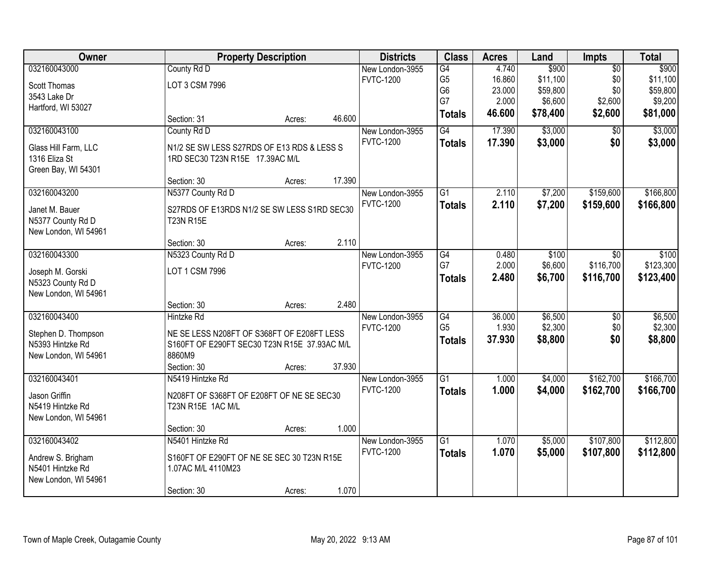| Owner                |                                              | <b>Property Description</b> |        | <b>Districts</b> | <b>Class</b>    | <b>Acres</b> | Land     | <b>Impts</b>    | <b>Total</b> |
|----------------------|----------------------------------------------|-----------------------------|--------|------------------|-----------------|--------------|----------|-----------------|--------------|
| 032160043000         | County Rd D                                  |                             |        | New London-3955  | G4              | 4.740        | \$900    | $\overline{50}$ | \$900        |
| Scott Thomas         | LOT 3 CSM 7996                               |                             |        | <b>FVTC-1200</b> | G <sub>5</sub>  | 16.860       | \$11,100 | \$0             | \$11,100     |
| 3543 Lake Dr         |                                              |                             |        |                  | G <sub>6</sub>  | 23.000       | \$59,800 | \$0             | \$59,800     |
| Hartford, WI 53027   |                                              |                             |        |                  | G7              | 2.000        | \$6,600  | \$2,600         | \$9,200      |
|                      | Section: 31                                  | Acres:                      | 46.600 |                  | <b>Totals</b>   | 46.600       | \$78,400 | \$2,600         | \$81,000     |
| 032160043100         | County Rd D                                  |                             |        | New London-3955  | G4              | 17.390       | \$3,000  | \$0             | \$3,000      |
| Glass Hill Farm, LLC | N1/2 SE SW LESS S27RDS OF E13 RDS & LESS S   |                             |        | <b>FVTC-1200</b> | <b>Totals</b>   | 17.390       | \$3,000  | \$0             | \$3,000      |
| 1316 Eliza St        | 1RD SEC30 T23N R15E 17.39AC M/L              |                             |        |                  |                 |              |          |                 |              |
| Green Bay, WI 54301  |                                              |                             |        |                  |                 |              |          |                 |              |
|                      | Section: 30                                  | Acres:                      | 17.390 |                  |                 |              |          |                 |              |
| 032160043200         | N5377 County Rd D                            |                             |        | New London-3955  | $\overline{G1}$ | 2.110        | \$7,200  | \$159,600       | \$166,800    |
| Janet M. Bauer       | S27RDS OF E13RDS N1/2 SE SW LESS S1RD SEC30  |                             |        | <b>FVTC-1200</b> | <b>Totals</b>   | 2.110        | \$7,200  | \$159,600       | \$166,800    |
| N5377 County Rd D    | <b>T23N R15E</b>                             |                             |        |                  |                 |              |          |                 |              |
| New London, WI 54961 |                                              |                             |        |                  |                 |              |          |                 |              |
|                      | Section: 30                                  | Acres:                      | 2.110  |                  |                 |              |          |                 |              |
| 032160043300         | N5323 County Rd D                            |                             |        | New London-3955  | G4              | 0.480        | \$100    | \$0             | \$100        |
| Joseph M. Gorski     | LOT 1 CSM 7996                               |                             |        | <b>FVTC-1200</b> | G7              | 2.000        | \$6,600  | \$116,700       | \$123,300    |
| N5323 County Rd D    |                                              |                             |        |                  | <b>Totals</b>   | 2.480        | \$6,700  | \$116,700       | \$123,400    |
| New London, WI 54961 |                                              |                             |        |                  |                 |              |          |                 |              |
|                      | Section: 30                                  | Acres:                      | 2.480  |                  |                 |              |          |                 |              |
| 032160043400         | <b>Hintzke Rd</b>                            |                             |        | New London-3955  | $\overline{G4}$ | 36.000       | \$6,500  | $\overline{50}$ | \$6,500      |
| Stephen D. Thompson  | NE SE LESS N208FT OF S368FT OF E208FT LESS   |                             |        | <b>FVTC-1200</b> | G <sub>5</sub>  | 1.930        | \$2,300  | \$0             | \$2,300      |
| N5393 Hintzke Rd     | S160FT OF E290FT SEC30 T23N R15E 37.93AC M/L |                             |        |                  | <b>Totals</b>   | 37.930       | \$8,800  | \$0             | \$8,800      |
| New London, WI 54961 | 8860M9                                       |                             |        |                  |                 |              |          |                 |              |
|                      | Section: 30                                  | Acres:                      | 37.930 |                  |                 |              |          |                 |              |
| 032160043401         | N5419 Hintzke Rd                             |                             |        | New London-3955  | $\overline{G1}$ | 1.000        | \$4,000  | \$162,700       | \$166,700    |
| Jason Griffin        | N208FT OF S368FT OF E208FT OF NE SE SEC30    |                             |        | <b>FVTC-1200</b> | <b>Totals</b>   | 1.000        | \$4,000  | \$162,700       | \$166,700    |
| N5419 Hintzke Rd     | T23N R15E 1AC M/L                            |                             |        |                  |                 |              |          |                 |              |
| New London, WI 54961 |                                              |                             |        |                  |                 |              |          |                 |              |
|                      | Section: 30                                  | Acres:                      | 1.000  |                  |                 |              |          |                 |              |
| 032160043402         | N5401 Hintzke Rd                             |                             |        | New London-3955  | $\overline{G1}$ | 1.070        | \$5,000  | \$107,800       | \$112,800    |
| Andrew S. Brigham    | S160FT OF E290FT OF NE SE SEC 30 T23N R15E   |                             |        | <b>FVTC-1200</b> | <b>Totals</b>   | 1.070        | \$5,000  | \$107,800       | \$112,800    |
| N5401 Hintzke Rd     | 1.07AC M/L 4110M23                           |                             |        |                  |                 |              |          |                 |              |
| New London, WI 54961 |                                              |                             |        |                  |                 |              |          |                 |              |
|                      | Section: 30                                  | Acres:                      | 1.070  |                  |                 |              |          |                 |              |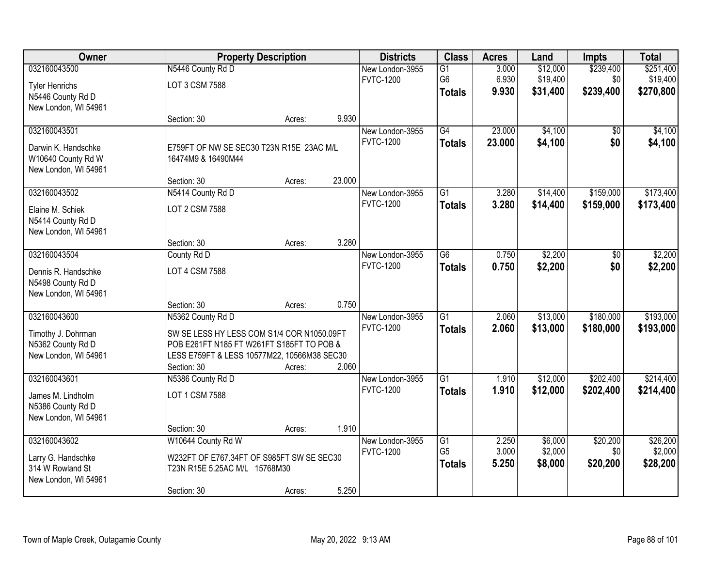| Owner                 |                                             | <b>Property Description</b> |        | <b>Districts</b> | <b>Class</b>    | <b>Acres</b> | Land     | <b>Impts</b> | <b>Total</b> |
|-----------------------|---------------------------------------------|-----------------------------|--------|------------------|-----------------|--------------|----------|--------------|--------------|
| 032160043500          | N5446 County Rd D                           |                             |        | New London-3955  | G1              | 3.000        | \$12,000 | \$239,400    | \$251,400    |
| <b>Tyler Henrichs</b> | LOT 3 CSM 7588                              |                             |        | <b>FVTC-1200</b> | G <sub>6</sub>  | 6.930        | \$19,400 | \$0          | \$19,400     |
| N5446 County Rd D     |                                             |                             |        |                  | <b>Totals</b>   | 9.930        | \$31,400 | \$239,400    | \$270,800    |
| New London, WI 54961  |                                             |                             |        |                  |                 |              |          |              |              |
|                       | Section: 30                                 | Acres:                      | 9.930  |                  |                 |              |          |              |              |
| 032160043501          |                                             |                             |        | New London-3955  | $\overline{G4}$ | 23.000       | \$4,100  | \$0          | \$4,100      |
| Darwin K. Handschke   | E759FT OF NW SE SEC30 T23N R15E 23AC M/L    |                             |        | <b>FVTC-1200</b> | <b>Totals</b>   | 23.000       | \$4,100  | \$0          | \$4,100      |
| W10640 County Rd W    | 16474M9 & 16490M44                          |                             |        |                  |                 |              |          |              |              |
| New London, WI 54961  |                                             |                             |        |                  |                 |              |          |              |              |
|                       | Section: 30                                 | Acres:                      | 23.000 |                  |                 |              |          |              |              |
| 032160043502          | N5414 County Rd D                           |                             |        | New London-3955  | $\overline{G1}$ | 3.280        | \$14,400 | \$159,000    | \$173,400    |
| Elaine M. Schiek      | LOT 2 CSM 7588                              |                             |        | <b>FVTC-1200</b> | <b>Totals</b>   | 3.280        | \$14,400 | \$159,000    | \$173,400    |
| N5414 County Rd D     |                                             |                             |        |                  |                 |              |          |              |              |
| New London, WI 54961  |                                             |                             |        |                  |                 |              |          |              |              |
|                       | Section: 30                                 | Acres:                      | 3.280  |                  |                 |              |          |              |              |
| 032160043504          | County Rd D                                 |                             |        | New London-3955  | G6              | 0.750        | \$2,200  | \$0          | \$2,200      |
| Dennis R. Handschke   | LOT 4 CSM 7588                              |                             |        | <b>FVTC-1200</b> | <b>Totals</b>   | 0.750        | \$2,200  | \$0          | \$2,200      |
| N5498 County Rd D     |                                             |                             |        |                  |                 |              |          |              |              |
| New London, WI 54961  |                                             |                             |        |                  |                 |              |          |              |              |
|                       | Section: 30                                 | Acres:                      | 0.750  |                  |                 |              |          |              |              |
| 032160043600          | N5362 County Rd D                           |                             |        | New London-3955  | $\overline{G1}$ | 2.060        | \$13,000 | \$180,000    | \$193,000    |
| Timothy J. Dohrman    | SW SE LESS HY LESS COM S1/4 COR N1050.09FT  |                             |        | <b>FVTC-1200</b> | <b>Totals</b>   | 2.060        | \$13,000 | \$180,000    | \$193,000    |
| N5362 County Rd D     | POB E261FT N185 FT W261FT S185FT TO POB &   |                             |        |                  |                 |              |          |              |              |
| New London, WI 54961  | LESS E759FT & LESS 10577M22, 10566M38 SEC30 |                             |        |                  |                 |              |          |              |              |
|                       | Section: 30                                 | Acres:                      | 2.060  |                  |                 |              |          |              |              |
| 032160043601          | N5386 County Rd D                           |                             |        | New London-3955  | G <sub>1</sub>  | 1.910        | \$12,000 | \$202,400    | \$214,400    |
| James M. Lindholm     | LOT 1 CSM 7588                              |                             |        | <b>FVTC-1200</b> | <b>Totals</b>   | 1.910        | \$12,000 | \$202,400    | \$214,400    |
| N5386 County Rd D     |                                             |                             |        |                  |                 |              |          |              |              |
| New London, WI 54961  |                                             |                             |        |                  |                 |              |          |              |              |
|                       | Section: 30                                 | Acres:                      | 1.910  |                  |                 |              |          |              |              |
| 032160043602          | W10644 County Rd W                          |                             |        | New London-3955  | G1              | 2.250        | \$6,000  | \$20,200     | \$26,200     |
| Larry G. Handschke    | W232FT OF E767.34FT OF S985FT SW SE SEC30   |                             |        | <b>FVTC-1200</b> | G <sub>5</sub>  | 3.000        | \$2,000  | \$0          | \$2,000      |
| 314 W Rowland St      | T23N R15E 5.25AC M/L 15768M30               |                             |        |                  | <b>Totals</b>   | 5.250        | \$8,000  | \$20,200     | \$28,200     |
| New London, WI 54961  |                                             |                             |        |                  |                 |              |          |              |              |
|                       | Section: 30                                 | Acres:                      | 5.250  |                  |                 |              |          |              |              |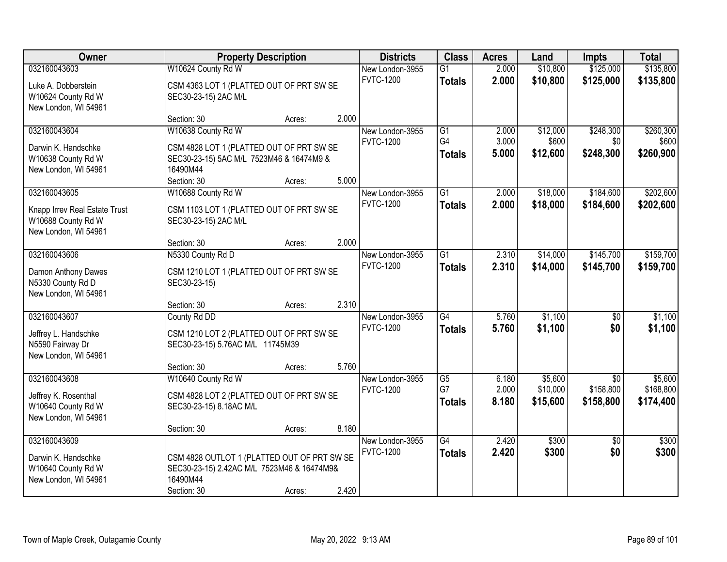| Owner                         | <b>Property Description</b>                 | <b>Districts</b> | <b>Class</b> | <b>Acres</b>     | Land            | <b>Impts</b> | <b>Total</b> |                 |           |
|-------------------------------|---------------------------------------------|------------------|--------------|------------------|-----------------|--------------|--------------|-----------------|-----------|
| 032160043603                  | W10624 County Rd W                          |                  |              | New London-3955  | $\overline{G1}$ | 2.000        | \$10,800     | \$125,000       | \$135,800 |
| Luke A. Dobberstein           | CSM 4363 LOT 1 (PLATTED OUT OF PRT SW SE    |                  |              | <b>FVTC-1200</b> | <b>Totals</b>   | 2.000        | \$10,800     | \$125,000       | \$135,800 |
| W10624 County Rd W            | SEC30-23-15) 2AC M/L                        |                  |              |                  |                 |              |              |                 |           |
| New London, WI 54961          |                                             |                  |              |                  |                 |              |              |                 |           |
|                               | Section: 30                                 | Acres:           | 2.000        |                  |                 |              |              |                 |           |
| 032160043604                  | W10638 County Rd W                          |                  |              | New London-3955  | G1              | 2.000        | \$12,000     | \$248,300       | \$260,300 |
| Darwin K. Handschke           | CSM 4828 LOT 1 (PLATTED OUT OF PRT SW SE    |                  |              | <b>FVTC-1200</b> | G4              | 3.000        | \$600        | \$0             | \$600     |
| W10638 County Rd W            | SEC30-23-15) 5AC M/L 7523M46 & 16474M9 &    |                  |              |                  | <b>Totals</b>   | 5.000        | \$12,600     | \$248,300       | \$260,900 |
| New London, WI 54961          | 16490M44                                    |                  |              |                  |                 |              |              |                 |           |
|                               | Section: 30                                 | Acres:           | 5.000        |                  |                 |              |              |                 |           |
| 032160043605                  | W10688 County Rd W                          |                  |              | New London-3955  | G1              | 2.000        | \$18,000     | \$184,600       | \$202,600 |
| Knapp Irrev Real Estate Trust | CSM 1103 LOT 1 (PLATTED OUT OF PRT SW SE    |                  |              | <b>FVTC-1200</b> | <b>Totals</b>   | 2.000        | \$18,000     | \$184,600       | \$202,600 |
| W10688 County Rd W            | SEC30-23-15) 2AC M/L                        |                  |              |                  |                 |              |              |                 |           |
| New London, WI 54961          |                                             |                  |              |                  |                 |              |              |                 |           |
|                               | Section: 30                                 | Acres:           | 2.000        |                  |                 |              |              |                 |           |
| 032160043606                  | N5330 County Rd D                           |                  |              | New London-3955  | $\overline{G1}$ | 2.310        | \$14,000     | \$145,700       | \$159,700 |
| Damon Anthony Dawes           | CSM 1210 LOT 1 (PLATTED OUT OF PRT SW SE    |                  |              | <b>FVTC-1200</b> | <b>Totals</b>   | 2.310        | \$14,000     | \$145,700       | \$159,700 |
| N5330 County Rd D             | SEC30-23-15)                                |                  |              |                  |                 |              |              |                 |           |
| New London, WI 54961          |                                             |                  |              |                  |                 |              |              |                 |           |
|                               | Section: 30                                 | Acres:           | 2.310        |                  |                 |              |              |                 |           |
| 032160043607                  | County Rd DD                                |                  |              | New London-3955  | $\overline{G4}$ | 5.760        | \$1,100      | \$0             | \$1,100   |
| Jeffrey L. Handschke          | CSM 1210 LOT 2 (PLATTED OUT OF PRT SW SE    |                  |              | <b>FVTC-1200</b> | <b>Totals</b>   | 5.760        | \$1,100      | \$0             | \$1,100   |
| N5590 Fairway Dr              | SEC30-23-15) 5.76AC M/L 11745M39            |                  |              |                  |                 |              |              |                 |           |
| New London, WI 54961          |                                             |                  |              |                  |                 |              |              |                 |           |
|                               | Section: 30                                 | Acres:           | 5.760        |                  |                 |              |              |                 |           |
| 032160043608                  | W10640 County Rd W                          |                  |              | New London-3955  | $\overline{G5}$ | 6.180        | \$5,600      | $\overline{50}$ | \$5,600   |
| Jeffrey K. Rosenthal          | CSM 4828 LOT 2 (PLATTED OUT OF PRT SW SE    |                  |              | <b>FVTC-1200</b> | G7              | 2.000        | \$10,000     | \$158,800       | \$168,800 |
| W10640 County Rd W            | SEC30-23-15) 8.18AC M/L                     |                  |              |                  | <b>Totals</b>   | 8.180        | \$15,600     | \$158,800       | \$174,400 |
| New London, WI 54961          |                                             |                  |              |                  |                 |              |              |                 |           |
|                               | Section: 30                                 | Acres:           | 8.180        |                  |                 |              |              |                 |           |
| 032160043609                  |                                             |                  |              | New London-3955  | $\overline{G4}$ | 2.420        | \$300        | $\overline{30}$ | \$300     |
| Darwin K. Handschke           | CSM 4828 OUTLOT 1 (PLATTED OUT OF PRT SW SE |                  |              | <b>FVTC-1200</b> | <b>Totals</b>   | 2.420        | \$300        | \$0             | \$300     |
| W10640 County Rd W            | SEC30-23-15) 2.42AC M/L 7523M46 & 16474M9&  |                  |              |                  |                 |              |              |                 |           |
| New London, WI 54961          | 16490M44                                    |                  |              |                  |                 |              |              |                 |           |
|                               | Section: 30                                 | Acres:           | 2.420        |                  |                 |              |              |                 |           |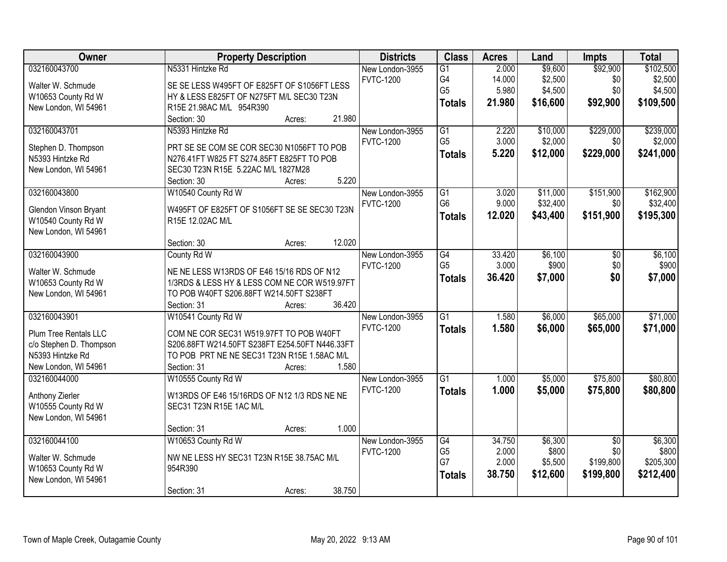| Owner                        | <b>Property Description</b>                    | <b>Districts</b> | <b>Class</b>    | <b>Acres</b> | Land     | Impts           | <b>Total</b> |
|------------------------------|------------------------------------------------|------------------|-----------------|--------------|----------|-----------------|--------------|
| 032160043700                 | N5331 Hintzke Rd                               | New London-3955  | $\overline{G1}$ | 2.000        | \$9,600  | \$92,900        | \$102,500    |
| Walter W. Schmude            | SE SE LESS W495FT OF E825FT OF S1056FT LESS    | <b>FVTC-1200</b> | G4              | 14.000       | \$2,500  | \$0             | \$2,500      |
| W10653 County Rd W           | HY & LESS E825FT OF N275FT M/L SEC30 T23N      |                  | G <sub>5</sub>  | 5.980        | \$4,500  | \$0             | \$4,500      |
| New London, WI 54961         | R15E 21.98AC M/L 954R390                       |                  | <b>Totals</b>   | 21.980       | \$16,600 | \$92,900        | \$109,500    |
|                              | 21.980<br>Section: 30<br>Acres:                |                  |                 |              |          |                 |              |
| 032160043701                 | N5393 Hintzke Rd                               | New London-3955  | $\overline{G1}$ | 2.220        | \$10,000 | \$229,000       | \$239,000    |
|                              |                                                | <b>FVTC-1200</b> | G <sub>5</sub>  | 3.000        | \$2,000  | \$0             | \$2,000      |
| Stephen D. Thompson          | PRT SE SE COM SE COR SEC30 N1056FT TO POB      |                  | <b>Totals</b>   | 5.220        | \$12,000 | \$229,000       | \$241,000    |
| N5393 Hintzke Rd             | N276.41FT W825 FT S274.85FT E825FT TO POB      |                  |                 |              |          |                 |              |
| New London, WI 54961         | SEC30 T23N R15E 5.22AC M/L 1827M28             |                  |                 |              |          |                 |              |
|                              | 5.220<br>Section: 30<br>Acres:                 |                  |                 |              |          |                 |              |
| 032160043800                 | W10540 County Rd W                             | New London-3955  | $\overline{G1}$ | 3.020        | \$11,000 | \$151,900       | \$162,900    |
| Glendon Vinson Bryant        | W495FT OF E825FT OF S1056FT SE SE SEC30 T23N   | <b>FVTC-1200</b> | G <sub>6</sub>  | 9.000        | \$32,400 | \$0             | \$32,400     |
| W10540 County Rd W           | R15E 12.02AC M/L                               |                  | <b>Totals</b>   | 12.020       | \$43,400 | \$151,900       | \$195,300    |
| New London, WI 54961         |                                                |                  |                 |              |          |                 |              |
|                              | 12.020<br>Section: 30<br>Acres:                |                  |                 |              |          |                 |              |
| 032160043900                 | County Rd W                                    | New London-3955  | $\overline{G4}$ | 33.420       | \$6,100  | \$0             | \$6,100      |
|                              |                                                | <b>FVTC-1200</b> | G <sub>5</sub>  | 3.000        | \$900    | \$0             | \$900        |
| Walter W. Schmude            | NE NE LESS W13RDS OF E46 15/16 RDS OF N12      |                  | <b>Totals</b>   | 36.420       | \$7,000  | \$0             | \$7,000      |
| W10653 County Rd W           | 1/3RDS & LESS HY & LESS COM NE COR W519.97FT   |                  |                 |              |          |                 |              |
| New London, WI 54961         | TO POB W40FT S206.88FT W214.50FT S238FT        |                  |                 |              |          |                 |              |
|                              | Section: 31<br>36.420<br>Acres:                |                  |                 |              |          |                 |              |
| 032160043901                 | W10541 County Rd W                             | New London-3955  | $\overline{G1}$ | 1.580        | \$6,000  | \$65,000        | \$71,000     |
| <b>Plum Tree Rentals LLC</b> | COM NE COR SEC31 W519.97FT TO POB W40FT        | <b>FVTC-1200</b> | <b>Totals</b>   | 1.580        | \$6,000  | \$65,000        | \$71,000     |
| c/o Stephen D. Thompson      | S206.88FT W214.50FT S238FT E254.50FT N446.33FT |                  |                 |              |          |                 |              |
| N5393 Hintzke Rd             | TO POB PRT NE NE SEC31 T23N R15E 1.58AC M/L    |                  |                 |              |          |                 |              |
| New London, WI 54961         | 1.580<br>Section: 31<br>Acres:                 |                  |                 |              |          |                 |              |
| 032160044000                 | W10555 County Rd W                             | New London-3955  | $\overline{G1}$ | 1.000        | \$5,000  | \$75,800        | \$80,800     |
| Anthony Zierler              | W13RDS OF E46 15/16RDS OF N12 1/3 RDS NE NE    | <b>FVTC-1200</b> | <b>Totals</b>   | 1.000        | \$5,000  | \$75,800        | \$80,800     |
| W10555 County Rd W           | SEC31 T23N R15E 1AC M/L                        |                  |                 |              |          |                 |              |
| New London, WI 54961         |                                                |                  |                 |              |          |                 |              |
|                              | 1.000<br>Section: 31<br>Acres:                 |                  |                 |              |          |                 |              |
| 032160044100                 | W10653 County Rd W                             | New London-3955  | G4              | 34.750       | \$6,300  | $\overline{50}$ | \$6,300      |
|                              |                                                | <b>FVTC-1200</b> | G <sub>5</sub>  | 2.000        | \$800    | \$0             | \$800        |
| Walter W. Schmude            | NW NE LESS HY SEC31 T23N R15E 38.75AC M/L      |                  | G7              | 2.000        | \$5,500  | \$199,800       | \$205,300    |
| W10653 County Rd W           | 954R390                                        |                  |                 | 38.750       | \$12,600 | \$199,800       | \$212,400    |
| New London, WI 54961         |                                                |                  | <b>Totals</b>   |              |          |                 |              |
|                              | 38.750<br>Section: 31<br>Acres:                |                  |                 |              |          |                 |              |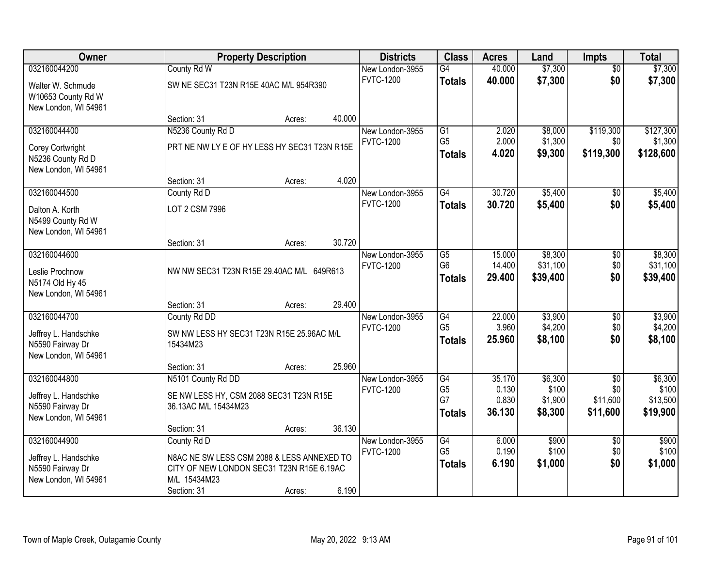| Owner                                    |                                                       | <b>Property Description</b> |        |                                     |                                   | <b>Acres</b>   | Land               | <b>Impts</b>     | <b>Total</b>         |
|------------------------------------------|-------------------------------------------------------|-----------------------------|--------|-------------------------------------|-----------------------------------|----------------|--------------------|------------------|----------------------|
| 032160044200                             | County Rd W                                           |                             |        | New London-3955                     | $\overline{G4}$                   | 40.000         | \$7,300            | $\overline{50}$  | \$7,300              |
| Walter W. Schmude                        | SW NE SEC31 T23N R15E 40AC M/L 954R390                |                             |        | <b>FVTC-1200</b>                    | <b>Totals</b>                     | 40.000         | \$7,300            | \$0              | \$7,300              |
| W10653 County Rd W                       |                                                       |                             |        |                                     |                                   |                |                    |                  |                      |
| New London, WI 54961                     |                                                       |                             |        |                                     |                                   |                |                    |                  |                      |
|                                          | Section: 31                                           | Acres:                      | 40.000 |                                     |                                   |                |                    |                  |                      |
| 032160044400                             | N5236 County Rd D                                     |                             |        | New London-3955                     | $\overline{G1}$<br>G <sub>5</sub> | 2.020          | \$8,000            | \$119,300        | \$127,300            |
| Corey Cortwright                         | PRT NE NW LY E OF HY LESS HY SEC31 T23N R15E          |                             |        | <b>FVTC-1200</b>                    | <b>Totals</b>                     | 2.000<br>4.020 | \$1,300<br>\$9,300 | \$0<br>\$119,300 | \$1,300<br>\$128,600 |
| N5236 County Rd D                        |                                                       |                             |        |                                     |                                   |                |                    |                  |                      |
| New London, WI 54961                     |                                                       |                             |        |                                     |                                   |                |                    |                  |                      |
|                                          | Section: 31                                           | Acres:                      | 4.020  |                                     | $\overline{G4}$                   | 30.720         | \$5,400            |                  |                      |
| 032160044500                             | County Rd D                                           |                             |        | New London-3955<br><b>FVTC-1200</b> |                                   | 30.720         | \$5,400            | \$0<br>\$0       | \$5,400<br>\$5,400   |
| Dalton A. Korth                          | LOT 2 CSM 7996                                        |                             |        |                                     | <b>Totals</b>                     |                |                    |                  |                      |
| N5499 County Rd W                        |                                                       |                             |        |                                     |                                   |                |                    |                  |                      |
| New London, WI 54961                     | Section: 31                                           | Acres:                      | 30.720 |                                     |                                   |                |                    |                  |                      |
| 032160044600                             |                                                       |                             |        | New London-3955                     | G5                                | 15.000         | \$8,300            | \$0              | \$8,300              |
|                                          |                                                       |                             |        | <b>FVTC-1200</b>                    | G <sub>6</sub>                    | 14.400         | \$31,100           | \$0              | \$31,100             |
| Leslie Prochnow                          | NW NW SEC31 T23N R15E 29.40AC M/L 649R613             |                             |        |                                     | <b>Totals</b>                     | 29.400         | \$39,400           | \$0              | \$39,400             |
| N5174 Old Hy 45<br>New London, WI 54961  |                                                       |                             |        |                                     |                                   |                |                    |                  |                      |
|                                          | Section: 31                                           | Acres:                      | 29.400 |                                     |                                   |                |                    |                  |                      |
| 032160044700                             | County Rd DD                                          |                             |        | New London-3955                     | G4                                | 22.000         | \$3,900            | $\overline{50}$  | \$3,900              |
|                                          |                                                       |                             |        | <b>FVTC-1200</b>                    | G <sub>5</sub>                    | 3.960          | \$4,200            | \$0              | \$4,200              |
| Jeffrey L. Handschke<br>N5590 Fairway Dr | SW NW LESS HY SEC31 T23N R15E 25.96AC M/L<br>15434M23 |                             |        |                                     | <b>Totals</b>                     | 25.960         | \$8,100            | \$0              | \$8,100              |
| New London, WI 54961                     |                                                       |                             |        |                                     |                                   |                |                    |                  |                      |
|                                          | Section: 31                                           | Acres:                      | 25.960 |                                     |                                   |                |                    |                  |                      |
| 032160044800                             | N5101 County Rd DD                                    |                             |        | New London-3955                     | G4                                | 35.170         | \$6,300            | $\overline{50}$  | \$6,300              |
| Jeffrey L. Handschke                     | SE NW LESS HY, CSM 2088 SEC31 T23N R15E               |                             |        | <b>FVTC-1200</b>                    | G <sub>5</sub>                    | 0.130          | \$100              | \$0              | \$100                |
| N5590 Fairway Dr                         | 36.13AC M/L 15434M23                                  |                             |        |                                     | G7                                | 0.830          | \$1,900            | \$11,600         | \$13,500             |
| New London, WI 54961                     |                                                       |                             |        |                                     | <b>Totals</b>                     | 36.130         | \$8,300            | \$11,600         | \$19,900             |
|                                          | Section: 31                                           | Acres:                      | 36.130 |                                     |                                   |                |                    |                  |                      |
| 032160044900                             | County Rd D                                           |                             |        | New London-3955                     | G4                                | 6.000          | \$900              | $\overline{50}$  | \$900                |
| Jeffrey L. Handschke                     | N8AC NE SW LESS CSM 2088 & LESS ANNEXED TO            |                             |        | <b>FVTC-1200</b>                    | G <sub>5</sub>                    | 0.190          | \$100              | \$0              | \$100                |
| N5590 Fairway Dr                         | CITY OF NEW LONDON SEC31 T23N R15E 6.19AC             |                             |        |                                     | <b>Totals</b>                     | 6.190          | \$1,000            | \$0              | \$1,000              |
| New London, WI 54961                     | M/L 15434M23                                          |                             |        |                                     |                                   |                |                    |                  |                      |
|                                          | Section: 31                                           | Acres:                      | 6.190  |                                     |                                   |                |                    |                  |                      |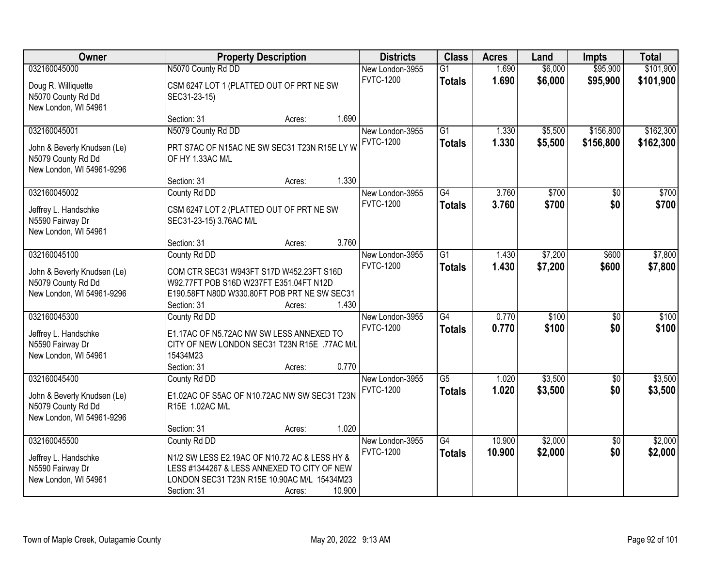| Owner                                                                                          |                                                                                                                                                                            | <b>Property Description</b> |        |                                     |                                  | <b>Acres</b>     | Land               | <b>Impts</b>           | <b>Total</b>           |
|------------------------------------------------------------------------------------------------|----------------------------------------------------------------------------------------------------------------------------------------------------------------------------|-----------------------------|--------|-------------------------------------|----------------------------------|------------------|--------------------|------------------------|------------------------|
| 032160045000                                                                                   | N5070 County Rd DD                                                                                                                                                         |                             |        | New London-3955                     | $\overline{G1}$                  | 1.690            | \$6,000            | \$95,900               | \$101,900              |
| Doug R. Williquette<br>N5070 County Rd Dd<br>New London, WI 54961                              | CSM 6247 LOT 1 (PLATTED OUT OF PRT NE SW<br>SEC31-23-15)                                                                                                                   |                             |        | <b>FVTC-1200</b>                    | <b>Totals</b>                    | 1.690            | \$6,000            | \$95,900               | \$101,900              |
|                                                                                                | Section: 31                                                                                                                                                                | Acres:                      | 1.690  |                                     |                                  |                  |                    |                        |                        |
| 032160045001<br>John & Beverly Knudsen (Le)<br>N5079 County Rd Dd<br>New London, WI 54961-9296 | N5079 County Rd DD<br>PRT S7AC OF N15AC NE SW SEC31 T23N R15E LY W<br>OF HY 1.33AC M/L                                                                                     |                             |        | New London-3955<br><b>FVTC-1200</b> | $\overline{G1}$<br><b>Totals</b> | 1.330<br>1.330   | \$5,500<br>\$5,500 | \$156,800<br>\$156,800 | \$162,300<br>\$162,300 |
|                                                                                                | Section: 31                                                                                                                                                                | Acres:                      | 1.330  |                                     |                                  |                  |                    |                        |                        |
| 032160045002<br>Jeffrey L. Handschke<br>N5590 Fairway Dr<br>New London, WI 54961               | County Rd DD<br>CSM 6247 LOT 2 (PLATTED OUT OF PRT NE SW<br>SEC31-23-15) 3.76AC M/L                                                                                        |                             |        | New London-3955<br><b>FVTC-1200</b> | G4<br><b>Totals</b>              | 3.760<br>3.760   | \$700<br>\$700     | $\sqrt{50}$<br>\$0     | \$700<br>\$700         |
|                                                                                                | Section: 31                                                                                                                                                                | Acres:                      | 3.760  |                                     |                                  |                  |                    |                        |                        |
| 032160045100<br>John & Beverly Knudsen (Le)<br>N5079 County Rd Dd<br>New London, WI 54961-9296 | County Rd DD<br>COM CTR SEC31 W943FT S17D W452.23FT S16D<br>W92.77FT POB S16D W237FT E351.04FT N12D<br>E190.58FT N80D W330.80FT POB PRT NE SW SEC31                        |                             |        | New London-3955<br><b>FVTC-1200</b> | $\overline{G1}$<br><b>Totals</b> | 1.430<br>1.430   | \$7,200<br>\$7,200 | \$600<br>\$600         | \$7,800<br>\$7,800     |
| 032160045300                                                                                   | Section: 31<br>County Rd DD                                                                                                                                                | Acres:                      | 1.430  | New London-3955                     | $\overline{G4}$                  | 0.770            | \$100              | $\overline{50}$        | \$100                  |
| Jeffrey L. Handschke<br>N5590 Fairway Dr<br>New London, WI 54961                               | E1.17AC OF N5.72AC NW SW LESS ANNEXED TO<br>CITY OF NEW LONDON SEC31 T23N R15E .77AC M/L<br>15434M23<br>Section: 31                                                        | Acres:                      | 0.770  | <b>FVTC-1200</b>                    | <b>Totals</b>                    | 0.770            | \$100              | \$0                    | \$100                  |
| 032160045400                                                                                   | County Rd DD                                                                                                                                                               |                             |        | New London-3955                     | $\overline{G5}$                  | 1.020            | \$3,500            | $\overline{60}$        | \$3,500                |
| John & Beverly Knudsen (Le)<br>N5079 County Rd Dd<br>New London, WI 54961-9296                 | E1.02AC OF S5AC OF N10.72AC NW SW SEC31 T23N<br>R15E 1.02AC M/L                                                                                                            |                             |        | <b>FVTC-1200</b>                    | <b>Totals</b>                    | 1.020            | \$3,500            | \$0                    | \$3,500                |
|                                                                                                | Section: 31                                                                                                                                                                | Acres:                      | 1.020  |                                     |                                  |                  |                    |                        |                        |
| 032160045500<br>Jeffrey L. Handschke<br>N5590 Fairway Dr<br>New London, WI 54961               | County Rd DD<br>N1/2 SW LESS E2.19AC OF N10.72 AC & LESS HY &<br>LESS #1344267 & LESS ANNEXED TO CITY OF NEW<br>LONDON SEC31 T23N R15E 10.90AC M/L 15434M23<br>Section: 31 | Acres:                      | 10.900 | New London-3955<br><b>FVTC-1200</b> | $\overline{G4}$<br><b>Totals</b> | 10.900<br>10.900 | \$2,000<br>\$2,000 | $\overline{30}$<br>\$0 | \$2,000<br>\$2,000     |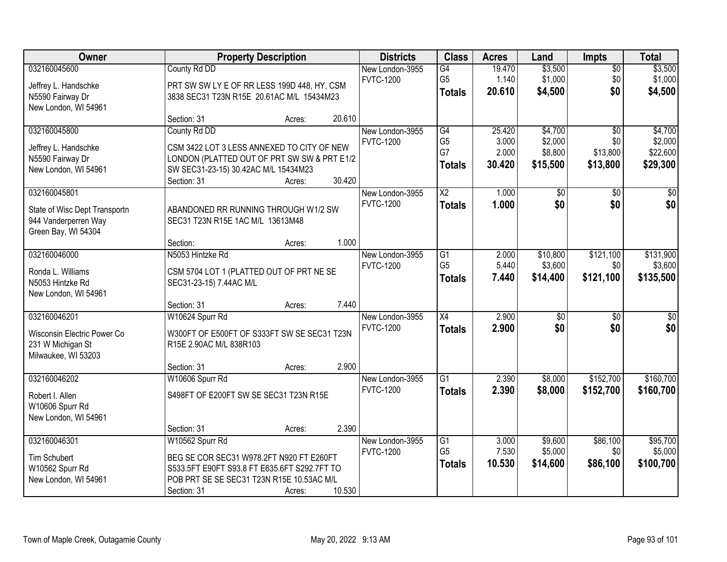| Owner                                                                                   |                                                                                                                                                                         | <b>Property Description</b> |        |                                     |                                                          | <b>Acres</b>                       | Land                                      | <b>Impts</b>                                   | <b>Total</b>                               |
|-----------------------------------------------------------------------------------------|-------------------------------------------------------------------------------------------------------------------------------------------------------------------------|-----------------------------|--------|-------------------------------------|----------------------------------------------------------|------------------------------------|-------------------------------------------|------------------------------------------------|--------------------------------------------|
| 032160045600<br>Jeffrey L. Handschke<br>N5590 Fairway Dr<br>New London, WI 54961        | County Rd DD<br>PRT SW SW LY E OF RR LESS 199D 448, HY, CSM<br>3838 SEC31 T23N R15E 20.61AC M/L 15434M23                                                                |                             |        | New London-3955<br><b>FVTC-1200</b> | G4<br>G <sub>5</sub><br><b>Totals</b>                    | 19.470<br>1.140<br>20.610          | \$3,500<br>\$1,000<br>\$4,500             | $\overline{50}$<br>\$0<br>\$0                  | \$3,500<br>\$1,000<br>\$4,500              |
|                                                                                         | Section: 31                                                                                                                                                             | Acres:                      | 20.610 |                                     |                                                          |                                    |                                           |                                                |                                            |
| 032160045800<br>Jeffrey L. Handschke<br>N5590 Fairway Dr<br>New London, WI 54961        | County Rd DD<br>CSM 3422 LOT 3 LESS ANNEXED TO CITY OF NEW<br>LONDON (PLATTED OUT OF PRT SW SW & PRT E1/2<br>SW SEC31-23-15) 30.42AC M/L 15434M23<br>Section: 31        | Acres:                      | 30.420 | New London-3955<br><b>FVTC-1200</b> | $\overline{G4}$<br>G <sub>5</sub><br>G7<br><b>Totals</b> | 25.420<br>3.000<br>2.000<br>30.420 | \$4,700<br>\$2,000<br>\$8,800<br>\$15,500 | $\overline{30}$<br>\$0<br>\$13,800<br>\$13,800 | \$4,700<br>\$2,000<br>\$22,600<br>\$29,300 |
| 032160045801                                                                            |                                                                                                                                                                         |                             |        | New London-3955                     | $\overline{\text{X2}}$                                   | 1.000                              | $\overline{50}$                           | $\overline{50}$                                | $\overline{30}$                            |
| State of Wisc Dept Transportn<br>944 Vanderperren Way<br>Green Bay, WI 54304            | ABANDONED RR RUNNING THROUGH W1/2 SW<br>SEC31 T23N R15E 1AC M/L 13613M48<br>Section:                                                                                    | Acres:                      | 1.000  | <b>FVTC-1200</b>                    | <b>Totals</b>                                            | 1.000                              | \$0                                       | \$0                                            | \$0                                        |
| 032160046000                                                                            | N5053 Hintzke Rd                                                                                                                                                        |                             |        | New London-3955                     | G1                                                       | 2.000                              | \$10,800                                  | \$121,100                                      | \$131,900                                  |
| Ronda L. Williams<br>N5053 Hintzke Rd<br>New London, WI 54961                           | CSM 5704 LOT 1 (PLATTED OUT OF PRT NE SE<br>SEC31-23-15) 7.44AC M/L                                                                                                     |                             |        | <b>FVTC-1200</b>                    | G <sub>5</sub><br><b>Totals</b>                          | 5.440<br>7.440                     | \$3,600<br>\$14,400                       | \$0<br>\$121,100                               | \$3,600<br>\$135,500                       |
|                                                                                         | Section: 31                                                                                                                                                             | Acres:                      | 7.440  |                                     |                                                          |                                    |                                           |                                                |                                            |
| 032160046201<br>Wisconsin Electric Power Co<br>231 W Michigan St<br>Milwaukee, WI 53203 | W10624 Spurr Rd<br>W300FT OF E500FT OF S333FT SW SE SEC31 T23N<br>R15E 2.90AC M/L 838R103<br>Section: 31                                                                | Acres:                      | 2.900  | New London-3955<br><b>FVTC-1200</b> | $\overline{X4}$<br><b>Totals</b>                         | 2.900<br>2.900                     | $\overline{50}$<br>\$0                    | $\overline{30}$<br>\$0                         | $\overline{\$0}$<br>\$0                    |
| 032160046202                                                                            | W10606 Spurr Rd                                                                                                                                                         |                             |        | New London-3955                     | $\overline{G1}$                                          | 2.390                              | \$8,000                                   | \$152,700                                      | \$160,700                                  |
| Robert I. Allen<br>W10606 Spurr Rd<br>New London, WI 54961                              | S498FT OF E200FT SW SE SEC31 T23N R15E                                                                                                                                  |                             |        | <b>FVTC-1200</b>                    | <b>Totals</b>                                            | 2.390                              | \$8,000                                   | \$152,700                                      | \$160,700                                  |
|                                                                                         | Section: 31                                                                                                                                                             | Acres:                      | 2.390  |                                     |                                                          |                                    |                                           |                                                |                                            |
| 032160046301<br>Tim Schubert<br>W10562 Spurr Rd<br>New London, WI 54961                 | W10562 Spurr Rd<br>BEG SE COR SEC31 W978.2FT N920 FT E260FT<br>S533.5FT E90FT S93.8 FT E635.6FT S292.7FT TO<br>POB PRT SE SE SEC31 T23N R15E 10.53AC M/L<br>Section: 31 | Acres:                      | 10.530 | New London-3955<br><b>FVTC-1200</b> | $\overline{G1}$<br>G <sub>5</sub><br><b>Totals</b>       | 3.000<br>7.530<br>10.530           | \$9,600<br>\$5,000<br>\$14,600            | \$86,100<br>\$0<br>\$86,100                    | \$95,700<br>\$5,000<br>\$100,700           |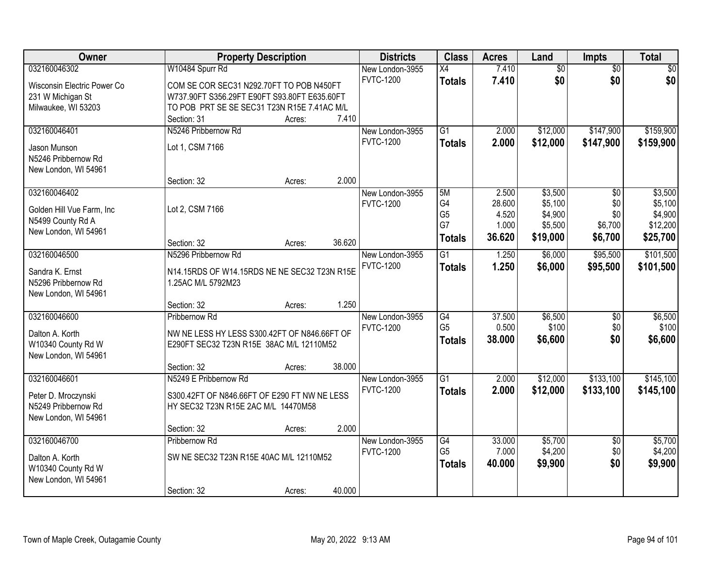| Owner                               | <b>Property Description</b>                  | <b>Districts</b> | <b>Class</b> | <b>Acres</b>     | Land            | Impts  | <b>Total</b>    |                 |                 |
|-------------------------------------|----------------------------------------------|------------------|--------------|------------------|-----------------|--------|-----------------|-----------------|-----------------|
| 032160046302                        | W10484 Spurr Rd                              |                  |              | New London-3955  | X4              | 7.410  | $\overline{50}$ | $\overline{30}$ | $\overline{50}$ |
| Wisconsin Electric Power Co         | COM SE COR SEC31 N292.70FT TO POB N450FT     |                  |              | <b>FVTC-1200</b> | <b>Totals</b>   | 7.410  | \$0             | \$0             | \$0             |
| 231 W Michigan St                   | W737.90FT S356.29FT E90FT S93.80FT E635.60FT |                  |              |                  |                 |        |                 |                 |                 |
| Milwaukee, WI 53203                 | TO POB PRT SE SE SEC31 T23N R15E 7.41AC M/L  |                  |              |                  |                 |        |                 |                 |                 |
|                                     | Section: 31                                  | Acres:           | 7.410        |                  |                 |        |                 |                 |                 |
| 032160046401                        | N5246 Pribbernow Rd                          |                  |              | New London-3955  | $\overline{G1}$ | 2.000  | \$12,000        | \$147,900       | \$159,900       |
|                                     | Lot 1, CSM 7166                              |                  |              | <b>FVTC-1200</b> | <b>Totals</b>   | 2.000  | \$12,000        | \$147,900       | \$159,900       |
| Jason Munson<br>N5246 Pribbernow Rd |                                              |                  |              |                  |                 |        |                 |                 |                 |
| New London, WI 54961                |                                              |                  |              |                  |                 |        |                 |                 |                 |
|                                     | Section: 32                                  | Acres:           | 2.000        |                  |                 |        |                 |                 |                 |
| 032160046402                        |                                              |                  |              | New London-3955  | 5M              | 2.500  | \$3,500         | $\overline{50}$ | \$3,500         |
|                                     |                                              |                  |              | <b>FVTC-1200</b> | G4              | 28.600 | \$5,100         | \$0             | \$5,100         |
| Golden Hill Vue Farm, Inc           | Lot 2, CSM 7166                              |                  |              |                  | G <sub>5</sub>  | 4.520  | \$4,900         | \$0             | \$4,900         |
| N5499 County Rd A                   |                                              |                  |              |                  | G7              | 1.000  | \$5,500         | \$6,700         | \$12,200        |
| New London, WI 54961                |                                              |                  |              |                  | <b>Totals</b>   | 36.620 | \$19,000        | \$6,700         | \$25,700        |
|                                     | Section: 32                                  | Acres:           | 36.620       |                  |                 |        |                 |                 |                 |
| 032160046500                        | N5296 Pribbernow Rd                          |                  |              | New London-3955  | $\overline{G1}$ | 1.250  | \$6,000         | \$95,500        | \$101,500       |
| Sandra K. Ernst                     | N14.15RDS OF W14.15RDS NE NE SEC32 T23N R15E |                  |              | <b>FVTC-1200</b> | <b>Totals</b>   | 1.250  | \$6,000         | \$95,500        | \$101,500       |
| N5296 Pribbernow Rd                 | 1.25AC M/L 5792M23                           |                  |              |                  |                 |        |                 |                 |                 |
| New London, WI 54961                |                                              |                  |              |                  |                 |        |                 |                 |                 |
|                                     | Section: 32                                  | Acres:           | 1.250        |                  |                 |        |                 |                 |                 |
| 032160046600                        | Pribbernow Rd                                |                  |              | New London-3955  | $\overline{G4}$ | 37.500 | \$6,500         | $\overline{50}$ | \$6,500         |
| Dalton A. Korth                     | NW NE LESS HY LESS S300.42FT OF N846.66FT OF |                  |              | <b>FVTC-1200</b> | G <sub>5</sub>  | 0.500  | \$100           | \$0             | \$100           |
| W10340 County Rd W                  | E290FT SEC32 T23N R15E 38AC M/L 12110M52     |                  |              |                  | <b>Totals</b>   | 38.000 | \$6,600         | \$0             | \$6,600         |
| New London, WI 54961                |                                              |                  |              |                  |                 |        |                 |                 |                 |
|                                     | Section: 32                                  | Acres:           | 38.000       |                  |                 |        |                 |                 |                 |
| 032160046601                        | N5249 E Pribbernow Rd                        |                  |              | New London-3955  | $\overline{G1}$ | 2.000  | \$12,000        | \$133,100       | \$145,100       |
|                                     |                                              |                  |              | <b>FVTC-1200</b> | <b>Totals</b>   | 2.000  | \$12,000        | \$133,100       | \$145,100       |
| Peter D. Mroczynski                 | S300.42FT OF N846.66FT OF E290 FT NW NE LESS |                  |              |                  |                 |        |                 |                 |                 |
| N5249 Pribbernow Rd                 | HY SEC32 T23N R15E 2AC M/L 14470M58          |                  |              |                  |                 |        |                 |                 |                 |
| New London, WI 54961                |                                              |                  |              |                  |                 |        |                 |                 |                 |
|                                     | Section: 32                                  | Acres:           | 2.000        |                  |                 |        |                 |                 |                 |
| 032160046700                        | Pribbernow Rd                                |                  |              | New London-3955  | G4              | 33.000 | \$5,700         | $\overline{50}$ | \$5,700         |
| Dalton A. Korth                     | SW NE SEC32 T23N R15E 40AC M/L 12110M52      |                  |              | <b>FVTC-1200</b> | G <sub>5</sub>  | 7.000  | \$4,200         | \$0             | \$4,200         |
| W10340 County Rd W                  |                                              |                  |              |                  | <b>Totals</b>   | 40.000 | \$9,900         | \$0             | \$9,900         |
| New London, WI 54961                |                                              |                  |              |                  |                 |        |                 |                 |                 |
|                                     | Section: 32                                  | Acres:           | 40.000       |                  |                 |        |                 |                 |                 |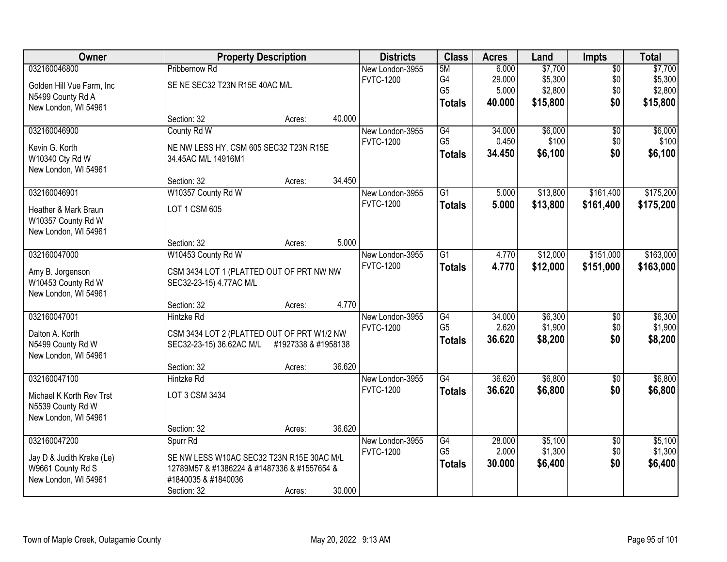| Owner                     |                                             | <b>Property Description</b> |        | <b>Districts</b> | <b>Class</b>    | <b>Acres</b> | Land     | <b>Impts</b>    | <b>Total</b> |
|---------------------------|---------------------------------------------|-----------------------------|--------|------------------|-----------------|--------------|----------|-----------------|--------------|
| 032160046800              | Pribbernow Rd                               |                             |        | New London-3955  | 5M              | 6.000        | \$7,700  | $\overline{50}$ | \$7,700      |
| Golden Hill Vue Farm, Inc | SE NE SEC32 T23N R15E 40AC M/L              |                             |        | <b>FVTC-1200</b> | G4              | 29.000       | \$5,300  | \$0             | \$5,300      |
| N5499 County Rd A         |                                             |                             |        |                  | G <sub>5</sub>  | 5.000        | \$2,800  | \$0             | \$2,800      |
| New London, WI 54961      |                                             |                             |        |                  | <b>Totals</b>   | 40,000       | \$15,800 | \$0             | \$15,800     |
|                           | Section: 32                                 | Acres:                      | 40.000 |                  |                 |              |          |                 |              |
| 032160046900              | County Rd W                                 |                             |        | New London-3955  | G4              | 34.000       | \$6,000  | $\overline{50}$ | \$6,000      |
| Kevin G. Korth            | NE NW LESS HY, CSM 605 SEC32 T23N R15E      |                             |        | <b>FVTC-1200</b> | G <sub>5</sub>  | 0.450        | \$100    | \$0             | \$100        |
| W10340 Cty Rd W           | 34.45AC M/L 14916M1                         |                             |        |                  | <b>Totals</b>   | 34.450       | \$6,100  | \$0             | \$6,100      |
| New London, WI 54961      |                                             |                             |        |                  |                 |              |          |                 |              |
|                           | Section: 32                                 | Acres:                      | 34.450 |                  |                 |              |          |                 |              |
| 032160046901              | W10357 County Rd W                          |                             |        | New London-3955  | $\overline{G1}$ | 5.000        | \$13,800 | \$161,400       | \$175,200    |
| Heather & Mark Braun      | LOT 1 CSM 605                               |                             |        | <b>FVTC-1200</b> | <b>Totals</b>   | 5.000        | \$13,800 | \$161,400       | \$175,200    |
| W10357 County Rd W        |                                             |                             |        |                  |                 |              |          |                 |              |
| New London, WI 54961      |                                             |                             |        |                  |                 |              |          |                 |              |
|                           | Section: 32                                 | Acres:                      | 5.000  |                  |                 |              |          |                 |              |
| 032160047000              | W10453 County Rd W                          |                             |        | New London-3955  | $\overline{G1}$ | 4.770        | \$12,000 | \$151,000       | \$163,000    |
| Amy B. Jorgenson          | CSM 3434 LOT 1 (PLATTED OUT OF PRT NW NW    |                             |        | <b>FVTC-1200</b> | <b>Totals</b>   | 4.770        | \$12,000 | \$151,000       | \$163,000    |
| W10453 County Rd W        | SEC32-23-15) 4.77AC M/L                     |                             |        |                  |                 |              |          |                 |              |
| New London, WI 54961      |                                             |                             |        |                  |                 |              |          |                 |              |
|                           | Section: 32                                 | Acres:                      | 4.770  |                  |                 |              |          |                 |              |
| 032160047001              | <b>Hintzke Rd</b>                           |                             |        | New London-3955  | $\overline{G4}$ | 34.000       | \$6,300  | $\overline{50}$ | \$6,300      |
| Dalton A. Korth           | CSM 3434 LOT 2 (PLATTED OUT OF PRT W1/2 NW  |                             |        | <b>FVTC-1200</b> | G <sub>5</sub>  | 2.620        | \$1,900  | \$0             | \$1,900      |
| N5499 County Rd W         | SEC32-23-15) 36.62AC M/L                    | #1927338 & #1958138         |        |                  | <b>Totals</b>   | 36.620       | \$8,200  | \$0             | \$8,200      |
| New London, WI 54961      |                                             |                             |        |                  |                 |              |          |                 |              |
|                           | Section: 32                                 | Acres:                      | 36.620 |                  |                 |              |          |                 |              |
| 032160047100              | Hintzke Rd                                  |                             |        | New London-3955  | $\overline{G4}$ | 36.620       | \$6,800  | $\sqrt{$0}$     | \$6,800      |
| Michael K Korth Rev Trst  | LOT 3 CSM 3434                              |                             |        | <b>FVTC-1200</b> | <b>Totals</b>   | 36.620       | \$6,800  | \$0             | \$6,800      |
| N5539 County Rd W         |                                             |                             |        |                  |                 |              |          |                 |              |
| New London, WI 54961      |                                             |                             |        |                  |                 |              |          |                 |              |
|                           | Section: 32                                 | Acres:                      | 36.620 |                  |                 |              |          |                 |              |
| 032160047200              | Spurr Rd                                    |                             |        | New London-3955  | G4              | 28.000       | \$5,100  | $\overline{30}$ | \$5,100      |
| Jay D & Judith Krake (Le) | SE NW LESS W10AC SEC32 T23N R15E 30AC M/L   |                             |        | <b>FVTC-1200</b> | G <sub>5</sub>  | 2.000        | \$1,300  | \$0             | \$1,300      |
| W9661 County Rd S         | 12789M57 & #1386224 & #1487336 & #1557654 & |                             |        |                  | <b>Totals</b>   | 30.000       | \$6,400  | \$0             | \$6,400      |
| New London, WI 54961      | #1840035 & #1840036                         |                             |        |                  |                 |              |          |                 |              |
|                           | Section: 32                                 | Acres:                      | 30.000 |                  |                 |              |          |                 |              |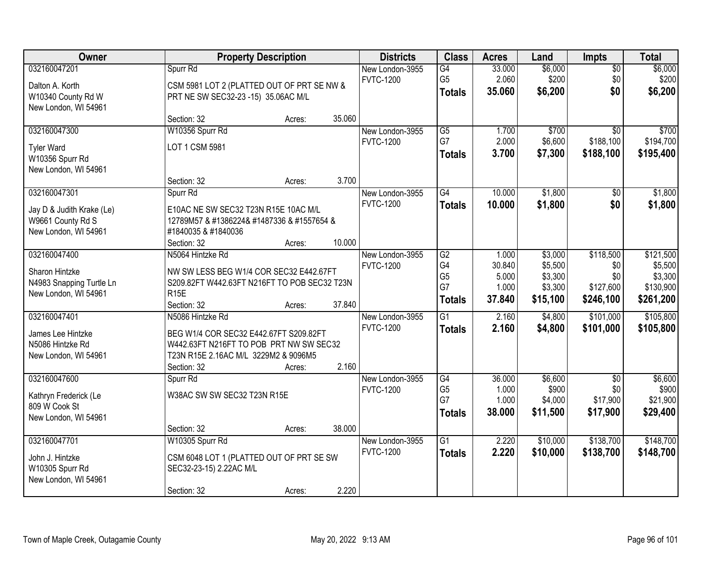| Owner                     |                                              | <b>Property Description</b> |        | <b>Districts</b> | <b>Class</b>    | <b>Acres</b> | Land     | <b>Impts</b>    | <b>Total</b> |
|---------------------------|----------------------------------------------|-----------------------------|--------|------------------|-----------------|--------------|----------|-----------------|--------------|
| 032160047201              | Spurr Rd                                     |                             |        | New London-3955  | $\overline{G4}$ | 33.000       | \$6,000  | \$0             | \$6,000      |
| Dalton A. Korth           | CSM 5981 LOT 2 (PLATTED OUT OF PRT SE NW &   |                             |        | <b>FVTC-1200</b> | G <sub>5</sub>  | 2.060        | \$200    | \$0             | \$200        |
| W10340 County Rd W        | PRT NE SW SEC32-23 -15) 35.06AC M/L          |                             |        |                  | <b>Totals</b>   | 35.060       | \$6,200  | \$0             | \$6,200      |
| New London, WI 54961      |                                              |                             |        |                  |                 |              |          |                 |              |
|                           | Section: 32                                  | Acres:                      | 35.060 |                  |                 |              |          |                 |              |
| 032160047300              | W10356 Spurr Rd                              |                             |        | New London-3955  | $\overline{G5}$ | 1.700        | \$700    | $\overline{50}$ | \$700        |
| <b>Tyler Ward</b>         | LOT 1 CSM 5981                               |                             |        | <b>FVTC-1200</b> | G7              | 2.000        | \$6,600  | \$188,100       | \$194,700    |
| W10356 Spurr Rd           |                                              |                             |        |                  | <b>Totals</b>   | 3.700        | \$7,300  | \$188,100       | \$195,400    |
| New London, WI 54961      |                                              |                             |        |                  |                 |              |          |                 |              |
|                           | Section: 32                                  | Acres:                      | 3.700  |                  |                 |              |          |                 |              |
| 032160047301              | Spurr Rd                                     |                             |        | New London-3955  | $\overline{G4}$ | 10.000       | \$1,800  | \$0             | \$1,800      |
| Jay D & Judith Krake (Le) | E10AC NE SW SEC32 T23N R15E 10AC M/L         |                             |        | <b>FVTC-1200</b> | <b>Totals</b>   | 10.000       | \$1,800  | \$0             | \$1,800      |
| W9661 County Rd S         | 12789M57 & #1386224& #1487336 & #1557654 &   |                             |        |                  |                 |              |          |                 |              |
| New London, WI 54961      | #1840035 & #1840036                          |                             |        |                  |                 |              |          |                 |              |
|                           | Section: 32                                  | Acres:                      | 10.000 |                  |                 |              |          |                 |              |
| 032160047400              | N5064 Hintzke Rd                             |                             |        | New London-3955  | G2              | 1.000        | \$3,000  | \$118,500       | \$121,500    |
| Sharon Hintzke            | NW SW LESS BEG W1/4 COR SEC32 E442.67FT      |                             |        | <b>FVTC-1200</b> | G4              | 30.840       | \$5,500  | \$0             | \$5,500      |
| N4983 Snapping Turtle Ln  | S209.82FT W442.63FT N216FT TO POB SEC32 T23N |                             |        |                  | G <sub>5</sub>  | 5.000        | \$3,300  | \$0             | \$3,300      |
| New London, WI 54961      | R <sub>15E</sub>                             |                             |        |                  | G7              | 1.000        | \$3,300  | \$127,600       | \$130,900    |
|                           | Section: 32                                  | Acres:                      | 37.840 |                  | <b>Totals</b>   | 37.840       | \$15,100 | \$246,100       | \$261,200    |
| 032160047401              | N5086 Hintzke Rd                             |                             |        | New London-3955  | $\overline{G1}$ | 2.160        | \$4,800  | \$101,000       | \$105,800    |
| James Lee Hintzke         | BEG W1/4 COR SEC32 E442.67FT S209.82FT       |                             |        | <b>FVTC-1200</b> | <b>Totals</b>   | 2.160        | \$4,800  | \$101,000       | \$105,800    |
| N5086 Hintzke Rd          | W442.63FT N216FT TO POB PRT NW SW SEC32      |                             |        |                  |                 |              |          |                 |              |
| New London, WI 54961      | T23N R15E 2.16AC M/L 3229M2 & 9096M5         |                             |        |                  |                 |              |          |                 |              |
|                           | Section: 32                                  | Acres:                      | 2.160  |                  |                 |              |          |                 |              |
| 032160047600              | Spurr Rd                                     |                             |        | New London-3955  | G4              | 36.000       | \$6,600  | $\sqrt{$0}$     | \$6,600      |
| Kathryn Frederick (Le     | W38AC SW SW SEC32 T23N R15E                  |                             |        | <b>FVTC-1200</b> | G <sub>5</sub>  | 1.000        | \$900    | \$0             | \$900        |
| 809 W Cook St             |                                              |                             |        |                  | G7              | 1.000        | \$4,000  | \$17,900        | \$21,900     |
| New London, WI 54961      |                                              |                             |        |                  | <b>Totals</b>   | 38.000       | \$11,500 | \$17,900        | \$29,400     |
|                           | Section: 32                                  | Acres:                      | 38.000 |                  |                 |              |          |                 |              |
| 032160047701              | W10305 Spurr Rd                              |                             |        | New London-3955  | $\overline{G1}$ | 2.220        | \$10,000 | \$138,700       | \$148,700    |
| John J. Hintzke           | CSM 6048 LOT 1 (PLATTED OUT OF PRT SE SW     |                             |        | <b>FVTC-1200</b> | <b>Totals</b>   | 2.220        | \$10,000 | \$138,700       | \$148,700    |
| W10305 Spurr Rd           | SEC32-23-15) 2.22AC M/L                      |                             |        |                  |                 |              |          |                 |              |
| New London, WI 54961      |                                              |                             |        |                  |                 |              |          |                 |              |
|                           | Section: 32                                  | Acres:                      | 2.220  |                  |                 |              |          |                 |              |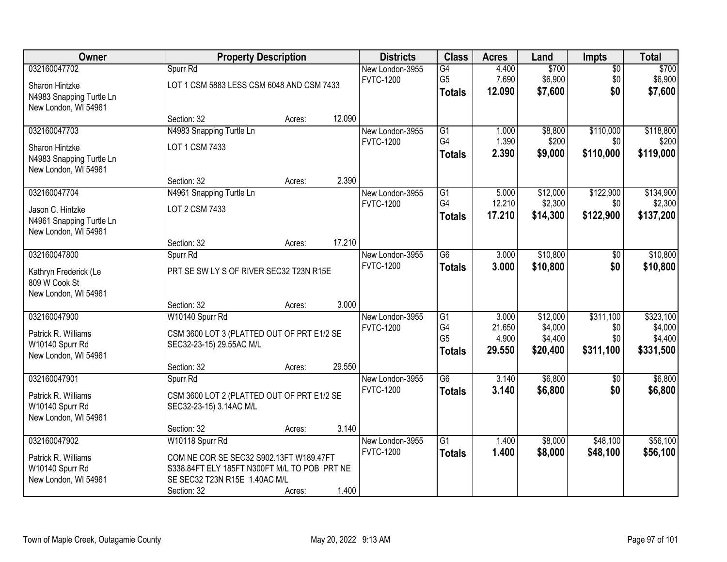| Owner                    |                                              | <b>Property Description</b>             |        | <b>Districts</b>                    | <b>Class</b>    | <b>Acres</b> | Land     | <b>Impts</b>    | <b>Total</b> |
|--------------------------|----------------------------------------------|-----------------------------------------|--------|-------------------------------------|-----------------|--------------|----------|-----------------|--------------|
| 032160047702             | Spurr Rd                                     |                                         |        | New London-3955                     | $\overline{G4}$ | 4.400        | \$700    | $\overline{50}$ | \$700        |
| Sharon Hintzke           | LOT 1 CSM 5883 LESS CSM 6048 AND CSM 7433    |                                         |        | <b>FVTC-1200</b>                    | G <sub>5</sub>  | 7.690        | \$6,900  | \$0             | \$6,900      |
| N4983 Snapping Turtle Ln |                                              |                                         |        |                                     | <b>Totals</b>   | 12.090       | \$7,600  | \$0             | \$7,600      |
| New London, WI 54961     |                                              |                                         |        |                                     |                 |              |          |                 |              |
|                          | Section: 32                                  | Acres:                                  | 12.090 |                                     |                 |              |          |                 |              |
| 032160047703             | N4983 Snapping Turtle Ln                     |                                         |        | New London-3955                     | $\overline{G1}$ | 1.000        | \$8,800  | \$110,000       | \$118,800    |
| Sharon Hintzke           | LOT 1 CSM 7433                               |                                         |        | <b>FVTC-1200</b>                    | G4              | 1.390        | \$200    | \$0             | \$200        |
| N4983 Snapping Turtle Ln |                                              |                                         |        |                                     | Totals          | 2.390        | \$9,000  | \$110,000       | \$119,000    |
| New London, WI 54961     |                                              |                                         |        |                                     |                 |              |          |                 |              |
|                          | Section: 32                                  | Acres:                                  | 2.390  |                                     |                 |              |          |                 |              |
| 032160047704             | N4961 Snapping Turtle Ln                     |                                         |        | New London-3955                     | $\overline{G1}$ | 5.000        | \$12,000 | \$122,900       | \$134,900    |
| Jason C. Hintzke         | LOT 2 CSM 7433                               |                                         |        | <b>FVTC-1200</b>                    | G4              | 12.210       | \$2,300  | \$0             | \$2,300      |
| N4961 Snapping Turtle Ln |                                              |                                         |        |                                     | Totals          | 17.210       | \$14,300 | \$122,900       | \$137,200    |
| New London, WI 54961     |                                              |                                         |        |                                     |                 |              |          |                 |              |
|                          | Section: 32                                  | Acres:                                  | 17.210 |                                     |                 |              |          |                 |              |
| 032160047800             | Spurr Rd                                     |                                         |        | New London-3955<br><b>FVTC-1200</b> | $\overline{G6}$ | 3.000        | \$10,800 | $\sqrt[6]{3}$   | \$10,800     |
| Kathryn Frederick (Le    |                                              | PRT SE SW LY S OF RIVER SEC32 T23N R15E |        |                                     | <b>Totals</b>   | 3.000        | \$10,800 | \$0             | \$10,800     |
| 809 W Cook St            |                                              |                                         |        |                                     |                 |              |          |                 |              |
| New London, WI 54961     |                                              |                                         |        |                                     |                 |              |          |                 |              |
|                          | Section: 32                                  | Acres:                                  | 3.000  |                                     |                 |              |          |                 |              |
| 032160047900             | W10140 Spurr Rd                              |                                         |        | New London-3955                     | $\overline{G1}$ | 3.000        | \$12,000 | \$311,100       | \$323,100    |
| Patrick R. Williams      | CSM 3600 LOT 3 (PLATTED OUT OF PRT E1/2 SE   |                                         |        | <b>FVTC-1200</b>                    | G4              | 21.650       | \$4,000  | \$0             | \$4,000      |
| W10140 Spurr Rd          | SEC32-23-15) 29.55AC M/L                     |                                         |        |                                     | G <sub>5</sub>  | 4.900        | \$4,400  | \$0             | \$4,400      |
| New London, WI 54961     |                                              |                                         |        |                                     | <b>Totals</b>   | 29.550       | \$20,400 | \$311,100       | \$331,500    |
|                          | Section: 32                                  | Acres:                                  | 29.550 |                                     |                 |              |          |                 |              |
| 032160047901             | Spurr Rd                                     |                                         |        | New London-3955                     | $\overline{G6}$ | 3.140        | \$6,800  | \$0             | \$6,800      |
| Patrick R. Williams      | CSM 3600 LOT 2 (PLATTED OUT OF PRT E1/2 SE   |                                         |        | <b>FVTC-1200</b>                    | <b>Totals</b>   | 3.140        | \$6,800  | \$0             | \$6,800      |
| W10140 Spurr Rd          | SEC32-23-15) 3.14AC M/L                      |                                         |        |                                     |                 |              |          |                 |              |
| New London, WI 54961     |                                              |                                         |        |                                     |                 |              |          |                 |              |
|                          | Section: 32                                  | Acres:                                  | 3.140  |                                     |                 |              |          |                 |              |
| 032160047902             | W10118 Spurr Rd                              |                                         |        | New London-3955                     | $\overline{G1}$ | 1.400        | \$8,000  | \$48,100        | \$56,100     |
| Patrick R. Williams      | COM NE COR SE SEC32 S902.13FT W189.47FT      |                                         |        | <b>FVTC-1200</b>                    | <b>Totals</b>   | 1.400        | \$8,000  | \$48,100        | \$56,100     |
| W10140 Spurr Rd          | S338.84FT ELY 185FT N300FT M/L TO POB PRT NE |                                         |        |                                     |                 |              |          |                 |              |
| New London, WI 54961     | SE SEC32 T23N R15E 1.40AC M/L                |                                         |        |                                     |                 |              |          |                 |              |
|                          | Section: 32                                  | Acres:                                  | 1.400  |                                     |                 |              |          |                 |              |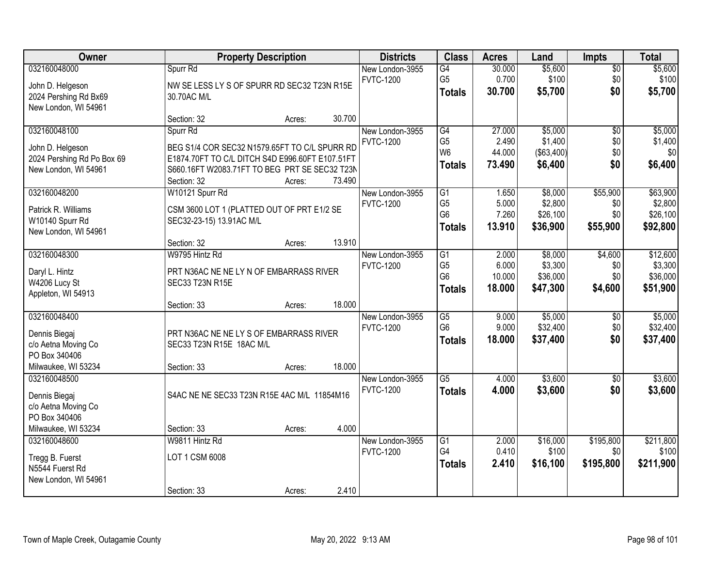| Owner                      |                                                 | <b>Property Description</b> |        | <b>Districts</b> | <b>Class</b>           | <b>Acres</b> | Land        | <b>Impts</b>    | <b>Total</b> |
|----------------------------|-------------------------------------------------|-----------------------------|--------|------------------|------------------------|--------------|-------------|-----------------|--------------|
| 032160048000               | Spurr Rd                                        |                             |        | New London-3955  | G4                     | 30.000       | \$5,600     | \$0             | \$5,600      |
| John D. Helgeson           | NW SE LESS LY S OF SPURR RD SEC32 T23N R15E     |                             |        | <b>FVTC-1200</b> | G <sub>5</sub>         | 0.700        | \$100       | \$0             | \$100        |
| 2024 Pershing Rd Bx69      | 30.70AC M/L                                     |                             |        |                  | <b>Totals</b>          | 30.700       | \$5,700     | \$0             | \$5,700      |
| New London, WI 54961       |                                                 |                             |        |                  |                        |              |             |                 |              |
|                            | Section: 32                                     | Acres:                      | 30.700 |                  |                        |              |             |                 |              |
| 032160048100               | Spurr Rd                                        |                             |        | New London-3955  | G4                     | 27.000       | \$5,000     | $\overline{50}$ | \$5,000      |
| John D. Helgeson           | BEG S1/4 COR SEC32 N1579.65FT TO C/L SPURR RD   |                             |        | <b>FVTC-1200</b> | G <sub>5</sub>         | 2.490        | \$1,400     | \$0             | \$1,400      |
| 2024 Pershing Rd Po Box 69 | E1874.70FT TO C/L DITCH S4D E996.60FT E107.51FT |                             |        |                  | W <sub>6</sub>         | 44.000       | ( \$63,400) | \$0             | \$0          |
| New London, WI 54961       | S660.16FT W2083.71FT TO BEG PRT SE SEC32 T23N   |                             |        |                  | <b>Totals</b>          | 73.490       | \$6,400     | \$0             | \$6,400      |
|                            | Section: 32                                     | Acres:                      | 73.490 |                  |                        |              |             |                 |              |
| 032160048200               | W10121 Spurr Rd                                 |                             |        | New London-3955  | G1                     | 1.650        | \$8,000     | \$55,900        | \$63,900     |
| Patrick R. Williams        | CSM 3600 LOT 1 (PLATTED OUT OF PRT E1/2 SE      |                             |        | <b>FVTC-1200</b> | G <sub>5</sub>         | 5.000        | \$2,800     | \$0             | \$2,800      |
| W10140 Spurr Rd            | SEC32-23-15) 13.91AC M/L                        |                             |        |                  | G <sub>6</sub>         | 7.260        | \$26,100    | \$0             | \$26,100     |
| New London, WI 54961       |                                                 |                             |        |                  | <b>Totals</b>          | 13.910       | \$36,900    | \$55,900        | \$92,800     |
|                            | Section: 32                                     | Acres:                      | 13.910 |                  |                        |              |             |                 |              |
| 032160048300               | W9795 Hintz Rd                                  |                             |        | New London-3955  | G1                     | 2.000        | \$8,000     | \$4,600         | \$12,600     |
| Daryl L. Hintz             | PRT N36AC NE NE LY N OF EMBARRASS RIVER         |                             |        | <b>FVTC-1200</b> | G <sub>5</sub>         | 6.000        | \$3,300     | \$0             | \$3,300      |
| W4206 Lucy St              | SEC33 T23N R15E                                 |                             |        |                  | G <sub>6</sub>         | 10.000       | \$36,000    | \$0             | \$36,000     |
| Appleton, WI 54913         |                                                 |                             |        |                  | <b>Totals</b>          | 18.000       | \$47,300    | \$4,600         | \$51,900     |
|                            | Section: 33                                     | Acres:                      | 18.000 |                  |                        |              |             |                 |              |
| 032160048400               |                                                 |                             |        | New London-3955  | $\overline{G5}$        | 9.000        | \$5,000     | \$0             | \$5,000      |
| Dennis Biegaj              | PRT N36AC NE NE LY S OF EMBARRASS RIVER         |                             |        | <b>FVTC-1200</b> | G <sub>6</sub>         | 9.000        | \$32,400    | \$0             | \$32,400     |
| c/o Aetna Moving Co        | SEC33 T23N R15E 18AC M/L                        |                             |        |                  | <b>Totals</b>          | 18.000       | \$37,400    | \$0             | \$37,400     |
| PO Box 340406              |                                                 |                             |        |                  |                        |              |             |                 |              |
| Milwaukee, WI 53234        | Section: 33                                     | Acres:                      | 18.000 |                  |                        |              |             |                 |              |
| 032160048500               |                                                 |                             |        | New London-3955  | $\overline{\text{G5}}$ | 4.000        | \$3,600     | $\overline{50}$ | \$3,600      |
| Dennis Biegaj              | S4AC NE NE SEC33 T23N R15E 4AC M/L 11854M16     |                             |        | <b>FVTC-1200</b> | <b>Totals</b>          | 4.000        | \$3,600     | \$0             | \$3,600      |
| c/o Aetna Moving Co        |                                                 |                             |        |                  |                        |              |             |                 |              |
| PO Box 340406              |                                                 |                             |        |                  |                        |              |             |                 |              |
| Milwaukee, WI 53234        | Section: 33                                     | Acres:                      | 4.000  |                  |                        |              |             |                 |              |
| 032160048600               | W9811 Hintz Rd                                  |                             |        | New London-3955  | $\overline{G1}$        | 2.000        | \$16,000    | \$195,800       | \$211,800    |
| Tregg B. Fuerst            | LOT 1 CSM 6008                                  |                             |        | <b>FVTC-1200</b> | G4                     | 0.410        | \$100       | \$0             | \$100        |
| N5544 Fuerst Rd            |                                                 |                             |        |                  | <b>Totals</b>          | 2.410        | \$16,100    | \$195,800       | \$211,900    |
| New London, WI 54961       |                                                 |                             |        |                  |                        |              |             |                 |              |
|                            | Section: 33                                     | Acres:                      | 2.410  |                  |                        |              |             |                 |              |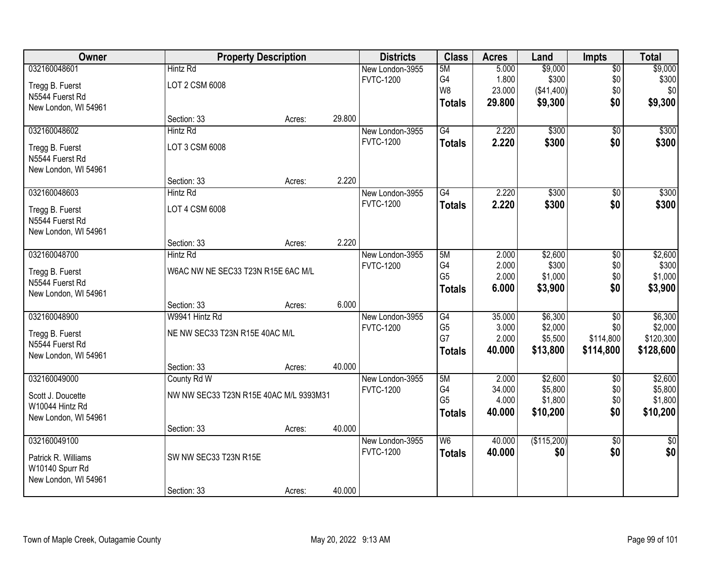| Owner                |                                        | <b>Property Description</b> |        | <b>Districts</b> | <b>Class</b>    | <b>Acres</b> | Land        | <b>Impts</b>    | <b>Total</b>    |
|----------------------|----------------------------------------|-----------------------------|--------|------------------|-----------------|--------------|-------------|-----------------|-----------------|
| 032160048601         | <b>Hintz Rd</b>                        |                             |        | New London-3955  | 5M              | 5.000        | \$9,000     | \$0             | \$9,000         |
| Tregg B. Fuerst      | LOT 2 CSM 6008                         |                             |        | <b>FVTC-1200</b> | G4              | 1.800        | \$300       | \$0             | \$300           |
| N5544 Fuerst Rd      |                                        |                             |        |                  | W8              | 23.000       | (\$41,400)  | \$0             | \$0             |
| New London, WI 54961 |                                        |                             |        |                  | <b>Totals</b>   | 29.800       | \$9,300     | \$0             | \$9,300         |
|                      | Section: 33                            | Acres:                      | 29.800 |                  |                 |              |             |                 |                 |
| 032160048602         | <b>Hintz Rd</b>                        |                             |        | New London-3955  | $\overline{G4}$ | 2.220        | \$300       | $\overline{50}$ | \$300           |
| Tregg B. Fuerst      | LOT 3 CSM 6008                         |                             |        | <b>FVTC-1200</b> | <b>Totals</b>   | 2.220        | \$300       | \$0             | \$300           |
| N5544 Fuerst Rd      |                                        |                             |        |                  |                 |              |             |                 |                 |
| New London, WI 54961 |                                        |                             |        |                  |                 |              |             |                 |                 |
|                      | Section: 33                            | Acres:                      | 2.220  |                  |                 |              |             |                 |                 |
| 032160048603         | <b>Hintz Rd</b>                        |                             |        | New London-3955  | G4              | 2.220        | \$300       | \$0             | \$300           |
| Tregg B. Fuerst      | LOT 4 CSM 6008                         |                             |        | <b>FVTC-1200</b> | <b>Totals</b>   | 2.220        | \$300       | \$0             | \$300           |
| N5544 Fuerst Rd      |                                        |                             |        |                  |                 |              |             |                 |                 |
| New London, WI 54961 |                                        |                             |        |                  |                 |              |             |                 |                 |
|                      | Section: 33                            | Acres:                      | 2.220  |                  |                 |              |             |                 |                 |
| 032160048700         | <b>Hintz Rd</b>                        |                             |        | New London-3955  | 5M              | 2.000        | \$2,600     | $\sqrt[6]{3}$   | \$2,600         |
| Tregg B. Fuerst      | W6AC NW NE SEC33 T23N R15E 6AC M/L     |                             |        | <b>FVTC-1200</b> | G4              | 2.000        | \$300       | \$0             | \$300           |
| N5544 Fuerst Rd      |                                        |                             |        |                  | G <sub>5</sub>  | 2.000        | \$1,000     | \$0             | \$1,000         |
| New London, WI 54961 |                                        |                             |        |                  | <b>Totals</b>   | 6.000        | \$3,900     | \$0             | \$3,900         |
|                      | Section: 33                            | Acres:                      | 6.000  |                  |                 |              |             |                 |                 |
| 032160048900         | W9941 Hintz Rd                         |                             |        | New London-3955  | $\overline{G4}$ | 35.000       | \$6,300     | $\overline{50}$ | \$6,300         |
| Tregg B. Fuerst      | NE NW SEC33 T23N R15E 40AC M/L         |                             |        | <b>FVTC-1200</b> | G <sub>5</sub>  | 3.000        | \$2,000     | \$0             | \$2,000         |
| N5544 Fuerst Rd      |                                        |                             |        |                  | G7              | 2.000        | \$5,500     | \$114,800       | \$120,300       |
| New London, WI 54961 |                                        |                             |        |                  | <b>Totals</b>   | 40.000       | \$13,800    | \$114,800       | \$128,600       |
|                      | Section: 33                            | Acres:                      | 40.000 |                  |                 |              |             |                 |                 |
| 032160049000         | County Rd W                            |                             |        | New London-3955  | 5M              | 2.000        | \$2,600     | $\overline{50}$ | \$2,600         |
| Scott J. Doucette    | NW NW SEC33 T23N R15E 40AC M/L 9393M31 |                             |        | <b>FVTC-1200</b> | G4              | 34.000       | \$5,800     | \$0             | \$5,800         |
| W10044 Hintz Rd      |                                        |                             |        |                  | G <sub>5</sub>  | 4.000        | \$1,800     | \$0             | \$1,800         |
| New London, WI 54961 |                                        |                             |        |                  | <b>Totals</b>   | 40.000       | \$10,200    | \$0             | \$10,200        |
|                      | Section: 33                            | Acres:                      | 40.000 |                  |                 |              |             |                 |                 |
| 032160049100         |                                        |                             |        | New London-3955  | W <sub>6</sub>  | 40.000       | (\$115,200) | $\overline{50}$ | $\overline{30}$ |
| Patrick R. Williams  | SW NW SEC33 T23N R15E                  |                             |        | <b>FVTC-1200</b> | <b>Totals</b>   | 40.000       | \$0         | \$0             | \$0             |
| W10140 Spurr Rd      |                                        |                             |        |                  |                 |              |             |                 |                 |
| New London, WI 54961 |                                        |                             |        |                  |                 |              |             |                 |                 |
|                      | Section: 33                            | Acres:                      | 40.000 |                  |                 |              |             |                 |                 |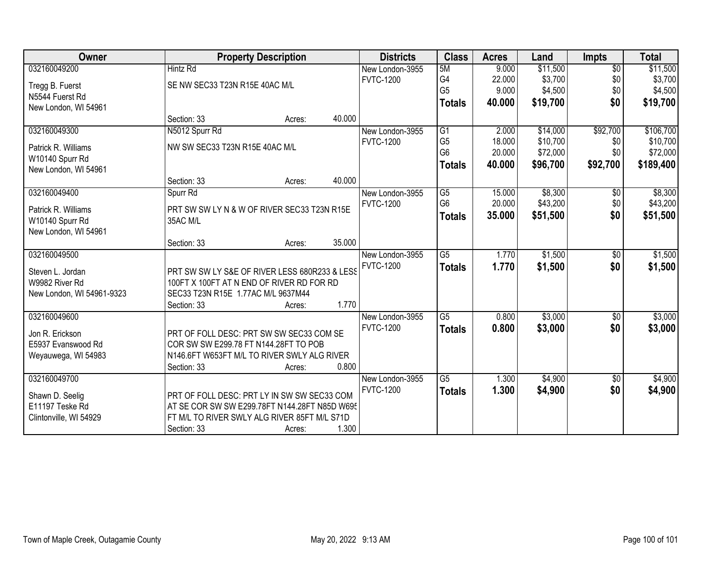| Owner                              |                                                                                            | <b>Property Description</b> |        | <b>Districts</b>                    | <b>Class</b>    | <b>Acres</b> | Land     | <b>Impts</b>    | <b>Total</b> |
|------------------------------------|--------------------------------------------------------------------------------------------|-----------------------------|--------|-------------------------------------|-----------------|--------------|----------|-----------------|--------------|
| 032160049200                       | <b>Hintz Rd</b>                                                                            |                             |        | New London-3955                     | 5M              | 9.000        | \$11,500 | $\overline{60}$ | \$11,500     |
| Tregg B. Fuerst                    | SE NW SEC33 T23N R15E 40AC M/L                                                             |                             |        | <b>FVTC-1200</b>                    | G4              | 22.000       | \$3,700  | \$0             | \$3,700      |
| N5544 Fuerst Rd                    |                                                                                            |                             |        |                                     | G <sub>5</sub>  | 9.000        | \$4,500  | \$0             | \$4,500      |
| New London, WI 54961               |                                                                                            |                             |        |                                     | <b>Totals</b>   | 40.000       | \$19,700 | \$0             | \$19,700     |
|                                    | Section: 33                                                                                | Acres:                      | 40.000 |                                     |                 |              |          |                 |              |
| 032160049300                       | N5012 Spurr Rd                                                                             |                             |        | New London-3955                     | G1              | 2.000        | \$14,000 | \$92,700        | \$106,700    |
| Patrick R. Williams                | NW SW SEC33 T23N R15E 40AC M/L                                                             |                             |        | <b>FVTC-1200</b>                    | G <sub>5</sub>  | 18.000       | \$10,700 | \$0             | \$10,700     |
| W10140 Spurr Rd                    |                                                                                            |                             |        |                                     | G <sub>6</sub>  | 20.000       | \$72,000 | \$0             | \$72,000     |
| New London, WI 54961               |                                                                                            |                             |        |                                     | <b>Totals</b>   | 40.000       | \$96,700 | \$92,700        | \$189,400    |
|                                    | Section: 33                                                                                | Acres:                      | 40.000 |                                     |                 |              |          |                 |              |
| 032160049400                       | Spurr Rd                                                                                   |                             |        | New London-3955                     | $\overline{G5}$ | 15.000       | \$8,300  | $\sqrt[6]{}$    | \$8,300      |
| Patrick R. Williams                | PRT SW SW LY N & W OF RIVER SEC33 T23N R15E                                                |                             |        | <b>FVTC-1200</b>                    | G <sub>6</sub>  | 20.000       | \$43,200 | \$0             | \$43,200     |
| W10140 Spurr Rd                    | 35AC M/L                                                                                   |                             |        |                                     | <b>Totals</b>   | 35.000       | \$51,500 | \$0             | \$51,500     |
| New London, WI 54961               |                                                                                            |                             |        |                                     |                 |              |          |                 |              |
|                                    | Section: 33                                                                                | Acres:                      | 35.000 |                                     |                 |              |          |                 |              |
| 032160049500                       |                                                                                            |                             |        | New London-3955                     | $\overline{G5}$ | 1.770        | \$1,500  | $\sqrt[6]{3}$   | \$1,500      |
|                                    |                                                                                            |                             |        | <b>FVTC-1200</b>                    | <b>Totals</b>   | 1.770        | \$1,500  | \$0             | \$1,500      |
| Steven L. Jordan<br>W9982 River Rd | PRT SW SW LY S&E OF RIVER LESS 680R233 & LESS<br>100FT X 100FT AT N END OF RIVER RD FOR RD |                             |        |                                     |                 |              |          |                 |              |
| New London, WI 54961-9323          | SEC33 T23N R15E 1.77AC M/L 9637M44                                                         |                             |        |                                     |                 |              |          |                 |              |
|                                    | Section: 33                                                                                | Acres:                      | 1.770  |                                     |                 |              |          |                 |              |
| 032160049600                       |                                                                                            |                             |        | New London-3955                     | G5              | 0.800        | \$3,000  | \$0             | \$3,000      |
|                                    |                                                                                            |                             |        | <b>FVTC-1200</b>                    | <b>Totals</b>   | 0.800        | \$3,000  | \$0             | \$3,000      |
| Jon R. Erickson                    | PRT OF FOLL DESC: PRT SW SW SEC33 COM SE                                                   |                             |        |                                     |                 |              |          |                 |              |
| E5937 Evanswood Rd                 | COR SW SW E299.78 FT N144.28FT TO POB                                                      |                             |        |                                     |                 |              |          |                 |              |
| Weyauwega, WI 54983                | N146.6FT W653FT M/L TO RIVER SWLY ALG RIVER                                                |                             |        |                                     |                 |              |          |                 |              |
|                                    | Section: 33                                                                                | Acres:                      | 0.800  |                                     |                 |              |          |                 |              |
| 032160049700                       |                                                                                            |                             |        | New London-3955<br><b>FVTC-1200</b> | $\overline{G5}$ | 1.300        | \$4,900  | $\overline{50}$ | \$4,900      |
| Shawn D. Seelig                    | PRT OF FOLL DESC: PRT LY IN SW SW SEC33 COM                                                |                             |        |                                     | <b>Totals</b>   | 1.300        | \$4,900  | \$0             | \$4,900      |
| E11197 Teske Rd                    | AT SE COR SW SW E299.78FT N144.28FT N85D W695                                              |                             |        |                                     |                 |              |          |                 |              |
| Clintonville, WI 54929             | FT M/L TO RIVER SWLY ALG RIVER 85FT M/L S71D                                               |                             |        |                                     |                 |              |          |                 |              |
|                                    | Section: 33                                                                                | Acres:                      | 1.300  |                                     |                 |              |          |                 |              |